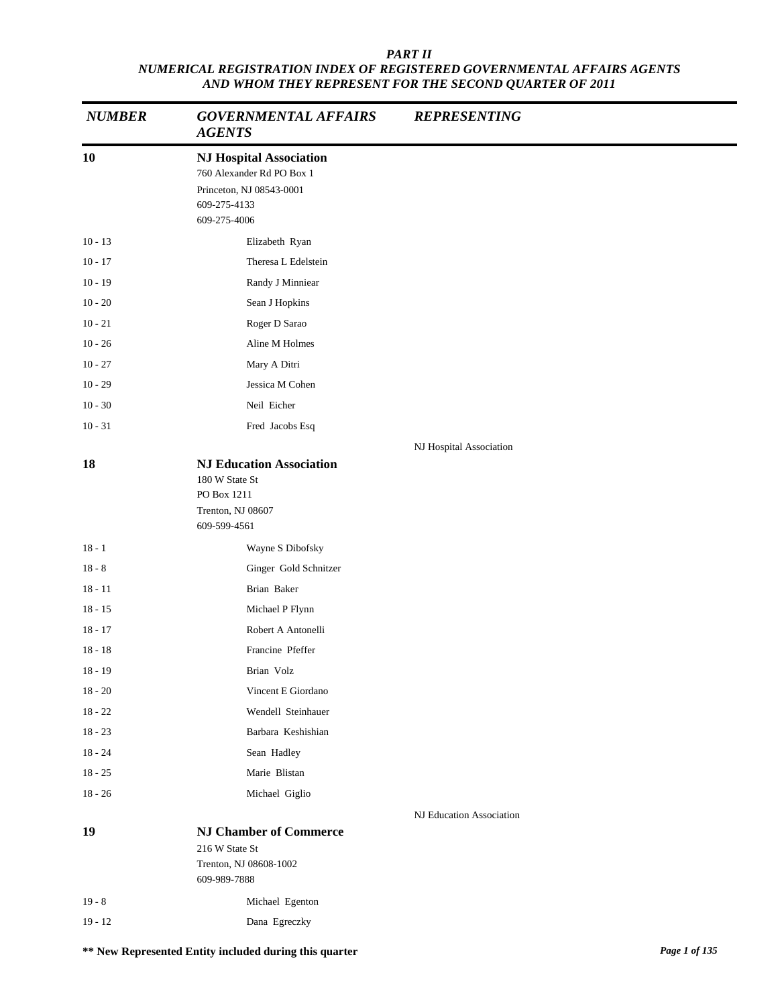| <b>NUMBER</b> | <b>GOVERNMENTAL AFFAIRS</b><br><b>AGENTS</b>                                                                            | <b>REPRESENTING</b>      |
|---------------|-------------------------------------------------------------------------------------------------------------------------|--------------------------|
| 10            | <b>NJ Hospital Association</b><br>760 Alexander Rd PO Box 1<br>Princeton, NJ 08543-0001<br>609-275-4133<br>609-275-4006 |                          |
| $10 - 13$     | Elizabeth Ryan                                                                                                          |                          |
| $10 - 17$     | Theresa L Edelstein                                                                                                     |                          |
| $10 - 19$     | Randy J Minniear                                                                                                        |                          |
| $10 - 20$     | Sean J Hopkins                                                                                                          |                          |
| $10 - 21$     | Roger D Sarao                                                                                                           |                          |
| $10 - 26$     | Aline M Holmes                                                                                                          |                          |
| $10 - 27$     | Mary A Ditri                                                                                                            |                          |
| $10 - 29$     | Jessica M Cohen                                                                                                         |                          |
| $10 - 30$     | Neil Eicher                                                                                                             |                          |
| $10 - 31$     | Fred Jacobs Esq                                                                                                         |                          |
|               |                                                                                                                         | NJ Hospital Association  |
| 18            | <b>NJ Education Association</b><br>180 W State St<br>PO Box 1211<br>Trenton, NJ 08607<br>609-599-4561                   |                          |
| $18 - 1$      | Wayne S Dibofsky                                                                                                        |                          |
| $18 - 8$      | Ginger Gold Schnitzer                                                                                                   |                          |
| $18 - 11$     | Brian Baker                                                                                                             |                          |
| $18 - 15$     | Michael P Flynn                                                                                                         |                          |
| $18 - 17$     | Robert A Antonelli                                                                                                      |                          |
| $18 - 18$     | Francine Pfeffer                                                                                                        |                          |
| $18 - 19$     | Brian Volz                                                                                                              |                          |
| $18 - 20$     | Vincent E Giordano                                                                                                      |                          |
| $18 - 22$     | Wendell Steinhauer                                                                                                      |                          |
| $18 - 23$     | Barbara Keshishian                                                                                                      |                          |
| $18 - 24$     | Sean Hadley                                                                                                             |                          |
| $18 - 25$     | Marie Blistan                                                                                                           |                          |
| $18 - 26$     | Michael Giglio                                                                                                          |                          |
|               |                                                                                                                         | NJ Education Association |
| 19            | <b>NJ Chamber of Commerce</b><br>216 W State St<br>Trenton, NJ 08608-1002<br>609-989-7888                               |                          |
| $19 - 8$      | Michael Egenton                                                                                                         |                          |
| $19 - 12$     | Dana Egreczky                                                                                                           |                          |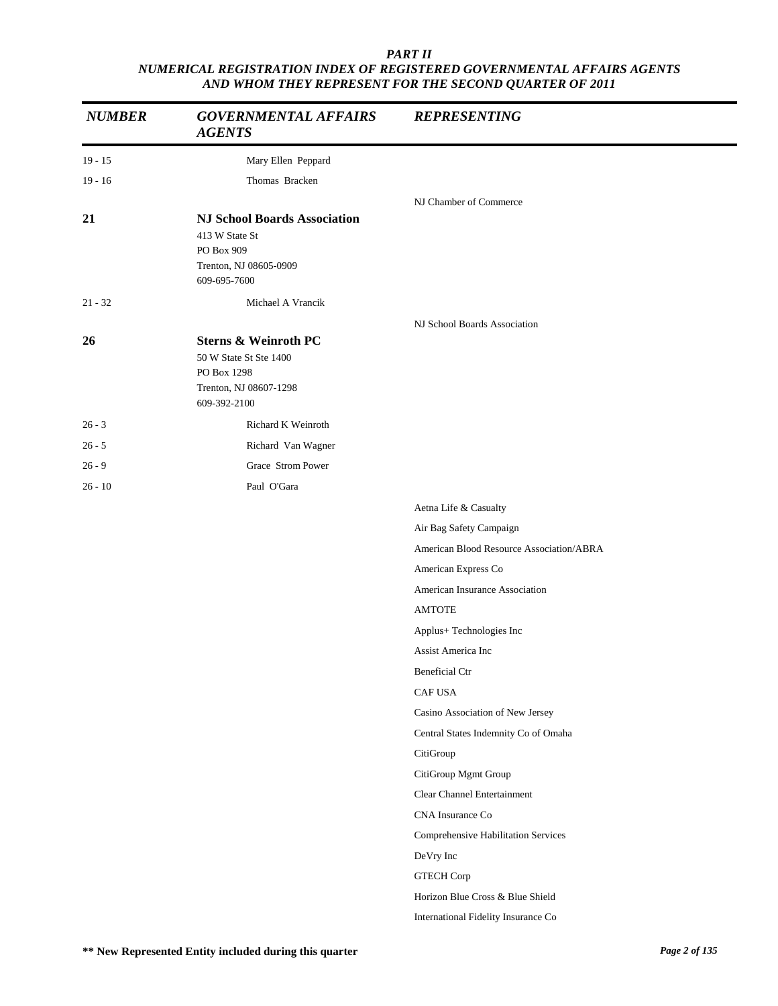| <b>NUMBER</b> | <b>GOVERNMENTAL AFFAIRS</b><br><b>AGENTS</b>                                                                       | <b>REPRESENTING</b>                      |
|---------------|--------------------------------------------------------------------------------------------------------------------|------------------------------------------|
| $19 - 15$     | Mary Ellen Peppard                                                                                                 |                                          |
| $19 - 16$     | Thomas Bracken                                                                                                     |                                          |
|               |                                                                                                                    | NJ Chamber of Commerce                   |
| 21            | <b>NJ School Boards Association</b><br>413 W State St<br>PO Box 909<br>Trenton, NJ 08605-0909<br>609-695-7600      |                                          |
| $21 - 32$     | Michael A Vrancik                                                                                                  |                                          |
| 26            | <b>Sterns &amp; Weinroth PC</b><br>50 W State St Ste 1400<br>PO Box 1298<br>Trenton, NJ 08607-1298<br>609-392-2100 | NJ School Boards Association             |
| $26 - 3$      | Richard K Weinroth                                                                                                 |                                          |
| $26 - 5$      | Richard Van Wagner                                                                                                 |                                          |
| $26 - 9$      | Grace Strom Power                                                                                                  |                                          |
| $26 - 10$     | Paul O'Gara                                                                                                        |                                          |
|               |                                                                                                                    | Aetna Life & Casualty                    |
|               |                                                                                                                    | Air Bag Safety Campaign                  |
|               |                                                                                                                    | American Blood Resource Association/ABRA |
|               |                                                                                                                    | American Express Co                      |
|               |                                                                                                                    | American Insurance Association           |
|               |                                                                                                                    | <b>AMTOTE</b>                            |
|               |                                                                                                                    | Applus+ Technologies Inc                 |
|               |                                                                                                                    | Assist America Inc                       |
|               |                                                                                                                    | <b>Beneficial Ctr</b>                    |
|               |                                                                                                                    | CAF USA                                  |
|               |                                                                                                                    | Casino Association of New Jersey         |
|               |                                                                                                                    | Central States Indemnity Co of Omaha     |
|               |                                                                                                                    | CitiGroup                                |
|               |                                                                                                                    | CitiGroup Mgmt Group                     |
|               |                                                                                                                    | Clear Channel Entertainment              |
|               |                                                                                                                    | CNA Insurance Co                         |
|               |                                                                                                                    | Comprehensive Habilitation Services      |
|               |                                                                                                                    | DeVry Inc                                |
|               |                                                                                                                    | <b>GTECH Corp</b>                        |
|               |                                                                                                                    | Horizon Blue Cross & Blue Shield         |
|               |                                                                                                                    | International Fidelity Insurance Co      |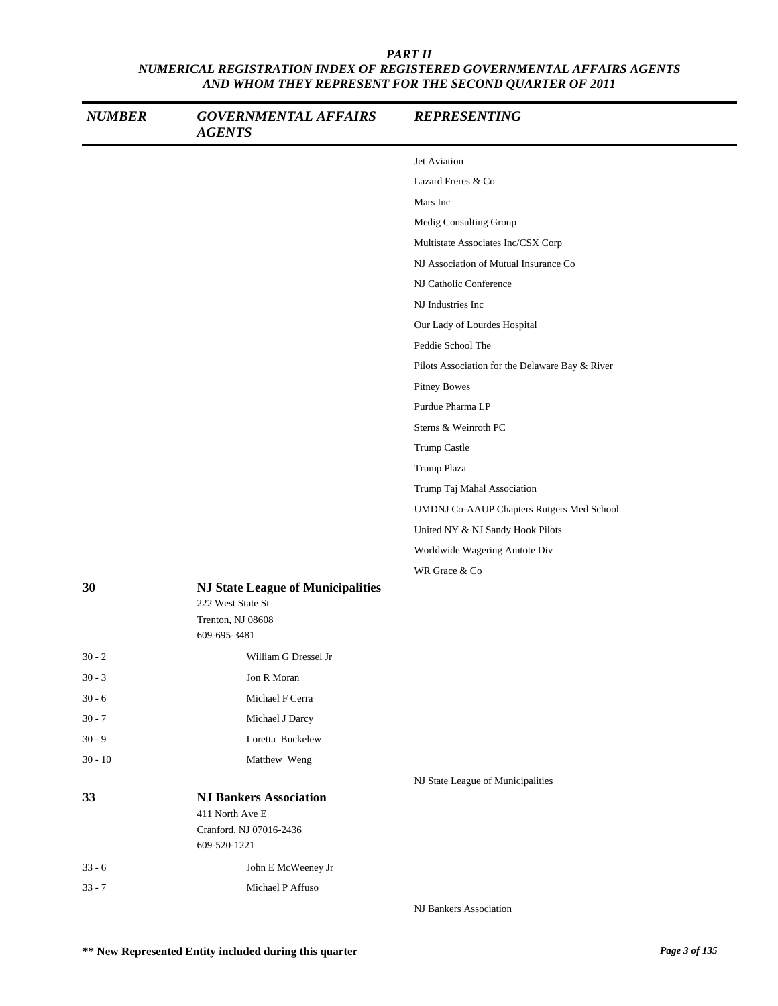| <b>NUMBER</b> | <b>GOVERNMENTAL AFFAIRS</b><br><b>AGENTS</b>                  | <b>REPRESENTING</b>                             |
|---------------|---------------------------------------------------------------|-------------------------------------------------|
|               |                                                               | Jet Aviation                                    |
|               |                                                               | Lazard Freres & Co                              |
|               |                                                               | Mars Inc                                        |
|               |                                                               | Medig Consulting Group                          |
|               |                                                               | Multistate Associates Inc/CSX Corp              |
|               |                                                               | NJ Association of Mutual Insurance Co           |
|               |                                                               | NJ Catholic Conference                          |
|               |                                                               | NJ Industries Inc                               |
|               |                                                               | Our Lady of Lourdes Hospital                    |
|               |                                                               | Peddie School The                               |
|               |                                                               | Pilots Association for the Delaware Bay & River |
|               |                                                               | Pitney Bowes                                    |
|               |                                                               | Purdue Pharma LP                                |
|               |                                                               | Sterns & Weinroth PC                            |
|               |                                                               | Trump Castle                                    |
|               |                                                               | Trump Plaza                                     |
|               |                                                               | Trump Taj Mahal Association                     |
|               |                                                               | UMDNJ Co-AAUP Chapters Rutgers Med School       |
|               |                                                               | United NY & NJ Sandy Hook Pilots                |
|               |                                                               | Worldwide Wagering Amtote Div                   |
|               |                                                               | WR Grace & Co                                   |
| 30            | <b>NJ State League of Municipalities</b><br>222 West State St |                                                 |
|               | Trenton, NJ 08608<br>609-695-3481                             |                                                 |
| $30 - 2$      | William G Dressel Jr                                          |                                                 |
| $30 - 3$      | Jon R Moran                                                   |                                                 |
| $30 - 6$      | Michael F Cerra                                               |                                                 |
| $30 - 7$      | Michael J Darcy                                               |                                                 |
| $30 - 9$      | Loretta Buckelew                                              |                                                 |
| $30 - 10$     | Matthew Weng                                                  |                                                 |
|               |                                                               | NJ State League of Municipalities               |
| 33            | <b>NJ Bankers Association</b><br>411 North Ave E              |                                                 |
|               | Cranford, NJ 07016-2436<br>609-520-1221                       |                                                 |
| $33 - 6$      | John E McWeeney Jr                                            |                                                 |
| $33 - 7$      | Michael P Affuso                                              |                                                 |
|               |                                                               | NJ Bankers Association                          |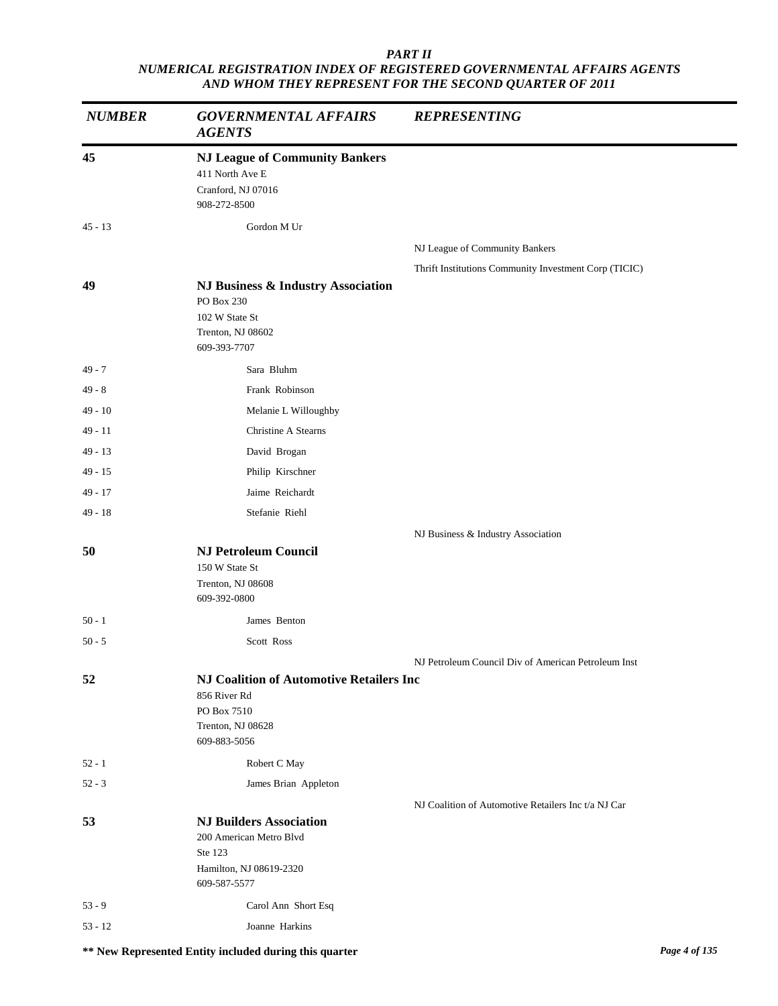| <b>NUMBER</b> | <b>GOVERNMENTAL AFFAIRS</b><br><b>AGENTS</b>                                                                        | <b>REPRESENTING</b>                                   |
|---------------|---------------------------------------------------------------------------------------------------------------------|-------------------------------------------------------|
| 45            | <b>NJ League of Community Bankers</b><br>411 North Ave E<br>Cranford, NJ 07016<br>908-272-8500                      |                                                       |
| $45 - 13$     | Gordon M Ur                                                                                                         |                                                       |
|               |                                                                                                                     | NJ League of Community Bankers                        |
|               |                                                                                                                     | Thrift Institutions Community Investment Corp (TICIC) |
| 49            | NJ Business & Industry Association<br>PO Box 230<br>102 W State St<br>Trenton, NJ 08602<br>609-393-7707             |                                                       |
| $49 - 7$      | Sara Bluhm                                                                                                          |                                                       |
| $49 - 8$      | Frank Robinson                                                                                                      |                                                       |
| $49 - 10$     | Melanie L Willoughby                                                                                                |                                                       |
| 49 - 11       | Christine A Stearns                                                                                                 |                                                       |
| $49 - 13$     | David Brogan                                                                                                        |                                                       |
| 49 - 15       | Philip Kirschner                                                                                                    |                                                       |
| 49 - 17       | Jaime Reichardt                                                                                                     |                                                       |
| $49 - 18$     | Stefanie Riehl                                                                                                      |                                                       |
|               |                                                                                                                     | NJ Business & Industry Association                    |
| 50            | <b>NJ Petroleum Council</b><br>150 W State St<br>Trenton, NJ 08608<br>609-392-0800                                  |                                                       |
| $50 - 1$      | James Benton                                                                                                        |                                                       |
| $50 - 5$      | Scott Ross                                                                                                          |                                                       |
|               |                                                                                                                     | NJ Petroleum Council Div of American Petroleum Inst   |
| 52            | <b>NJ Coalition of Automotive Retailers Inc</b><br>856 River Rd<br>PO Box 7510<br>Trenton, NJ 08628<br>609-883-5056 |                                                       |
| $52 - 1$      | Robert C May                                                                                                        |                                                       |
| $52 - 3$      | James Brian Appleton                                                                                                |                                                       |
|               |                                                                                                                     | NJ Coalition of Automotive Retailers Inc t/a NJ Car   |
| 53            | <b>NJ Builders Association</b><br>200 American Metro Blvd<br>Ste 123<br>Hamilton, NJ 08619-2320                     |                                                       |
|               | 609-587-5577                                                                                                        |                                                       |
| $53 - 9$      | Carol Ann Short Esq                                                                                                 |                                                       |
| $53 - 12$     | Joanne Harkins                                                                                                      |                                                       |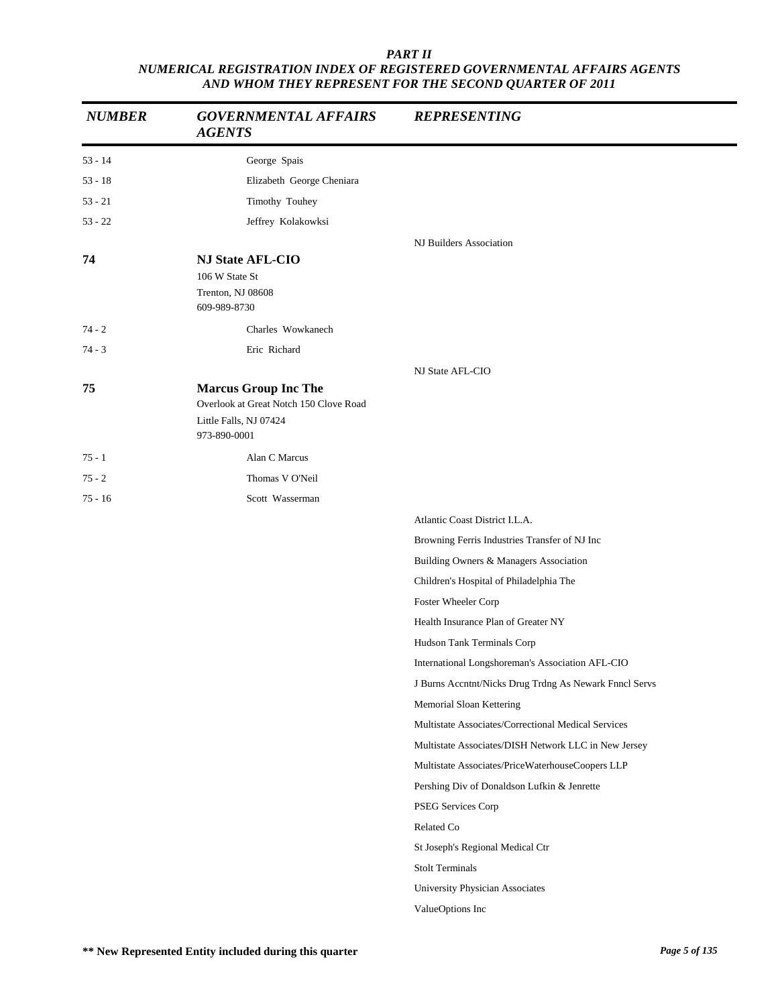| <b>NUMBER</b> | <b>GOVERNMENTAL AFFAIRS</b><br><b>AGENTS</b>                                                                    | <b>REPRESENTING</b>                                    |
|---------------|-----------------------------------------------------------------------------------------------------------------|--------------------------------------------------------|
| $53 - 14$     | George Spais                                                                                                    |                                                        |
| $53 - 18$     | Elizabeth George Cheniara                                                                                       |                                                        |
| $53 - 21$     | Timothy Touhey                                                                                                  |                                                        |
| $53 - 22$     | Jeffrey Kolakowksi                                                                                              |                                                        |
|               |                                                                                                                 | NJ Builders Association                                |
| 74            | <b>NJ State AFL-CIO</b><br>106 W State St<br>Trenton, NJ 08608<br>609-989-8730                                  |                                                        |
| $74 - 2$      | Charles Wowkanech                                                                                               |                                                        |
| $74 - 3$      | Eric Richard                                                                                                    |                                                        |
| 75            | <b>Marcus Group Inc The</b><br>Overlook at Great Notch 150 Clove Road<br>Little Falls, NJ 07424<br>973-890-0001 | NJ State AFL-CIO                                       |
| $75 - 1$      | Alan C Marcus                                                                                                   |                                                        |
| $75 - 2$      | Thomas V O'Neil                                                                                                 |                                                        |
| 75 - 16       | Scott Wasserman                                                                                                 |                                                        |
|               |                                                                                                                 | Atlantic Coast District I.L.A.                         |
|               |                                                                                                                 | Browning Ferris Industries Transfer of NJ Inc          |
|               |                                                                                                                 | Building Owners & Managers Association                 |
|               |                                                                                                                 | Children's Hospital of Philadelphia The                |
|               |                                                                                                                 | Foster Wheeler Corp                                    |
|               |                                                                                                                 | Health Insurance Plan of Greater NY                    |
|               |                                                                                                                 | Hudson Tank Terminals Corp                             |
|               |                                                                                                                 | International Longshoreman's Association AFL-CIO       |
|               |                                                                                                                 | J Burns Accntnt/Nicks Drug Trdng As Newark Fnncl Servs |
|               |                                                                                                                 | Memorial Sloan Kettering                               |
|               |                                                                                                                 | Multistate Associates/Correctional Medical Services    |
|               |                                                                                                                 | Multistate Associates/DISH Network LLC in New Jersey   |
|               |                                                                                                                 | Multistate Associates/PriceWaterhouseCoopers LLP       |
|               |                                                                                                                 | Pershing Div of Donaldson Lufkin & Jenrette            |
|               |                                                                                                                 | PSEG Services Corp                                     |
|               |                                                                                                                 | Related Co                                             |
|               |                                                                                                                 | St Joseph's Regional Medical Ctr                       |
|               |                                                                                                                 | <b>Stolt Terminals</b>                                 |
|               |                                                                                                                 | University Physician Associates                        |
|               |                                                                                                                 | ValueOptions Inc                                       |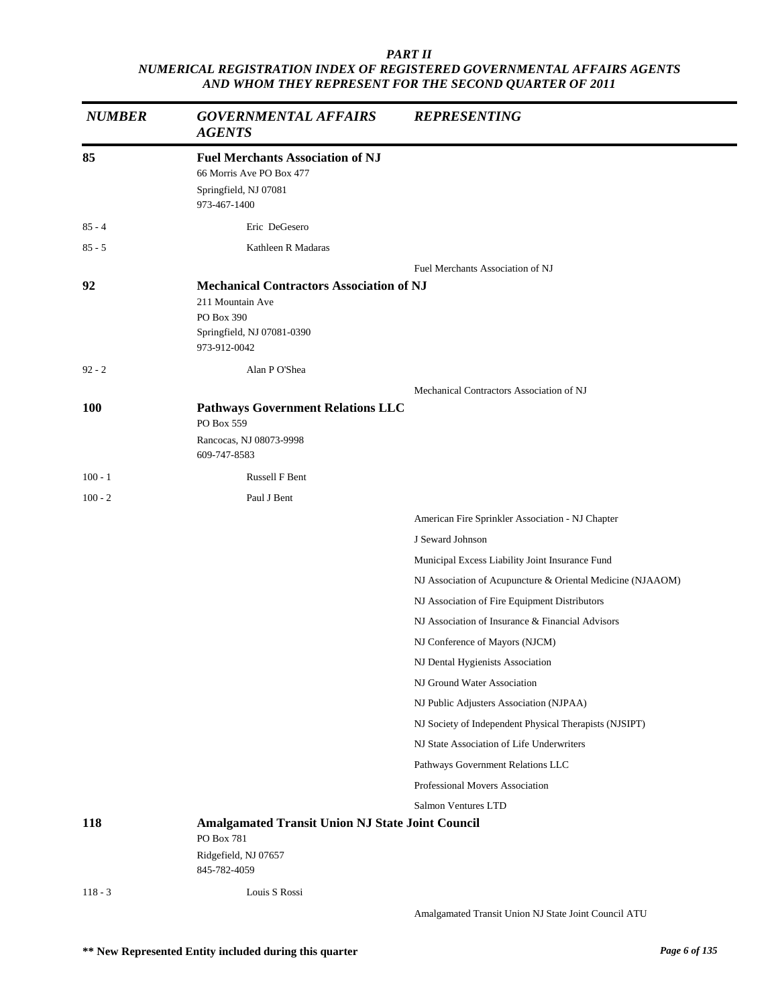| <b>NUMBER</b> | <b>GOVERNMENTAL AFFAIRS</b><br><b>AGENTS</b>                                                                                    | <b>REPRESENTING</b>                                        |
|---------------|---------------------------------------------------------------------------------------------------------------------------------|------------------------------------------------------------|
| 85            | <b>Fuel Merchants Association of NJ</b><br>66 Morris Ave PO Box 477<br>Springfield, NJ 07081<br>973-467-1400                    |                                                            |
| $85 - 4$      | Eric DeGesero                                                                                                                   |                                                            |
| $85 - 5$      | Kathleen R Madaras                                                                                                              |                                                            |
|               |                                                                                                                                 | Fuel Merchants Association of NJ                           |
| 92            | <b>Mechanical Contractors Association of NJ</b><br>211 Mountain Ave<br>PO Box 390<br>Springfield, NJ 07081-0390<br>973-912-0042 |                                                            |
| $92 - 2$      | Alan P O'Shea                                                                                                                   |                                                            |
| <b>100</b>    | <b>Pathways Government Relations LLC</b><br>PO Box 559<br>Rancocas, NJ 08073-9998<br>609-747-8583                               | Mechanical Contractors Association of NJ                   |
| $100 - 1$     | Russell F Bent                                                                                                                  |                                                            |
| $100 - 2$     | Paul J Bent                                                                                                                     |                                                            |
|               |                                                                                                                                 | American Fire Sprinkler Association - NJ Chapter           |
|               |                                                                                                                                 | J Seward Johnson                                           |
|               |                                                                                                                                 | Municipal Excess Liability Joint Insurance Fund            |
|               |                                                                                                                                 | NJ Association of Acupuncture & Oriental Medicine (NJAAOM) |
|               |                                                                                                                                 | NJ Association of Fire Equipment Distributors              |
|               |                                                                                                                                 | NJ Association of Insurance & Financial Advisors           |
|               |                                                                                                                                 | NJ Conference of Mayors (NJCM)                             |
|               |                                                                                                                                 | NJ Dental Hygienists Association                           |
|               |                                                                                                                                 | NJ Ground Water Association                                |
|               |                                                                                                                                 | NJ Public Adjusters Association (NJPAA)                    |
|               |                                                                                                                                 | NJ Society of Independent Physical Therapists (NJSIPT)     |
|               |                                                                                                                                 | NJ State Association of Life Underwriters                  |
|               |                                                                                                                                 | Pathways Government Relations LLC                          |
|               |                                                                                                                                 | Professional Movers Association                            |
|               |                                                                                                                                 | Salmon Ventures LTD                                        |
| 118           | <b>Amalgamated Transit Union NJ State Joint Council</b><br>PO Box 781                                                           |                                                            |
|               | Ridgefield, NJ 07657<br>845-782-4059                                                                                            |                                                            |
| $118 - 3$     | Louis S Rossi                                                                                                                   |                                                            |

Amalgamated Transit Union NJ State Joint Council ATU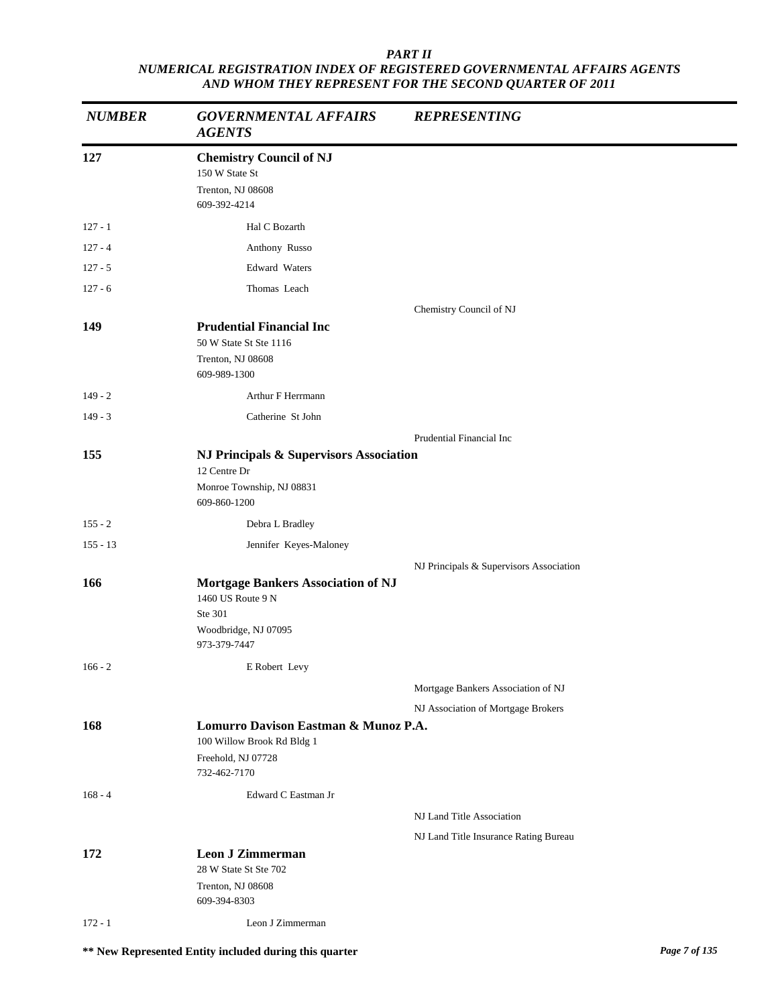| <b>NUMBER</b> | <b>GOVERNMENTAL AFFAIRS</b><br><b>AGENTS</b>                                                                      | <b>REPRESENTING</b>                     |
|---------------|-------------------------------------------------------------------------------------------------------------------|-----------------------------------------|
| 127           | <b>Chemistry Council of NJ</b><br>150 W State St<br>Trenton, NJ 08608<br>609-392-4214                             |                                         |
| $127 - 1$     | Hal C Bozarth                                                                                                     |                                         |
| $127 - 4$     | Anthony Russo                                                                                                     |                                         |
| $127 - 5$     | <b>Edward Waters</b>                                                                                              |                                         |
| $127 - 6$     | Thomas Leach                                                                                                      |                                         |
| 149           | <b>Prudential Financial Inc</b><br>50 W State St Ste 1116<br>Trenton, NJ 08608<br>609-989-1300                    | Chemistry Council of NJ                 |
| $149 - 2$     | Arthur F Herrmann                                                                                                 |                                         |
| $149 - 3$     | Catherine St John                                                                                                 |                                         |
|               |                                                                                                                   | Prudential Financial Inc                |
| 155           | NJ Principals & Supervisors Association<br>12 Centre Dr<br>Monroe Township, NJ 08831<br>609-860-1200              |                                         |
| $155 - 2$     | Debra L Bradley                                                                                                   |                                         |
| $155 - 13$    | Jennifer Keyes-Maloney                                                                                            |                                         |
|               |                                                                                                                   | NJ Principals & Supervisors Association |
| 166           | <b>Mortgage Bankers Association of NJ</b><br>1460 US Route 9 N<br>Ste 301<br>Woodbridge, NJ 07095<br>973-379-7447 |                                         |
| $166 - 2$     | E Robert Levy                                                                                                     |                                         |
|               |                                                                                                                   | Mortgage Bankers Association of NJ      |
|               |                                                                                                                   | NJ Association of Mortgage Brokers      |
| 168           | Lomurro Davison Eastman & Munoz P.A.<br>100 Willow Brook Rd Bldg 1<br>Freehold, NJ 07728<br>732-462-7170          |                                         |
| $168 - 4$     | Edward C Eastman Jr                                                                                               |                                         |
|               |                                                                                                                   | NJ Land Title Association               |
|               |                                                                                                                   | NJ Land Title Insurance Rating Bureau   |
| 172           | <b>Leon J Zimmerman</b><br>28 W State St Ste 702<br>Trenton, NJ 08608<br>609-394-8303                             |                                         |
| $172 - 1$     | Leon J Zimmerman                                                                                                  |                                         |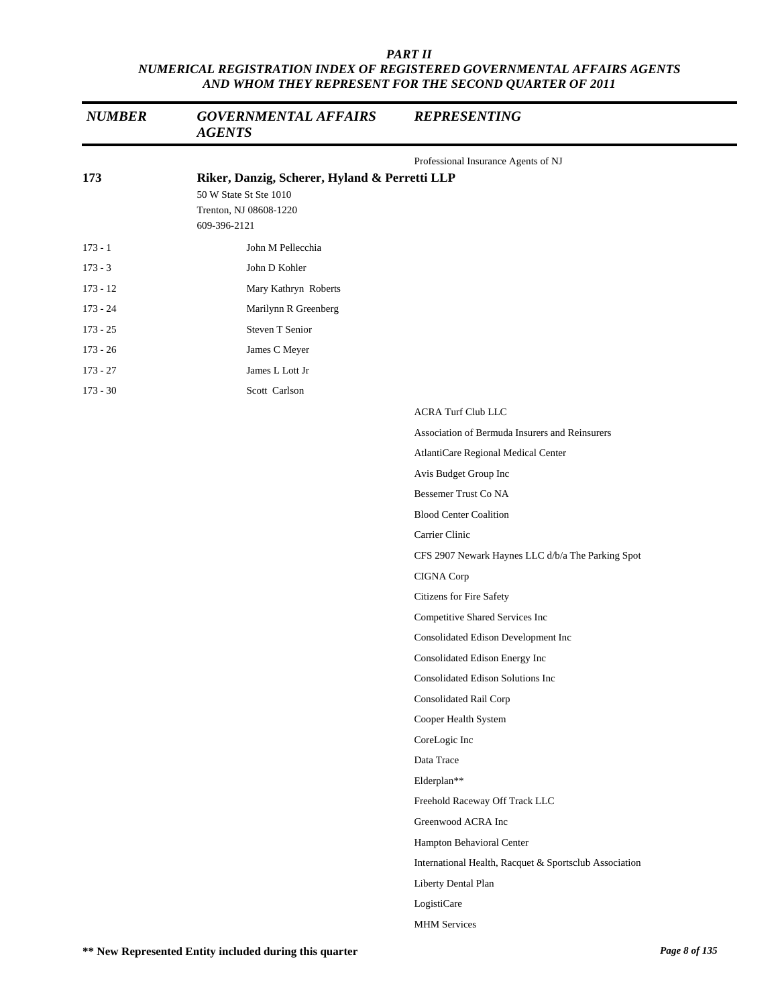| <b>NUMBER</b> | <b>GOVERNMENTAL AFFAIRS</b><br><b>AGENTS</b>  | <b>REPRESENTING</b>                                    |
|---------------|-----------------------------------------------|--------------------------------------------------------|
| 173           | Riker, Danzig, Scherer, Hyland & Perretti LLP | Professional Insurance Agents of NJ                    |
|               | 50 W State St Ste 1010                        |                                                        |
|               | Trenton, NJ 08608-1220                        |                                                        |
|               | 609-396-2121                                  |                                                        |
| $173 - 1$     | John M Pellecchia                             |                                                        |
| $173 - 3$     | John D Kohler                                 |                                                        |
| $173 - 12$    | Mary Kathryn Roberts                          |                                                        |
| $173 - 24$    | Marilynn R Greenberg                          |                                                        |
| $173 - 25$    | Steven T Senior                               |                                                        |
| $173 - 26$    | James C Meyer                                 |                                                        |
| $173 - 27$    | James L Lott Jr                               |                                                        |
| $173 - 30$    | Scott Carlson                                 |                                                        |
|               |                                               | <b>ACRA Turf Club LLC</b>                              |
|               |                                               | Association of Bermuda Insurers and Reinsurers         |
|               |                                               | AtlantiCare Regional Medical Center                    |
|               |                                               | Avis Budget Group Inc                                  |
|               |                                               | Bessemer Trust Co NA                                   |
|               |                                               | <b>Blood Center Coalition</b>                          |
|               |                                               | Carrier Clinic                                         |
|               |                                               | CFS 2907 Newark Haynes LLC d/b/a The Parking Spot      |
|               |                                               | CIGNA Corp                                             |
|               |                                               | Citizens for Fire Safety                               |
|               |                                               | Competitive Shared Services Inc                        |
|               |                                               | Consolidated Edison Development Inc                    |
|               |                                               | Consolidated Edison Energy Inc                         |
|               |                                               | Consolidated Edison Solutions Inc                      |
|               |                                               | Consolidated Rail Corp                                 |
|               |                                               | Cooper Health System                                   |
|               |                                               | CoreLogic Inc                                          |
|               |                                               | Data Trace                                             |
|               |                                               | Elderplan**                                            |
|               |                                               | Freehold Raceway Off Track LLC                         |
|               |                                               | Greenwood ACRA Inc                                     |
|               |                                               | Hampton Behavioral Center                              |
|               |                                               | International Health, Racquet & Sportsclub Association |
|               |                                               | Liberty Dental Plan                                    |
|               |                                               | LogistiCare                                            |
|               |                                               | <b>MHM</b> Services                                    |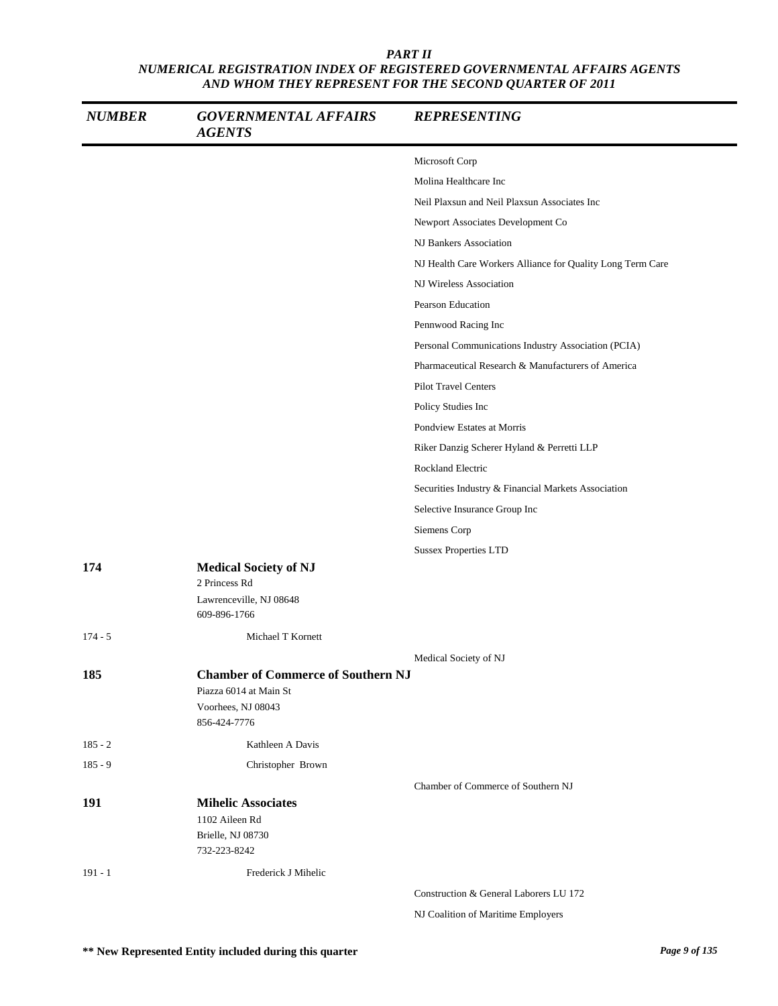| <b>NUMBER</b> | <b>GOVERNMENTAL AFFAIRS</b><br><b>AGENTS</b>  | <b>REPRESENTING</b>                                        |
|---------------|-----------------------------------------------|------------------------------------------------------------|
|               |                                               | Microsoft Corp                                             |
|               |                                               | Molina Healthcare Inc                                      |
|               |                                               | Neil Plaxsun and Neil Plaxsun Associates Inc               |
|               |                                               | Newport Associates Development Co                          |
|               |                                               | NJ Bankers Association                                     |
|               |                                               | NJ Health Care Workers Alliance for Quality Long Term Care |
|               |                                               | NJ Wireless Association                                    |
|               |                                               | <b>Pearson Education</b>                                   |
|               |                                               | Pennwood Racing Inc                                        |
|               |                                               | Personal Communications Industry Association (PCIA)        |
|               |                                               | Pharmaceutical Research & Manufacturers of America         |
|               |                                               | <b>Pilot Travel Centers</b>                                |
|               |                                               | Policy Studies Inc                                         |
|               |                                               | Pondview Estates at Morris                                 |
|               |                                               | Riker Danzig Scherer Hyland & Perretti LLP                 |
|               |                                               | Rockland Electric                                          |
|               |                                               | Securities Industry & Financial Markets Association        |
|               |                                               | Selective Insurance Group Inc                              |
|               |                                               | Siemens Corp                                               |
|               |                                               | <b>Sussex Properties LTD</b>                               |
| 174           | <b>Medical Society of NJ</b><br>2 Princess Rd |                                                            |
|               | Lawrenceville, NJ 08648<br>609-896-1766       |                                                            |
| $174 - 5$     | Michael T Kornett                             |                                                            |
|               |                                               | Medical Society of NJ                                      |
| 185           | <b>Chamber of Commerce of Southern NJ</b>     |                                                            |
|               | Piazza 6014 at Main St                        |                                                            |
|               | Voorhees, NJ 08043<br>856-424-7776            |                                                            |
| $185 - 2$     | Kathleen A Davis                              |                                                            |
| $185 - 9$     | Christopher Brown                             |                                                            |
|               |                                               | Chamber of Commerce of Southern NJ                         |
| 191           | <b>Mihelic Associates</b>                     |                                                            |
|               | 1102 Aileen Rd                                |                                                            |
|               | Brielle, NJ 08730                             |                                                            |
|               | 732-223-8242                                  |                                                            |
| $191 - 1$     | Frederick J Mihelic                           |                                                            |
|               |                                               | Construction & General Laborers LU 172                     |

NJ Coalition of Maritime Employers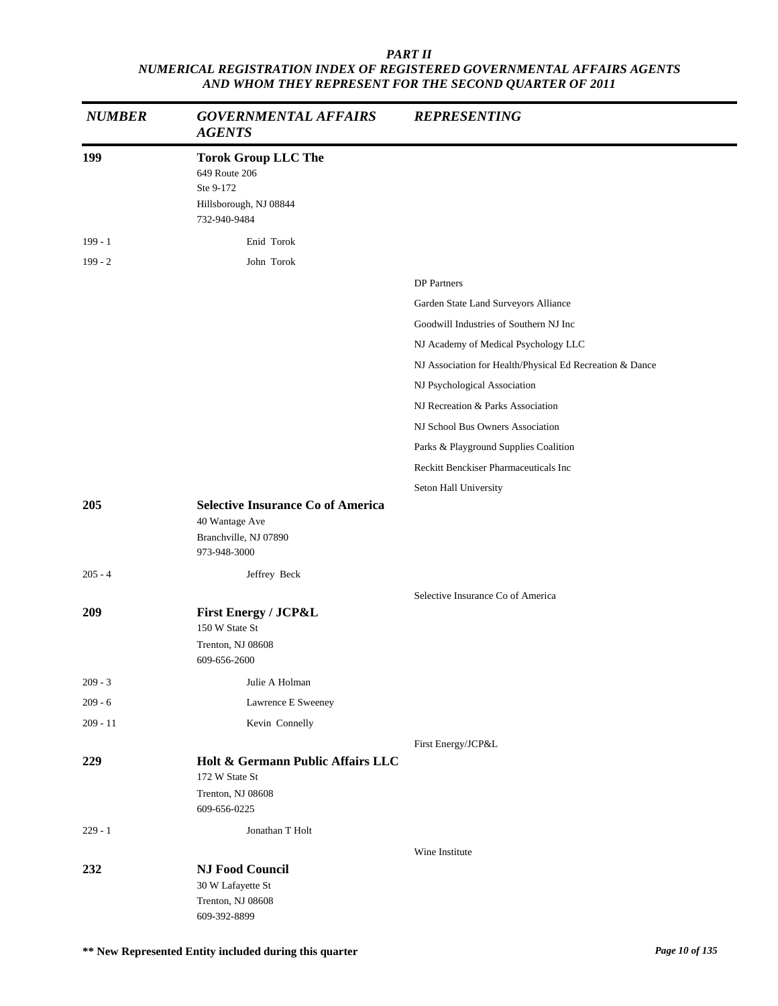| <b>NUMBER</b> | <b>GOVERNMENTAL AFFAIRS</b><br><b>AGENTS</b>                                                        | <b>REPRESENTING</b>                                      |
|---------------|-----------------------------------------------------------------------------------------------------|----------------------------------------------------------|
| 199           | <b>Torok Group LLC The</b><br>649 Route 206<br>Ste 9-172<br>Hillsborough, NJ 08844<br>732-940-9484  |                                                          |
| $199 - 1$     | Enid Torok                                                                                          |                                                          |
| $199 - 2$     | John Torok                                                                                          |                                                          |
|               |                                                                                                     | <b>DP</b> Partners                                       |
|               |                                                                                                     | Garden State Land Surveyors Alliance                     |
|               |                                                                                                     | Goodwill Industries of Southern NJ Inc                   |
|               |                                                                                                     | NJ Academy of Medical Psychology LLC                     |
|               |                                                                                                     | NJ Association for Health/Physical Ed Recreation & Dance |
|               |                                                                                                     | NJ Psychological Association                             |
|               |                                                                                                     | NJ Recreation & Parks Association                        |
|               |                                                                                                     | NJ School Bus Owners Association                         |
|               |                                                                                                     | Parks & Playground Supplies Coalition                    |
|               |                                                                                                     | Reckitt Benckiser Pharmaceuticals Inc                    |
|               |                                                                                                     | Seton Hall University                                    |
| 205           | <b>Selective Insurance Co of America</b><br>40 Wantage Ave<br>Branchville, NJ 07890<br>973-948-3000 |                                                          |
| $205 - 4$     | Jeffrey Beck                                                                                        |                                                          |
|               |                                                                                                     | Selective Insurance Co of America                        |
| 209           | <b>First Energy / JCP&amp;L</b><br>150 W State St<br>Trenton, NJ 08608<br>609-656-2600              |                                                          |
| $209 - 3$     | Julie A Holman                                                                                      |                                                          |
| $209 - 6$     | Lawrence E Sweeney                                                                                  |                                                          |
| $209 - 11$    | Kevin Connelly                                                                                      |                                                          |
|               |                                                                                                     | First Energy/JCP&L                                       |
| 229           | Holt & Germann Public Affairs LLC<br>172 W State St<br>Trenton, NJ 08608<br>609-656-0225            |                                                          |
| $229 - 1$     | Jonathan T Holt                                                                                     |                                                          |
|               |                                                                                                     | Wine Institute                                           |
| 232           | <b>NJ Food Council</b><br>30 W Lafayette St<br>Trenton, NJ 08608<br>609-392-8899                    |                                                          |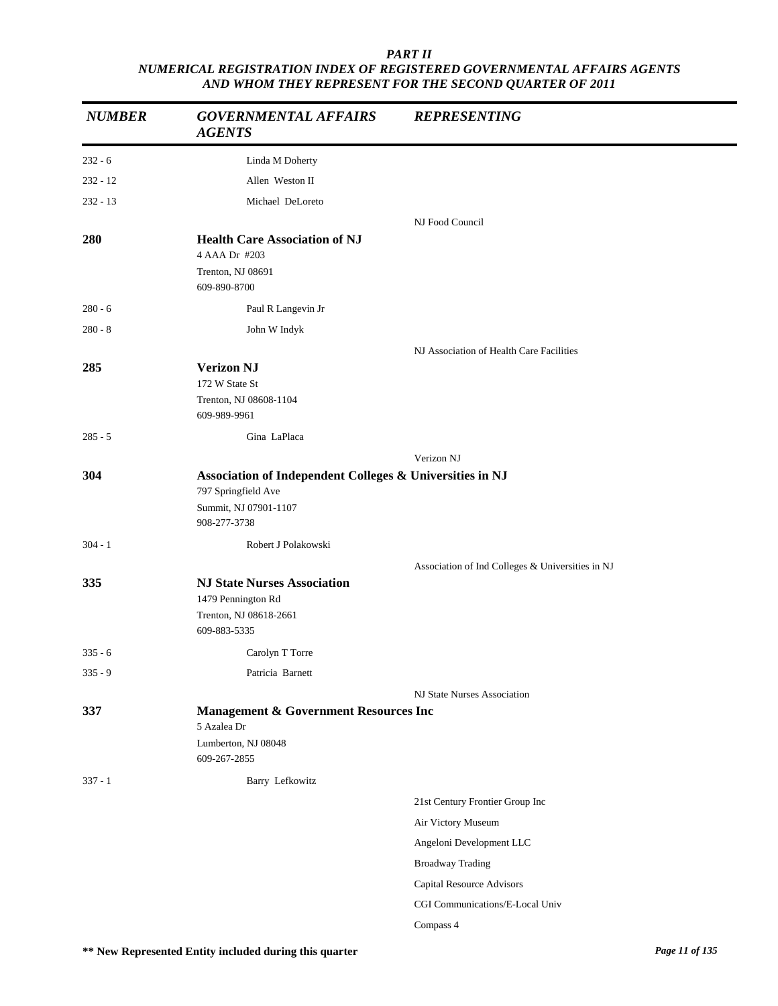| <b>NUMBER</b> | <b>GOVERNMENTAL AFFAIRS</b><br><b>AGENTS</b>                                                                             | <b>REPRESENTING</b>                              |
|---------------|--------------------------------------------------------------------------------------------------------------------------|--------------------------------------------------|
| $232 - 6$     | Linda M Doherty                                                                                                          |                                                  |
| $232 - 12$    | Allen Weston II                                                                                                          |                                                  |
| $232 - 13$    | Michael DeLoreto                                                                                                         |                                                  |
|               |                                                                                                                          | NJ Food Council                                  |
| 280           | <b>Health Care Association of NJ</b><br>4 AAA Dr #203<br>Trenton, NJ 08691<br>609-890-8700                               |                                                  |
| $280 - 6$     | Paul R Langevin Jr                                                                                                       |                                                  |
| $280 - 8$     | John W Indyk                                                                                                             |                                                  |
| 285           | <b>Verizon NJ</b><br>172 W State St<br>Trenton, NJ 08608-1104<br>609-989-9961                                            | NJ Association of Health Care Facilities         |
| $285 - 5$     | Gina LaPlaca                                                                                                             |                                                  |
|               |                                                                                                                          | Verizon NJ                                       |
| 304           | Association of Independent Colleges & Universities in NJ<br>797 Springfield Ave<br>Summit, NJ 07901-1107<br>908-277-3738 |                                                  |
| $304 - 1$     | Robert J Polakowski                                                                                                      |                                                  |
|               |                                                                                                                          | Association of Ind Colleges & Universities in NJ |
| 335           | <b>NJ State Nurses Association</b><br>1479 Pennington Rd<br>Trenton, NJ 08618-2661<br>609-883-5335                       |                                                  |
| $335 - 6$     | Carolyn T Torre                                                                                                          |                                                  |
| $335 - 9$     | Patricia Barnett                                                                                                         |                                                  |
|               |                                                                                                                          | NJ State Nurses Association                      |
| 337           | <b>Management &amp; Government Resources Inc</b><br>5 Azalea Dr<br>Lumberton, NJ 08048<br>609-267-2855                   |                                                  |
| $337 - 1$     | Barry Lefkowitz                                                                                                          |                                                  |
|               |                                                                                                                          | 21st Century Frontier Group Inc                  |
|               |                                                                                                                          | Air Victory Museum                               |
|               |                                                                                                                          | Angeloni Development LLC                         |
|               |                                                                                                                          | <b>Broadway Trading</b>                          |
|               |                                                                                                                          | Capital Resource Advisors                        |
|               |                                                                                                                          | CGI Communications/E-Local Univ                  |
|               |                                                                                                                          | Compass 4                                        |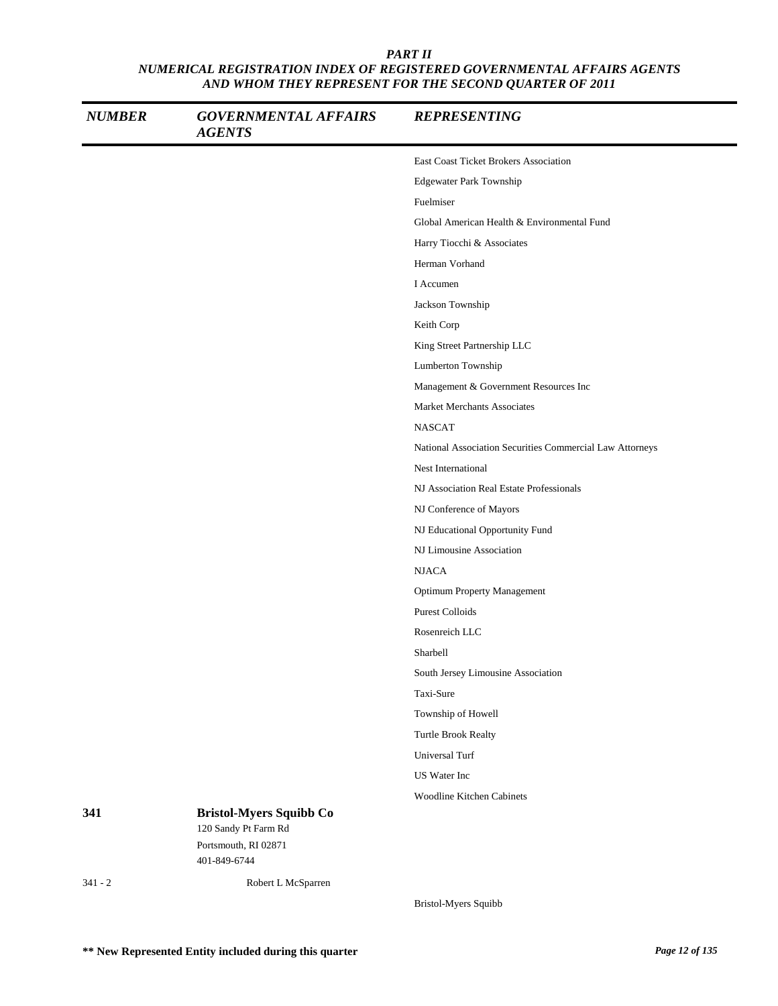| <b>NUMBER</b> | <b>GOVERNMENTAL AFFAIRS</b><br><b>AGENTS</b>           | <b>REPRESENTING</b>                                      |
|---------------|--------------------------------------------------------|----------------------------------------------------------|
|               |                                                        | East Coast Ticket Brokers Association                    |
|               |                                                        | <b>Edgewater Park Township</b>                           |
|               |                                                        | Fuelmiser                                                |
|               |                                                        | Global American Health & Environmental Fund              |
|               |                                                        | Harry Tiocchi & Associates                               |
|               |                                                        | Herman Vorhand                                           |
|               |                                                        | I Accumen                                                |
|               |                                                        | Jackson Township                                         |
|               |                                                        | Keith Corp                                               |
|               |                                                        | King Street Partnership LLC                              |
|               |                                                        | Lumberton Township                                       |
|               |                                                        | Management & Government Resources Inc                    |
|               |                                                        | Market Merchants Associates                              |
|               |                                                        | <b>NASCAT</b>                                            |
|               |                                                        | National Association Securities Commercial Law Attorneys |
|               |                                                        | Nest International                                       |
|               |                                                        | NJ Association Real Estate Professionals                 |
|               |                                                        | NJ Conference of Mayors                                  |
|               |                                                        | NJ Educational Opportunity Fund                          |
|               |                                                        | NJ Limousine Association                                 |
|               |                                                        | <b>NJACA</b>                                             |
|               |                                                        | <b>Optimum Property Management</b>                       |
|               |                                                        | <b>Purest Colloids</b>                                   |
|               |                                                        | Rosenreich LLC                                           |
|               |                                                        | Sharbell                                                 |
|               |                                                        | South Jersey Limousine Association                       |
|               |                                                        | Taxi-Sure                                                |
|               |                                                        | Township of Howell                                       |
|               |                                                        | Turtle Brook Realty                                      |
|               |                                                        | Universal Turf                                           |
|               |                                                        | US Water Inc                                             |
|               |                                                        | <b>Woodline Kitchen Cabinets</b>                         |
| 341           | <b>Bristol-Myers Squibb Co</b><br>120 Sandy Pt Farm Rd |                                                          |
|               | Portsmouth, RI 02871<br>401-849-6744                   |                                                          |
| $341 - 2$     | Robert L McSparren                                     |                                                          |

Bristol-Myers Squibb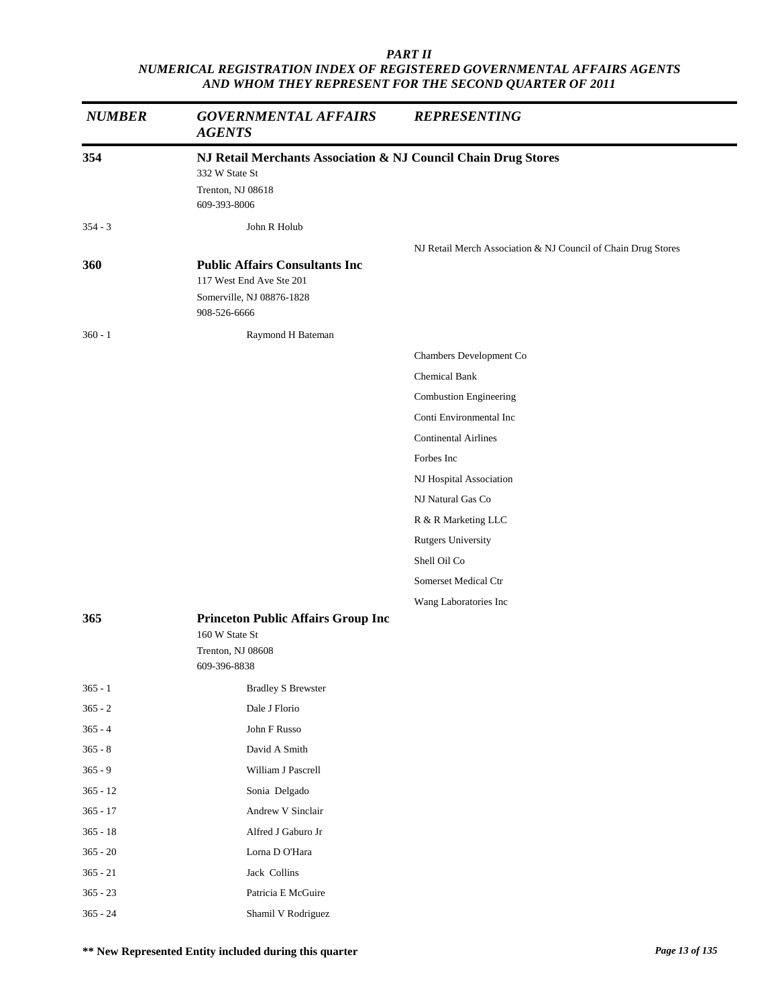| <b>NUMBER</b> | <b>GOVERNMENTAL AFFAIRS</b><br><b>AGENTS</b>                   | <b>REPRESENTING</b>                                           |
|---------------|----------------------------------------------------------------|---------------------------------------------------------------|
| 354           | NJ Retail Merchants Association & NJ Council Chain Drug Stores |                                                               |
|               | 332 W State St                                                 |                                                               |
|               | Trenton, NJ 08618<br>609-393-8006                              |                                                               |
| $354 - 3$     | John R Holub                                                   |                                                               |
|               |                                                                | NJ Retail Merch Association & NJ Council of Chain Drug Stores |
| <b>360</b>    | <b>Public Affairs Consultants Inc.</b>                         |                                                               |
|               | 117 West End Ave Ste 201<br>Somerville, NJ 08876-1828          |                                                               |
|               | 908-526-6666                                                   |                                                               |
| $360 - 1$     | Raymond H Bateman                                              |                                                               |
|               |                                                                | Chambers Development Co                                       |
|               |                                                                | Chemical Bank                                                 |
|               |                                                                | Combustion Engineering                                        |
|               |                                                                | Conti Environmental Inc                                       |
|               |                                                                | <b>Continental Airlines</b>                                   |
|               |                                                                | Forbes Inc                                                    |
|               |                                                                | NJ Hospital Association                                       |
|               |                                                                | NJ Natural Gas Co                                             |
|               |                                                                | R & R Marketing LLC                                           |
|               |                                                                | <b>Rutgers University</b>                                     |
|               |                                                                | Shell Oil Co                                                  |
|               |                                                                | Somerset Medical Ctr                                          |
|               |                                                                | Wang Laboratories Inc                                         |
| 365           | <b>Princeton Public Affairs Group Inc</b><br>160 W State St    |                                                               |
|               | Trenton, NJ 08608<br>609-396-8838                              |                                                               |
| $365 - 1$     | <b>Bradley S Brewster</b>                                      |                                                               |
| $365 - 2$     | Dale J Florio                                                  |                                                               |
| $365 - 4$     | John F Russo                                                   |                                                               |
| $365 - 8$     | David A Smith                                                  |                                                               |
| $365 - 9$     | William J Pascrell                                             |                                                               |
| $365 - 12$    | Sonia Delgado                                                  |                                                               |
| $365 - 17$    | Andrew V Sinclair                                              |                                                               |
| $365 - 18$    | Alfred J Gaburo Jr                                             |                                                               |
| $365 - 20$    | Lorna D O'Hara                                                 |                                                               |
| $365 - 21$    | Jack Collins                                                   |                                                               |
| $365 - 23$    | Patricia E McGuire                                             |                                                               |
| $365 - 24$    | Shamil V Rodriguez                                             |                                                               |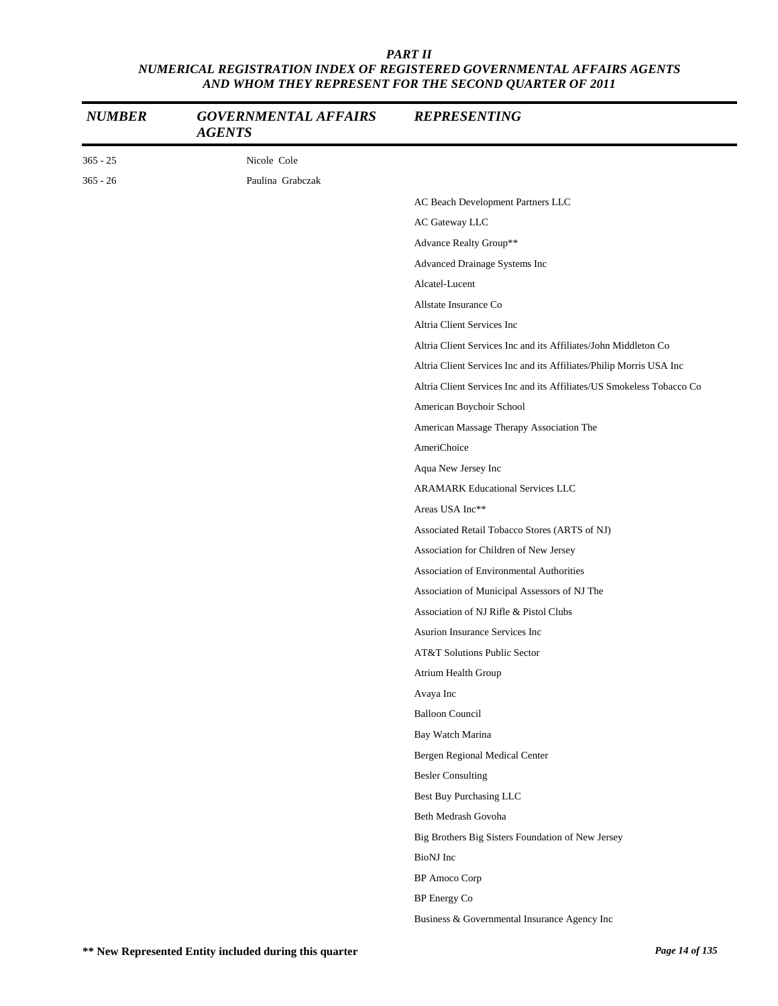| $365 - 25$<br>Nicole Cole<br>$365 - 26$<br>Paulina Grabczak<br>AC Beach Development Partners LLC<br>AC Gateway LLC<br>Advance Realty Group**<br>Advanced Drainage Systems Inc<br>Alcatel-Lucent<br>Allstate Insurance Co<br>Altria Client Services Inc<br>Altria Client Services Inc and its Affiliates/John Middleton Co<br>Altria Client Services Inc and its Affiliates/Philip Morris USA Inc<br>Altria Client Services Inc and its Affiliates/US Smokeless Tobacco Co<br>American Boychoir School<br>American Massage Therapy Association The<br>AmeriChoice<br>Aqua New Jersey Inc<br><b>ARAMARK Educational Services LLC</b><br>Areas USA Inc**<br>Associated Retail Tobacco Stores (ARTS of NJ)<br>Association for Children of New Jersey<br>Association of Environmental Authorities<br>Association of Municipal Assessors of NJ The<br>Association of NJ Rifle & Pistol Clubs<br>Asurion Insurance Services Inc<br>AT&T Solutions Public Sector<br>Atrium Health Group<br>Avaya Inc<br><b>Balloon Council</b><br>Bay Watch Marina<br>Bergen Regional Medical Center<br><b>Besler Consulting</b><br><b>Best Buy Purchasing LLC</b><br>Beth Medrash Govoha<br>Big Brothers Big Sisters Foundation of New Jersey<br>BioNJ Inc<br><b>BP</b> Amoco Corp<br>BP Energy Co | <b>NUMBER</b> | <b>GOVERNMENTAL AFFAIRS</b><br><b>AGENTS</b> | <b>REPRESENTING</b>                          |
|-----------------------------------------------------------------------------------------------------------------------------------------------------------------------------------------------------------------------------------------------------------------------------------------------------------------------------------------------------------------------------------------------------------------------------------------------------------------------------------------------------------------------------------------------------------------------------------------------------------------------------------------------------------------------------------------------------------------------------------------------------------------------------------------------------------------------------------------------------------------------------------------------------------------------------------------------------------------------------------------------------------------------------------------------------------------------------------------------------------------------------------------------------------------------------------------------------------------------------------------------------------------------------|---------------|----------------------------------------------|----------------------------------------------|
|                                                                                                                                                                                                                                                                                                                                                                                                                                                                                                                                                                                                                                                                                                                                                                                                                                                                                                                                                                                                                                                                                                                                                                                                                                                                             |               |                                              |                                              |
|                                                                                                                                                                                                                                                                                                                                                                                                                                                                                                                                                                                                                                                                                                                                                                                                                                                                                                                                                                                                                                                                                                                                                                                                                                                                             |               |                                              |                                              |
|                                                                                                                                                                                                                                                                                                                                                                                                                                                                                                                                                                                                                                                                                                                                                                                                                                                                                                                                                                                                                                                                                                                                                                                                                                                                             |               |                                              |                                              |
|                                                                                                                                                                                                                                                                                                                                                                                                                                                                                                                                                                                                                                                                                                                                                                                                                                                                                                                                                                                                                                                                                                                                                                                                                                                                             |               |                                              |                                              |
|                                                                                                                                                                                                                                                                                                                                                                                                                                                                                                                                                                                                                                                                                                                                                                                                                                                                                                                                                                                                                                                                                                                                                                                                                                                                             |               |                                              |                                              |
|                                                                                                                                                                                                                                                                                                                                                                                                                                                                                                                                                                                                                                                                                                                                                                                                                                                                                                                                                                                                                                                                                                                                                                                                                                                                             |               |                                              |                                              |
|                                                                                                                                                                                                                                                                                                                                                                                                                                                                                                                                                                                                                                                                                                                                                                                                                                                                                                                                                                                                                                                                                                                                                                                                                                                                             |               |                                              |                                              |
|                                                                                                                                                                                                                                                                                                                                                                                                                                                                                                                                                                                                                                                                                                                                                                                                                                                                                                                                                                                                                                                                                                                                                                                                                                                                             |               |                                              |                                              |
|                                                                                                                                                                                                                                                                                                                                                                                                                                                                                                                                                                                                                                                                                                                                                                                                                                                                                                                                                                                                                                                                                                                                                                                                                                                                             |               |                                              |                                              |
|                                                                                                                                                                                                                                                                                                                                                                                                                                                                                                                                                                                                                                                                                                                                                                                                                                                                                                                                                                                                                                                                                                                                                                                                                                                                             |               |                                              |                                              |
|                                                                                                                                                                                                                                                                                                                                                                                                                                                                                                                                                                                                                                                                                                                                                                                                                                                                                                                                                                                                                                                                                                                                                                                                                                                                             |               |                                              |                                              |
|                                                                                                                                                                                                                                                                                                                                                                                                                                                                                                                                                                                                                                                                                                                                                                                                                                                                                                                                                                                                                                                                                                                                                                                                                                                                             |               |                                              |                                              |
|                                                                                                                                                                                                                                                                                                                                                                                                                                                                                                                                                                                                                                                                                                                                                                                                                                                                                                                                                                                                                                                                                                                                                                                                                                                                             |               |                                              |                                              |
|                                                                                                                                                                                                                                                                                                                                                                                                                                                                                                                                                                                                                                                                                                                                                                                                                                                                                                                                                                                                                                                                                                                                                                                                                                                                             |               |                                              |                                              |
|                                                                                                                                                                                                                                                                                                                                                                                                                                                                                                                                                                                                                                                                                                                                                                                                                                                                                                                                                                                                                                                                                                                                                                                                                                                                             |               |                                              |                                              |
|                                                                                                                                                                                                                                                                                                                                                                                                                                                                                                                                                                                                                                                                                                                                                                                                                                                                                                                                                                                                                                                                                                                                                                                                                                                                             |               |                                              |                                              |
|                                                                                                                                                                                                                                                                                                                                                                                                                                                                                                                                                                                                                                                                                                                                                                                                                                                                                                                                                                                                                                                                                                                                                                                                                                                                             |               |                                              |                                              |
|                                                                                                                                                                                                                                                                                                                                                                                                                                                                                                                                                                                                                                                                                                                                                                                                                                                                                                                                                                                                                                                                                                                                                                                                                                                                             |               |                                              |                                              |
|                                                                                                                                                                                                                                                                                                                                                                                                                                                                                                                                                                                                                                                                                                                                                                                                                                                                                                                                                                                                                                                                                                                                                                                                                                                                             |               |                                              |                                              |
|                                                                                                                                                                                                                                                                                                                                                                                                                                                                                                                                                                                                                                                                                                                                                                                                                                                                                                                                                                                                                                                                                                                                                                                                                                                                             |               |                                              |                                              |
|                                                                                                                                                                                                                                                                                                                                                                                                                                                                                                                                                                                                                                                                                                                                                                                                                                                                                                                                                                                                                                                                                                                                                                                                                                                                             |               |                                              |                                              |
|                                                                                                                                                                                                                                                                                                                                                                                                                                                                                                                                                                                                                                                                                                                                                                                                                                                                                                                                                                                                                                                                                                                                                                                                                                                                             |               |                                              |                                              |
|                                                                                                                                                                                                                                                                                                                                                                                                                                                                                                                                                                                                                                                                                                                                                                                                                                                                                                                                                                                                                                                                                                                                                                                                                                                                             |               |                                              |                                              |
|                                                                                                                                                                                                                                                                                                                                                                                                                                                                                                                                                                                                                                                                                                                                                                                                                                                                                                                                                                                                                                                                                                                                                                                                                                                                             |               |                                              |                                              |
|                                                                                                                                                                                                                                                                                                                                                                                                                                                                                                                                                                                                                                                                                                                                                                                                                                                                                                                                                                                                                                                                                                                                                                                                                                                                             |               |                                              |                                              |
|                                                                                                                                                                                                                                                                                                                                                                                                                                                                                                                                                                                                                                                                                                                                                                                                                                                                                                                                                                                                                                                                                                                                                                                                                                                                             |               |                                              |                                              |
|                                                                                                                                                                                                                                                                                                                                                                                                                                                                                                                                                                                                                                                                                                                                                                                                                                                                                                                                                                                                                                                                                                                                                                                                                                                                             |               |                                              |                                              |
|                                                                                                                                                                                                                                                                                                                                                                                                                                                                                                                                                                                                                                                                                                                                                                                                                                                                                                                                                                                                                                                                                                                                                                                                                                                                             |               |                                              |                                              |
|                                                                                                                                                                                                                                                                                                                                                                                                                                                                                                                                                                                                                                                                                                                                                                                                                                                                                                                                                                                                                                                                                                                                                                                                                                                                             |               |                                              |                                              |
|                                                                                                                                                                                                                                                                                                                                                                                                                                                                                                                                                                                                                                                                                                                                                                                                                                                                                                                                                                                                                                                                                                                                                                                                                                                                             |               |                                              |                                              |
|                                                                                                                                                                                                                                                                                                                                                                                                                                                                                                                                                                                                                                                                                                                                                                                                                                                                                                                                                                                                                                                                                                                                                                                                                                                                             |               |                                              |                                              |
|                                                                                                                                                                                                                                                                                                                                                                                                                                                                                                                                                                                                                                                                                                                                                                                                                                                                                                                                                                                                                                                                                                                                                                                                                                                                             |               |                                              |                                              |
|                                                                                                                                                                                                                                                                                                                                                                                                                                                                                                                                                                                                                                                                                                                                                                                                                                                                                                                                                                                                                                                                                                                                                                                                                                                                             |               |                                              |                                              |
|                                                                                                                                                                                                                                                                                                                                                                                                                                                                                                                                                                                                                                                                                                                                                                                                                                                                                                                                                                                                                                                                                                                                                                                                                                                                             |               |                                              |                                              |
|                                                                                                                                                                                                                                                                                                                                                                                                                                                                                                                                                                                                                                                                                                                                                                                                                                                                                                                                                                                                                                                                                                                                                                                                                                                                             |               |                                              |                                              |
|                                                                                                                                                                                                                                                                                                                                                                                                                                                                                                                                                                                                                                                                                                                                                                                                                                                                                                                                                                                                                                                                                                                                                                                                                                                                             |               |                                              |                                              |
|                                                                                                                                                                                                                                                                                                                                                                                                                                                                                                                                                                                                                                                                                                                                                                                                                                                                                                                                                                                                                                                                                                                                                                                                                                                                             |               |                                              |                                              |
|                                                                                                                                                                                                                                                                                                                                                                                                                                                                                                                                                                                                                                                                                                                                                                                                                                                                                                                                                                                                                                                                                                                                                                                                                                                                             |               |                                              | Business & Governmental Insurance Agency Inc |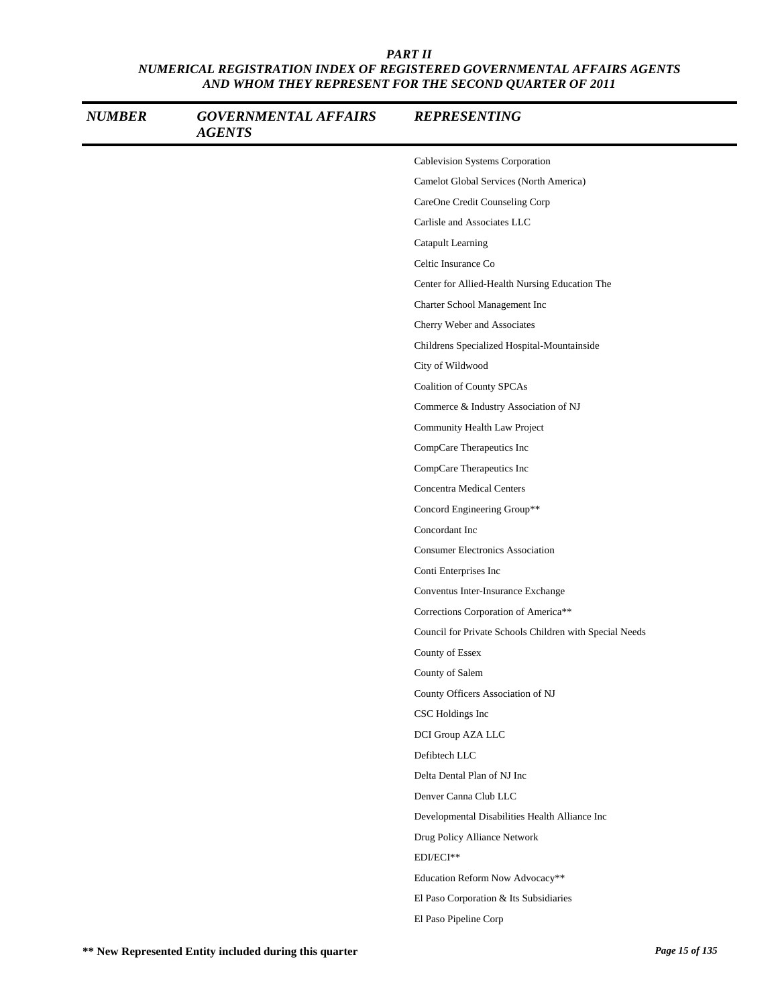| <b>NUMBER</b> | <b>GOVERNMENTAL AFFAIRS</b><br><b>AGENTS</b> | <b>REPRESENTING</b>                                     |
|---------------|----------------------------------------------|---------------------------------------------------------|
|               |                                              | Cablevision Systems Corporation                         |
|               |                                              | Camelot Global Services (North America)                 |
|               |                                              | CareOne Credit Counseling Corp                          |
|               |                                              | Carlisle and Associates LLC                             |
|               |                                              | Catapult Learning                                       |
|               |                                              | Celtic Insurance Co                                     |
|               |                                              | Center for Allied-Health Nursing Education The          |
|               |                                              | Charter School Management Inc                           |
|               |                                              | Cherry Weber and Associates                             |
|               |                                              | Childrens Specialized Hospital-Mountainside             |
|               |                                              | City of Wildwood                                        |
|               |                                              | Coalition of County SPCAs                               |
|               |                                              | Commerce & Industry Association of NJ                   |
|               |                                              | Community Health Law Project                            |
|               |                                              | CompCare Therapeutics Inc                               |
|               |                                              | CompCare Therapeutics Inc                               |
|               |                                              | <b>Concentra Medical Centers</b>                        |
|               |                                              | Concord Engineering Group**                             |
|               |                                              | Concordant Inc                                          |
|               |                                              | <b>Consumer Electronics Association</b>                 |
|               |                                              | Conti Enterprises Inc                                   |
|               |                                              | Conventus Inter-Insurance Exchange                      |
|               |                                              | Corrections Corporation of America**                    |
|               |                                              | Council for Private Schools Children with Special Needs |
|               |                                              | County of Essex                                         |
|               |                                              | County of Salem                                         |
|               |                                              | County Officers Association of NJ                       |
|               |                                              | CSC Holdings Inc                                        |
|               |                                              | DCI Group AZA LLC                                       |
|               |                                              | Defibtech LLC                                           |
|               |                                              | Delta Dental Plan of NJ Inc                             |
|               |                                              | Denver Canna Club LLC                                   |
|               |                                              | Developmental Disabilities Health Alliance Inc          |
|               |                                              | Drug Policy Alliance Network                            |
|               |                                              | EDI/ECI**                                               |
|               |                                              | Education Reform Now Advocacy**                         |
|               |                                              | El Paso Corporation & Its Subsidiaries                  |
|               |                                              | El Paso Pipeline Corp                                   |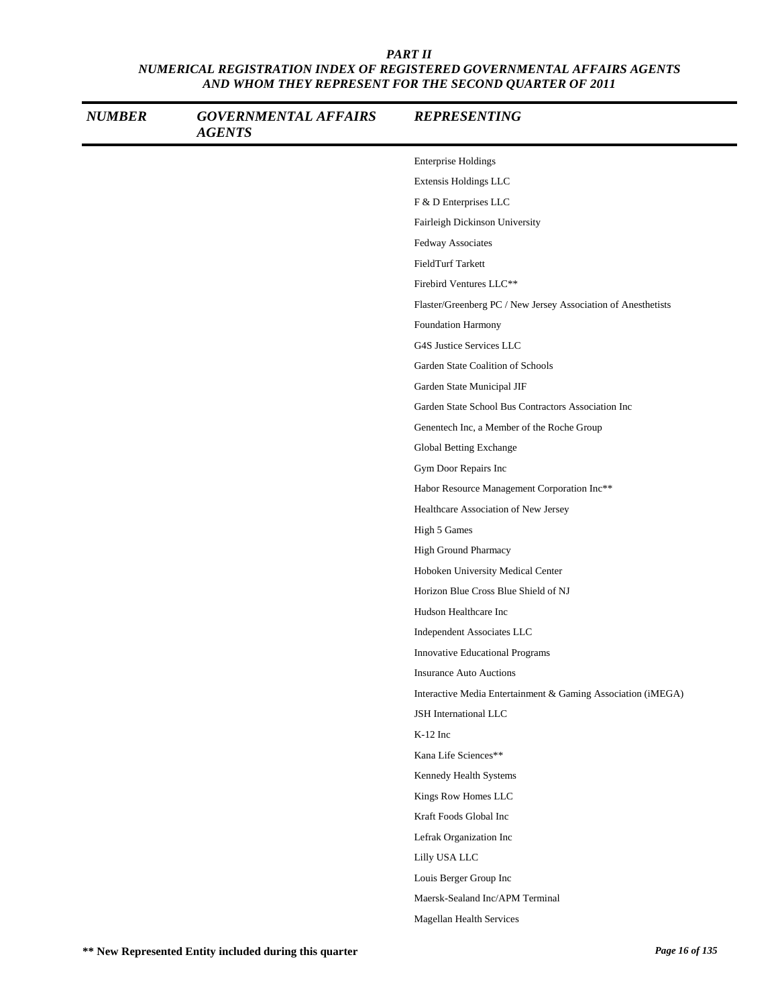| <b>NUMBER</b> | <b>GOVERNMENTAL AFFAIRS</b><br><b>AGENTS</b> | <b>REPRESENTING</b>                                           |
|---------------|----------------------------------------------|---------------------------------------------------------------|
|               |                                              | <b>Enterprise Holdings</b>                                    |
|               |                                              | Extensis Holdings LLC                                         |
|               |                                              | F & D Enterprises LLC                                         |
|               |                                              | Fairleigh Dickinson University                                |
|               |                                              | Fedway Associates                                             |
|               |                                              | FieldTurf Tarkett                                             |
|               |                                              | Firebird Ventures LLC**                                       |
|               |                                              | Flaster/Greenberg PC / New Jersey Association of Anesthetists |
|               |                                              | Foundation Harmony                                            |
|               |                                              | G4S Justice Services LLC                                      |
|               |                                              | Garden State Coalition of Schools                             |
|               |                                              | Garden State Municipal JIF                                    |
|               |                                              | Garden State School Bus Contractors Association Inc           |
|               |                                              | Genentech Inc, a Member of the Roche Group                    |
|               |                                              | Global Betting Exchange                                       |
|               |                                              | Gym Door Repairs Inc                                          |
|               |                                              | Habor Resource Management Corporation Inc**                   |
|               |                                              | Healthcare Association of New Jersey                          |
|               |                                              | High 5 Games                                                  |
|               |                                              | High Ground Pharmacy                                          |
|               |                                              | Hoboken University Medical Center                             |
|               |                                              | Horizon Blue Cross Blue Shield of NJ                          |
|               |                                              | Hudson Healthcare Inc                                         |
|               |                                              | Independent Associates LLC                                    |
|               |                                              | Innovative Educational Programs                               |
|               |                                              | <b>Insurance Auto Auctions</b>                                |
|               |                                              | Interactive Media Entertainment & Gaming Association (iMEGA)  |
|               |                                              | JSH International LLC                                         |
|               |                                              | K-12 Inc                                                      |
|               |                                              | Kana Life Sciences**                                          |
|               |                                              | Kennedy Health Systems                                        |
|               |                                              | Kings Row Homes LLC                                           |
|               |                                              | Kraft Foods Global Inc                                        |
|               |                                              | Lefrak Organization Inc                                       |
|               |                                              | Lilly USA LLC                                                 |
|               |                                              | Louis Berger Group Inc                                        |
|               |                                              | Maersk-Sealand Inc/APM Terminal                               |
|               |                                              | Magellan Health Services                                      |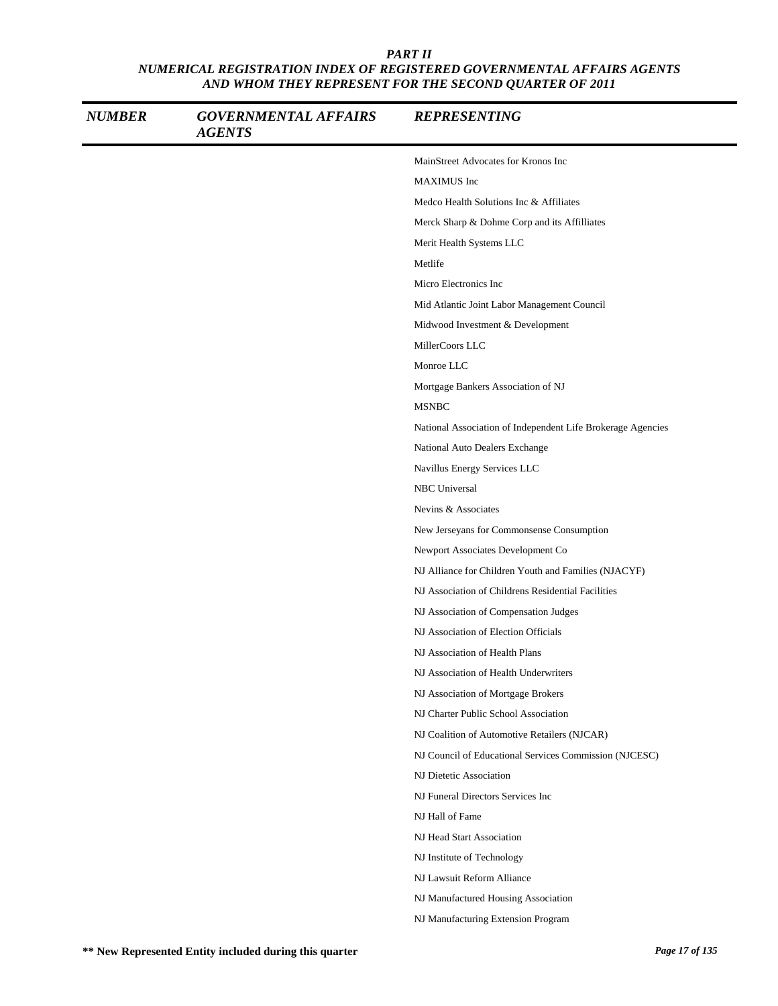| <b>NUMBER</b> | <b>GOVERNMENTAL AFFAIRS</b><br><b>AGENTS</b> | <b>REPRESENTING</b>                                         |
|---------------|----------------------------------------------|-------------------------------------------------------------|
|               |                                              | MainStreet Advocates for Kronos Inc                         |
|               |                                              | <b>MAXIMUS</b> Inc                                          |
|               |                                              | Medco Health Solutions Inc & Affiliates                     |
|               |                                              | Merck Sharp & Dohme Corp and its Affilliates                |
|               |                                              | Merit Health Systems LLC                                    |
|               |                                              | Metlife                                                     |
|               |                                              | Micro Electronics Inc                                       |
|               |                                              | Mid Atlantic Joint Labor Management Council                 |
|               |                                              | Midwood Investment & Development                            |
|               |                                              | MillerCoors LLC                                             |
|               |                                              | Monroe LLC                                                  |
|               |                                              | Mortgage Bankers Association of NJ                          |
|               |                                              | <b>MSNBC</b>                                                |
|               |                                              | National Association of Independent Life Brokerage Agencies |
|               |                                              | National Auto Dealers Exchange                              |
|               |                                              | Navillus Energy Services LLC                                |
|               |                                              | <b>NBC</b> Universal                                        |
|               |                                              | Nevins & Associates                                         |
|               |                                              | New Jerseyans for Commonsense Consumption                   |
|               |                                              | Newport Associates Development Co                           |
|               |                                              | NJ Alliance for Children Youth and Families (NJACYF)        |
|               |                                              | NJ Association of Childrens Residential Facilities          |
|               |                                              | NJ Association of Compensation Judges                       |
|               |                                              | NJ Association of Election Officials                        |
|               |                                              | NJ Association of Health Plans                              |
|               |                                              | NJ Association of Health Underwriters                       |
|               |                                              | NJ Association of Mortgage Brokers                          |
|               |                                              | NJ Charter Public School Association                        |
|               |                                              | NJ Coalition of Automotive Retailers (NJCAR)                |
|               |                                              | NJ Council of Educational Services Commission (NJCESC)      |
|               |                                              | NJ Dietetic Association                                     |
|               |                                              | NJ Funeral Directors Services Inc                           |
|               |                                              | NJ Hall of Fame                                             |
|               |                                              | NJ Head Start Association                                   |
|               |                                              | NJ Institute of Technology                                  |
|               |                                              | NJ Lawsuit Reform Alliance                                  |
|               |                                              | NJ Manufactured Housing Association                         |
|               |                                              | NJ Manufacturing Extension Program                          |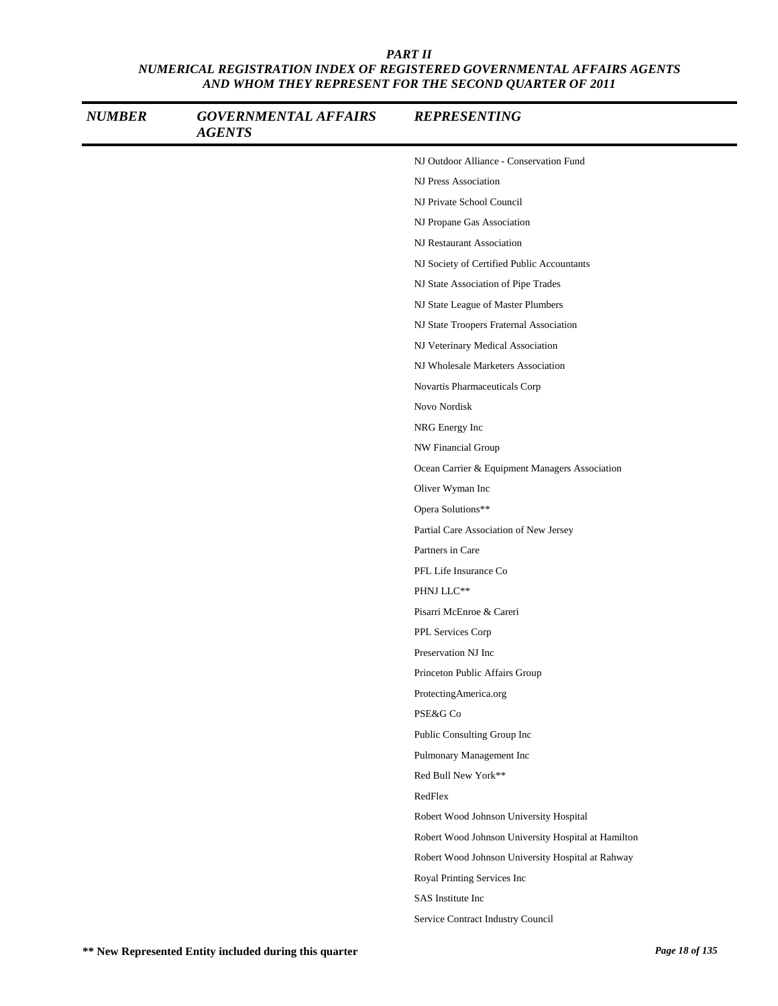| <b>NUMBER</b> | <b>GOVERNMENTAL AFFAIRS</b><br><b>AGENTS</b> | <b>REPRESENTING</b>                                 |
|---------------|----------------------------------------------|-----------------------------------------------------|
|               |                                              | NJ Outdoor Alliance - Conservation Fund             |
|               |                                              | NJ Press Association                                |
|               |                                              | NJ Private School Council                           |
|               |                                              | NJ Propane Gas Association                          |
|               |                                              | NJ Restaurant Association                           |
|               |                                              | NJ Society of Certified Public Accountants          |
|               |                                              | NJ State Association of Pipe Trades                 |
|               |                                              | NJ State League of Master Plumbers                  |
|               |                                              | NJ State Troopers Fraternal Association             |
|               |                                              | NJ Veterinary Medical Association                   |
|               |                                              | NJ Wholesale Marketers Association                  |
|               |                                              | Novartis Pharmaceuticals Corp                       |
|               |                                              | Novo Nordisk                                        |
|               |                                              | NRG Energy Inc                                      |
|               |                                              | NW Financial Group                                  |
|               |                                              | Ocean Carrier & Equipment Managers Association      |
|               |                                              | Oliver Wyman Inc                                    |
|               |                                              | Opera Solutions**                                   |
|               |                                              | Partial Care Association of New Jersey              |
|               |                                              | Partners in Care                                    |
|               |                                              | PFL Life Insurance Co                               |
|               |                                              | PHNJ LLC**                                          |
|               |                                              | Pisarri McEnroe & Careri                            |
|               |                                              | PPL Services Corp                                   |
|               |                                              | Preservation NJ Inc                                 |
|               |                                              | Princeton Public Affairs Group                      |
|               |                                              | ProtectingAmerica.org                               |
|               |                                              | PSE&G Co                                            |
|               |                                              | Public Consulting Group Inc                         |
|               |                                              | Pulmonary Management Inc                            |
|               |                                              | Red Bull New York**                                 |
|               |                                              | RedFlex                                             |
|               |                                              | Robert Wood Johnson University Hospital             |
|               |                                              | Robert Wood Johnson University Hospital at Hamilton |
|               |                                              | Robert Wood Johnson University Hospital at Rahway   |
|               |                                              | Royal Printing Services Inc                         |
|               |                                              | SAS Institute Inc                                   |
|               |                                              | Service Contract Industry Council                   |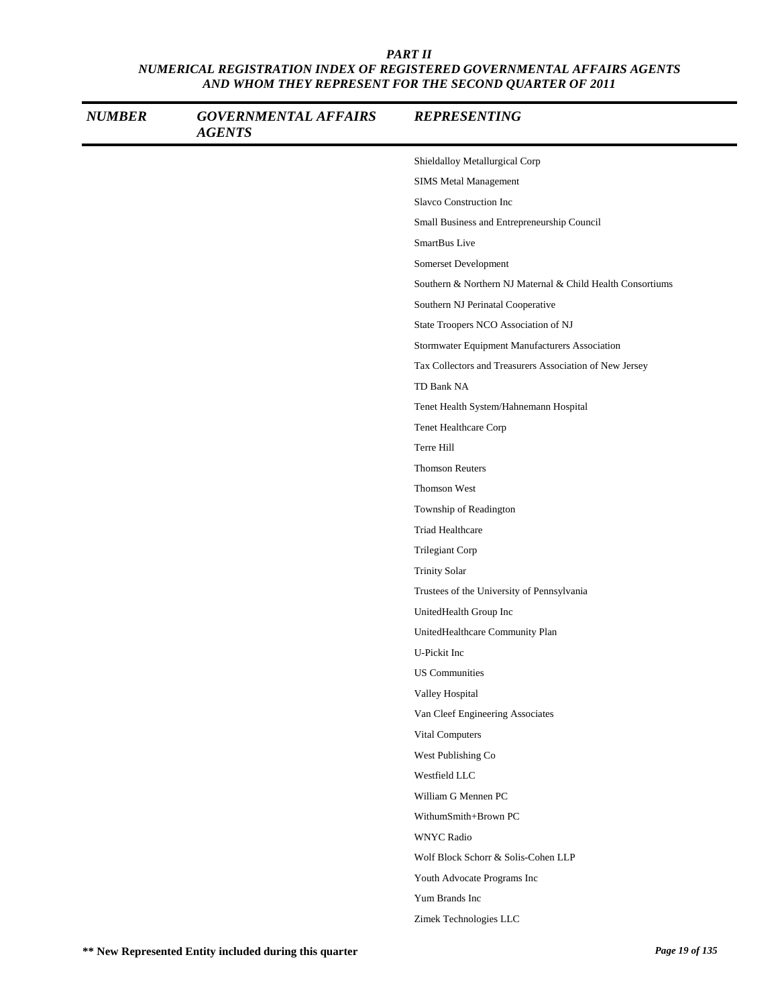| <b>NUMBER</b> | <b>GOVERNMENTAL AFFAIRS</b><br><b>AGENTS</b> | <b>REPRESENTING</b>                                        |
|---------------|----------------------------------------------|------------------------------------------------------------|
|               |                                              | Shieldalloy Metallurgical Corp                             |
|               |                                              | <b>SIMS Metal Management</b>                               |
|               |                                              | Slavco Construction Inc                                    |
|               |                                              | Small Business and Entrepreneurship Council                |
|               |                                              | SmartBus Live                                              |
|               |                                              | Somerset Development                                       |
|               |                                              | Southern & Northern NJ Maternal & Child Health Consortiums |
|               |                                              | Southern NJ Perinatal Cooperative                          |
|               |                                              | State Troopers NCO Association of NJ                       |
|               |                                              | Stormwater Equipment Manufacturers Association             |
|               |                                              | Tax Collectors and Treasurers Association of New Jersey    |
|               |                                              | TD Bank NA                                                 |
|               |                                              | Tenet Health System/Hahnemann Hospital                     |
|               |                                              | Tenet Healthcare Corp                                      |
|               |                                              | Terre Hill                                                 |
|               |                                              | <b>Thomson Reuters</b>                                     |
|               |                                              | Thomson West                                               |
|               |                                              | Township of Readington                                     |
|               |                                              | Triad Healthcare                                           |
|               |                                              | Trilegiant Corp                                            |
|               |                                              | <b>Trinity Solar</b>                                       |
|               |                                              | Trustees of the University of Pennsylvania                 |
|               |                                              | UnitedHealth Group Inc                                     |
|               |                                              | UnitedHealthcare Community Plan                            |
|               |                                              | U-Pickit Inc                                               |
|               |                                              | <b>US</b> Communities                                      |
|               |                                              | Valley Hospital                                            |
|               |                                              | Van Cleef Engineering Associates                           |
|               |                                              | Vital Computers                                            |
|               |                                              | West Publishing Co                                         |
|               |                                              | Westfield LLC                                              |
|               |                                              | William G Mennen PC                                        |
|               |                                              | WithumSmith+Brown PC                                       |
|               |                                              | <b>WNYC Radio</b>                                          |
|               |                                              | Wolf Block Schorr & Solis-Cohen LLP                        |
|               |                                              | Youth Advocate Programs Inc                                |
|               |                                              | Yum Brands Inc                                             |
|               |                                              | Zimek Technologies LLC                                     |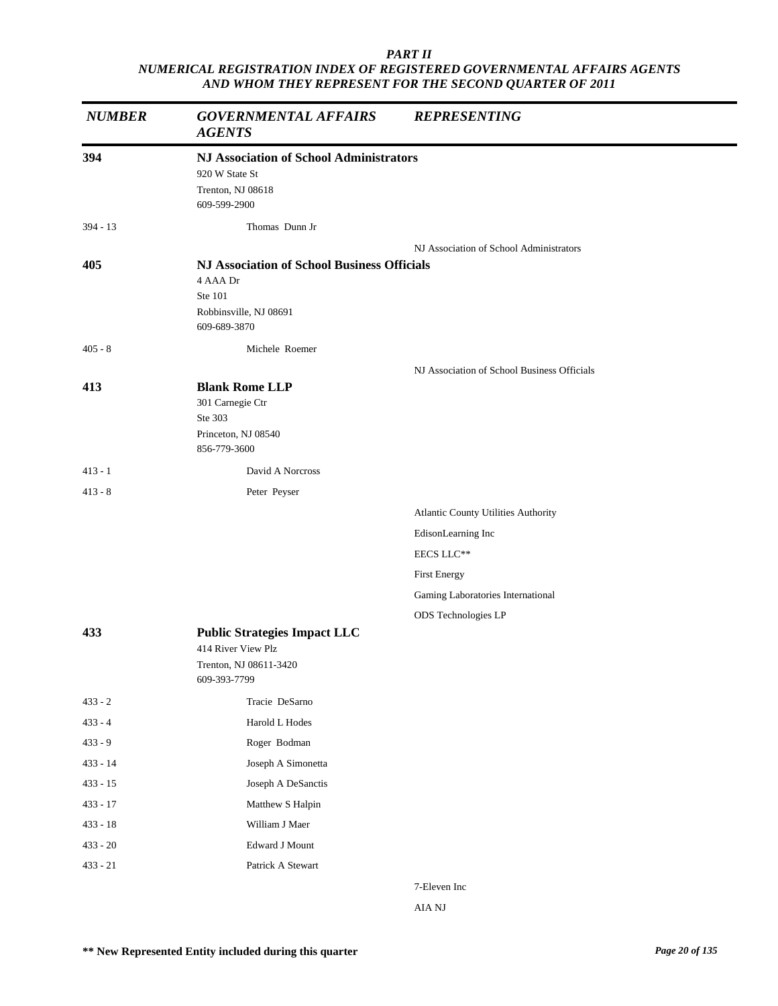| <b>NUMBER</b> | <b>GOVERNMENTAL AFFAIRS</b><br><b>AGENTS</b>                                                                        | <b>REPRESENTING</b>                         |
|---------------|---------------------------------------------------------------------------------------------------------------------|---------------------------------------------|
| 394           | <b>NJ Association of School Administrators</b><br>920 W State St<br>Trenton, NJ 08618<br>609-599-2900               |                                             |
| $394 - 13$    | Thomas Dunn Jr                                                                                                      |                                             |
| 405           | <b>NJ Association of School Business Officials</b><br>4 AAA Dr<br>Ste 101<br>Robbinsville, NJ 08691<br>609-689-3870 | NJ Association of School Administrators     |
| $405 - 8$     | Michele Roemer                                                                                                      |                                             |
| 413           | <b>Blank Rome LLP</b><br>301 Carnegie Ctr<br>Ste 303<br>Princeton, NJ 08540<br>856-779-3600                         | NJ Association of School Business Officials |
| $413 - 1$     | David A Norcross                                                                                                    |                                             |
| $413 - 8$     | Peter Peyser                                                                                                        |                                             |
|               |                                                                                                                     | Atlantic County Utilities Authority         |
|               |                                                                                                                     | EdisonLearning Inc                          |
|               |                                                                                                                     | EECS LLC**                                  |
|               |                                                                                                                     | First Energy                                |
|               |                                                                                                                     | Gaming Laboratories International           |
| 433           | <b>Public Strategies Impact LLC</b><br>414 River View Plz<br>Trenton, NJ 08611-3420<br>609-393-7799                 | ODS Technologies LP                         |
| $433 - 2$     | Tracie DeSarno                                                                                                      |                                             |
| $433 - 4$     | Harold L Hodes                                                                                                      |                                             |
| $433 - 9$     | Roger Bodman                                                                                                        |                                             |
| $433 - 14$    | Joseph A Simonetta                                                                                                  |                                             |
| $433 - 15$    | Joseph A DeSanctis                                                                                                  |                                             |
| $433 - 17$    | Matthew S Halpin                                                                                                    |                                             |
| $433 - 18$    | William J Maer                                                                                                      |                                             |
| $433 - 20$    | Edward J Mount                                                                                                      |                                             |
| $433 - 21$    | Patrick A Stewart                                                                                                   |                                             |
|               |                                                                                                                     |                                             |

7-Eleven Inc AIA NJ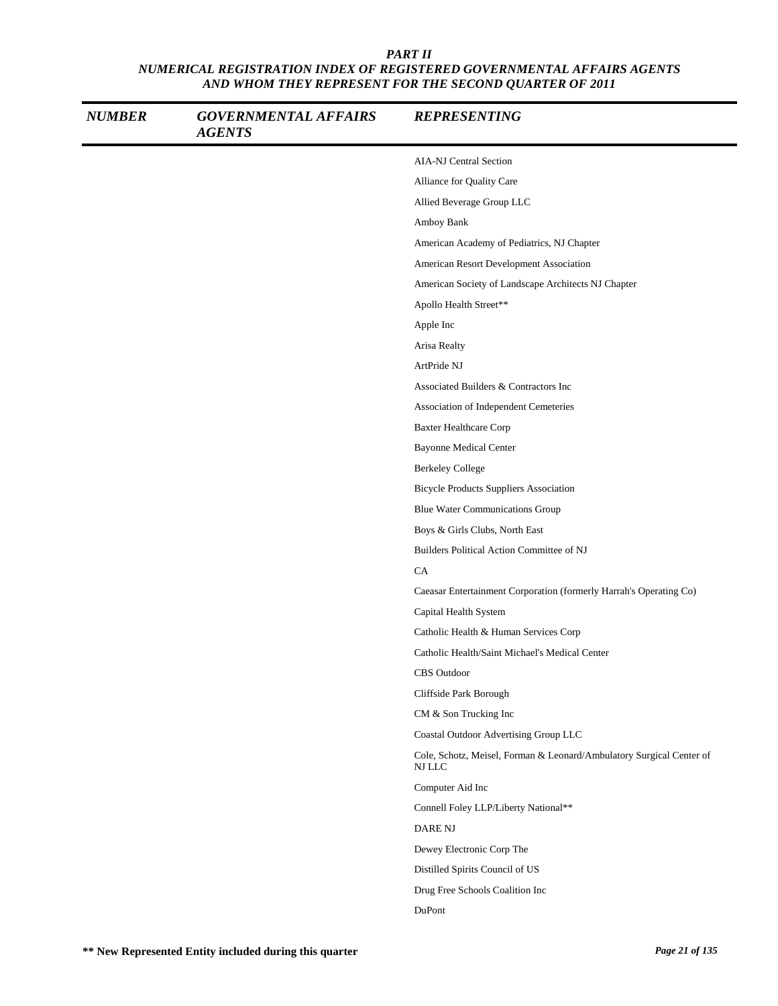| <b>NUMBER</b> | <b>GOVERNMENTAL AFFAIRS</b><br><b>AGENTS</b> | <b>REPRESENTING</b>                                                            |
|---------------|----------------------------------------------|--------------------------------------------------------------------------------|
|               |                                              | <b>AIA-NJ Central Section</b>                                                  |
|               |                                              | Alliance for Quality Care                                                      |
|               |                                              | Allied Beverage Group LLC                                                      |
|               |                                              | Amboy Bank                                                                     |
|               |                                              | American Academy of Pediatrics, NJ Chapter                                     |
|               |                                              | American Resort Development Association                                        |
|               |                                              | American Society of Landscape Architects NJ Chapter                            |
|               |                                              | Apollo Health Street**                                                         |
|               |                                              | Apple Inc                                                                      |
|               |                                              | Arisa Realty                                                                   |
|               |                                              | ArtPride NJ                                                                    |
|               |                                              | Associated Builders & Contractors Inc                                          |
|               |                                              | Association of Independent Cemeteries                                          |
|               |                                              | <b>Baxter Healthcare Corp</b>                                                  |
|               |                                              | <b>Bayonne Medical Center</b>                                                  |
|               |                                              | <b>Berkeley College</b>                                                        |
|               |                                              | <b>Bicycle Products Suppliers Association</b>                                  |
|               |                                              | <b>Blue Water Communications Group</b>                                         |
|               |                                              | Boys & Girls Clubs, North East                                                 |
|               |                                              | Builders Political Action Committee of NJ                                      |
|               |                                              | CA                                                                             |
|               |                                              | Caeasar Entertainment Corporation (formerly Harrah's Operating Co)             |
|               |                                              | Capital Health System                                                          |
|               |                                              | Catholic Health & Human Services Corp                                          |
|               |                                              | Catholic Health/Saint Michael's Medical Center                                 |
|               |                                              | CBS Outdoor                                                                    |
|               |                                              | Cliffside Park Borough                                                         |
|               |                                              | CM & Son Trucking Inc                                                          |
|               |                                              | Coastal Outdoor Advertising Group LLC                                          |
|               |                                              | Cole, Schotz, Meisel, Forman & Leonard/Ambulatory Surgical Center of<br>NJ LLC |
|               |                                              | Computer Aid Inc                                                               |
|               |                                              | Connell Foley LLP/Liberty National**                                           |
|               |                                              | <b>DARE NJ</b>                                                                 |
|               |                                              | Dewey Electronic Corp The                                                      |
|               |                                              | Distilled Spirits Council of US                                                |
|               |                                              | Drug Free Schools Coalition Inc                                                |
|               |                                              | DuPont                                                                         |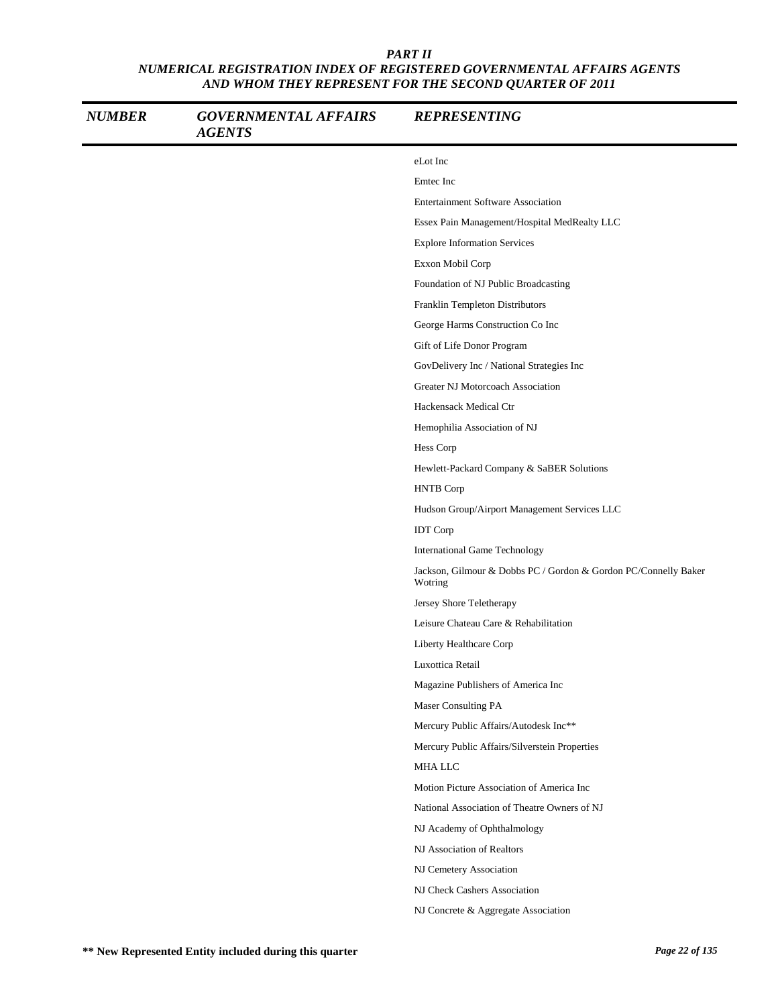| <b>NUMBER</b> | <b>GOVERNMENTAL AFFAIRS</b><br><b>AGENTS</b> | <b>REPRESENTING</b>                                                        |
|---------------|----------------------------------------------|----------------------------------------------------------------------------|
|               |                                              | eLot Inc                                                                   |
|               |                                              | Emtec Inc                                                                  |
|               |                                              | <b>Entertainment Software Association</b>                                  |
|               |                                              | Essex Pain Management/Hospital MedRealty LLC                               |
|               |                                              | <b>Explore Information Services</b>                                        |
|               |                                              | Exxon Mobil Corp                                                           |
|               |                                              | Foundation of NJ Public Broadcasting                                       |
|               |                                              | Franklin Templeton Distributors                                            |
|               |                                              | George Harms Construction Co Inc                                           |
|               |                                              | Gift of Life Donor Program                                                 |
|               |                                              | GovDelivery Inc / National Strategies Inc                                  |
|               |                                              | Greater NJ Motorcoach Association                                          |
|               |                                              | Hackensack Medical Ctr                                                     |
|               |                                              | Hemophilia Association of NJ                                               |
|               |                                              | Hess Corp                                                                  |
|               |                                              | Hewlett-Packard Company & SaBER Solutions                                  |
|               |                                              | <b>HNTB</b> Corp                                                           |
|               |                                              | Hudson Group/Airport Management Services LLC                               |
|               |                                              | <b>IDT</b> Corp                                                            |
|               |                                              | <b>International Game Technology</b>                                       |
|               |                                              | Jackson, Gilmour & Dobbs PC / Gordon & Gordon PC/Connelly Baker<br>Wotring |
|               |                                              | Jersey Shore Teletherapy                                                   |
|               |                                              | Leisure Chateau Care & Rehabilitation                                      |
|               |                                              | Liberty Healthcare Corp                                                    |
|               |                                              | Luxottica Retail                                                           |
|               |                                              | Magazine Publishers of America Inc                                         |
|               |                                              | Maser Consulting PA                                                        |
|               |                                              | Mercury Public Affairs/Autodesk Inc**                                      |
|               |                                              | Mercury Public Affairs/Silverstein Properties                              |
|               |                                              | MHA LLC                                                                    |
|               |                                              | Motion Picture Association of America Inc                                  |
|               |                                              | National Association of Theatre Owners of NJ                               |
|               |                                              | NJ Academy of Ophthalmology                                                |
|               |                                              | NJ Association of Realtors                                                 |
|               |                                              | NJ Cemetery Association                                                    |
|               |                                              | NJ Check Cashers Association                                               |
|               |                                              | NJ Concrete & Aggregate Association                                        |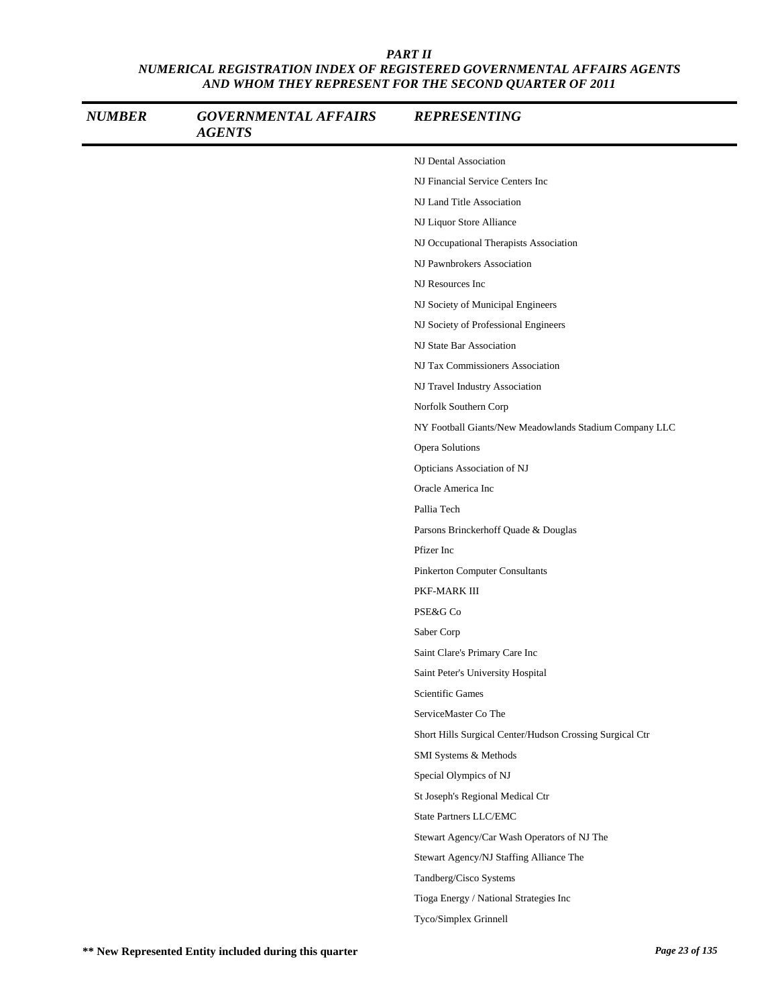| <b>NUMBER</b> | <b>GOVERNMENTAL AFFAIRS</b><br><b>AGENTS</b> | <b>REPRESENTING</b>                                      |
|---------------|----------------------------------------------|----------------------------------------------------------|
|               |                                              | NJ Dental Association                                    |
|               |                                              | NJ Financial Service Centers Inc                         |
|               |                                              | NJ Land Title Association                                |
|               |                                              | NJ Liquor Store Alliance                                 |
|               |                                              | NJ Occupational Therapists Association                   |
|               |                                              | NJ Pawnbrokers Association                               |
|               |                                              | NJ Resources Inc                                         |
|               |                                              | NJ Society of Municipal Engineers                        |
|               |                                              | NJ Society of Professional Engineers                     |
|               |                                              | NJ State Bar Association                                 |
|               |                                              | NJ Tax Commissioners Association                         |
|               |                                              | NJ Travel Industry Association                           |
|               |                                              | Norfolk Southern Corp                                    |
|               |                                              | NY Football Giants/New Meadowlands Stadium Company LLC   |
|               |                                              | Opera Solutions                                          |
|               |                                              | Opticians Association of NJ                              |
|               |                                              | Oracle America Inc                                       |
|               |                                              | Pallia Tech                                              |
|               |                                              | Parsons Brinckerhoff Quade & Douglas                     |
|               |                                              | Pfizer Inc                                               |
|               |                                              | Pinkerton Computer Consultants                           |
|               |                                              | PKF-MARK III                                             |
|               |                                              | PSE&G Co                                                 |
|               |                                              | Saber Corp                                               |
|               |                                              | Saint Clare's Primary Care Inc                           |
|               |                                              | Saint Peter's University Hospital                        |
|               |                                              | Scientific Games                                         |
|               |                                              | ServiceMaster Co The                                     |
|               |                                              | Short Hills Surgical Center/Hudson Crossing Surgical Ctr |
|               |                                              | SMI Systems & Methods                                    |
|               |                                              | Special Olympics of NJ                                   |
|               |                                              | St Joseph's Regional Medical Ctr                         |
|               |                                              | State Partners LLC/EMC                                   |
|               |                                              | Stewart Agency/Car Wash Operators of NJ The              |
|               |                                              | Stewart Agency/NJ Staffing Alliance The                  |
|               |                                              | Tandberg/Cisco Systems                                   |
|               |                                              | Tioga Energy / National Strategies Inc                   |
|               |                                              | Tyco/Simplex Grinnell                                    |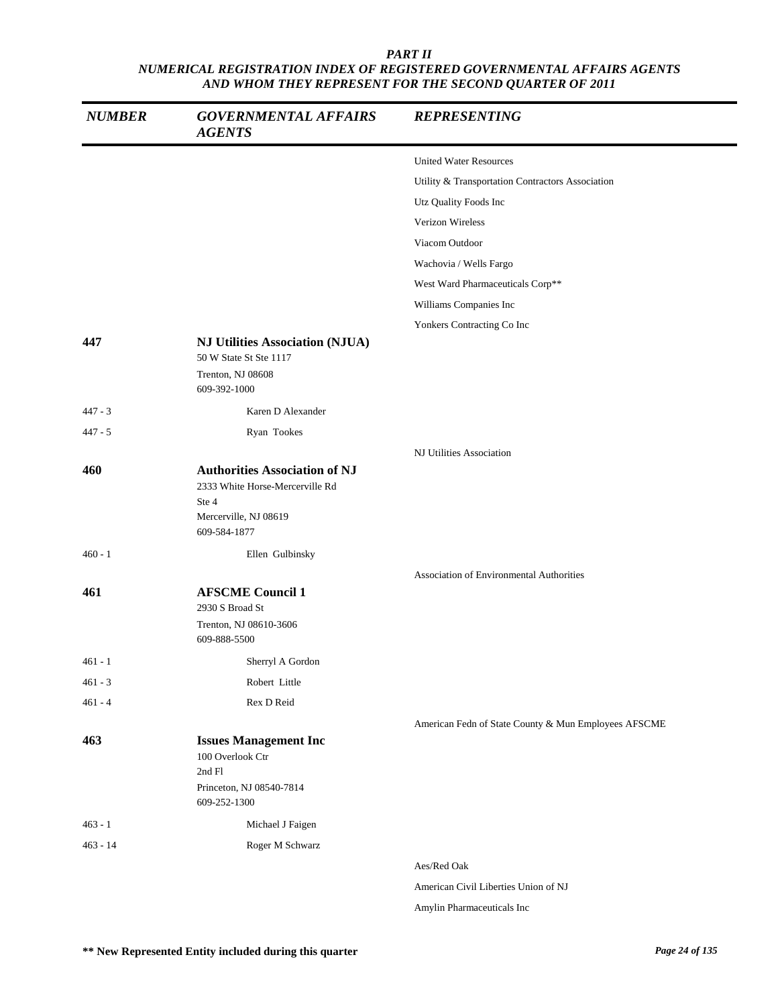| <b>NUMBER</b> | <b>GOVERNMENTAL AFFAIRS</b><br><b>AGENTS</b>                                                                              | <b>REPRESENTING</b>                                  |
|---------------|---------------------------------------------------------------------------------------------------------------------------|------------------------------------------------------|
|               |                                                                                                                           | <b>United Water Resources</b>                        |
|               |                                                                                                                           | Utility & Transportation Contractors Association     |
|               |                                                                                                                           | Utz Quality Foods Inc                                |
|               |                                                                                                                           | Verizon Wireless                                     |
|               |                                                                                                                           | Viacom Outdoor                                       |
|               |                                                                                                                           | Wachovia / Wells Fargo                               |
|               |                                                                                                                           | West Ward Pharmaceuticals Corp**                     |
|               |                                                                                                                           | Williams Companies Inc                               |
|               |                                                                                                                           | Yonkers Contracting Co Inc                           |
| 447           | <b>NJ Utilities Association (NJUA)</b><br>50 W State St Ste 1117<br>Trenton, NJ 08608<br>609-392-1000                     |                                                      |
|               | Karen D Alexander                                                                                                         |                                                      |
| $447 - 3$     |                                                                                                                           |                                                      |
| $447 - 5$     | Ryan Tookes                                                                                                               | NJ Utilities Association                             |
| 460           | <b>Authorities Association of NJ</b><br>2333 White Horse-Mercerville Rd<br>Ste 4<br>Mercerville, NJ 08619<br>609-584-1877 |                                                      |
| $460 - 1$     | Ellen Gulbinsky                                                                                                           |                                                      |
|               |                                                                                                                           | <b>Association of Environmental Authorities</b>      |
| 461           | <b>AFSCME Council 1</b><br>2930 S Broad St<br>Trenton, NJ 08610-3606<br>609-888-5500                                      |                                                      |
| 461 - 1       | Sherryl A Gordon                                                                                                          |                                                      |
| $461 - 3$     | Robert Little                                                                                                             |                                                      |
| $461 - 4$     | Rex D Reid                                                                                                                |                                                      |
|               |                                                                                                                           | American Fedn of State County & Mun Employees AFSCME |
| 463           | <b>Issues Management Inc</b><br>100 Overlook Ctr<br>2nd Fl<br>Princeton, NJ 08540-7814<br>609-252-1300                    |                                                      |
| $463 - 1$     | Michael J Faigen                                                                                                          |                                                      |
| $463 - 14$    | Roger M Schwarz                                                                                                           |                                                      |
|               |                                                                                                                           | Aes/Red Oak                                          |
|               |                                                                                                                           | American Civil Liberties Union of NJ                 |

Amylin Pharmaceuticals Inc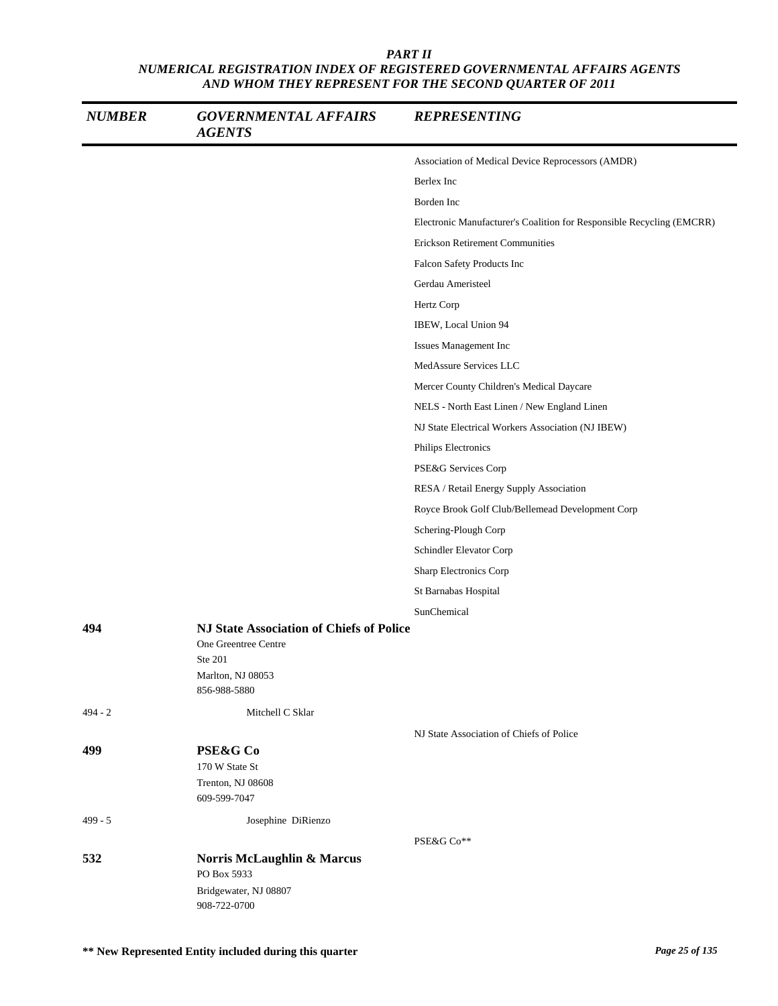| <b>NUMBER</b> | <b>GOVERNMENTAL AFFAIRS</b><br><b>AGENTS</b>                                                                     | <b>REPRESENTING</b>                                                   |
|---------------|------------------------------------------------------------------------------------------------------------------|-----------------------------------------------------------------------|
|               |                                                                                                                  | Association of Medical Device Reprocessors (AMDR)                     |
|               |                                                                                                                  | Berlex Inc                                                            |
|               |                                                                                                                  | Borden Inc                                                            |
|               |                                                                                                                  | Electronic Manufacturer's Coalition for Responsible Recycling (EMCRR) |
|               |                                                                                                                  | <b>Erickson Retirement Communities</b>                                |
|               |                                                                                                                  | Falcon Safety Products Inc                                            |
|               |                                                                                                                  | Gerdau Ameristeel                                                     |
|               |                                                                                                                  | Hertz Corp                                                            |
|               |                                                                                                                  | IBEW, Local Union 94                                                  |
|               |                                                                                                                  | Issues Management Inc                                                 |
|               |                                                                                                                  | MedAssure Services LLC                                                |
|               |                                                                                                                  | Mercer County Children's Medical Daycare                              |
|               |                                                                                                                  | NELS - North East Linen / New England Linen                           |
|               |                                                                                                                  | NJ State Electrical Workers Association (NJ IBEW)                     |
|               |                                                                                                                  | Philips Electronics                                                   |
|               |                                                                                                                  | PSE&G Services Corp                                                   |
|               |                                                                                                                  | RESA / Retail Energy Supply Association                               |
|               |                                                                                                                  | Royce Brook Golf Club/Bellemead Development Corp                      |
|               |                                                                                                                  | Schering-Plough Corp                                                  |
|               |                                                                                                                  | Schindler Elevator Corp                                               |
|               |                                                                                                                  | Sharp Electronics Corp                                                |
|               |                                                                                                                  | St Barnabas Hospital                                                  |
|               |                                                                                                                  | SunChemical                                                           |
| 494           | NJ State Association of Chiefs of Police<br>One Greentree Centre<br>Ste 201<br>Marlton, NJ 08053<br>856-988-5880 |                                                                       |
| $494 - 2$     | Mitchell C Sklar                                                                                                 |                                                                       |
|               |                                                                                                                  | NJ State Association of Chiefs of Police                              |
| 499           | PSE&G Co                                                                                                         |                                                                       |
|               | 170 W State St                                                                                                   |                                                                       |
|               | Trenton, NJ 08608<br>609-599-7047                                                                                |                                                                       |
| $499 - 5$     | Josephine DiRienzo                                                                                               |                                                                       |
|               |                                                                                                                  | PSE&G Co**                                                            |
| 532           | Norris McLaughlin & Marcus<br>PO Box 5933<br>Bridgewater, NJ 08807                                               |                                                                       |
|               | 908-722-0700                                                                                                     |                                                                       |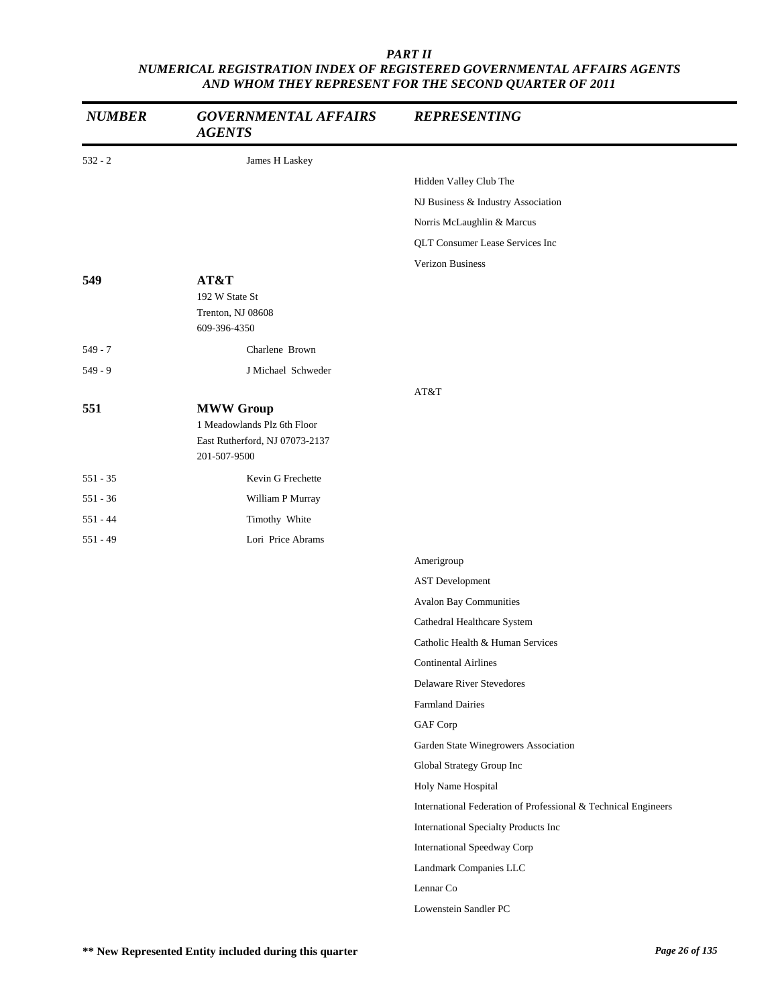| <b>NUMBER</b> | <b>GOVERNMENTAL AFFAIRS</b><br><b>AGENTS</b>                  | <b>REPRESENTING</b>                                            |
|---------------|---------------------------------------------------------------|----------------------------------------------------------------|
| $532 - 2$     | James H Laskey                                                |                                                                |
|               |                                                               | Hidden Valley Club The                                         |
|               |                                                               | NJ Business & Industry Association                             |
|               |                                                               | Norris McLaughlin & Marcus                                     |
|               |                                                               | QLT Consumer Lease Services Inc                                |
|               |                                                               | Verizon Business                                               |
| 549           | AT&T                                                          |                                                                |
|               | 192 W State St<br>Trenton, NJ 08608                           |                                                                |
|               | 609-396-4350                                                  |                                                                |
| $549 - 7$     | Charlene Brown                                                |                                                                |
| $549 - 9$     | J Michael Schweder                                            |                                                                |
|               |                                                               | AT&T                                                           |
| 551           | <b>MWW Group</b>                                              |                                                                |
|               | 1 Meadowlands Plz 6th Floor<br>East Rutherford, NJ 07073-2137 |                                                                |
|               | 201-507-9500                                                  |                                                                |
| $551 - 35$    | Kevin G Frechette                                             |                                                                |
| $551 - 36$    | William P Murray                                              |                                                                |
| $551 - 44$    | Timothy White                                                 |                                                                |
| $551 - 49$    | Lori Price Abrams                                             |                                                                |
|               |                                                               | Amerigroup                                                     |
|               |                                                               | <b>AST</b> Development                                         |
|               |                                                               | Avalon Bay Communities                                         |
|               |                                                               | Cathedral Healthcare System                                    |
|               |                                                               | Catholic Health & Human Services                               |
|               |                                                               | <b>Continental Airlines</b>                                    |
|               |                                                               | <b>Delaware River Stevedores</b>                               |
|               |                                                               | <b>Farmland Dairies</b>                                        |
|               |                                                               | GAF Corp                                                       |
|               |                                                               | Garden State Winegrowers Association                           |
|               |                                                               | Global Strategy Group Inc                                      |
|               |                                                               | Holy Name Hospital                                             |
|               |                                                               | International Federation of Professional & Technical Engineers |
|               |                                                               | International Specialty Products Inc                           |
|               |                                                               | International Speedway Corp                                    |
|               |                                                               | Landmark Companies LLC                                         |
|               |                                                               | Lennar Co                                                      |
|               |                                                               | Lowenstein Sandler PC                                          |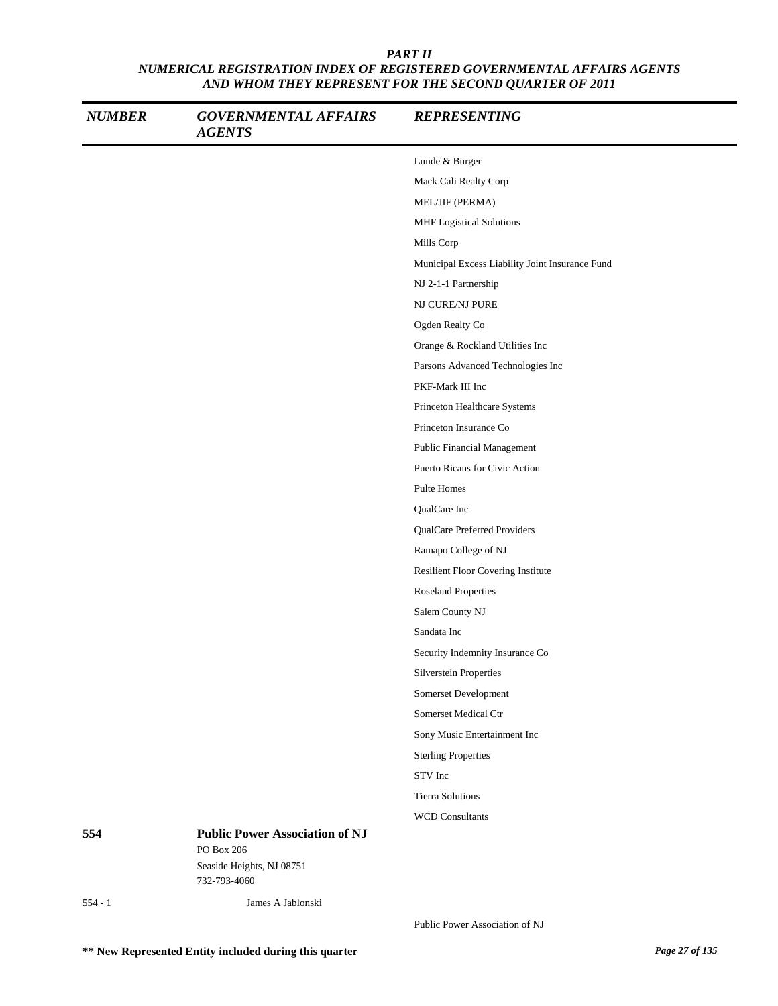| <b>NUMBER</b> | <b>GOVERNMENTAL AFFAIRS</b><br><b>AGENTS</b>                                                     | <b>REPRESENTING</b>                             |
|---------------|--------------------------------------------------------------------------------------------------|-------------------------------------------------|
|               |                                                                                                  | Lunde & Burger                                  |
|               |                                                                                                  | Mack Cali Realty Corp                           |
|               |                                                                                                  | MEL/JIF (PERMA)                                 |
|               |                                                                                                  | MHF Logistical Solutions                        |
|               |                                                                                                  | Mills Corp                                      |
|               |                                                                                                  | Municipal Excess Liability Joint Insurance Fund |
|               |                                                                                                  | NJ 2-1-1 Partnership                            |
|               |                                                                                                  | NJ CURE/NJ PURE                                 |
|               |                                                                                                  | Ogden Realty Co                                 |
|               |                                                                                                  | Orange & Rockland Utilities Inc                 |
|               |                                                                                                  | Parsons Advanced Technologies Inc               |
|               |                                                                                                  | PKF-Mark III Inc                                |
|               |                                                                                                  | Princeton Healthcare Systems                    |
|               |                                                                                                  | Princeton Insurance Co                          |
|               |                                                                                                  | <b>Public Financial Management</b>              |
|               |                                                                                                  | Puerto Ricans for Civic Action                  |
|               |                                                                                                  | Pulte Homes                                     |
|               |                                                                                                  | QualCare Inc                                    |
|               |                                                                                                  | QualCare Preferred Providers                    |
|               |                                                                                                  | Ramapo College of NJ                            |
|               |                                                                                                  | Resilient Floor Covering Institute              |
|               |                                                                                                  | <b>Roseland Properties</b>                      |
|               |                                                                                                  | Salem County NJ                                 |
|               |                                                                                                  | Sandata Inc                                     |
|               |                                                                                                  | Security Indemnity Insurance Co                 |
|               |                                                                                                  | Silverstein Properties                          |
|               |                                                                                                  | Somerset Development                            |
|               |                                                                                                  | Somerset Medical Ctr                            |
|               |                                                                                                  | Sony Music Entertainment Inc                    |
|               |                                                                                                  | <b>Sterling Properties</b>                      |
|               |                                                                                                  | STV Inc                                         |
|               |                                                                                                  | <b>Tierra Solutions</b>                         |
|               |                                                                                                  | <b>WCD Consultants</b>                          |
| 554           | <b>Public Power Association of NJ</b><br>PO Box 206<br>Seaside Heights, NJ 08751<br>732-793-4060 |                                                 |
| $554 - 1$     | James A Jablonski                                                                                |                                                 |
|               |                                                                                                  |                                                 |

Public Power Association of NJ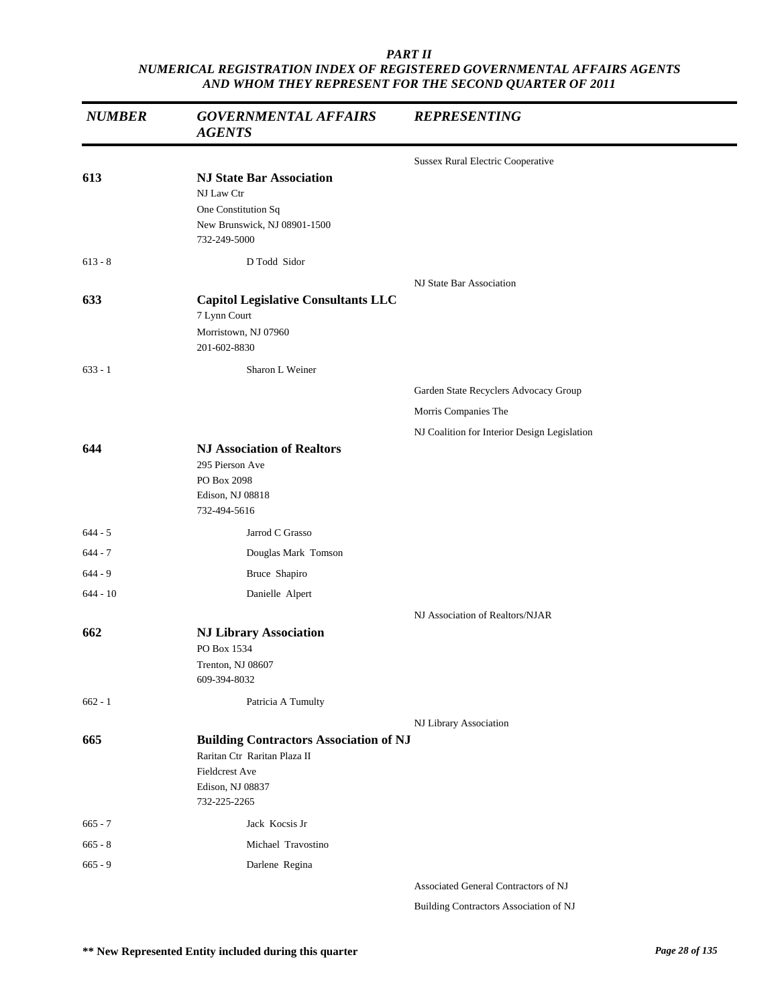| <b>NUMBER</b> | <b>GOVERNMENTAL AFFAIRS</b><br><b>AGENTS</b>                                                                                               | <b>REPRESENTING</b>                          |
|---------------|--------------------------------------------------------------------------------------------------------------------------------------------|----------------------------------------------|
|               |                                                                                                                                            | <b>Sussex Rural Electric Cooperative</b>     |
| 613           | <b>NJ State Bar Association</b><br>NJ Law Ctr<br>One Constitution Sq<br>New Brunswick, NJ 08901-1500<br>732-249-5000                       |                                              |
| $613 - 8$     | D Todd Sidor                                                                                                                               |                                              |
| 633           | <b>Capitol Legislative Consultants LLC</b><br>7 Lynn Court<br>Morristown, NJ 07960<br>201-602-8830                                         | NJ State Bar Association                     |
| $633 - 1$     | Sharon L Weiner                                                                                                                            |                                              |
|               |                                                                                                                                            | Garden State Recyclers Advocacy Group        |
|               |                                                                                                                                            | Morris Companies The                         |
|               |                                                                                                                                            | NJ Coalition for Interior Design Legislation |
| 644           | <b>NJ Association of Realtors</b><br>295 Pierson Ave<br>PO Box 2098<br>Edison, NJ 08818<br>732-494-5616                                    |                                              |
| $644 - 5$     | Jarrod C Grasso                                                                                                                            |                                              |
| $644 - 7$     | Douglas Mark Tomson                                                                                                                        |                                              |
| $644 - 9$     | Bruce Shapiro                                                                                                                              |                                              |
| $644 - 10$    | Danielle Alpert                                                                                                                            |                                              |
| 662           | <b>NJ Library Association</b><br>PO Box 1534                                                                                               | NJ Association of Realtors/NJAR              |
|               | Trenton, NJ 08607<br>609-394-8032                                                                                                          |                                              |
| $662 - 1$     | Patricia A Tumulty                                                                                                                         |                                              |
|               |                                                                                                                                            | NJ Library Association                       |
| 665           | <b>Building Contractors Association of NJ</b><br>Raritan Ctr Raritan Plaza II<br><b>Fieldcrest Ave</b><br>Edison, NJ 08837<br>732-225-2265 |                                              |
| $665 - 7$     | Jack Kocsis Jr                                                                                                                             |                                              |
| $665 - 8$     | Michael Travostino                                                                                                                         |                                              |
| $665 - 9$     | Darlene Regina                                                                                                                             |                                              |
|               |                                                                                                                                            | Associated General Contractors of NJ         |

Building Contractors Association of NJ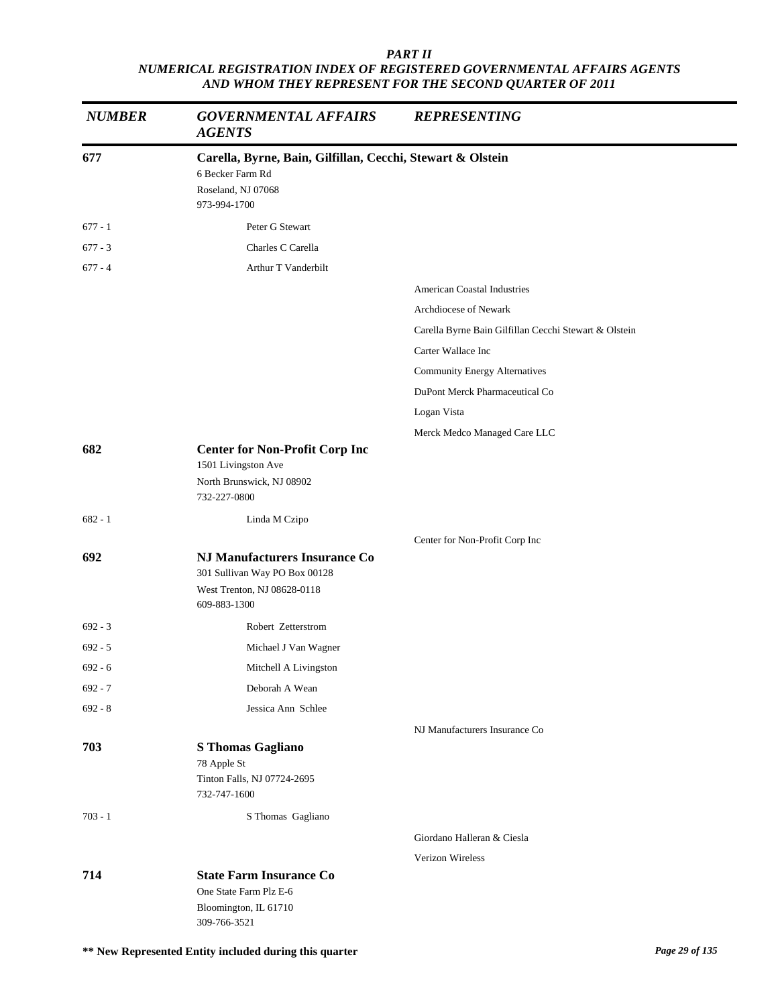| <b>NUMBER</b> | <b>GOVERNMENTAL AFFAIRS</b><br><b>AGENTS</b>                                                      | <b>REPRESENTING</b>                                   |
|---------------|---------------------------------------------------------------------------------------------------|-------------------------------------------------------|
| 677           | Carella, Byrne, Bain, Gilfillan, Cecchi, Stewart & Olstein                                        |                                                       |
|               | 6 Becker Farm Rd<br>Roseland, NJ 07068<br>973-994-1700                                            |                                                       |
| $677 - 1$     | Peter G Stewart                                                                                   |                                                       |
| $677 - 3$     | Charles C Carella                                                                                 |                                                       |
| $677 - 4$     | Arthur T Vanderbilt                                                                               |                                                       |
|               |                                                                                                   | <b>American Coastal Industries</b>                    |
|               |                                                                                                   | Archdiocese of Newark                                 |
|               |                                                                                                   | Carella Byrne Bain Gilfillan Cecchi Stewart & Olstein |
|               |                                                                                                   | Carter Wallace Inc                                    |
|               |                                                                                                   | <b>Community Energy Alternatives</b>                  |
|               |                                                                                                   | DuPont Merck Pharmaceutical Co                        |
|               |                                                                                                   | Logan Vista                                           |
|               |                                                                                                   | Merck Medco Managed Care LLC                          |
| 682           | <b>Center for Non-Profit Corp Inc</b><br>1501 Livingston Ave                                      |                                                       |
|               | North Brunswick, NJ 08902<br>732-227-0800                                                         |                                                       |
| $682 - 1$     | Linda M Czipo                                                                                     |                                                       |
|               |                                                                                                   | Center for Non-Profit Corp Inc                        |
| 692           | <b>NJ Manufacturers Insurance Co</b>                                                              |                                                       |
|               | 301 Sullivan Way PO Box 00128<br>West Trenton, NJ 08628-0118<br>609-883-1300                      |                                                       |
| $692 - 3$     | Robert Zetterstrom                                                                                |                                                       |
| $692 - 5$     | Michael J Van Wagner                                                                              |                                                       |
| $692 - 6$     | Mitchell A Livingston                                                                             |                                                       |
| $692 - 7$     | Deborah A Wean                                                                                    |                                                       |
| $692 - 8$     | Jessica Ann Schlee                                                                                |                                                       |
|               |                                                                                                   | NJ Manufacturers Insurance Co                         |
| 703           | <b>S</b> Thomas Gagliano<br>78 Apple St<br>Tinton Falls, NJ 07724-2695<br>732-747-1600            |                                                       |
| $703 - 1$     | S Thomas Gagliano                                                                                 |                                                       |
|               |                                                                                                   | Giordano Halleran & Ciesla                            |
|               |                                                                                                   | Verizon Wireless                                      |
| 714           | <b>State Farm Insurance Co</b><br>One State Farm Plz E-6<br>Bloomington, IL 61710<br>309-766-3521 |                                                       |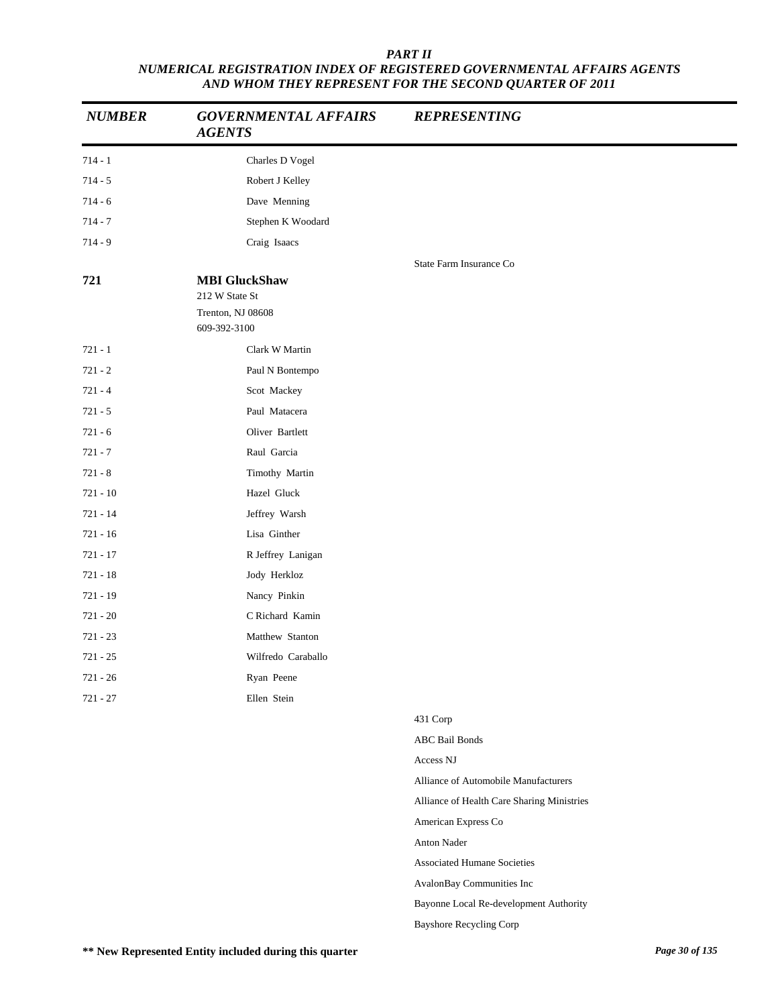| <b>NUMBER</b> | <b>GOVERNMENTAL AFFAIRS</b><br><b>AGENTS</b>                                | <b>REPRESENTING</b>                        |
|---------------|-----------------------------------------------------------------------------|--------------------------------------------|
| $714 - 1$     | Charles D Vogel                                                             |                                            |
| $714 - 5$     | Robert J Kelley                                                             |                                            |
| $714 - 6$     | Dave Menning                                                                |                                            |
| $714 - 7$     | Stephen K Woodard                                                           |                                            |
| $714 - 9$     | Craig Isaacs                                                                |                                            |
| 721           | <b>MBI</b> GluckShaw<br>212 W State St<br>Trenton, NJ 08608<br>609-392-3100 | State Farm Insurance Co                    |
| $721 - 1$     | Clark W Martin                                                              |                                            |
| $721 - 2$     | Paul N Bontempo                                                             |                                            |
| $721 - 4$     | Scot Mackey                                                                 |                                            |
| $721 - 5$     | Paul Matacera                                                               |                                            |
| $721 - 6$     | Oliver Bartlett                                                             |                                            |
| $721 - 7$     | Raul Garcia                                                                 |                                            |
| $721 - 8$     | Timothy Martin                                                              |                                            |
| $721 - 10$    | Hazel Gluck                                                                 |                                            |
| $721 - 14$    | Jeffrey Warsh                                                               |                                            |
| $721 - 16$    | Lisa Ginther                                                                |                                            |
| $721 - 17$    | R Jeffrey Lanigan                                                           |                                            |
| $721 - 18$    | Jody Herkloz                                                                |                                            |
| 721 - 19      | Nancy Pinkin                                                                |                                            |
| $721 - 20$    | C Richard Kamin                                                             |                                            |
| $721 - 23$    | Matthew Stanton                                                             |                                            |
| $721 - 25$    | Wilfredo Caraballo                                                          |                                            |
| $721 - 26$    | Ryan Peene                                                                  |                                            |
| $721 - 27$    | Ellen Stein                                                                 |                                            |
|               |                                                                             | 431 Corp                                   |
|               |                                                                             | <b>ABC</b> Bail Bonds                      |
|               |                                                                             | Access NJ                                  |
|               |                                                                             | Alliance of Automobile Manufacturers       |
|               |                                                                             | Alliance of Health Care Sharing Ministries |
|               |                                                                             | American Express Co                        |
|               |                                                                             | Anton Nader                                |
|               |                                                                             | <b>Associated Humane Societies</b>         |
|               |                                                                             | AvalonBay Communities Inc                  |
|               |                                                                             | Bayonne Local Re-development Authority     |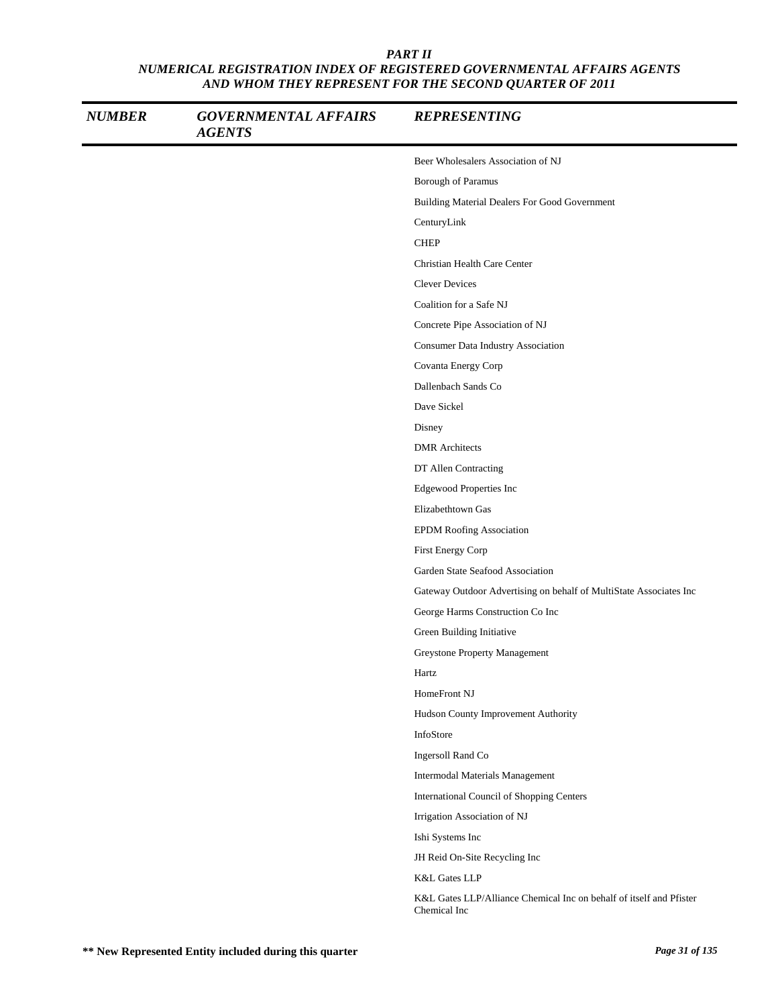| <b>NUMBER</b> | <b>GOVERNMENTAL AFFAIRS</b><br><b>AGENTS</b> | <b>REPRESENTING</b>                                                                 |
|---------------|----------------------------------------------|-------------------------------------------------------------------------------------|
|               |                                              | Beer Wholesalers Association of NJ                                                  |
|               |                                              | Borough of Paramus                                                                  |
|               |                                              | Building Material Dealers For Good Government                                       |
|               |                                              | CenturyLink                                                                         |
|               |                                              | <b>CHEP</b>                                                                         |
|               |                                              | Christian Health Care Center                                                        |
|               |                                              | <b>Clever Devices</b>                                                               |
|               |                                              | Coalition for a Safe NJ                                                             |
|               |                                              | Concrete Pipe Association of NJ                                                     |
|               |                                              | Consumer Data Industry Association                                                  |
|               |                                              | Covanta Energy Corp                                                                 |
|               |                                              | Dallenbach Sands Co                                                                 |
|               |                                              | Dave Sickel                                                                         |
|               |                                              | Disney                                                                              |
|               |                                              | <b>DMR</b> Architects                                                               |
|               |                                              | DT Allen Contracting                                                                |
|               |                                              | Edgewood Properties Inc                                                             |
|               |                                              | Elizabethtown Gas                                                                   |
|               |                                              | <b>EPDM Roofing Association</b>                                                     |
|               |                                              | First Energy Corp                                                                   |
|               |                                              | Garden State Seafood Association                                                    |
|               |                                              | Gateway Outdoor Advertising on behalf of MultiState Associates Inc                  |
|               |                                              | George Harms Construction Co Inc                                                    |
|               |                                              | Green Building Initiative                                                           |
|               |                                              | Greystone Property Management                                                       |
|               |                                              | Hartz                                                                               |
|               |                                              | HomeFront NJ                                                                        |
|               |                                              | Hudson County Improvement Authority                                                 |
|               |                                              | InfoStore                                                                           |
|               |                                              | Ingersoll Rand Co                                                                   |
|               |                                              | Intermodal Materials Management                                                     |
|               |                                              | International Council of Shopping Centers                                           |
|               |                                              | Irrigation Association of NJ                                                        |
|               |                                              | Ishi Systems Inc                                                                    |
|               |                                              | JH Reid On-Site Recycling Inc                                                       |
|               |                                              | K&L Gates LLP                                                                       |
|               |                                              | K&L Gates LLP/Alliance Chemical Inc on behalf of itself and Pfister<br>Chemical Inc |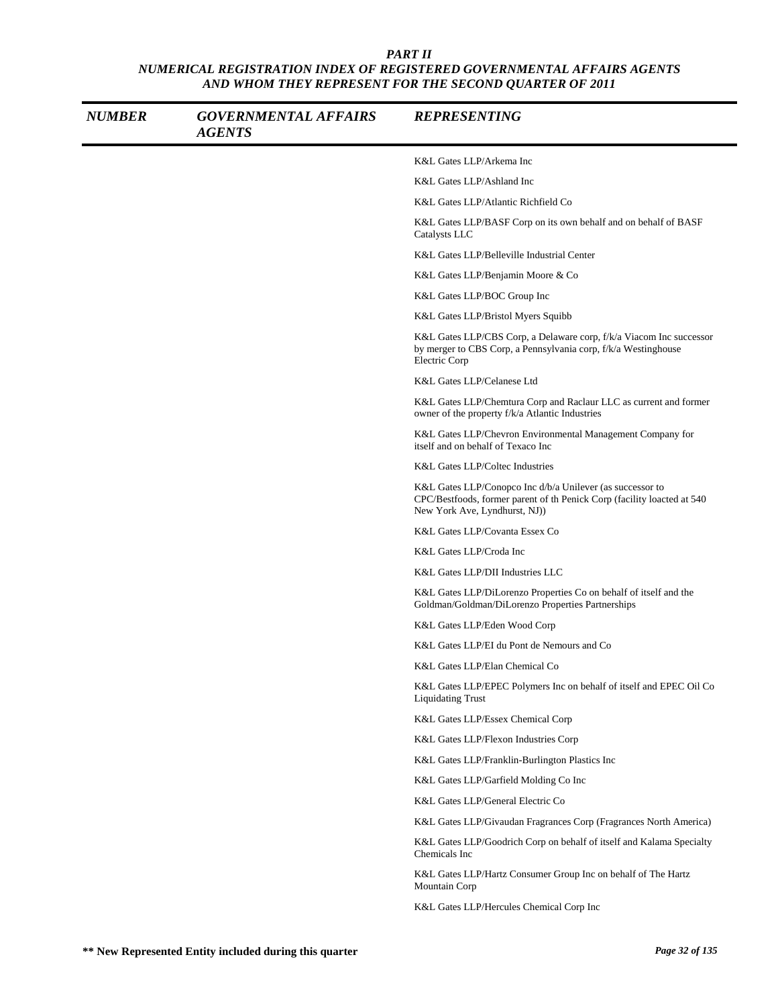| <b>NUMBER</b> | <b>GOVERNMENTAL AFFAIRS</b><br><b>AGENTS</b> | <b>REPRESENTING</b>                                                                                                                                                   |
|---------------|----------------------------------------------|-----------------------------------------------------------------------------------------------------------------------------------------------------------------------|
|               |                                              | K&L Gates LLP/Arkema Inc                                                                                                                                              |
|               |                                              | K&L Gates LLP/Ashland Inc                                                                                                                                             |
|               |                                              | K&L Gates LLP/Atlantic Richfield Co                                                                                                                                   |
|               |                                              | K&L Gates LLP/BASF Corp on its own behalf and on behalf of BASF<br>Catalysts LLC                                                                                      |
|               |                                              | K&L Gates LLP/Belleville Industrial Center                                                                                                                            |
|               |                                              | K&L Gates LLP/Benjamin Moore & Co                                                                                                                                     |
|               |                                              | K&L Gates LLP/BOC Group Inc                                                                                                                                           |
|               |                                              | K&L Gates LLP/Bristol Myers Squibb                                                                                                                                    |
|               |                                              | K&L Gates LLP/CBS Corp, a Delaware corp, f/k/a Viacom Inc successor<br>by merger to CBS Corp, a Pennsylvania corp, f/k/a Westinghouse<br>Electric Corp                |
|               |                                              | K&L Gates LLP/Celanese Ltd                                                                                                                                            |
|               |                                              | K&L Gates LLP/Chemtura Corp and Raclaur LLC as current and former<br>owner of the property f/k/a Atlantic Industries                                                  |
|               |                                              | K&L Gates LLP/Chevron Environmental Management Company for<br>itself and on behalf of Texaco Inc                                                                      |
|               |                                              | K&L Gates LLP/Coltec Industries                                                                                                                                       |
|               |                                              | K&L Gates LLP/Conopco Inc d/b/a Unilever (as successor to<br>CPC/Bestfoods, former parent of th Penick Corp (facility loacted at 540<br>New York Ave, Lyndhurst, NJ)) |
|               |                                              | K&L Gates LLP/Covanta Essex Co                                                                                                                                        |
|               |                                              | K&L Gates LLP/Croda Inc                                                                                                                                               |
|               |                                              | K&L Gates LLP/DII Industries LLC                                                                                                                                      |
|               |                                              | K&L Gates LLP/DiLorenzo Properties Co on behalf of itself and the<br>Goldman/Goldman/DiLorenzo Properties Partnerships                                                |
|               |                                              | K&L Gates LLP/Eden Wood Corp                                                                                                                                          |
|               |                                              | K&L Gates LLP/EI du Pont de Nemours and Co                                                                                                                            |
|               |                                              | K&L Gates LLP/Elan Chemical Co                                                                                                                                        |
|               |                                              | K&L Gates LLP/EPEC Polymers Inc on behalf of itself and EPEC Oil Co<br><b>Liquidating Trust</b>                                                                       |
|               |                                              | K&L Gates LLP/Essex Chemical Corp                                                                                                                                     |
|               |                                              | K&L Gates LLP/Flexon Industries Corp                                                                                                                                  |
|               |                                              | K&L Gates LLP/Franklin-Burlington Plastics Inc                                                                                                                        |
|               |                                              | K&L Gates LLP/Garfield Molding Co Inc                                                                                                                                 |
|               |                                              | K&L Gates LLP/General Electric Co                                                                                                                                     |
|               |                                              | K&L Gates LLP/Givaudan Fragrances Corp (Fragrances North America)                                                                                                     |
|               |                                              | K&L Gates LLP/Goodrich Corp on behalf of itself and Kalama Specialty<br>Chemicals Inc                                                                                 |
|               |                                              | K&L Gates LLP/Hartz Consumer Group Inc on behalf of The Hartz<br>Mountain Corp                                                                                        |
|               |                                              | K&L Gates LLP/Hercules Chemical Corp Inc                                                                                                                              |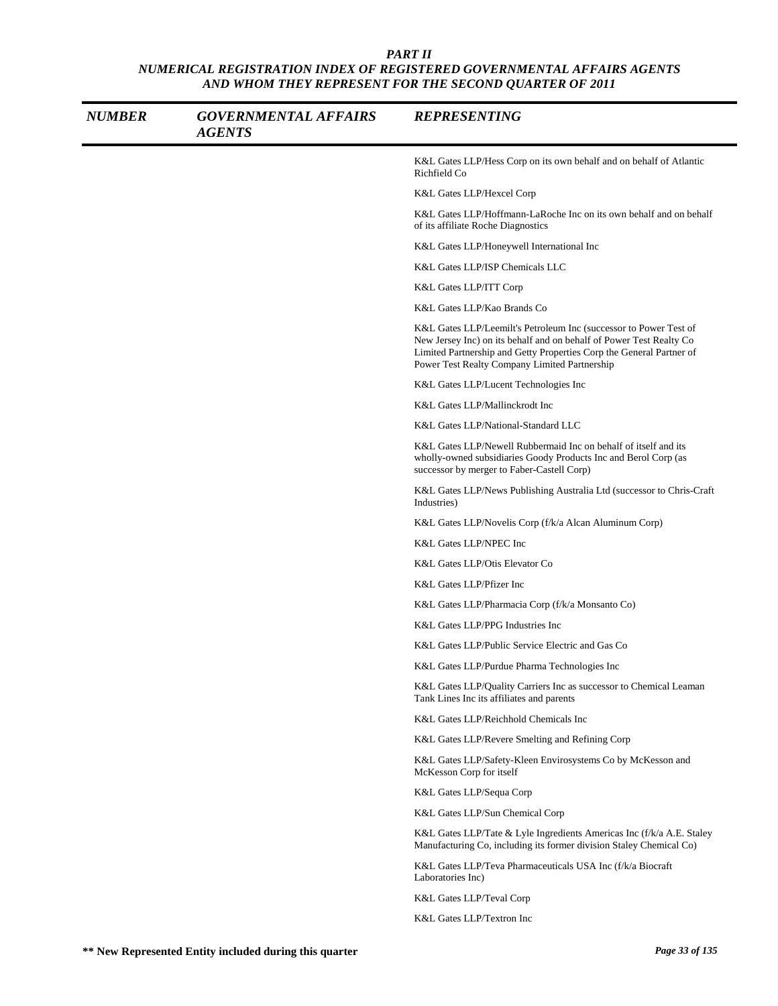| <b>NUMBER</b> | <b>GOVERNMENTAL AFFAIRS</b><br><b>AGENTS</b> | <b>REPRESENTING</b>                                                                                                                                                                                                                                               |
|---------------|----------------------------------------------|-------------------------------------------------------------------------------------------------------------------------------------------------------------------------------------------------------------------------------------------------------------------|
|               |                                              | K&L Gates LLP/Hess Corp on its own behalf and on behalf of Atlantic<br>Richfield Co                                                                                                                                                                               |
|               |                                              | K&L Gates LLP/Hexcel Corp                                                                                                                                                                                                                                         |
|               |                                              | K&L Gates LLP/Hoffmann-LaRoche Inc on its own behalf and on behalf<br>of its affiliate Roche Diagnostics                                                                                                                                                          |
|               |                                              | K&L Gates LLP/Honeywell International Inc                                                                                                                                                                                                                         |
|               |                                              | K&L Gates LLP/ISP Chemicals LLC                                                                                                                                                                                                                                   |
|               |                                              | K&L Gates LLP/ITT Corp                                                                                                                                                                                                                                            |
|               |                                              | K&L Gates LLP/Kao Brands Co                                                                                                                                                                                                                                       |
|               |                                              | K&L Gates LLP/Leemilt's Petroleum Inc (successor to Power Test of<br>New Jersey Inc) on its behalf and on behalf of Power Test Realty Co<br>Limited Partnership and Getty Properties Corp the General Partner of<br>Power Test Realty Company Limited Partnership |
|               |                                              | K&L Gates LLP/Lucent Technologies Inc                                                                                                                                                                                                                             |
|               |                                              | K&L Gates LLP/Mallinckrodt Inc                                                                                                                                                                                                                                    |
|               |                                              | K&L Gates LLP/National-Standard LLC                                                                                                                                                                                                                               |
|               |                                              | K&L Gates LLP/Newell Rubbermaid Inc on behalf of itself and its<br>wholly-owned subsidiaries Goody Products Inc and Berol Corp (as<br>successor by merger to Faber-Castell Corp)                                                                                  |
|               |                                              | K&L Gates LLP/News Publishing Australia Ltd (successor to Chris-Craft<br>Industries)                                                                                                                                                                              |
|               |                                              | K&L Gates LLP/Novelis Corp (f/k/a Alcan Aluminum Corp)                                                                                                                                                                                                            |
|               |                                              | K&L Gates LLP/NPEC Inc                                                                                                                                                                                                                                            |
|               |                                              | K&L Gates LLP/Otis Elevator Co                                                                                                                                                                                                                                    |
|               |                                              | K&L Gates LLP/Pfizer Inc                                                                                                                                                                                                                                          |
|               |                                              | K&L Gates LLP/Pharmacia Corp (f/k/a Monsanto Co)                                                                                                                                                                                                                  |
|               |                                              | K&L Gates LLP/PPG Industries Inc                                                                                                                                                                                                                                  |
|               |                                              | K&L Gates LLP/Public Service Electric and Gas Co                                                                                                                                                                                                                  |
|               |                                              | K&L Gates LLP/Purdue Pharma Technologies Inc                                                                                                                                                                                                                      |
|               |                                              | K&L Gates LLP/Quality Carriers Inc as successor to Chemical Leaman<br>Tank Lines Inc its affiliates and parents                                                                                                                                                   |
|               |                                              | K&L Gates LLP/Reichhold Chemicals Inc                                                                                                                                                                                                                             |
|               |                                              | K&L Gates LLP/Revere Smelting and Refining Corp                                                                                                                                                                                                                   |
|               |                                              | K&L Gates LLP/Safety-Kleen Envirosystems Co by McKesson and<br>McKesson Corp for itself                                                                                                                                                                           |
|               |                                              | K&L Gates LLP/Sequa Corp                                                                                                                                                                                                                                          |
|               |                                              | K&L Gates LLP/Sun Chemical Corp                                                                                                                                                                                                                                   |
|               |                                              | K&L Gates LLP/Tate & Lyle Ingredients Americas Inc (f/k/a A.E. Staley<br>Manufacturing Co, including its former division Staley Chemical Co)                                                                                                                      |
|               |                                              | K&L Gates LLP/Teva Pharmaceuticals USA Inc (f/k/a Biocraft)<br>Laboratories Inc)                                                                                                                                                                                  |
|               |                                              | K&L Gates LLP/Teval Corp                                                                                                                                                                                                                                          |
|               |                                              | K&L Gates LLP/Textron Inc                                                                                                                                                                                                                                         |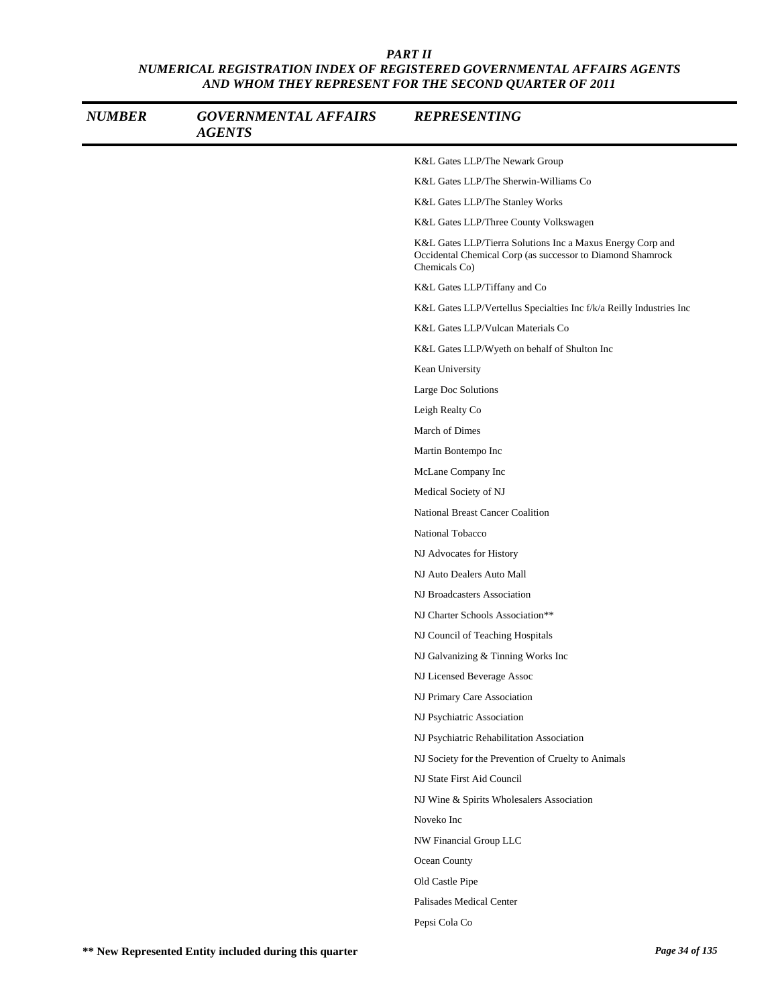| <b>NUMBER</b> | <b>GOVERNMENTAL AFFAIRS</b><br><b>AGENTS</b> | <b>REPRESENTING</b>                                                                                                                       |
|---------------|----------------------------------------------|-------------------------------------------------------------------------------------------------------------------------------------------|
|               |                                              | K&L Gates LLP/The Newark Group                                                                                                            |
|               |                                              | K&L Gates LLP/The Sherwin-Williams Co                                                                                                     |
|               |                                              | K&L Gates LLP/The Stanley Works                                                                                                           |
|               |                                              | K&L Gates LLP/Three County Volkswagen                                                                                                     |
|               |                                              | K&L Gates LLP/Tierra Solutions Inc a Maxus Energy Corp and<br>Occidental Chemical Corp (as successor to Diamond Shamrock<br>Chemicals Co) |
|               |                                              | K&L Gates LLP/Tiffany and Co                                                                                                              |
|               |                                              | K&L Gates LLP/Vertellus Specialties Inc f/k/a Reilly Industries Inc                                                                       |
|               |                                              | K&L Gates LLP/Vulcan Materials Co                                                                                                         |
|               |                                              | K&L Gates LLP/Wyeth on behalf of Shulton Inc                                                                                              |
|               |                                              | Kean University                                                                                                                           |
|               |                                              | Large Doc Solutions                                                                                                                       |
|               |                                              | Leigh Realty Co                                                                                                                           |
|               |                                              | March of Dimes                                                                                                                            |
|               |                                              | Martin Bontempo Inc                                                                                                                       |
|               |                                              | McLane Company Inc                                                                                                                        |
|               |                                              | Medical Society of NJ                                                                                                                     |
|               |                                              | National Breast Cancer Coalition                                                                                                          |
|               |                                              | National Tobacco                                                                                                                          |
|               |                                              | NJ Advocates for History                                                                                                                  |
|               |                                              | NJ Auto Dealers Auto Mall                                                                                                                 |
|               |                                              | NJ Broadcasters Association                                                                                                               |
|               |                                              | NJ Charter Schools Association**                                                                                                          |
|               |                                              | NJ Council of Teaching Hospitals                                                                                                          |
|               |                                              | NJ Galvanizing & Tinning Works Inc                                                                                                        |
|               |                                              | NJ Licensed Beverage Assoc                                                                                                                |
|               |                                              | NJ Primary Care Association                                                                                                               |
|               |                                              | NJ Psychiatric Association                                                                                                                |
|               |                                              | NJ Psychiatric Rehabilitation Association                                                                                                 |
|               |                                              | NJ Society for the Prevention of Cruelty to Animals                                                                                       |
|               |                                              | NJ State First Aid Council                                                                                                                |
|               |                                              | NJ Wine & Spirits Wholesalers Association                                                                                                 |
|               |                                              | Noveko Inc                                                                                                                                |
|               |                                              | NW Financial Group LLC                                                                                                                    |
|               |                                              | Ocean County                                                                                                                              |
|               |                                              | Old Castle Pipe                                                                                                                           |
|               |                                              | Palisades Medical Center                                                                                                                  |
|               |                                              | Pepsi Cola Co                                                                                                                             |
|               |                                              |                                                                                                                                           |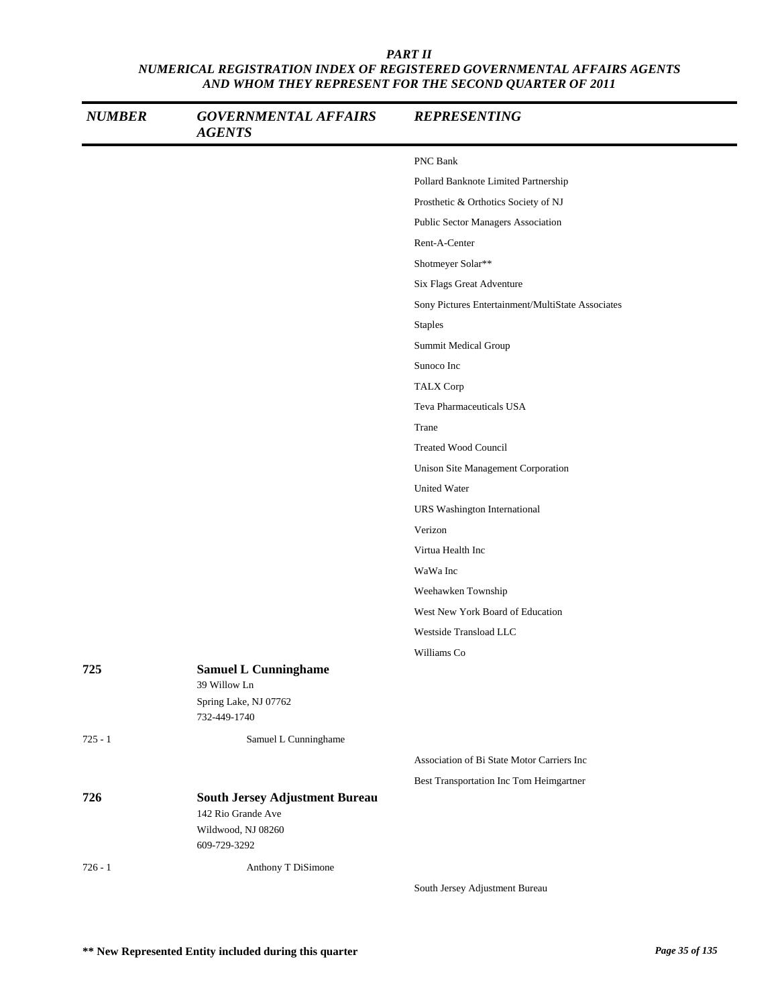| <b>NUMBER</b> | <b>GOVERNMENTAL AFFAIRS</b><br><b>AGENTS</b> | <b>REPRESENTING</b>                               |
|---------------|----------------------------------------------|---------------------------------------------------|
|               |                                              | PNC Bank                                          |
|               |                                              | Pollard Banknote Limited Partnership              |
|               |                                              | Prosthetic & Orthotics Society of NJ              |
|               |                                              | Public Sector Managers Association                |
|               |                                              | Rent-A-Center                                     |
|               |                                              | Shotmeyer Solar**                                 |
|               |                                              | Six Flags Great Adventure                         |
|               |                                              | Sony Pictures Entertainment/MultiState Associates |
|               |                                              | <b>Staples</b>                                    |
|               |                                              | Summit Medical Group                              |
|               |                                              | Sunoco Inc                                        |
|               |                                              | <b>TALX Corp</b>                                  |
|               |                                              | Teva Pharmaceuticals USA                          |
|               |                                              | Trane                                             |
|               |                                              | <b>Treated Wood Council</b>                       |
|               |                                              | Unison Site Management Corporation                |
|               |                                              | <b>United Water</b>                               |
|               |                                              | URS Washington International                      |
|               |                                              | Verizon                                           |
|               |                                              | Virtua Health Inc                                 |
|               |                                              | WaWa Inc                                          |
|               |                                              | Weehawken Township                                |
|               |                                              | West New York Board of Education                  |
|               |                                              | Westside Transload LLC                            |
|               |                                              | Williams Co                                       |
| 725           | <b>Samuel L Cunninghame</b>                  |                                                   |
|               | 39 Willow Ln                                 |                                                   |
|               | Spring Lake, NJ 07762<br>732-449-1740        |                                                   |
| $725 - 1$     | Samuel L Cunninghame                         |                                                   |
|               |                                              | Association of Bi State Motor Carriers Inc        |
|               |                                              | Best Transportation Inc Tom Heimgartner           |
| 726           | <b>South Jersey Adjustment Bureau</b>        |                                                   |
|               | 142 Rio Grande Ave                           |                                                   |
|               | Wildwood, NJ 08260                           |                                                   |
|               | 609-729-3292                                 |                                                   |
| $726 - 1$     | Anthony T DiSimone                           |                                                   |
|               |                                              | South Jersey Adjustment Bureau                    |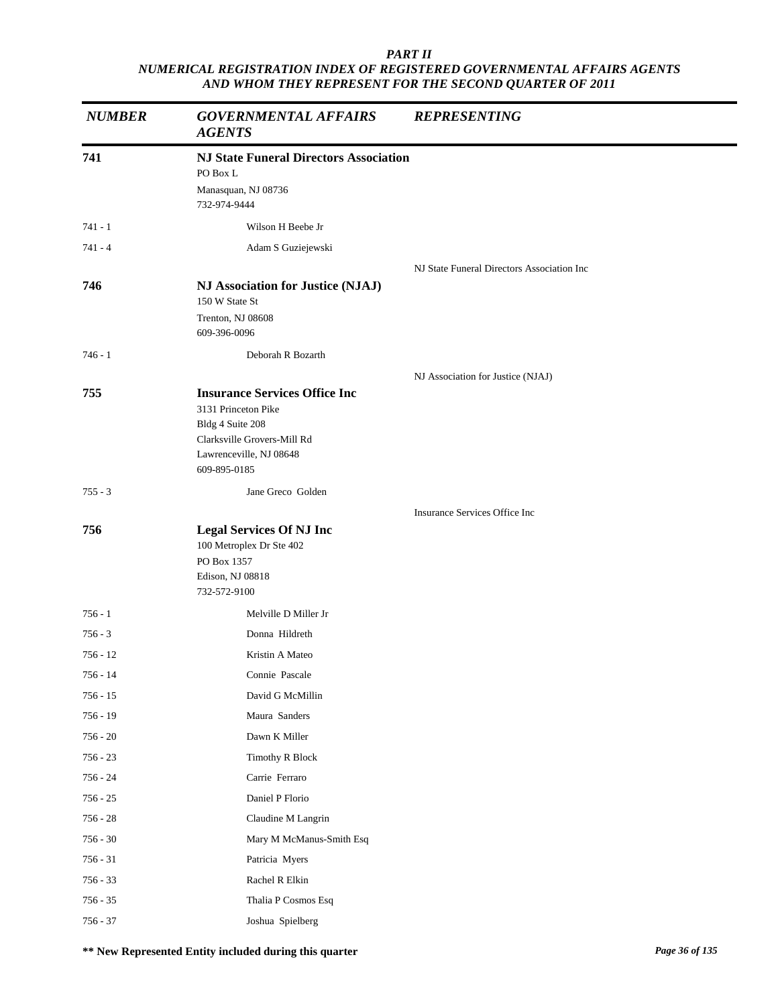| <b>NUMBER</b> | <b>GOVERNMENTAL AFFAIRS</b><br><b>AGENTS</b>                                                                                                              | <b>REPRESENTING</b>                        |  |
|---------------|-----------------------------------------------------------------------------------------------------------------------------------------------------------|--------------------------------------------|--|
| 741           | <b>NJ State Funeral Directors Association</b><br>PO Box L<br>Manasquan, NJ 08736<br>732-974-9444                                                          |                                            |  |
| $741 - 1$     | Wilson H Beebe Jr                                                                                                                                         |                                            |  |
| $741 - 4$     | Adam S Guziejewski                                                                                                                                        |                                            |  |
|               |                                                                                                                                                           | NJ State Funeral Directors Association Inc |  |
| 746           | NJ Association for Justice (NJAJ)<br>150 W State St<br>Trenton, NJ 08608<br>609-396-0096                                                                  |                                            |  |
| $746 - 1$     | Deborah R Bozarth                                                                                                                                         |                                            |  |
|               |                                                                                                                                                           | NJ Association for Justice (NJAJ)          |  |
| 755           | <b>Insurance Services Office Inc</b><br>3131 Princeton Pike<br>Bldg 4 Suite 208<br>Clarksville Grovers-Mill Rd<br>Lawrenceville, NJ 08648<br>609-895-0185 |                                            |  |
| $755 - 3$     | Jane Greco Golden                                                                                                                                         |                                            |  |
|               |                                                                                                                                                           | Insurance Services Office Inc              |  |
| 756           | <b>Legal Services Of NJ Inc</b><br>100 Metroplex Dr Ste 402<br>PO Box 1357<br>Edison, NJ 08818<br>732-572-9100                                            |                                            |  |
| $756 - 1$     | Melville D Miller Jr                                                                                                                                      |                                            |  |
| $756 - 3$     | Donna Hildreth                                                                                                                                            |                                            |  |
| 756 - 12      | Kristin A Mateo                                                                                                                                           |                                            |  |
| 756 - 14      | Connie Pascale                                                                                                                                            |                                            |  |
| $756 - 15$    | David G McMillin                                                                                                                                          |                                            |  |
| $756 - 19$    | Maura Sanders                                                                                                                                             |                                            |  |
| $756 - 20$    | Dawn K Miller                                                                                                                                             |                                            |  |
| $756 - 23$    | <b>Timothy R Block</b>                                                                                                                                    |                                            |  |
| 756 - 24      | Carrie Ferraro                                                                                                                                            |                                            |  |
| $756 - 25$    | Daniel P Florio                                                                                                                                           |                                            |  |
| $756 - 28$    | Claudine M Langrin                                                                                                                                        |                                            |  |
| $756 - 30$    | Mary M McManus-Smith Esq                                                                                                                                  |                                            |  |
| $756 - 31$    | Patricia Myers                                                                                                                                            |                                            |  |
| $756 - 33$    | Rachel R Elkin                                                                                                                                            |                                            |  |
| $756 - 35$    | Thalia P Cosmos Esq                                                                                                                                       |                                            |  |
| $756 - 37$    | Joshua Spielberg                                                                                                                                          |                                            |  |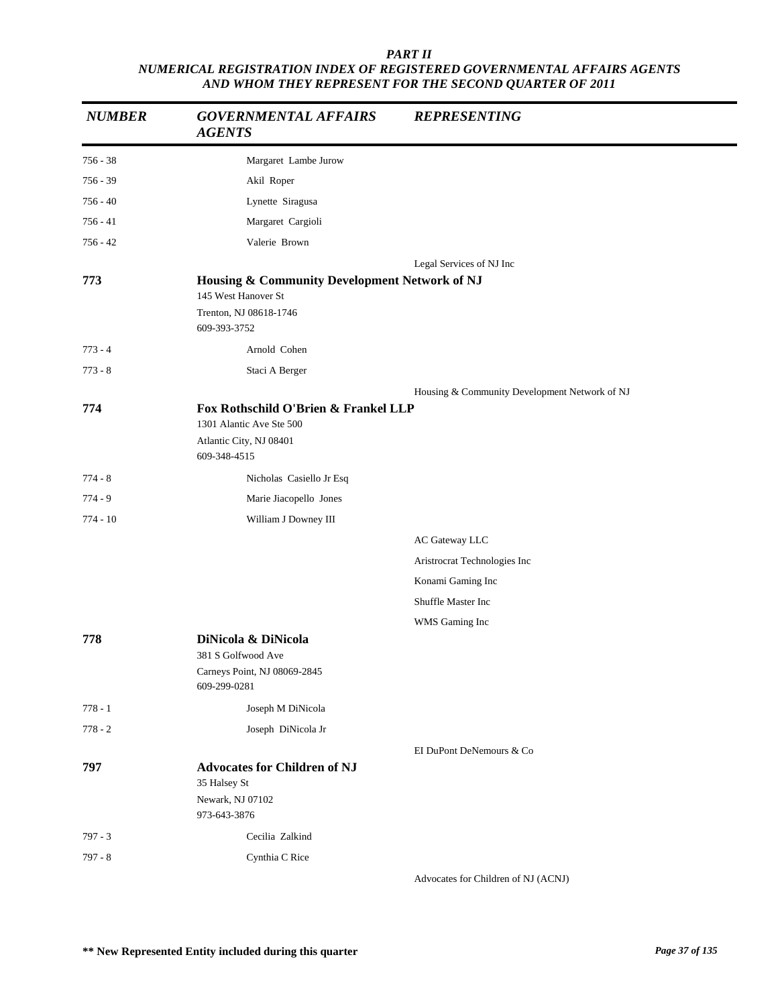| <b>NUMBER</b> | <b>GOVERNMENTAL AFFAIRS</b><br><b>AGENTS</b>                                                                | <b>REPRESENTING</b>                           |
|---------------|-------------------------------------------------------------------------------------------------------------|-----------------------------------------------|
| $756 - 38$    | Margaret Lambe Jurow                                                                                        |                                               |
| $756 - 39$    | Akil Roper                                                                                                  |                                               |
| 756 - 40      | Lynette Siragusa                                                                                            |                                               |
| $756 - 41$    | Margaret Cargioli                                                                                           |                                               |
| 756 - 42      | Valerie Brown                                                                                               |                                               |
|               |                                                                                                             | Legal Services of NJ Inc                      |
| 773           | Housing & Community Development Network of NJ<br>145 West Hanover St                                        |                                               |
|               | Trenton, NJ 08618-1746<br>609-393-3752                                                                      |                                               |
| $773 - 4$     | Arnold Cohen                                                                                                |                                               |
| $773 - 8$     | Staci A Berger                                                                                              |                                               |
|               |                                                                                                             | Housing & Community Development Network of NJ |
| 774           | Fox Rothschild O'Brien & Frankel LLP<br>1301 Alantic Ave Ste 500<br>Atlantic City, NJ 08401<br>609-348-4515 |                                               |
| $774 - 8$     | Nicholas Casiello Jr Esq                                                                                    |                                               |
| $774 - 9$     | Marie Jiacopello Jones                                                                                      |                                               |
| 774 - 10      | William J Downey III                                                                                        |                                               |
|               |                                                                                                             | AC Gateway LLC                                |
|               |                                                                                                             | Aristrocrat Technologies Inc                  |
|               |                                                                                                             | Konami Gaming Inc                             |
|               |                                                                                                             | Shuffle Master Inc                            |
|               |                                                                                                             | WMS Gaming Inc                                |
| 778           | DiNicola & DiNicola                                                                                         |                                               |
|               | 381 S Golfwood Ave<br>Carneys Point, NJ 08069-2845<br>609-299-0281                                          |                                               |
| $778 - 1$     | Joseph M DiNicola                                                                                           |                                               |
| $778 - 2$     | Joseph DiNicola Jr                                                                                          |                                               |
|               |                                                                                                             | EI DuPont DeNemours & Co                      |
| 797           | <b>Advocates for Children of NJ</b><br>35 Halsey St<br>Newark, NJ 07102<br>973-643-3876                     |                                               |
| $797 - 3$     | Cecilia Zalkind                                                                                             |                                               |
| $797 - 8$     | Cynthia C Rice                                                                                              |                                               |
|               |                                                                                                             | Advocates for Children of NJ (ACNJ)           |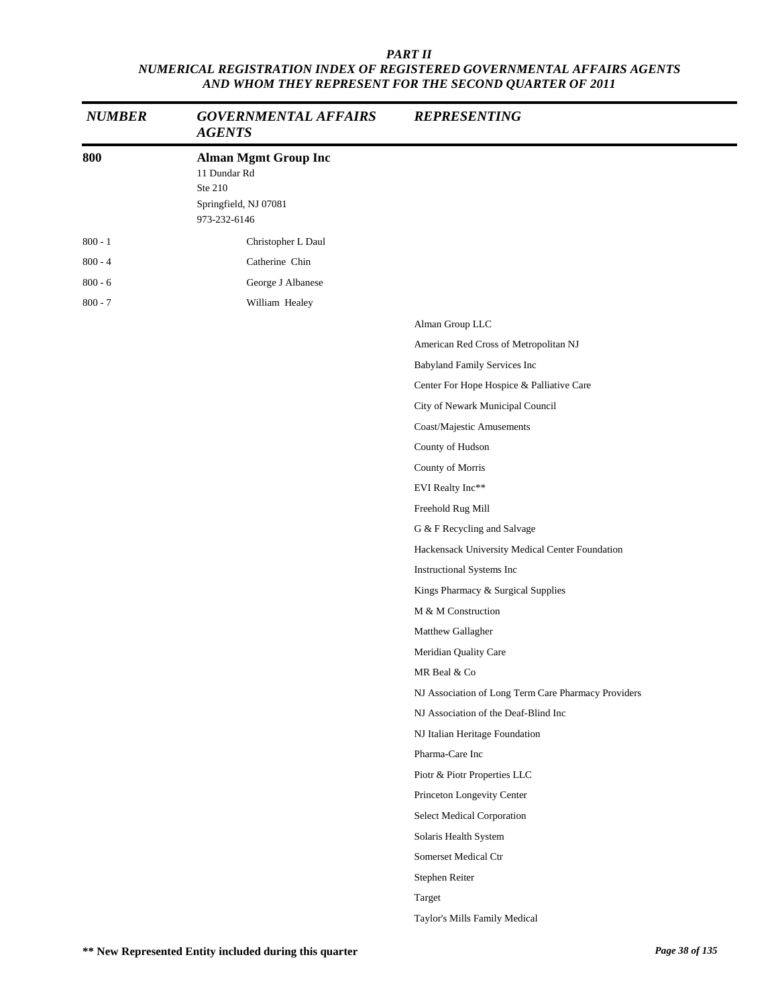| <b>NUMBER</b> | <b>GOVERNMENTAL AFFAIRS</b><br><b>AGENTS</b>                                                    | <b>REPRESENTING</b>                                 |
|---------------|-------------------------------------------------------------------------------------------------|-----------------------------------------------------|
| 800           | <b>Alman Mgmt Group Inc</b><br>11 Dundar Rd<br>Ste 210<br>Springfield, NJ 07081<br>973-232-6146 |                                                     |
| $800 - 1$     | Christopher L Daul                                                                              |                                                     |
| $800 - 4$     | Catherine Chin                                                                                  |                                                     |
| $800 - 6$     | George J Albanese                                                                               |                                                     |
| $800 - 7$     | William Healey                                                                                  |                                                     |
|               |                                                                                                 | Alman Group LLC                                     |
|               |                                                                                                 | American Red Cross of Metropolitan NJ               |
|               |                                                                                                 | Babyland Family Services Inc                        |
|               |                                                                                                 | Center For Hope Hospice & Palliative Care           |
|               |                                                                                                 | City of Newark Municipal Council                    |
|               |                                                                                                 | Coast/Majestic Amusements                           |
|               |                                                                                                 | County of Hudson                                    |
|               |                                                                                                 | County of Morris                                    |
|               |                                                                                                 | EVI Realty Inc**                                    |
|               |                                                                                                 | Freehold Rug Mill                                   |
|               |                                                                                                 | G & F Recycling and Salvage                         |
|               |                                                                                                 | Hackensack University Medical Center Foundation     |
|               |                                                                                                 | Instructional Systems Inc                           |
|               |                                                                                                 | Kings Pharmacy & Surgical Supplies                  |
|               |                                                                                                 | M & M Construction                                  |
|               |                                                                                                 | Matthew Gallagher                                   |
|               |                                                                                                 | Meridian Quality Care                               |
|               |                                                                                                 | MR Beal & Co                                        |
|               |                                                                                                 | NJ Association of Long Term Care Pharmacy Providers |
|               |                                                                                                 | NJ Association of the Deaf-Blind Inc                |
|               |                                                                                                 | NJ Italian Heritage Foundation                      |
|               |                                                                                                 | Pharma-Care Inc                                     |
|               |                                                                                                 | Piotr & Piotr Properties LLC                        |
|               |                                                                                                 | Princeton Longevity Center                          |
|               |                                                                                                 | Select Medical Corporation                          |
|               |                                                                                                 | Solaris Health System                               |
|               |                                                                                                 | Somerset Medical Ctr                                |
|               |                                                                                                 | Stephen Reiter                                      |
|               |                                                                                                 | Target                                              |
|               |                                                                                                 | Taylor's Mills Family Medical                       |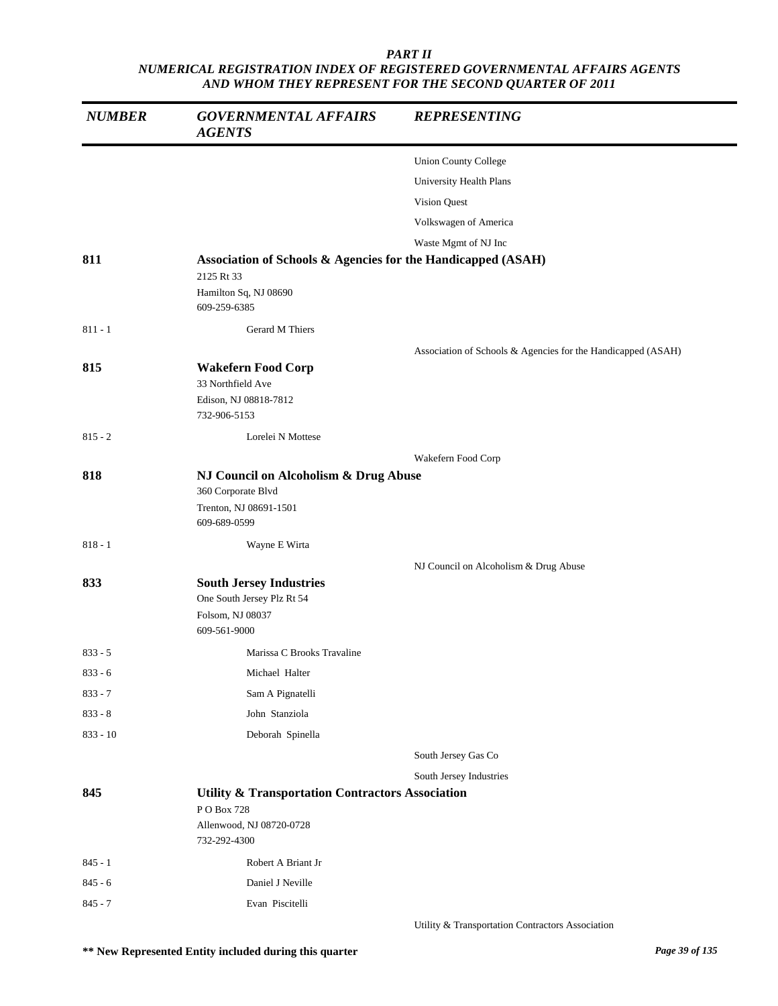| <b>NUMBER</b> | <b>GOVERNMENTAL AFFAIRS</b><br><b>AGENTS</b>                                                                          | <b>REPRESENTING</b>                                          |
|---------------|-----------------------------------------------------------------------------------------------------------------------|--------------------------------------------------------------|
|               |                                                                                                                       | <b>Union County College</b>                                  |
|               |                                                                                                                       | University Health Plans                                      |
|               |                                                                                                                       | Vision Quest                                                 |
|               |                                                                                                                       | Volkswagen of America                                        |
|               |                                                                                                                       | Waste Mgmt of NJ Inc                                         |
| 811           | Association of Schools & Agencies for the Handicapped (ASAH)<br>2125 Rt 33                                            |                                                              |
|               | Hamilton Sq, NJ 08690<br>609-259-6385                                                                                 |                                                              |
| $811 - 1$     | Gerard M Thiers                                                                                                       |                                                              |
|               |                                                                                                                       | Association of Schools & Agencies for the Handicapped (ASAH) |
| 815           | <b>Wakefern Food Corp</b><br>33 Northfield Ave<br>Edison, NJ 08818-7812<br>732-906-5153                               |                                                              |
| $815 - 2$     | Lorelei N Mottese                                                                                                     |                                                              |
|               |                                                                                                                       | Wakefern Food Corp                                           |
| 818           | NJ Council on Alcoholism & Drug Abuse<br>360 Corporate Blvd<br>Trenton, NJ 08691-1501<br>609-689-0599                 |                                                              |
| $818 - 1$     | Wayne E Wirta                                                                                                         |                                                              |
| 833           | <b>South Jersey Industries</b><br>One South Jersey Plz Rt 54<br>Folsom, NJ 08037<br>609-561-9000                      | NJ Council on Alcoholism & Drug Abuse                        |
| $833 - 5$     | Marissa C Brooks Travaline                                                                                            |                                                              |
| $833 - 6$     | Michael Halter                                                                                                        |                                                              |
| $833 - 7$     | Sam A Pignatelli                                                                                                      |                                                              |
| $833 - 8$     | John Stanziola                                                                                                        |                                                              |
| $833 - 10$    | Deborah Spinella                                                                                                      |                                                              |
|               |                                                                                                                       | South Jersey Gas Co                                          |
|               |                                                                                                                       | South Jersey Industries                                      |
| 845           | <b>Utility &amp; Transportation Contractors Association</b><br>PO Box 728<br>Allenwood, NJ 08720-0728<br>732-292-4300 |                                                              |
| $845 - 1$     | Robert A Briant Jr                                                                                                    |                                                              |
| $845 - 6$     | Daniel J Neville                                                                                                      |                                                              |
| $845 - 7$     | Evan Piscitelli                                                                                                       |                                                              |
|               |                                                                                                                       | Utility & Transportation Contractors Association             |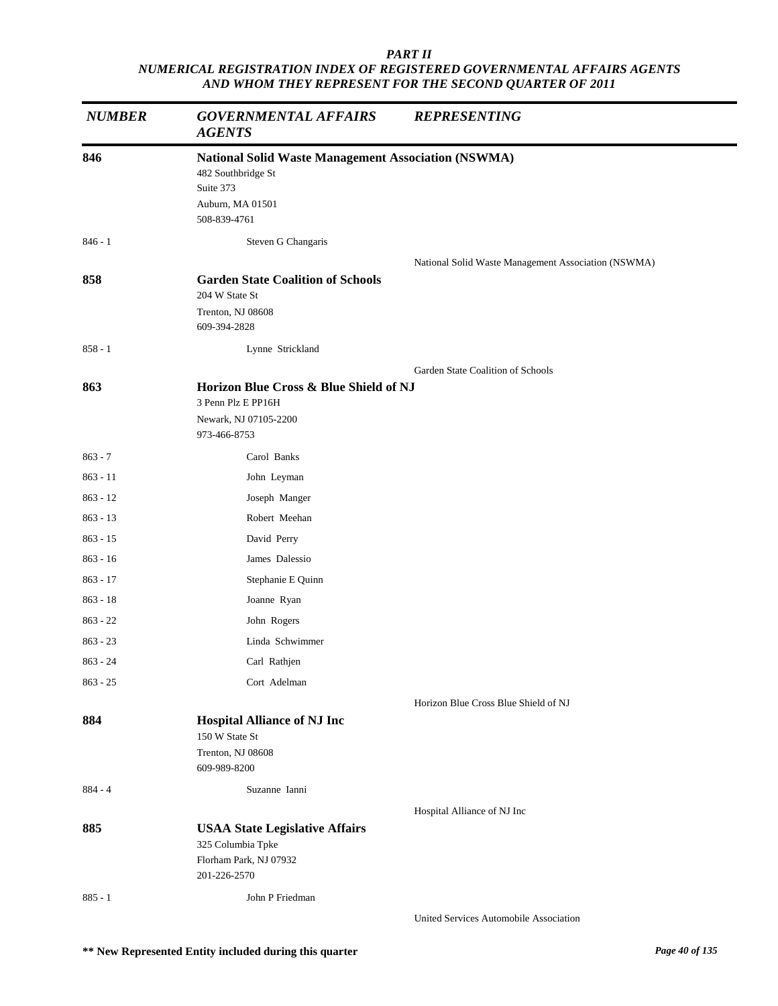| <b>NUMBER</b> | <b>GOVERNMENTAL AFFAIRS</b><br><b>AGENTS</b>               | <b>REPRESENTING</b>                                 |
|---------------|------------------------------------------------------------|-----------------------------------------------------|
| 846           | <b>National Solid Waste Management Association (NSWMA)</b> |                                                     |
|               | 482 Southbridge St                                         |                                                     |
|               | Suite 373<br>Auburn, MA 01501                              |                                                     |
|               | 508-839-4761                                               |                                                     |
| $846 - 1$     | Steven G Changaris                                         |                                                     |
|               |                                                            | National Solid Waste Management Association (NSWMA) |
| 858           | <b>Garden State Coalition of Schools</b>                   |                                                     |
|               | 204 W State St                                             |                                                     |
|               | Trenton, NJ 08608<br>609-394-2828                          |                                                     |
| $858 - 1$     | Lynne Strickland                                           |                                                     |
|               |                                                            | Garden State Coalition of Schools                   |
| 863           | Horizon Blue Cross & Blue Shield of NJ                     |                                                     |
|               | 3 Penn Plz E PP16H                                         |                                                     |
|               | Newark, NJ 07105-2200                                      |                                                     |
|               | 973-466-8753                                               |                                                     |
| $863 - 7$     | Carol Banks                                                |                                                     |
| $863 - 11$    | John Leyman                                                |                                                     |
| $863 - 12$    | Joseph Manger                                              |                                                     |
| $863 - 13$    | Robert Meehan                                              |                                                     |
| $863 - 15$    | David Perry                                                |                                                     |
| $863 - 16$    | James Dalessio                                             |                                                     |
| $863 - 17$    | Stephanie E Quinn                                          |                                                     |
| $863 - 18$    | Joanne Ryan                                                |                                                     |
| $863 - 22$    | John Rogers                                                |                                                     |
| $863 - 23$    | Linda Schwimmer                                            |                                                     |
| $863 - 24$    | Carl Rathjen                                               |                                                     |
| $863 - 25$    | Cort Adelman                                               |                                                     |
| 884           | <b>Hospital Alliance of NJ Inc</b>                         | Horizon Blue Cross Blue Shield of NJ                |
|               | 150 W State St                                             |                                                     |
|               | Trenton, NJ 08608                                          |                                                     |
|               | 609-989-8200                                               |                                                     |
| $884 - 4$     | Suzanne Ianni                                              |                                                     |
|               |                                                            | Hospital Alliance of NJ Inc                         |
| 885           | <b>USAA State Legislative Affairs</b>                      |                                                     |
|               | 325 Columbia Tpke<br>Florham Park, NJ 07932                |                                                     |
|               | 201-226-2570                                               |                                                     |
| $885 - 1$     | John P Friedman                                            |                                                     |
|               |                                                            | United Services Automobile Association              |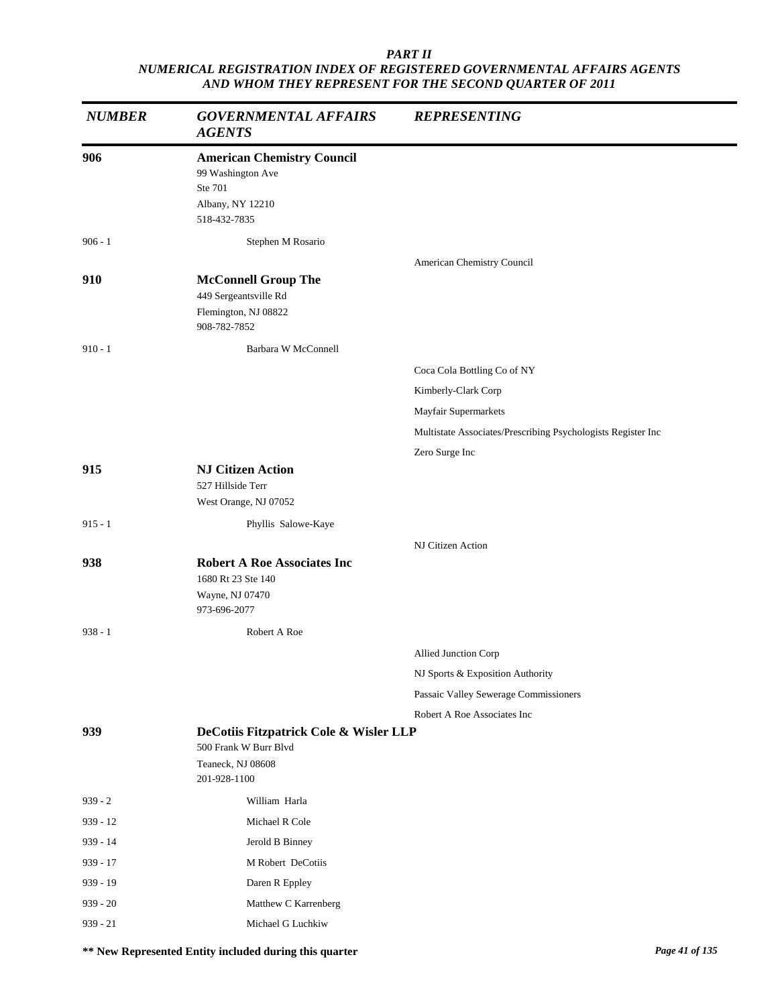| <b>NUMBER</b> | <b>GOVERNMENTAL AFFAIRS</b><br><b>AGENTS</b>                                                          | <b>REPRESENTING</b>                                          |
|---------------|-------------------------------------------------------------------------------------------------------|--------------------------------------------------------------|
| 906           | <b>American Chemistry Council</b><br>99 Washington Ave<br>Ste 701<br>Albany, NY 12210<br>518-432-7835 |                                                              |
| $906 - 1$     | Stephen M Rosario                                                                                     |                                                              |
| 910           | <b>McConnell Group The</b><br>449 Sergeantsville Rd<br>Flemington, NJ 08822                           | American Chemistry Council                                   |
|               | 908-782-7852                                                                                          |                                                              |
| $910 - 1$     | Barbara W McConnell                                                                                   |                                                              |
|               |                                                                                                       | Coca Cola Bottling Co of NY                                  |
|               |                                                                                                       | Kimberly-Clark Corp                                          |
|               |                                                                                                       | Mayfair Supermarkets                                         |
|               |                                                                                                       | Multistate Associates/Prescribing Psychologists Register Inc |
| 915           | <b>NJ Citizen Action</b>                                                                              | Zero Surge Inc                                               |
|               | 527 Hillside Terr<br>West Orange, NJ 07052                                                            |                                                              |
| $915 - 1$     | Phyllis Salowe-Kaye                                                                                   |                                                              |
|               |                                                                                                       | NJ Citizen Action                                            |
| 938           | <b>Robert A Roe Associates Inc</b><br>1680 Rt 23 Ste 140<br>Wayne, NJ 07470<br>973-696-2077           |                                                              |
| $938 - 1$     | Robert A Roe                                                                                          |                                                              |
|               |                                                                                                       | Allied Junction Corp                                         |
|               |                                                                                                       | NJ Sports & Exposition Authority                             |
|               |                                                                                                       | Passaic Valley Sewerage Commissioners                        |
|               |                                                                                                       | Robert A Roe Associates Inc                                  |
| 939           | DeCotiis Fitzpatrick Cole & Wisler LLP<br>500 Frank W Burr Blvd<br>Teaneck, NJ 08608<br>201-928-1100  |                                                              |
| $939 - 2$     | William Harla                                                                                         |                                                              |
| 939 - 12      | Michael R Cole                                                                                        |                                                              |
| 939 - 14      | Jerold B Binney                                                                                       |                                                              |
| 939 - 17      | M Robert DeCotiis                                                                                     |                                                              |
| 939 - 19      | Daren R Eppley                                                                                        |                                                              |
| $939 - 20$    | Matthew C Karrenberg                                                                                  |                                                              |
| $939 - 21$    | Michael G Luchkiw                                                                                     |                                                              |

**\*\* New Represented Entity included during this quarter** *Page 41 of 135*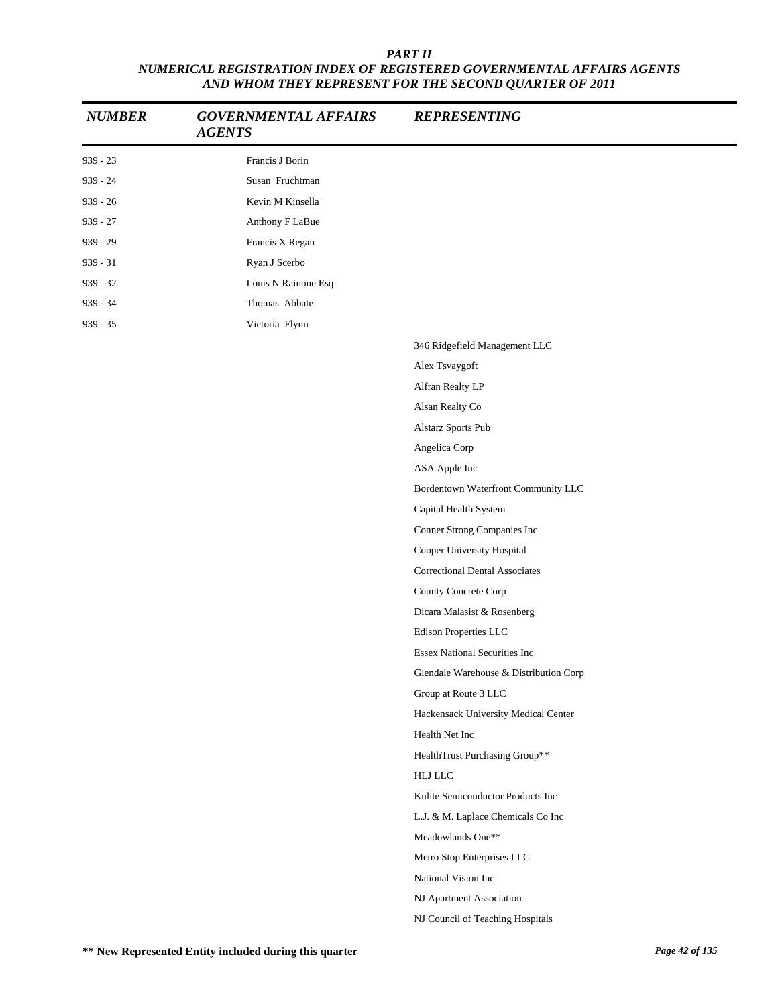| <b>NUMBER</b> | <b>GOVERNMENTAL AFFAIRS</b><br><b>AGENTS</b> | <b>REPRESENTING</b>                    |
|---------------|----------------------------------------------|----------------------------------------|
| $939 - 23$    | Francis J Borin                              |                                        |
| 939 - 24      | Susan Fruchtman                              |                                        |
| $939 - 26$    | Kevin M Kinsella                             |                                        |
| $939 - 27$    | Anthony F LaBue                              |                                        |
| $939 - 29$    | Francis X Regan                              |                                        |
| $939 - 31$    | Ryan J Scerbo                                |                                        |
| $939 - 32$    | Louis N Rainone Esq                          |                                        |
| $939 - 34$    | Thomas Abbate                                |                                        |
| $939 - 35$    | Victoria Flynn                               |                                        |
|               |                                              | 346 Ridgefield Management LLC          |
|               |                                              | Alex Tsvaygoft                         |
|               |                                              | Alfran Realty LP                       |
|               |                                              | Alsan Realty Co                        |
|               |                                              | Alstarz Sports Pub                     |
|               |                                              | Angelica Corp                          |
|               |                                              | ASA Apple Inc                          |
|               |                                              | Bordentown Waterfront Community LLC    |
|               |                                              | Capital Health System                  |
|               |                                              | Conner Strong Companies Inc            |
|               |                                              | Cooper University Hospital             |
|               |                                              | <b>Correctional Dental Associates</b>  |
|               |                                              | County Concrete Corp                   |
|               |                                              | Dicara Malasist & Rosenberg            |
|               |                                              | Edison Properties LLC                  |
|               |                                              | <b>Essex National Securities Inc</b>   |
|               |                                              | Glendale Warehouse & Distribution Corp |
|               |                                              | Group at Route 3 LLC                   |
|               |                                              | Hackensack University Medical Center   |
|               |                                              | Health Net Inc                         |
|               |                                              | HealthTrust Purchasing Group**         |
|               |                                              | ${\rm H}{\rm LJ}$ LLC                  |
|               |                                              | Kulite Semiconductor Products Inc      |
|               |                                              | L.J. & M. Laplace Chemicals Co Inc     |
|               |                                              | Meadowlands One**                      |
|               |                                              | Metro Stop Enterprises LLC             |
|               |                                              | National Vision Inc                    |
|               |                                              | NJ Apartment Association               |
|               |                                              | NJ Council of Teaching Hospitals       |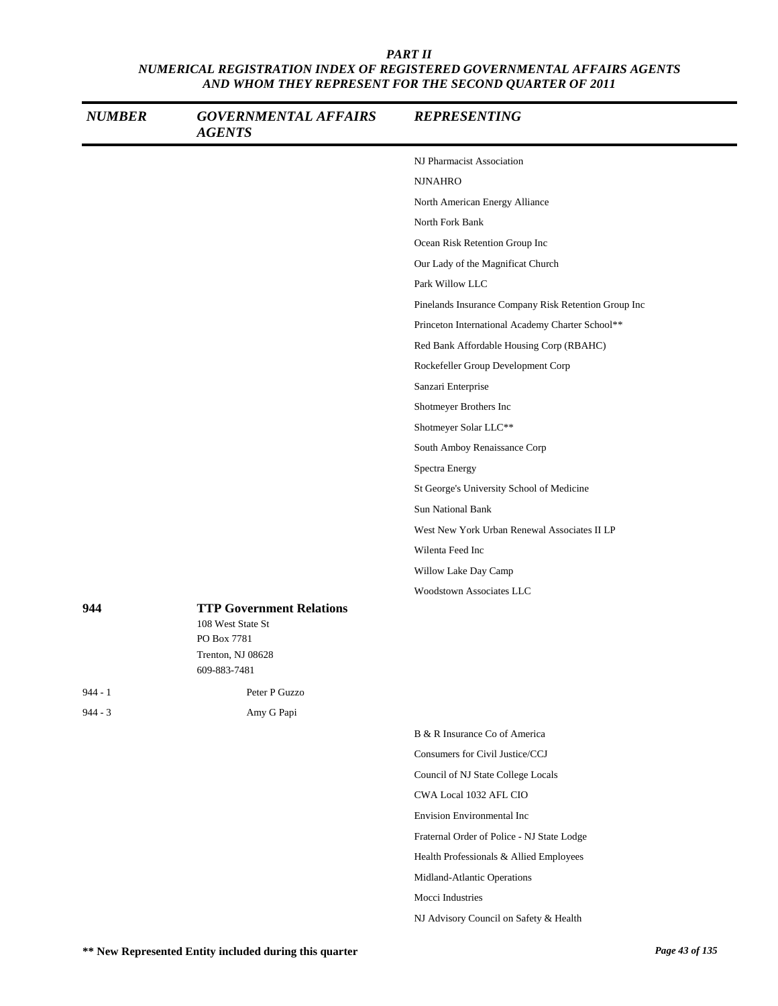| <b>NUMBER</b> | <b>GOVERNMENTAL AFFAIRS</b><br><b>AGENTS</b>                                                             | <b>REPRESENTING</b>                                  |
|---------------|----------------------------------------------------------------------------------------------------------|------------------------------------------------------|
|               |                                                                                                          | NJ Pharmacist Association                            |
|               |                                                                                                          | <b>NJNAHRO</b>                                       |
|               |                                                                                                          | North American Energy Alliance                       |
|               |                                                                                                          | North Fork Bank                                      |
|               |                                                                                                          | Ocean Risk Retention Group Inc                       |
|               |                                                                                                          | Our Lady of the Magnificat Church                    |
|               |                                                                                                          | Park Willow LLC                                      |
|               |                                                                                                          | Pinelands Insurance Company Risk Retention Group Inc |
|               |                                                                                                          | Princeton International Academy Charter School**     |
|               |                                                                                                          | Red Bank Affordable Housing Corp (RBAHC)             |
|               |                                                                                                          | Rockefeller Group Development Corp                   |
|               |                                                                                                          | Sanzari Enterprise                                   |
|               |                                                                                                          | Shotmeyer Brothers Inc                               |
|               |                                                                                                          | Shotmeyer Solar LLC**                                |
|               |                                                                                                          | South Amboy Renaissance Corp                         |
|               |                                                                                                          | Spectra Energy                                       |
|               |                                                                                                          | St George's University School of Medicine            |
|               |                                                                                                          | <b>Sun National Bank</b>                             |
|               |                                                                                                          | West New York Urban Renewal Associates II LP         |
|               |                                                                                                          | Wilenta Feed Inc                                     |
|               |                                                                                                          | Willow Lake Day Camp                                 |
|               |                                                                                                          | Woodstown Associates LLC                             |
| 944           | <b>TTP Government Relations</b><br>108 West State St<br>PO Box 7781<br>Trenton, NJ 08628<br>609-883-7481 |                                                      |
| $944 - 1$     | Peter P Guzzo                                                                                            |                                                      |
| $944 - 3$     | Amy G Papi                                                                                               |                                                      |
|               |                                                                                                          | B & R Insurance Co of America                        |
|               |                                                                                                          | Consumers for Civil Justice/CCJ                      |
|               |                                                                                                          | Council of NJ State College Locals                   |
|               |                                                                                                          | CWA Local 1032 AFL CIO                               |
|               |                                                                                                          | Envision Environmental Inc                           |
|               |                                                                                                          | Fraternal Order of Police - NJ State Lodge           |
|               |                                                                                                          | Health Professionals & Allied Employees              |
|               |                                                                                                          | Midland-Atlantic Operations                          |
|               |                                                                                                          | Mocci Industries                                     |

NJ Advisory Council on Safety & Health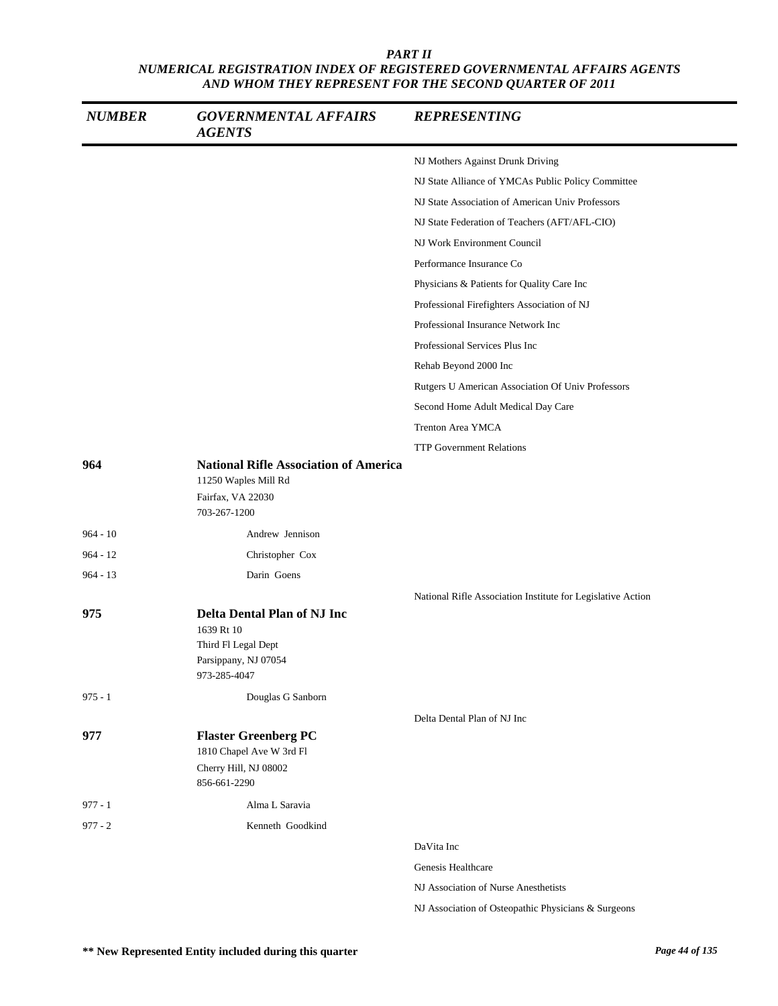| <b>NUMBER</b> | <b>GOVERNMENTAL AFFAIRS</b><br><b>AGENTS</b>                                                                    | <b>REPRESENTING</b>                                         |
|---------------|-----------------------------------------------------------------------------------------------------------------|-------------------------------------------------------------|
|               |                                                                                                                 | NJ Mothers Against Drunk Driving                            |
|               |                                                                                                                 | NJ State Alliance of YMCAs Public Policy Committee          |
|               |                                                                                                                 | NJ State Association of American Univ Professors            |
|               |                                                                                                                 | NJ State Federation of Teachers (AFT/AFL-CIO)               |
|               |                                                                                                                 | NJ Work Environment Council                                 |
|               |                                                                                                                 | Performance Insurance Co                                    |
|               |                                                                                                                 | Physicians & Patients for Quality Care Inc                  |
|               |                                                                                                                 | Professional Firefighters Association of NJ                 |
|               |                                                                                                                 | Professional Insurance Network Inc                          |
|               |                                                                                                                 | Professional Services Plus Inc                              |
|               |                                                                                                                 | Rehab Beyond 2000 Inc                                       |
|               |                                                                                                                 | Rutgers U American Association Of Univ Professors           |
|               |                                                                                                                 | Second Home Adult Medical Day Care                          |
|               |                                                                                                                 | Trenton Area YMCA                                           |
|               |                                                                                                                 | <b>TTP Government Relations</b>                             |
| 964           | <b>National Rifle Association of America</b><br>11250 Waples Mill Rd<br>Fairfax, VA 22030<br>703-267-1200       |                                                             |
| $964 - 10$    | Andrew Jennison                                                                                                 |                                                             |
| $964 - 12$    | Christopher Cox                                                                                                 |                                                             |
| $964 - 13$    | Darin Goens                                                                                                     |                                                             |
|               |                                                                                                                 | National Rifle Association Institute for Legislative Action |
| 975           | <b>Delta Dental Plan of NJ Inc</b><br>1639 Rt 10<br>Third Fl Legal Dept<br>Parsippany, NJ 07054<br>973-285-4047 |                                                             |
| $975 - 1$     | Douglas G Sanborn                                                                                               |                                                             |
| 977           | <b>Flaster Greenberg PC</b><br>1810 Chapel Ave W 3rd Fl<br>Cherry Hill, NJ 08002                                | Delta Dental Plan of NJ Inc                                 |
|               | 856-661-2290                                                                                                    |                                                             |
| $977 - 1$     | Alma L Saravia                                                                                                  |                                                             |
| $977 - 2$     | Kenneth Goodkind                                                                                                |                                                             |
|               |                                                                                                                 | DaVita Inc                                                  |
|               |                                                                                                                 | Genesis Healthcare                                          |
|               |                                                                                                                 | NJ Association of Nurse Anesthetists                        |
|               |                                                                                                                 | NJ Association of Osteopathic Physicians & Surgeons         |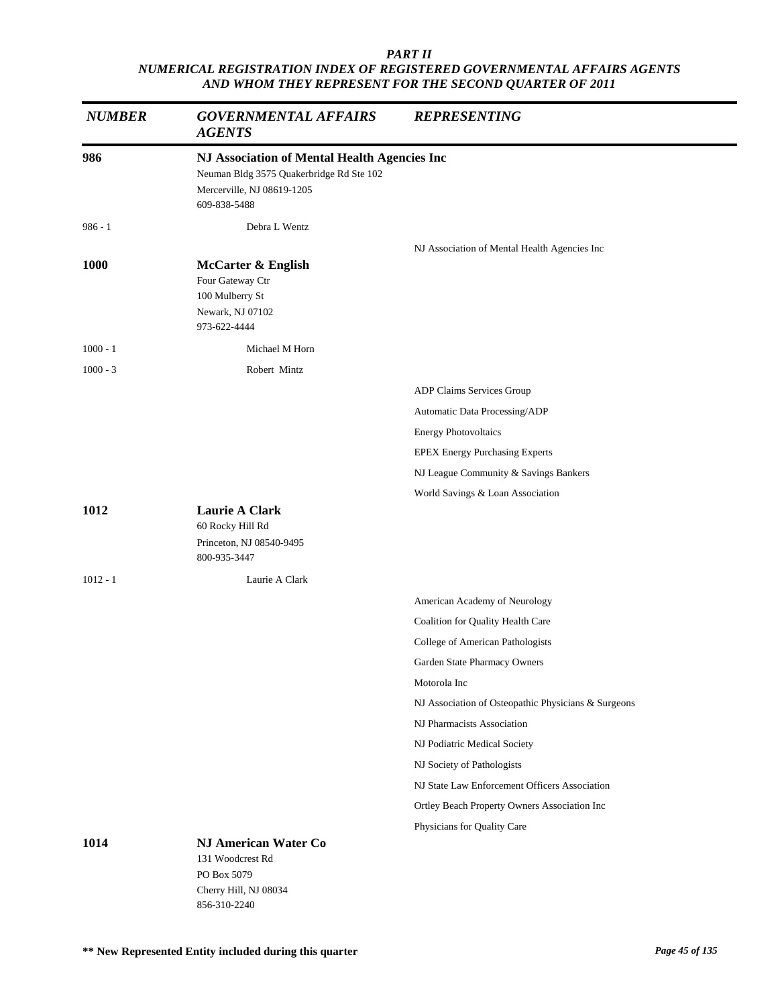| <b>NUMBER</b> | <b>GOVERNMENTAL AFFAIRS</b><br><b>AGENTS</b>                                                                                           | <b>REPRESENTING</b>                                              |
|---------------|----------------------------------------------------------------------------------------------------------------------------------------|------------------------------------------------------------------|
| 986           | NJ Association of Mental Health Agencies Inc<br>Neuman Bldg 3575 Quakerbridge Rd Ste 102<br>Mercerville, NJ 08619-1205<br>609-838-5488 |                                                                  |
| $986 - 1$     | Debra L Wentz                                                                                                                          |                                                                  |
| <b>1000</b>   | <b>McCarter &amp; English</b><br>Four Gateway Ctr<br>100 Mulberry St<br>Newark, NJ 07102<br>973-622-4444                               | NJ Association of Mental Health Agencies Inc                     |
| $1000 - 1$    | Michael M Horn                                                                                                                         |                                                                  |
| $1000 - 3$    | Robert Mintz                                                                                                                           | ADP Claims Services Group                                        |
|               |                                                                                                                                        | Automatic Data Processing/ADP                                    |
|               |                                                                                                                                        | <b>Energy Photovoltaics</b>                                      |
|               |                                                                                                                                        | <b>EPEX Energy Purchasing Experts</b>                            |
|               |                                                                                                                                        | NJ League Community & Savings Bankers                            |
|               |                                                                                                                                        | World Savings & Loan Association                                 |
| 1012          | <b>Laurie A Clark</b><br>60 Rocky Hill Rd<br>Princeton, NJ 08540-9495<br>800-935-3447                                                  |                                                                  |
| $1012 - 1$    | Laurie A Clark                                                                                                                         |                                                                  |
|               |                                                                                                                                        | American Academy of Neurology                                    |
|               |                                                                                                                                        | Coalition for Quality Health Care                                |
|               |                                                                                                                                        | College of American Pathologists<br>Garden State Pharmacy Owners |
|               |                                                                                                                                        | Motorola Inc                                                     |
|               |                                                                                                                                        | NJ Association of Osteopathic Physicians & Surgeons              |
|               |                                                                                                                                        | NJ Pharmacists Association                                       |
|               |                                                                                                                                        | NJ Podiatric Medical Society                                     |
|               |                                                                                                                                        | NJ Society of Pathologists                                       |
|               |                                                                                                                                        | NJ State Law Enforcement Officers Association                    |
|               |                                                                                                                                        | Ortley Beach Property Owners Association Inc                     |
|               |                                                                                                                                        | Physicians for Quality Care                                      |
| 1014          | <b>NJ American Water Co</b><br>131 Woodcrest Rd<br>PO Box 5079<br>Cherry Hill, NJ 08034<br>856-310-2240                                |                                                                  |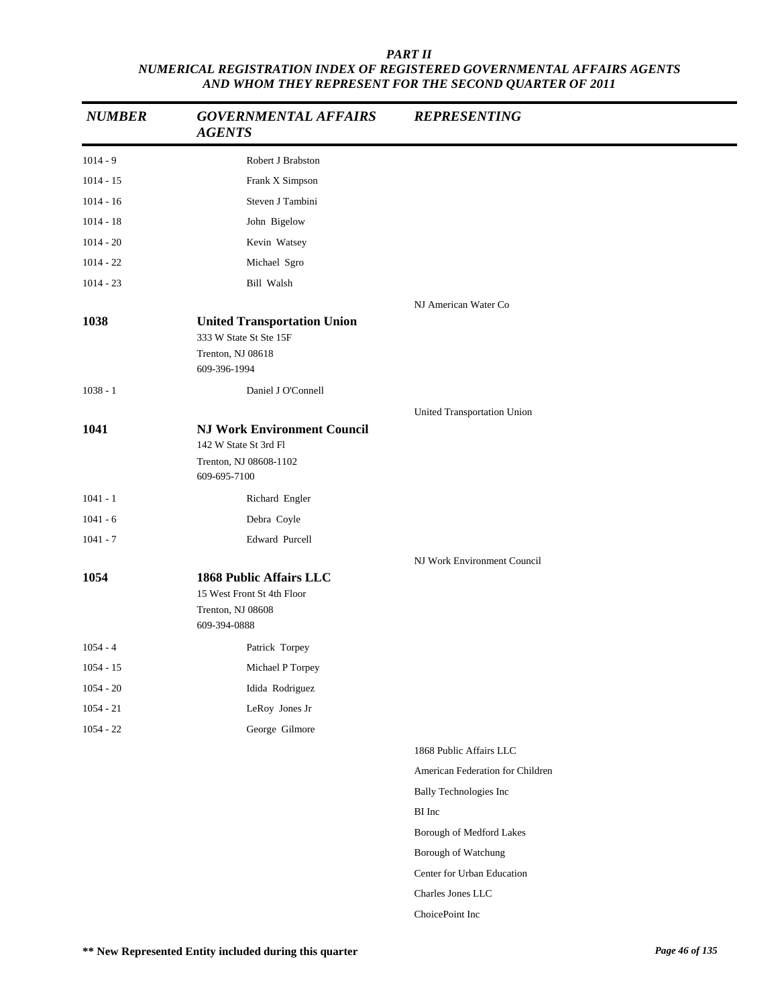| <b>NUMBER</b> | <b>GOVERNMENTAL AFFAIRS</b><br><b>AGENTS</b>                                                          | <b>REPRESENTING</b>              |
|---------------|-------------------------------------------------------------------------------------------------------|----------------------------------|
| $1014 - 9$    | Robert J Brabston                                                                                     |                                  |
| $1014 - 15$   | Frank X Simpson                                                                                       |                                  |
| $1014 - 16$   | Steven J Tambini                                                                                      |                                  |
| $1014 - 18$   | John Bigelow                                                                                          |                                  |
| $1014 - 20$   | Kevin Watsey                                                                                          |                                  |
| $1014 - 22$   | Michael Sgro                                                                                          |                                  |
| $1014 - 23$   | Bill Walsh                                                                                            |                                  |
|               |                                                                                                       | NJ American Water Co             |
| 1038          | <b>United Transportation Union</b><br>333 W State St Ste 15F<br>Trenton, NJ 08618<br>609-396-1994     |                                  |
|               |                                                                                                       |                                  |
| $1038 - 1$    | Daniel J O'Connell                                                                                    |                                  |
| 1041          | <b>NJ Work Environment Council</b><br>142 W State St 3rd Fl<br>Trenton, NJ 08608-1102<br>609-695-7100 | United Transportation Union      |
| $1041 - 1$    | Richard Engler                                                                                        |                                  |
| $1041 - 6$    | Debra Coyle                                                                                           |                                  |
| $1041 - 7$    | Edward Purcell                                                                                        |                                  |
| 1054          | <b>1868 Public Affairs LLC</b><br>15 West Front St 4th Floor<br>Trenton, NJ 08608<br>609-394-0888     | NJ Work Environment Council      |
| $1054 - 4$    | Patrick Torpey                                                                                        |                                  |
| $1054 - 15$   | Michael P Torpey                                                                                      |                                  |
| $1054 - 20$   | Idida Rodriguez                                                                                       |                                  |
| $1054 - 21$   | LeRoy Jones Jr                                                                                        |                                  |
| $1054 - 22$   | George Gilmore                                                                                        |                                  |
|               |                                                                                                       | 1868 Public Affairs LLC          |
|               |                                                                                                       | American Federation for Children |
|               |                                                                                                       | <b>Bally Technologies Inc</b>    |
|               |                                                                                                       | BI Inc                           |
|               |                                                                                                       | Borough of Medford Lakes         |
|               |                                                                                                       | Borough of Watchung              |
|               |                                                                                                       | Center for Urban Education       |
|               |                                                                                                       | Charles Jones LLC                |
|               |                                                                                                       | ChoicePoint Inc                  |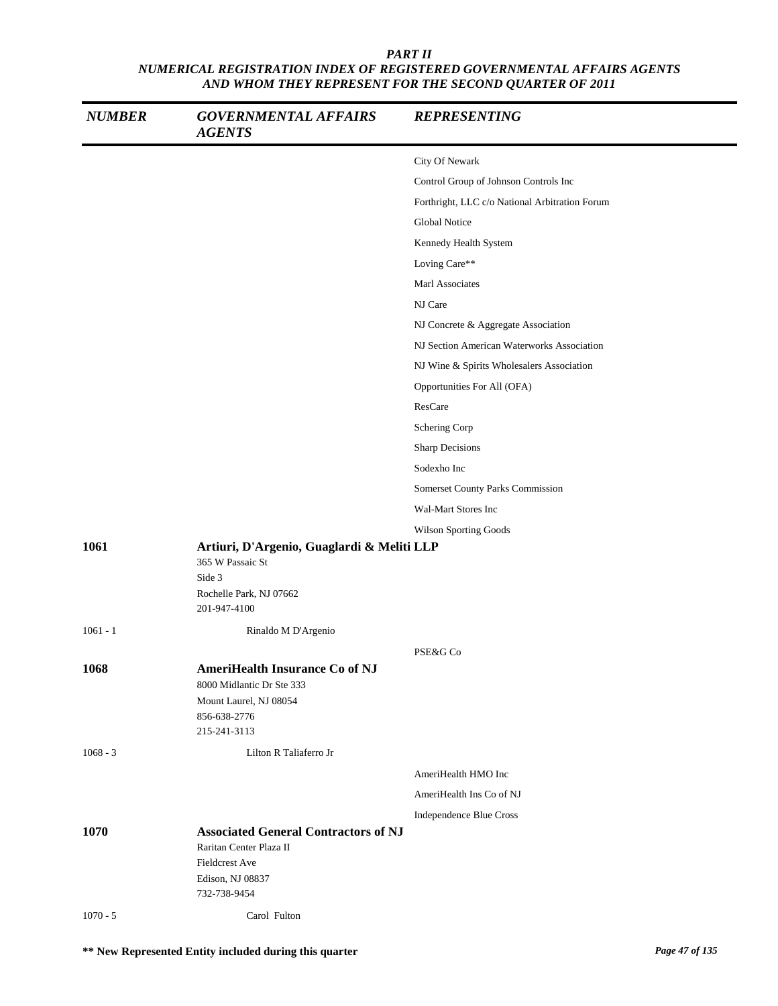| <b>NUMBER</b> | <b>GOVERNMENTAL AFFAIRS</b><br><b>AGENTS</b>                                                                                        | <b>REPRESENTING</b>                            |
|---------------|-------------------------------------------------------------------------------------------------------------------------------------|------------------------------------------------|
|               |                                                                                                                                     | City Of Newark                                 |
|               |                                                                                                                                     | Control Group of Johnson Controls Inc          |
|               |                                                                                                                                     | Forthright, LLC c/o National Arbitration Forum |
|               |                                                                                                                                     | Global Notice                                  |
|               |                                                                                                                                     | Kennedy Health System                          |
|               |                                                                                                                                     | Loving Care**                                  |
|               |                                                                                                                                     | Marl Associates                                |
|               |                                                                                                                                     | NJ Care                                        |
|               |                                                                                                                                     | NJ Concrete & Aggregate Association            |
|               |                                                                                                                                     | NJ Section American Waterworks Association     |
|               |                                                                                                                                     | NJ Wine & Spirits Wholesalers Association      |
|               |                                                                                                                                     | Opportunities For All (OFA)                    |
|               |                                                                                                                                     | ResCare                                        |
|               |                                                                                                                                     | Schering Corp                                  |
|               |                                                                                                                                     | Sharp Decisions                                |
|               |                                                                                                                                     | Sodexho Inc                                    |
|               |                                                                                                                                     | Somerset County Parks Commission               |
|               |                                                                                                                                     | Wal-Mart Stores Inc                            |
|               |                                                                                                                                     | Wilson Sporting Goods                          |
| 1061          | Artiuri, D'Argenio, Guaglardi & Meliti LLP<br>365 W Passaic St<br>Side 3<br>Rochelle Park, NJ 07662<br>201-947-4100                 |                                                |
| $1061 - 1$    | Rinaldo M D'Argenio                                                                                                                 |                                                |
|               |                                                                                                                                     | PSE&G Co                                       |
| 1068          | <b>AmeriHealth Insurance Co of NJ</b><br>8000 Midlantic Dr Ste 333<br>Mount Laurel, NJ 08054<br>856-638-2776<br>215-241-3113        |                                                |
| $1068 - 3$    | Lilton R Taliaferro Jr                                                                                                              |                                                |
|               |                                                                                                                                     | AmeriHealth HMO Inc                            |
|               |                                                                                                                                     | AmeriHealth Ins Co of NJ                       |
|               |                                                                                                                                     | Independence Blue Cross                        |
| 1070          | <b>Associated General Contractors of NJ</b><br>Raritan Center Plaza II<br><b>Fieldcrest Ave</b><br>Edison, NJ 08837<br>732-738-9454 |                                                |
| $1070 - 5$    | Carol Fulton                                                                                                                        |                                                |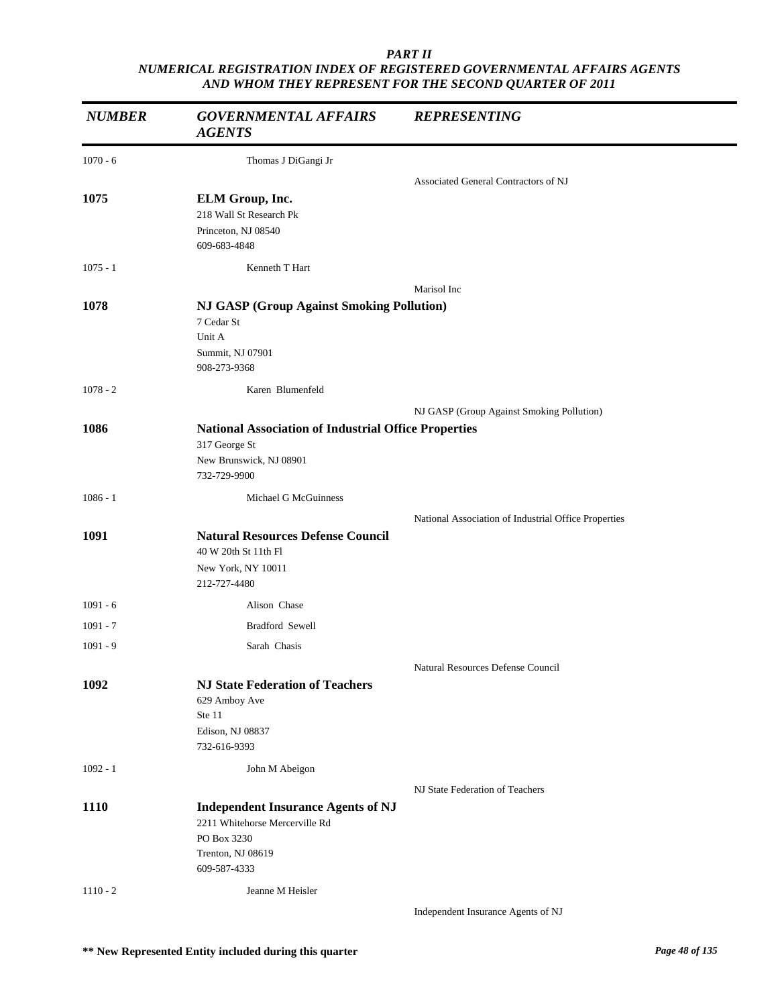| <b>NUMBER</b> | <b>GOVERNMENTAL AFFAIRS</b><br><b>AGENTS</b>                     | <b>REPRESENTING</b>                                  |
|---------------|------------------------------------------------------------------|------------------------------------------------------|
| $1070 - 6$    | Thomas J DiGangi Jr                                              |                                                      |
|               |                                                                  | Associated General Contractors of NJ                 |
| 1075          | ELM Group, Inc.                                                  |                                                      |
|               | 218 Wall St Research Pk                                          |                                                      |
|               | Princeton, NJ 08540<br>609-683-4848                              |                                                      |
| $1075 - 1$    | Kenneth T Hart                                                   |                                                      |
|               |                                                                  | Marisol Inc                                          |
| 1078          | <b>NJ GASP (Group Against Smoking Pollution)</b>                 |                                                      |
|               | 7 Cedar St                                                       |                                                      |
|               | Unit A                                                           |                                                      |
|               | Summit, NJ 07901<br>908-273-9368                                 |                                                      |
| $1078 - 2$    | Karen Blumenfeld                                                 |                                                      |
|               |                                                                  | NJ GASP (Group Against Smoking Pollution)            |
| 1086          | <b>National Association of Industrial Office Properties</b>      |                                                      |
|               | 317 George St                                                    |                                                      |
|               | New Brunswick, NJ 08901                                          |                                                      |
|               | 732-729-9900                                                     |                                                      |
| $1086 - 1$    | <b>Michael G McGuinness</b>                                      |                                                      |
|               |                                                                  | National Association of Industrial Office Properties |
| 1091          | <b>Natural Resources Defense Council</b><br>40 W 20th St 11th Fl |                                                      |
|               | New York, NY 10011                                               |                                                      |
|               | 212-727-4480                                                     |                                                      |
| $1091 - 6$    | Alison Chase                                                     |                                                      |
| $1091 - 7$    | Bradford Sewell                                                  |                                                      |
| $1091 - 9$    | Sarah Chasis                                                     |                                                      |
|               |                                                                  | Natural Resources Defense Council                    |
| 1092          | <b>NJ State Federation of Teachers</b>                           |                                                      |
|               | 629 Amboy Ave                                                    |                                                      |
|               | Ste 11<br>Edison, NJ 08837                                       |                                                      |
|               | 732-616-9393                                                     |                                                      |
| $1092 - 1$    | John M Abeigon                                                   |                                                      |
|               |                                                                  | NJ State Federation of Teachers                      |
| <b>1110</b>   | <b>Independent Insurance Agents of NJ</b>                        |                                                      |
|               | 2211 Whitehorse Mercerville Rd                                   |                                                      |
|               | PO Box 3230                                                      |                                                      |
|               | Trenton, NJ 08619<br>609-587-4333                                |                                                      |
| $1110 - 2$    | Jeanne M Heisler                                                 |                                                      |
|               |                                                                  | Independent Insurance Agents of NJ                   |
|               |                                                                  |                                                      |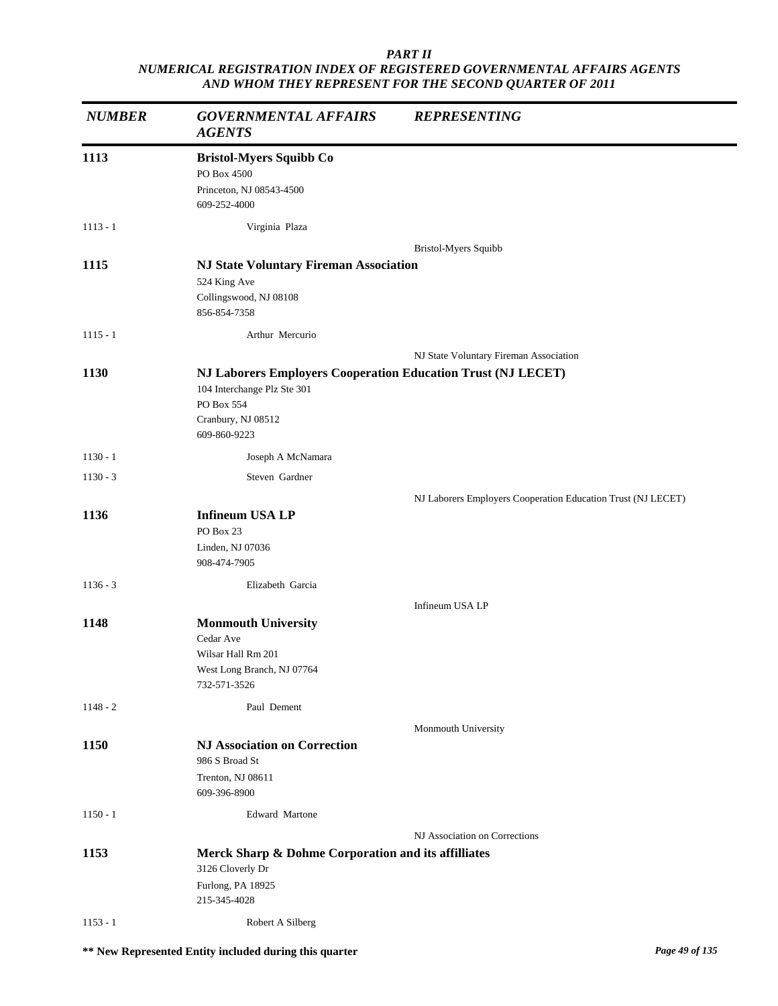| <b>NUMBER</b> | <b>GOVERNMENTAL AFFAIRS</b><br><b>AGENTS</b>                                                                                                    | <b>REPRESENTING</b>                                          |
|---------------|-------------------------------------------------------------------------------------------------------------------------------------------------|--------------------------------------------------------------|
| 1113          | <b>Bristol-Myers Squibb Co</b><br>PO Box 4500<br>Princeton, NJ 08543-4500<br>609-252-4000                                                       |                                                              |
| $1113 - 1$    | Virginia Plaza                                                                                                                                  |                                                              |
|               |                                                                                                                                                 | Bristol-Myers Squibb                                         |
| 1115          | <b>NJ State Voluntary Fireman Association</b><br>524 King Ave<br>Collingswood, NJ 08108<br>856-854-7358                                         |                                                              |
| $1115 - 1$    | Arthur Mercurio                                                                                                                                 |                                                              |
|               |                                                                                                                                                 | NJ State Voluntary Fireman Association                       |
| 1130          | NJ Laborers Employers Cooperation Education Trust (NJ LECET)<br>104 Interchange Plz Ste 301<br>PO Box 554<br>Cranbury, NJ 08512<br>609-860-9223 |                                                              |
| $1130 - 1$    | Joseph A McNamara                                                                                                                               |                                                              |
| $1130 - 3$    | Steven Gardner                                                                                                                                  |                                                              |
|               |                                                                                                                                                 | NJ Laborers Employers Cooperation Education Trust (NJ LECET) |
| 1136          | <b>Infineum USA LP</b><br>PO Box 23                                                                                                             |                                                              |
|               | Linden, NJ 07036<br>908-474-7905                                                                                                                |                                                              |
| $1136 - 3$    | Elizabeth Garcia                                                                                                                                |                                                              |
|               |                                                                                                                                                 | Infineum USA LP                                              |
| 1148          | <b>Monmouth University</b><br>Cedar Ave<br>Wilsar Hall Rm 201<br>West Long Branch, NJ 07764<br>732-571-3526                                     |                                                              |
| $1148 - 2$    | Paul Dement                                                                                                                                     |                                                              |
|               |                                                                                                                                                 | Monmouth University                                          |
| 1150          | <b>NJ Association on Correction</b><br>986 S Broad St<br>Trenton, NJ 08611<br>609-396-8900                                                      |                                                              |
| $1150 - 1$    | Edward Martone                                                                                                                                  |                                                              |
|               |                                                                                                                                                 | NJ Association on Corrections                                |
| 1153          | Merck Sharp & Dohme Corporation and its affilliates<br>3126 Cloverly Dr<br>Furlong, PA 18925<br>215-345-4028                                    |                                                              |
| $1153 - 1$    | Robert A Silberg                                                                                                                                |                                                              |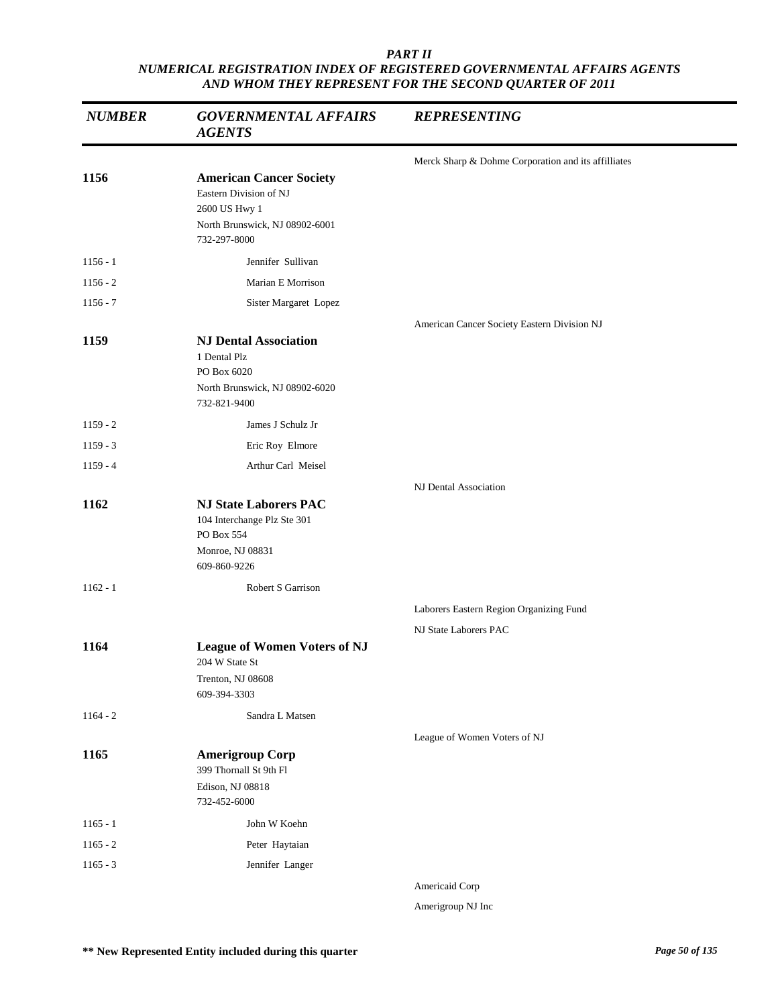| <b>NUMBER</b> | <b>GOVERNMENTAL AFFAIRS</b><br><b>AGENTS</b>                                                                                | <b>REPRESENTING</b>                                 |
|---------------|-----------------------------------------------------------------------------------------------------------------------------|-----------------------------------------------------|
|               |                                                                                                                             | Merck Sharp & Dohme Corporation and its affilliates |
| 1156          | <b>American Cancer Society</b><br>Eastern Division of NJ<br>2600 US Hwy 1<br>North Brunswick, NJ 08902-6001<br>732-297-8000 |                                                     |
| $1156 - 1$    | Jennifer Sullivan                                                                                                           |                                                     |
| $1156 - 2$    | Marian E Morrison                                                                                                           |                                                     |
| $1156 - 7$    | Sister Margaret Lopez                                                                                                       |                                                     |
| 1159          | <b>NJ Dental Association</b><br>1 Dental Plz<br>PO Box 6020<br>North Brunswick, NJ 08902-6020                               | American Cancer Society Eastern Division NJ         |
|               | 732-821-9400                                                                                                                |                                                     |
| $1159 - 2$    | James J Schulz Jr                                                                                                           |                                                     |
| $1159 - 3$    | Eric Roy Elmore                                                                                                             |                                                     |
| $1159 - 4$    | Arthur Carl Meisel                                                                                                          |                                                     |
|               |                                                                                                                             | NJ Dental Association                               |
| 1162          | <b>NJ State Laborers PAC</b><br>104 Interchange Plz Ste 301<br>PO Box 554<br>Monroe, NJ 08831<br>609-860-9226               |                                                     |
| $1162 - 1$    | Robert S Garrison                                                                                                           |                                                     |
|               |                                                                                                                             | Laborers Eastern Region Organizing Fund             |
|               |                                                                                                                             | NJ State Laborers PAC                               |
| 1164          | <b>League of Women Voters of NJ</b><br>204 W State St<br>Trenton, NJ 08608                                                  |                                                     |
|               | 609-394-3303                                                                                                                |                                                     |
| $1164 - 2$    | Sandra L Matsen                                                                                                             |                                                     |
|               |                                                                                                                             | League of Women Voters of NJ                        |
| 1165          | <b>Amerigroup Corp</b><br>399 Thornall St 9th Fl<br>Edison, NJ 08818<br>732-452-6000                                        |                                                     |
| $1165 - 1$    | John W Koehn                                                                                                                |                                                     |
| $1165 - 2$    | Peter Haytaian                                                                                                              |                                                     |
| $1165 - 3$    | Jennifer Langer                                                                                                             |                                                     |
|               |                                                                                                                             | Americaid Corp                                      |

Amerigroup NJ Inc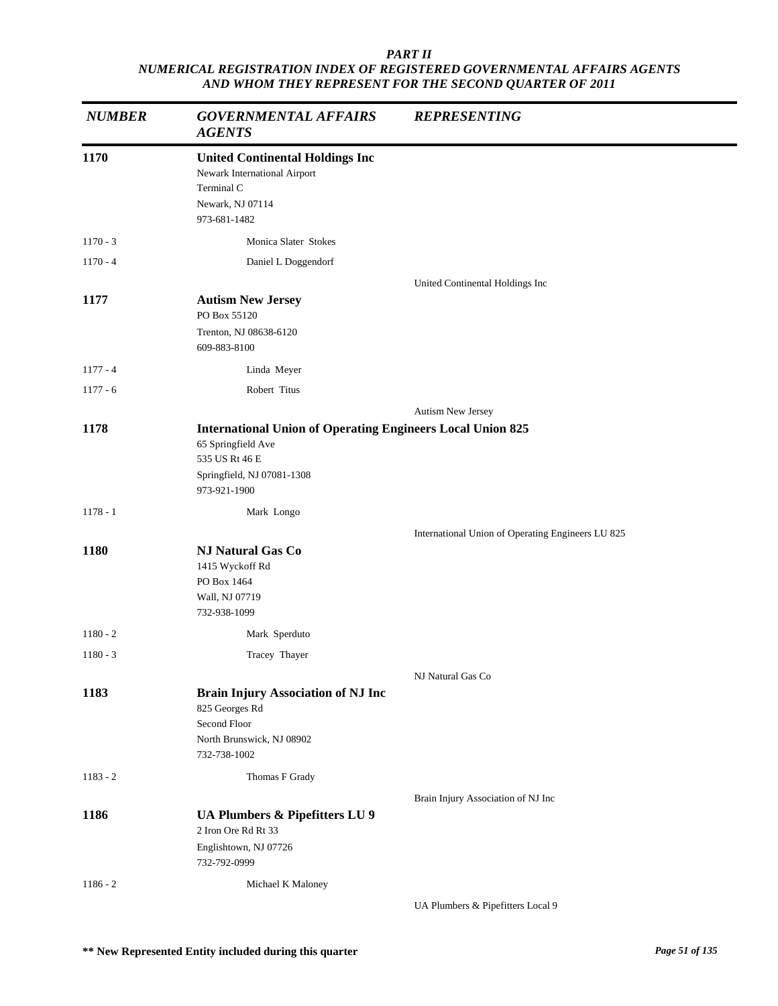| <b>NUMBER</b> | <b>GOVERNMENTAL AFFAIRS</b><br><b>AGENTS</b>                                                                                                            | <b>REPRESENTING</b>                               |
|---------------|---------------------------------------------------------------------------------------------------------------------------------------------------------|---------------------------------------------------|
| 1170          | <b>United Continental Holdings Inc</b><br>Newark International Airport<br>Terminal C<br>Newark, NJ 07114<br>973-681-1482                                |                                                   |
| $1170 - 3$    | Monica Slater Stokes                                                                                                                                    |                                                   |
| $1170 - 4$    | Daniel L Doggendorf                                                                                                                                     |                                                   |
|               |                                                                                                                                                         | United Continental Holdings Inc                   |
| 1177          | <b>Autism New Jersey</b><br>PO Box 55120<br>Trenton, NJ 08638-6120                                                                                      |                                                   |
|               | 609-883-8100                                                                                                                                            |                                                   |
| $1177 - 4$    | Linda Meyer                                                                                                                                             |                                                   |
| $1177 - 6$    | Robert Titus                                                                                                                                            |                                                   |
|               |                                                                                                                                                         | Autism New Jersey                                 |
| 1178          | <b>International Union of Operating Engineers Local Union 825</b><br>65 Springfield Ave<br>535 US Rt 46 E<br>Springfield, NJ 07081-1308<br>973-921-1900 |                                                   |
| $1178 - 1$    | Mark Longo                                                                                                                                              |                                                   |
|               |                                                                                                                                                         | International Union of Operating Engineers LU 825 |
| 1180          | <b>NJ Natural Gas Co</b><br>1415 Wyckoff Rd<br>PO Box 1464<br>Wall, NJ 07719<br>732-938-1099                                                            |                                                   |
| $1180 - 2$    | Mark Sperduto                                                                                                                                           |                                                   |
| $1180 - 3$    | Tracey Thayer                                                                                                                                           |                                                   |
|               |                                                                                                                                                         | NJ Natural Gas Co                                 |
| 1183          | <b>Brain Injury Association of NJ Inc</b><br>825 Georges Rd<br>Second Floor<br>North Brunswick, NJ 08902<br>732-738-1002                                |                                                   |
| $1183 - 2$    | Thomas F Grady                                                                                                                                          |                                                   |
|               |                                                                                                                                                         | Brain Injury Association of NJ Inc                |
| 1186          | UA Plumbers & Pipefitters LU 9<br>2 Iron Ore Rd Rt 33<br>Englishtown, NJ 07726<br>732-792-0999                                                          |                                                   |
| $1186 - 2$    | Michael K Maloney                                                                                                                                       |                                                   |
|               |                                                                                                                                                         | UA Plumbers & Pipefitters Local 9                 |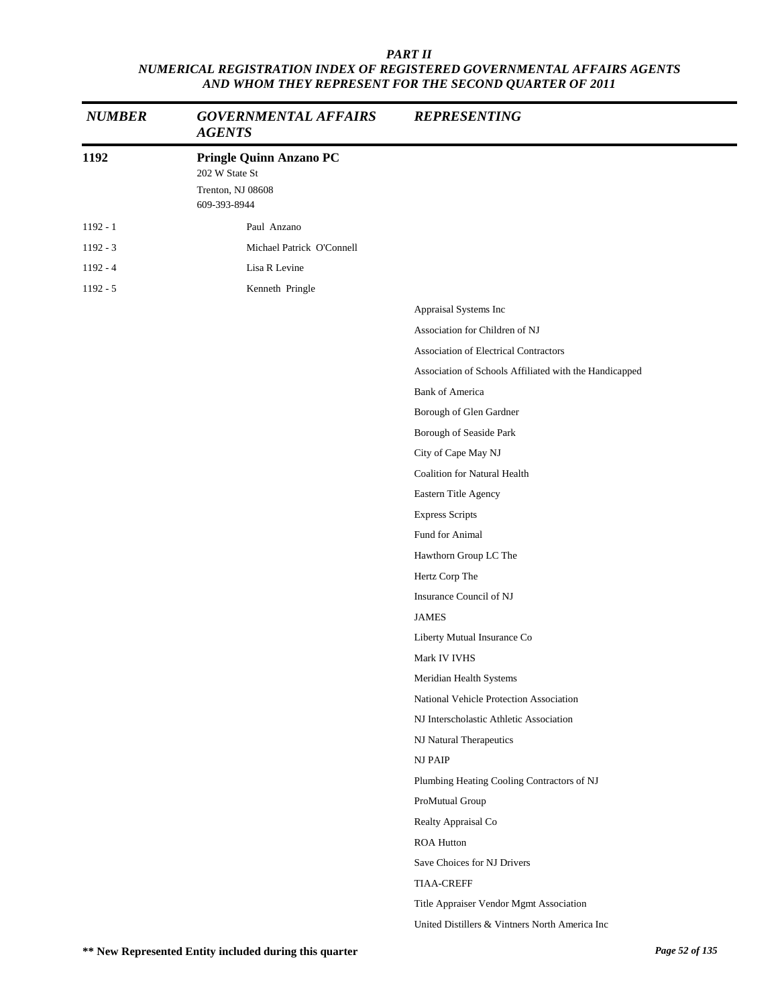| <b>NUMBER</b> | <b>GOVERNMENTAL AFFAIRS</b><br><b>AGENTS</b>                                          | <b>REPRESENTING</b>                                    |
|---------------|---------------------------------------------------------------------------------------|--------------------------------------------------------|
| 1192          | <b>Pringle Quinn Anzano PC</b><br>202 W State St<br>Trenton, NJ 08608<br>609-393-8944 |                                                        |
| $1192 - 1$    | Paul Anzano                                                                           |                                                        |
| $1192 - 3$    | Michael Patrick O'Connell                                                             |                                                        |
| $1192 - 4$    | Lisa R Levine                                                                         |                                                        |
| $1192 - 5$    | Kenneth Pringle                                                                       |                                                        |
|               |                                                                                       | Appraisal Systems Inc                                  |
|               |                                                                                       | Association for Children of NJ                         |
|               |                                                                                       | <b>Association of Electrical Contractors</b>           |
|               |                                                                                       | Association of Schools Affiliated with the Handicapped |
|               |                                                                                       | <b>Bank of America</b>                                 |
|               |                                                                                       | Borough of Glen Gardner                                |
|               |                                                                                       | Borough of Seaside Park                                |
|               |                                                                                       | City of Cape May NJ                                    |
|               |                                                                                       | <b>Coalition for Natural Health</b>                    |
|               |                                                                                       | Eastern Title Agency                                   |
|               |                                                                                       | <b>Express Scripts</b>                                 |
|               |                                                                                       | Fund for Animal                                        |
|               |                                                                                       | Hawthorn Group LC The                                  |
|               |                                                                                       | Hertz Corp The                                         |
|               |                                                                                       | Insurance Council of NJ                                |
|               |                                                                                       | <b>JAMES</b>                                           |
|               |                                                                                       | Liberty Mutual Insurance Co                            |
|               |                                                                                       | Mark IV IVHS                                           |
|               |                                                                                       | Meridian Health Systems                                |
|               |                                                                                       | National Vehicle Protection Association                |
|               |                                                                                       | NJ Interscholastic Athletic Association                |
|               |                                                                                       | NJ Natural Therapeutics                                |
|               |                                                                                       | NJ PAIP                                                |
|               |                                                                                       | Plumbing Heating Cooling Contractors of NJ             |
|               |                                                                                       | ProMutual Group                                        |
|               |                                                                                       | Realty Appraisal Co                                    |
|               |                                                                                       | <b>ROA Hutton</b>                                      |
|               |                                                                                       | Save Choices for NJ Drivers                            |
|               |                                                                                       | <b>TIAA-CREFF</b>                                      |
|               |                                                                                       | Title Appraiser Vendor Mgmt Association                |
|               |                                                                                       | United Distillers & Vintners North America Inc         |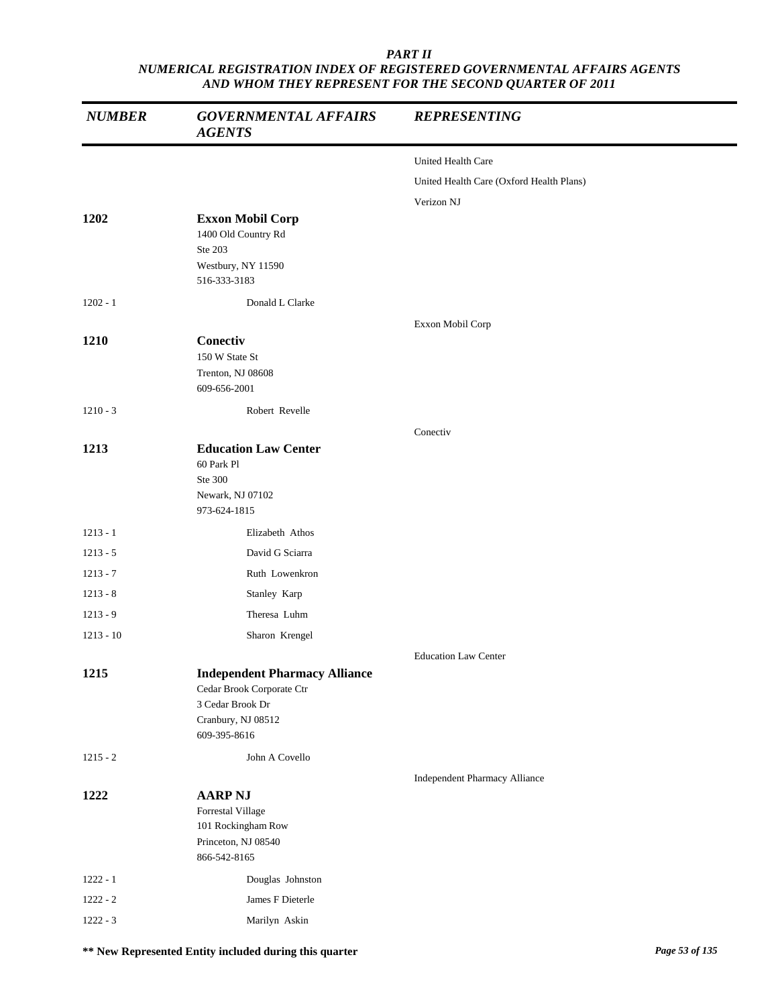| <b>NUMBER</b> | <b>GOVERNMENTAL AFFAIRS</b><br><b>AGENTS</b>                                                                                | <b>REPRESENTING</b>                      |
|---------------|-----------------------------------------------------------------------------------------------------------------------------|------------------------------------------|
|               |                                                                                                                             | United Health Care                       |
|               |                                                                                                                             | United Health Care (Oxford Health Plans) |
|               |                                                                                                                             | Verizon NJ                               |
| 1202          | <b>Exxon Mobil Corp</b><br>1400 Old Country Rd<br>Ste 203<br>Westbury, NY 11590<br>516-333-3183                             |                                          |
| $1202 - 1$    | Donald L Clarke                                                                                                             |                                          |
|               |                                                                                                                             | Exxon Mobil Corp                         |
| 1210          | Conectiv<br>150 W State St<br>Trenton, NJ 08608<br>609-656-2001                                                             |                                          |
| $1210 - 3$    | Robert Revelle                                                                                                              |                                          |
| 1213          | <b>Education Law Center</b><br>60 Park Pl                                                                                   | Conectiv                                 |
|               | Ste 300                                                                                                                     |                                          |
|               | Newark, NJ 07102<br>973-624-1815                                                                                            |                                          |
| $1213 - 1$    | Elizabeth Athos                                                                                                             |                                          |
| $1213 - 5$    | David G Sciarra                                                                                                             |                                          |
| $1213 - 7$    | Ruth Lowenkron                                                                                                              |                                          |
| $1213 - 8$    | Stanley Karp                                                                                                                |                                          |
| $1213 - 9$    | Theresa Luhm                                                                                                                |                                          |
| $1213 - 10$   | Sharon Krengel                                                                                                              |                                          |
|               |                                                                                                                             | <b>Education Law Center</b>              |
| 1215          | <b>Independent Pharmacy Alliance</b><br>Cedar Brook Corporate Ctr<br>3 Cedar Brook Dr<br>Cranbury, NJ 08512<br>609-395-8616 |                                          |
| $1215 - 2$    | John A Covello                                                                                                              |                                          |
|               |                                                                                                                             | <b>Independent Pharmacy Alliance</b>     |
| 1222          | <b>AARP NJ</b><br>Forrestal Village<br>101 Rockingham Row<br>Princeton, NJ 08540<br>866-542-8165                            |                                          |
| $1222 - 1$    | Douglas Johnston                                                                                                            |                                          |
| $1222 - 2$    | James F Dieterle                                                                                                            |                                          |
| $1222 - 3$    | Marilyn Askin                                                                                                               |                                          |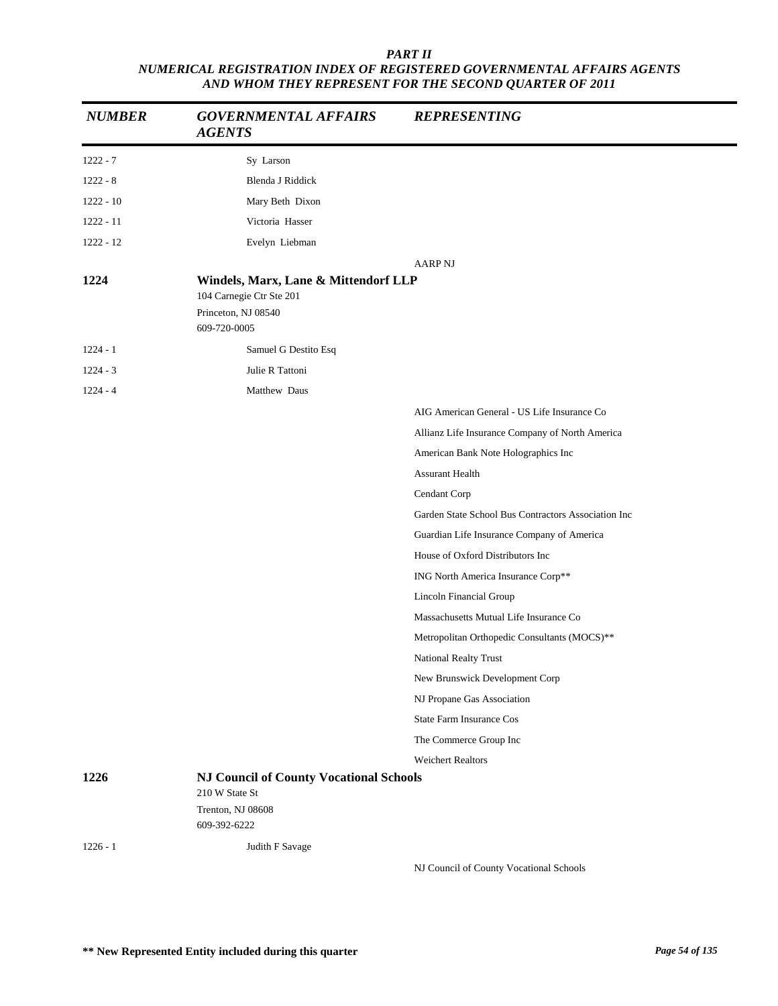| <b>NUMBER</b> | <b>GOVERNMENTAL AFFAIRS</b><br><b>AGENTS</b>                                                          | <b>REPRESENTING</b>                                 |
|---------------|-------------------------------------------------------------------------------------------------------|-----------------------------------------------------|
| $1222 - 7$    | Sy Larson                                                                                             |                                                     |
| $1222 - 8$    | Blenda J Riddick                                                                                      |                                                     |
| $1222 - 10$   | Mary Beth Dixon                                                                                       |                                                     |
| $1222 - 11$   | Victoria Hasser                                                                                       |                                                     |
| 1222 - 12     | Evelyn Liebman                                                                                        |                                                     |
| 1224          | Windels, Marx, Lane & Mittendorf LLP<br>104 Carnegie Ctr Ste 201<br>Princeton, NJ 08540               | <b>AARP NJ</b>                                      |
|               | 609-720-0005                                                                                          |                                                     |
| $1224 - 1$    | Samuel G Destito Esq                                                                                  |                                                     |
| $1224 - 3$    | Julie R Tattoni                                                                                       |                                                     |
| $1224 - 4$    | Matthew Daus                                                                                          |                                                     |
|               |                                                                                                       | AIG American General - US Life Insurance Co         |
|               |                                                                                                       | Allianz Life Insurance Company of North America     |
|               |                                                                                                       | American Bank Note Holographics Inc                 |
|               |                                                                                                       | <b>Assurant Health</b>                              |
|               |                                                                                                       | Cendant Corp                                        |
|               |                                                                                                       | Garden State School Bus Contractors Association Inc |
|               |                                                                                                       | Guardian Life Insurance Company of America          |
|               |                                                                                                       | House of Oxford Distributors Inc                    |
|               |                                                                                                       | ING North America Insurance Corp**                  |
|               |                                                                                                       | Lincoln Financial Group                             |
|               |                                                                                                       | Massachusetts Mutual Life Insurance Co              |
|               |                                                                                                       | Metropolitan Orthopedic Consultants (MOCS)**        |
|               |                                                                                                       | National Realty Trust                               |
|               |                                                                                                       | New Brunswick Development Corp                      |
|               |                                                                                                       | NJ Propane Gas Association                          |
|               |                                                                                                       | <b>State Farm Insurance Cos</b>                     |
|               |                                                                                                       | The Commerce Group Inc                              |
|               |                                                                                                       | <b>Weichert Realtors</b>                            |
| 1226          | <b>NJ Council of County Vocational Schools</b><br>210 W State St<br>Trenton, NJ 08608<br>609-392-6222 |                                                     |
| $1226 - 1$    | Judith F Savage                                                                                       |                                                     |
|               |                                                                                                       | NJ Council of County Vocational Schools             |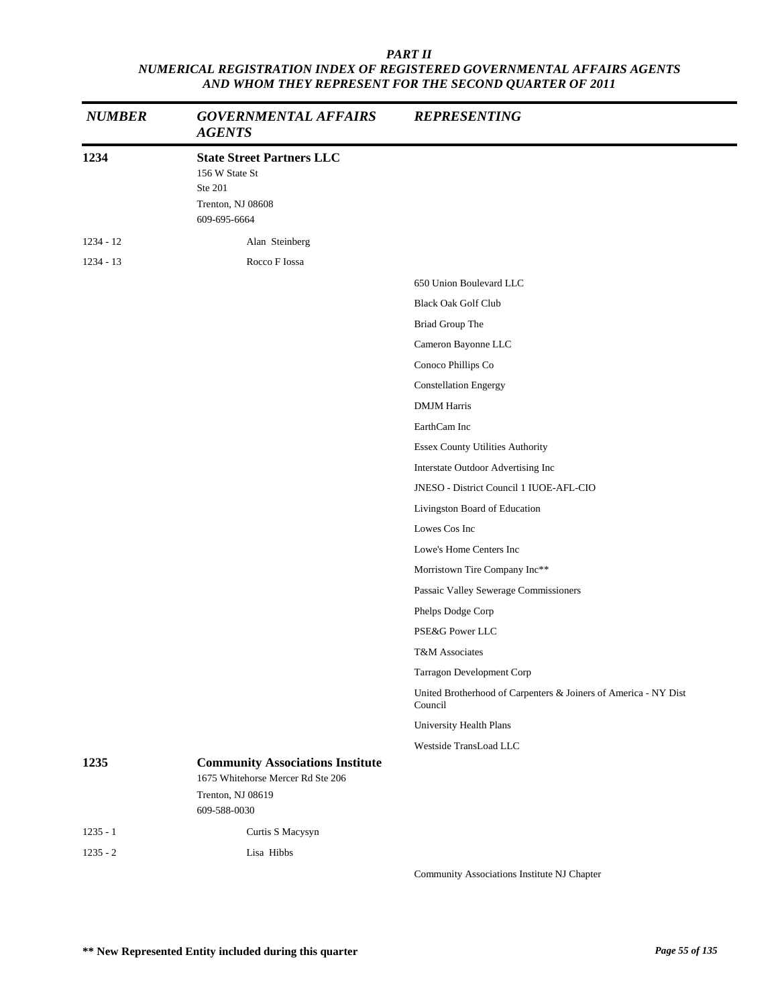| <b>NUMBER</b> | <b>GOVERNMENTAL AFFAIRS</b><br><b>AGENTS</b>                                                       | <b>REPRESENTING</b>                                                        |
|---------------|----------------------------------------------------------------------------------------------------|----------------------------------------------------------------------------|
| 1234          | <b>State Street Partners LLC</b><br>156 W State St<br>Ste 201<br>Trenton, NJ 08608<br>609-695-6664 |                                                                            |
| $1234 - 12$   | Alan Steinberg                                                                                     |                                                                            |
| $1234 - 13$   | Rocco F Iossa                                                                                      |                                                                            |
|               |                                                                                                    | 650 Union Boulevard LLC                                                    |
|               |                                                                                                    | <b>Black Oak Golf Club</b>                                                 |
|               |                                                                                                    | Briad Group The                                                            |
|               |                                                                                                    | Cameron Bayonne LLC                                                        |
|               |                                                                                                    | Conoco Phillips Co                                                         |
|               |                                                                                                    | <b>Constellation Engergy</b>                                               |
|               |                                                                                                    | <b>DMJM Harris</b>                                                         |
|               |                                                                                                    | EarthCam Inc                                                               |
|               |                                                                                                    | <b>Essex County Utilities Authority</b>                                    |
|               |                                                                                                    | Interstate Outdoor Advertising Inc                                         |
|               |                                                                                                    | JNESO - District Council 1 IUOE-AFL-CIO                                    |
|               |                                                                                                    | Livingston Board of Education                                              |
|               |                                                                                                    | Lowes Cos Inc                                                              |
|               |                                                                                                    | Lowe's Home Centers Inc                                                    |
|               |                                                                                                    | Morristown Tire Company Inc**                                              |
|               |                                                                                                    | Passaic Valley Sewerage Commissioners                                      |
|               |                                                                                                    | Phelps Dodge Corp                                                          |
|               |                                                                                                    | PSE&G Power LLC                                                            |
|               |                                                                                                    | T&M Associates                                                             |
|               |                                                                                                    | Tarragon Development Corp                                                  |
|               |                                                                                                    | United Brotherhood of Carpenters & Joiners of America - NY Dist<br>Council |
|               |                                                                                                    | University Health Plans                                                    |
|               |                                                                                                    | Westside TransLoad LLC                                                     |
| 1235          | <b>Community Associations Institute</b><br>1675 Whitehorse Mercer Rd Ste 206<br>Trenton, NJ 08619  |                                                                            |
|               | 609-588-0030                                                                                       |                                                                            |
| $1235 - 1$    | Curtis S Macysyn                                                                                   |                                                                            |
| $1235 - 2$    | Lisa Hibbs                                                                                         | Community Associations Institute NJ Chapter                                |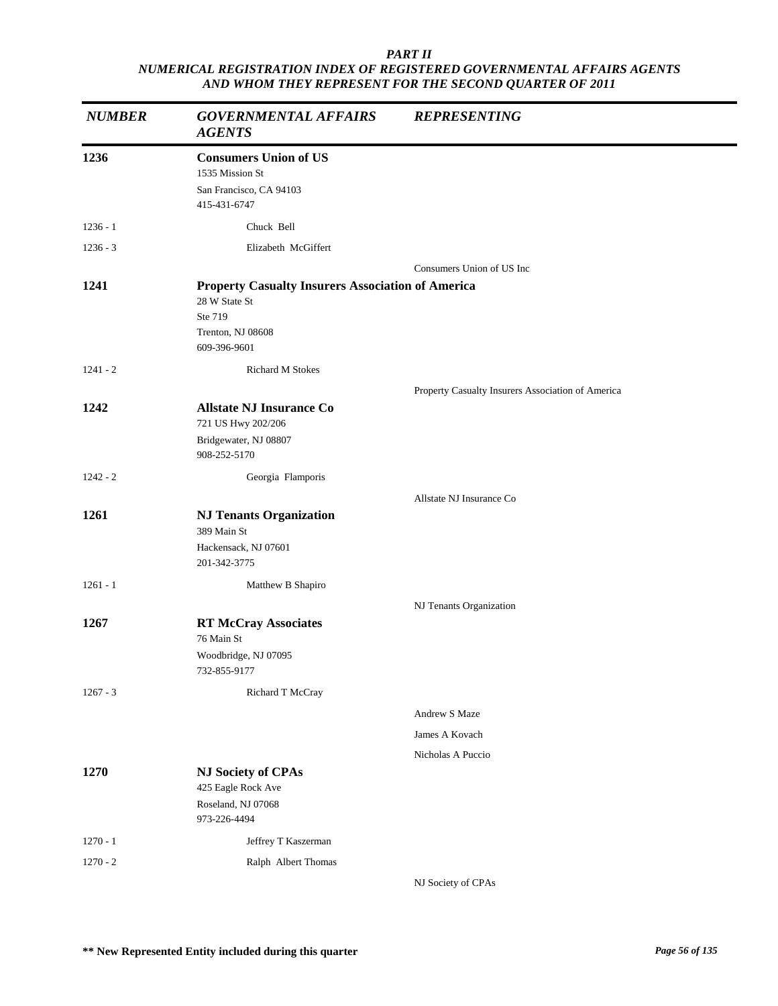| <b>NUMBER</b> | <b>GOVERNMENTAL AFFAIRS</b><br><b>AGENTS</b>                                                                              | <b>REPRESENTING</b>                               |
|---------------|---------------------------------------------------------------------------------------------------------------------------|---------------------------------------------------|
| 1236          | <b>Consumers Union of US</b><br>1535 Mission St<br>San Francisco, CA 94103<br>415-431-6747                                |                                                   |
| $1236 - 1$    | Chuck Bell                                                                                                                |                                                   |
| $1236 - 3$    | Elizabeth McGiffert                                                                                                       |                                                   |
|               |                                                                                                                           | Consumers Union of US Inc                         |
| 1241          | <b>Property Casualty Insurers Association of America</b><br>28 W State St<br>Ste 719<br>Trenton, NJ 08608<br>609-396-9601 |                                                   |
| $1241 - 2$    | Richard M Stokes                                                                                                          |                                                   |
|               |                                                                                                                           | Property Casualty Insurers Association of America |
| 1242          | <b>Allstate NJ Insurance Co</b><br>721 US Hwy 202/206<br>Bridgewater, NJ 08807<br>908-252-5170                            |                                                   |
| $1242 - 2$    | Georgia Flamporis                                                                                                         |                                                   |
|               |                                                                                                                           | Allstate NJ Insurance Co                          |
| 1261          | <b>NJ Tenants Organization</b><br>389 Main St<br>Hackensack, NJ 07601                                                     |                                                   |
|               | 201-342-3775                                                                                                              |                                                   |
| $1261 - 1$    | Matthew B Shapiro                                                                                                         |                                                   |
|               |                                                                                                                           | NJ Tenants Organization                           |
| 1267          | <b>RT McCray Associates</b><br>76 Main St<br>Woodbridge, NJ 07095<br>732-855-9177                                         |                                                   |
| $1267 - 3$    | Richard T McCray                                                                                                          |                                                   |
|               |                                                                                                                           | Andrew S Maze                                     |
|               |                                                                                                                           | James A Kovach                                    |
|               |                                                                                                                           | Nicholas A Puccio                                 |
| 1270          | <b>NJ Society of CPAs</b><br>425 Eagle Rock Ave                                                                           |                                                   |
|               | Roseland, NJ 07068<br>973-226-4494                                                                                        |                                                   |
| $1270 - 1$    | Jeffrey T Kaszerman                                                                                                       |                                                   |
| $1270 - 2$    | Ralph Albert Thomas                                                                                                       |                                                   |
|               |                                                                                                                           | NJ Society of CPAs                                |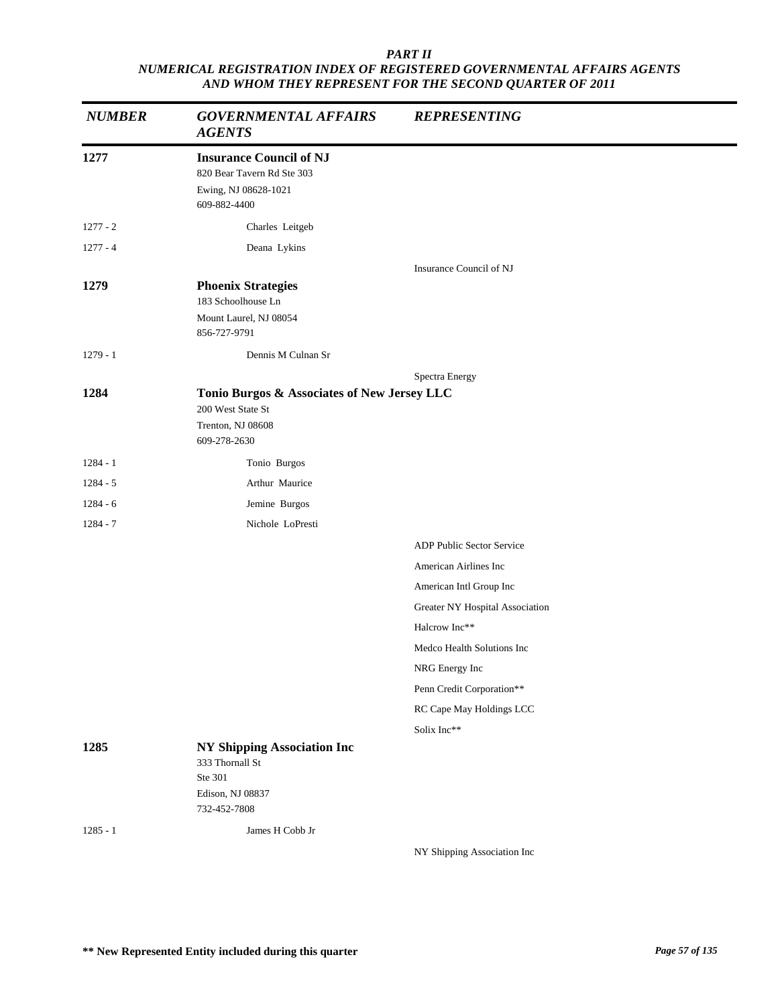| <b>NUMBER</b> | <b>GOVERNMENTAL AFFAIRS</b><br><b>AGENTS</b>                                                         | <b>REPRESENTING</b>             |
|---------------|------------------------------------------------------------------------------------------------------|---------------------------------|
| 1277          | <b>Insurance Council of NJ</b><br>820 Bear Tavern Rd Ste 303<br>Ewing, NJ 08628-1021<br>609-882-4400 |                                 |
| $1277 - 2$    | Charles Leitgeb                                                                                      |                                 |
| $1277 - 4$    | Deana Lykins                                                                                         |                                 |
|               |                                                                                                      | Insurance Council of NJ         |
| 1279          | <b>Phoenix Strategies</b><br>183 Schoolhouse Ln                                                      |                                 |
|               | Mount Laurel, NJ 08054<br>856-727-9791                                                               |                                 |
| $1279 - 1$    | Dennis M Culnan Sr                                                                                   |                                 |
|               |                                                                                                      | Spectra Energy                  |
| 1284          | Tonio Burgos & Associates of New Jersey LLC<br>200 West State St                                     |                                 |
|               | Trenton, NJ 08608<br>609-278-2630                                                                    |                                 |
| $1284 - 1$    | Tonio Burgos                                                                                         |                                 |
| $1284 - 5$    | Arthur Maurice                                                                                       |                                 |
| $1284 - 6$    | Jemine Burgos                                                                                        |                                 |
| $1284 - 7$    | Nichole LoPresti                                                                                     |                                 |
|               |                                                                                                      | ADP Public Sector Service       |
|               |                                                                                                      | American Airlines Inc           |
|               |                                                                                                      | American Intl Group Inc         |
|               |                                                                                                      | Greater NY Hospital Association |
|               |                                                                                                      | Halcrow Inc**                   |
|               |                                                                                                      | Medco Health Solutions Inc      |
|               |                                                                                                      | NRG Energy Inc                  |
|               |                                                                                                      | Penn Credit Corporation**       |
|               |                                                                                                      | RC Cape May Holdings LCC        |
|               |                                                                                                      | Solix Inc**                     |
| 1285          | <b>NY Shipping Association Inc</b><br>333 Thornall St<br>Ste 301                                     |                                 |
|               | Edison, NJ 08837                                                                                     |                                 |
|               | 732-452-7808                                                                                         |                                 |
| $1285 - 1$    | James H Cobb Jr                                                                                      |                                 |
|               |                                                                                                      | NY Shipping Association Inc     |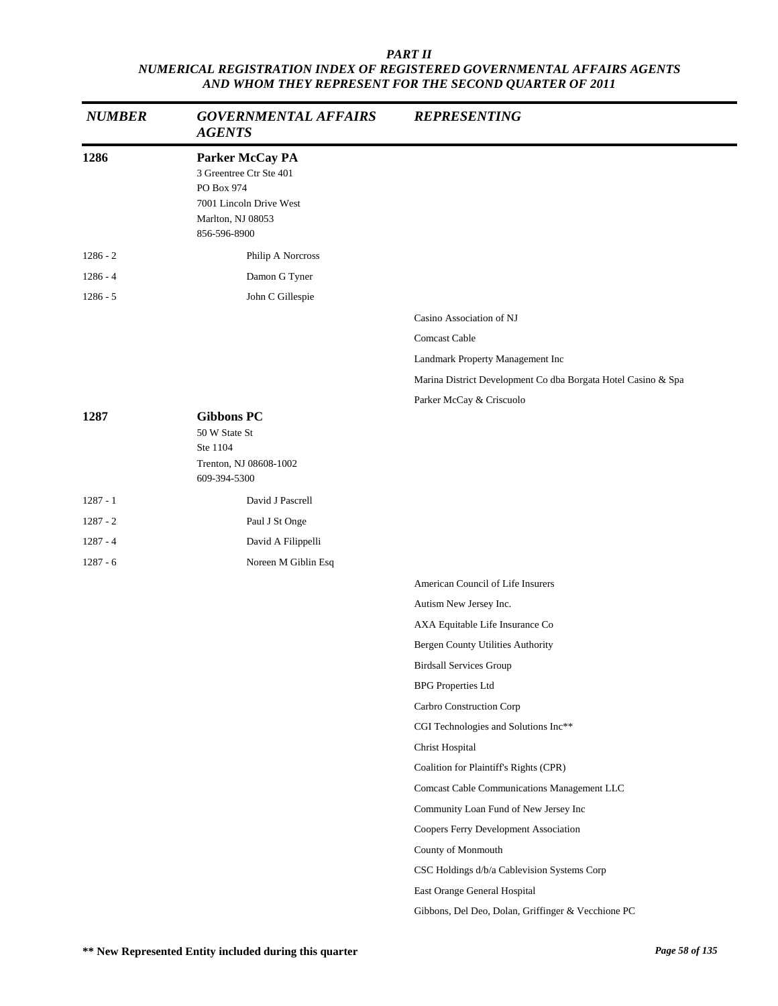| <b>NUMBER</b> | <b>GOVERNMENTAL AFFAIRS</b><br><b>AGENTS</b>                                                                             | <b>REPRESENTING</b>                                           |
|---------------|--------------------------------------------------------------------------------------------------------------------------|---------------------------------------------------------------|
| 1286          | Parker McCay PA<br>3 Greentree Ctr Ste 401<br>PO Box 974<br>7001 Lincoln Drive West<br>Marlton, NJ 08053<br>856-596-8900 |                                                               |
| $1286 - 2$    | Philip A Norcross                                                                                                        |                                                               |
| $1286 - 4$    | Damon G Tyner                                                                                                            |                                                               |
| $1286 - 5$    | John C Gillespie                                                                                                         |                                                               |
|               |                                                                                                                          | Casino Association of NJ                                      |
|               |                                                                                                                          | Comcast Cable                                                 |
|               |                                                                                                                          | Landmark Property Management Inc                              |
|               |                                                                                                                          | Marina District Development Co dba Borgata Hotel Casino & Spa |
|               |                                                                                                                          | Parker McCay & Criscuolo                                      |
| 1287          | <b>Gibbons PC</b><br>50 W State St<br>Ste 1104<br>Trenton, NJ 08608-1002<br>609-394-5300                                 |                                                               |
| $1287 - 1$    | David J Pascrell                                                                                                         |                                                               |
| $1287 - 2$    | Paul J St Onge                                                                                                           |                                                               |
| $1287 - 4$    | David A Filippelli                                                                                                       |                                                               |
| $1287 - 6$    | Noreen M Giblin Esq                                                                                                      |                                                               |
|               |                                                                                                                          | American Council of Life Insurers                             |
|               |                                                                                                                          | Autism New Jersey Inc.                                        |
|               |                                                                                                                          | AXA Equitable Life Insurance Co                               |
|               |                                                                                                                          | Bergen County Utilities Authority                             |
|               |                                                                                                                          | <b>Birdsall Services Group</b>                                |
|               |                                                                                                                          | <b>BPG</b> Properties Ltd                                     |
|               |                                                                                                                          | Carbro Construction Corp                                      |
|               |                                                                                                                          | CGI Technologies and Solutions Inc**                          |
|               |                                                                                                                          | Christ Hospital                                               |
|               |                                                                                                                          | Coalition for Plaintiff's Rights (CPR)                        |
|               |                                                                                                                          | Comcast Cable Communications Management LLC                   |
|               |                                                                                                                          | Community Loan Fund of New Jersey Inc                         |
|               |                                                                                                                          | Coopers Ferry Development Association                         |
|               |                                                                                                                          | County of Monmouth                                            |
|               |                                                                                                                          | CSC Holdings d/b/a Cablevision Systems Corp                   |
|               |                                                                                                                          | East Orange General Hospital                                  |
|               |                                                                                                                          | Gibbons, Del Deo, Dolan, Griffinger & Vecchione PC            |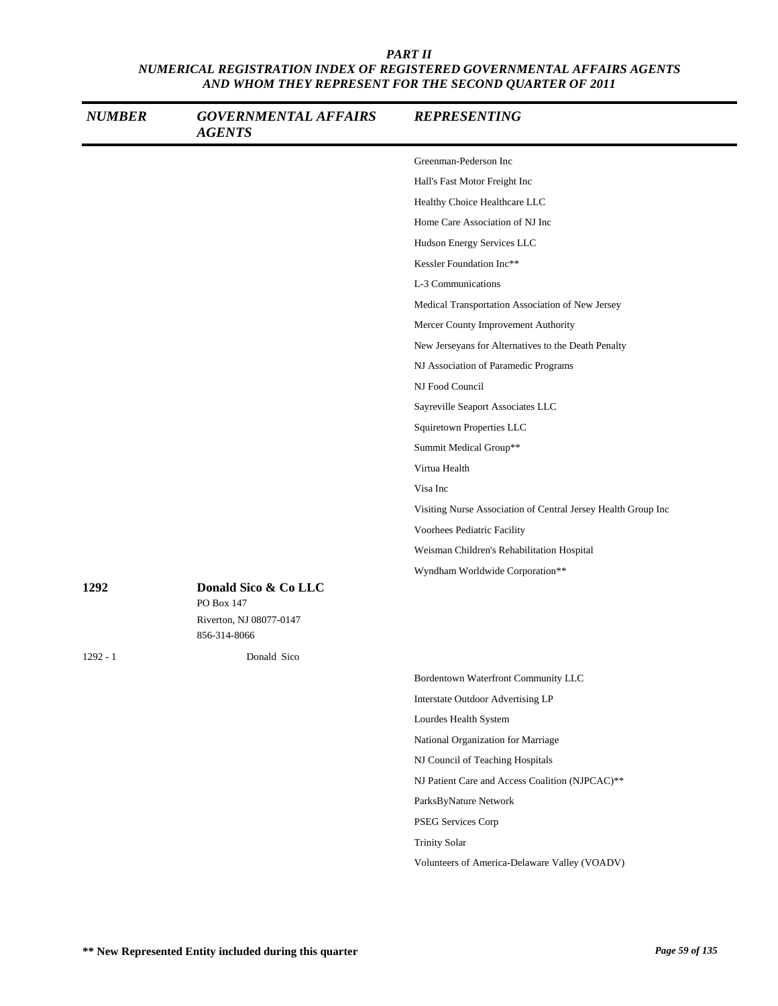| <b>NUMBER</b> | <b>GOVERNMENTAL AFFAIRS</b><br><b>AGENTS</b> | <b>REPRESENTING</b>                                           |
|---------------|----------------------------------------------|---------------------------------------------------------------|
|               |                                              | Greenman-Pederson Inc                                         |
|               |                                              | Hall's Fast Motor Freight Inc                                 |
|               |                                              | Healthy Choice Healthcare LLC                                 |
|               |                                              | Home Care Association of NJ Inc                               |
|               |                                              | Hudson Energy Services LLC                                    |
|               |                                              | Kessler Foundation Inc**                                      |
|               |                                              | L-3 Communications                                            |
|               |                                              | Medical Transportation Association of New Jersey              |
|               |                                              | Mercer County Improvement Authority                           |
|               |                                              | New Jerseyans for Alternatives to the Death Penalty           |
|               |                                              | NJ Association of Paramedic Programs                          |
|               |                                              | NJ Food Council                                               |
|               |                                              | Sayreville Seaport Associates LLC                             |
|               |                                              | Squiretown Properties LLC                                     |
|               |                                              | Summit Medical Group**                                        |
|               |                                              | Virtua Health                                                 |
|               |                                              | Visa Inc                                                      |
|               |                                              | Visiting Nurse Association of Central Jersey Health Group Inc |
|               |                                              | Voorhees Pediatric Facility                                   |
|               |                                              | Weisman Children's Rehabilitation Hospital                    |
|               |                                              | Wyndham Worldwide Corporation**                               |
| 1292          | Donald Sico & Co LLC<br>PO Box 147           |                                                               |
|               | Riverton, NJ 08077-0147<br>856-314-8066      |                                                               |
| $1292 - 1$    | Donald Sico                                  |                                                               |
|               |                                              | Bordentown Waterfront Community LLC                           |
|               |                                              | Interstate Outdoor Advertising LP                             |
|               |                                              | Lourdes Health System                                         |
|               |                                              | National Organization for Marriage                            |
|               |                                              | NJ Council of Teaching Hospitals                              |
|               |                                              | NJ Patient Care and Access Coalition (NJPCAC)**               |
|               |                                              | ParksByNature Network                                         |
|               |                                              | PSEG Services Corp                                            |
|               |                                              | <b>Trinity Solar</b>                                          |
|               |                                              | Volunteers of America-Delaware Valley (VOADV)                 |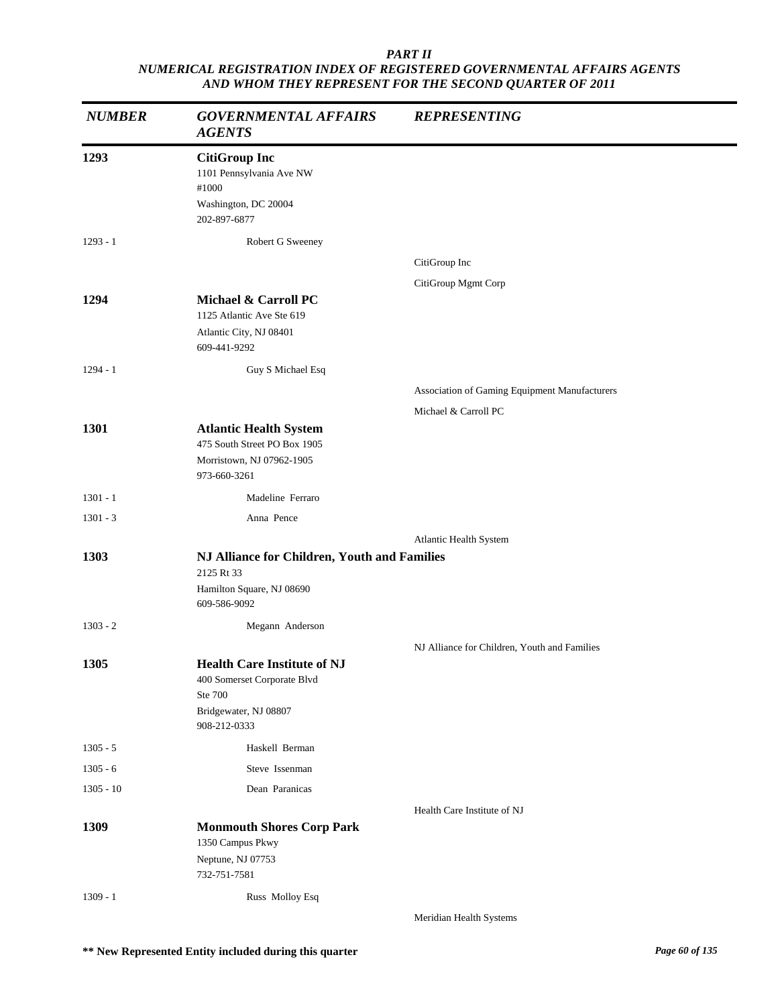| <b>NUMBER</b> | <b>GOVERNMENTAL AFFAIRS</b><br><b>AGENTS</b>                                                                          | <b>REPRESENTING</b>                           |
|---------------|-----------------------------------------------------------------------------------------------------------------------|-----------------------------------------------|
| 1293          | <b>CitiGroup Inc</b><br>1101 Pennsylvania Ave NW<br>#1000<br>Washington, DC 20004<br>202-897-6877                     |                                               |
| $1293 - 1$    | Robert G Sweeney                                                                                                      |                                               |
|               |                                                                                                                       | CitiGroup Inc                                 |
|               |                                                                                                                       | CitiGroup Mgmt Corp                           |
| 1294          | Michael & Carroll PC<br>1125 Atlantic Ave Ste 619<br>Atlantic City, NJ 08401<br>609-441-9292                          |                                               |
| $1294 - 1$    | Guy S Michael Esq                                                                                                     |                                               |
|               |                                                                                                                       | Association of Gaming Equipment Manufacturers |
|               |                                                                                                                       | Michael & Carroll PC                          |
| 1301          | <b>Atlantic Health System</b><br>475 South Street PO Box 1905<br>Morristown, NJ 07962-1905<br>973-660-3261            |                                               |
| $1301 - 1$    | Madeline Ferraro                                                                                                      |                                               |
| $1301 - 3$    | Anna Pence                                                                                                            |                                               |
|               |                                                                                                                       | Atlantic Health System                        |
| 1303          | NJ Alliance for Children, Youth and Families<br>2125 Rt 33<br>Hamilton Square, NJ 08690<br>609-586-9092               |                                               |
| $1303 - 2$    | Megann Anderson                                                                                                       |                                               |
|               |                                                                                                                       | NJ Alliance for Children, Youth and Families  |
| 1305          | <b>Health Care Institute of NJ</b><br>400 Somerset Corporate Blvd<br>Ste 700<br>Bridgewater, NJ 08807<br>908-212-0333 |                                               |
| $1305 - 5$    | Haskell Berman                                                                                                        |                                               |
| $1305 - 6$    | Steve Issenman                                                                                                        |                                               |
| $1305 - 10$   | Dean Paranicas                                                                                                        |                                               |
|               |                                                                                                                       | Health Care Institute of NJ                   |
| 1309          | <b>Monmouth Shores Corp Park</b><br>1350 Campus Pkwy<br>Neptune, NJ 07753<br>732-751-7581                             |                                               |
| $1309 - 1$    | Russ Molloy Esq                                                                                                       |                                               |
|               |                                                                                                                       | Meridian Health Systems                       |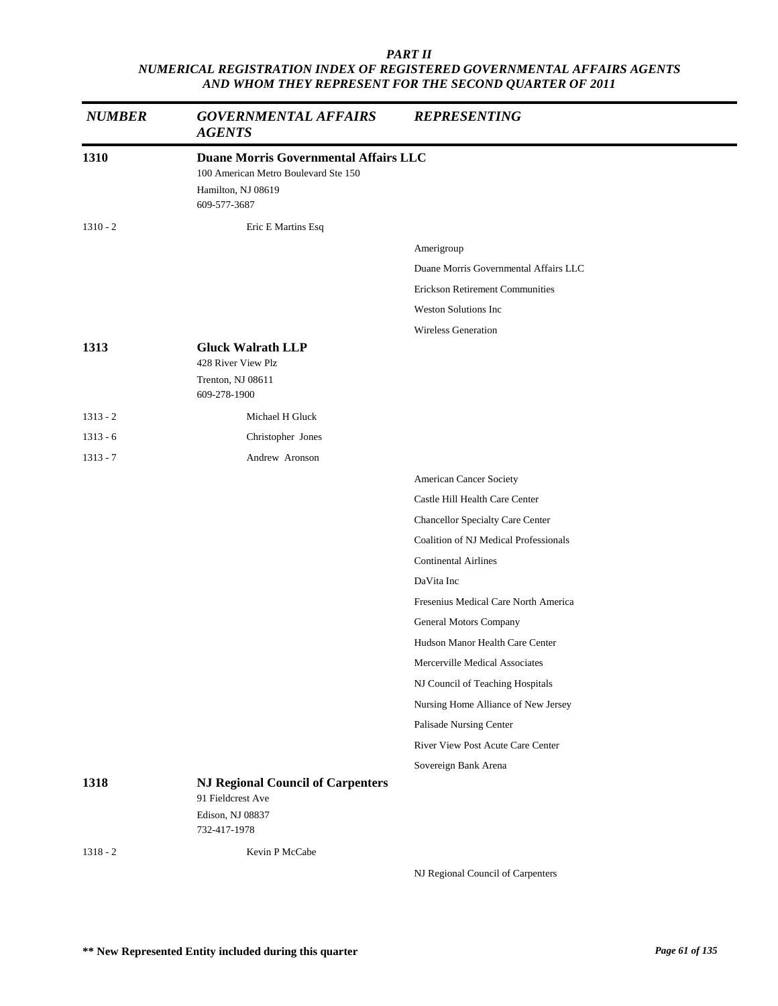| <b>NUMBER</b> | <b>GOVERNMENTAL AFFAIRS</b><br><b>AGENTS</b>                                                                               | <b>REPRESENTING</b>                    |
|---------------|----------------------------------------------------------------------------------------------------------------------------|----------------------------------------|
| 1310          | <b>Duane Morris Governmental Affairs LLC</b><br>100 American Metro Boulevard Ste 150<br>Hamilton, NJ 08619<br>609-577-3687 |                                        |
| $1310 - 2$    | Eric E Martins Esq                                                                                                         |                                        |
|               |                                                                                                                            | Amerigroup                             |
|               |                                                                                                                            | Duane Morris Governmental Affairs LLC  |
|               |                                                                                                                            | <b>Erickson Retirement Communities</b> |
|               |                                                                                                                            | <b>Weston Solutions Inc</b>            |
|               |                                                                                                                            | <b>Wireless Generation</b>             |
| 1313          | <b>Gluck Walrath LLP</b>                                                                                                   |                                        |
|               | 428 River View Plz<br>Trenton, NJ 08611                                                                                    |                                        |
|               | 609-278-1900                                                                                                               |                                        |
| $1313 - 2$    | Michael H Gluck                                                                                                            |                                        |
| $1313 - 6$    | Christopher Jones                                                                                                          |                                        |
| $1313 - 7$    | Andrew Aronson                                                                                                             |                                        |
|               |                                                                                                                            | American Cancer Society                |
|               |                                                                                                                            | Castle Hill Health Care Center         |
|               |                                                                                                                            | Chancellor Specialty Care Center       |
|               |                                                                                                                            | Coalition of NJ Medical Professionals  |
|               |                                                                                                                            | <b>Continental Airlines</b>            |
|               |                                                                                                                            | DaVita Inc                             |
|               |                                                                                                                            | Fresenius Medical Care North America   |
|               |                                                                                                                            | General Motors Company                 |
|               |                                                                                                                            | Hudson Manor Health Care Center        |
|               |                                                                                                                            | Mercerville Medical Associates         |
|               |                                                                                                                            | NJ Council of Teaching Hospitals       |
|               |                                                                                                                            | Nursing Home Alliance of New Jersey    |
|               |                                                                                                                            | Palisade Nursing Center                |
|               |                                                                                                                            | River View Post Acute Care Center      |
|               |                                                                                                                            | Sovereign Bank Arena                   |
| 1318          | <b>NJ Regional Council of Carpenters</b><br>91 Fieldcrest Ave<br>Edison, NJ 08837                                          |                                        |
|               | 732-417-1978                                                                                                               |                                        |
| $1318 - 2$    | Kevin P McCabe                                                                                                             |                                        |
|               |                                                                                                                            | NJ Regional Council of Carpenters      |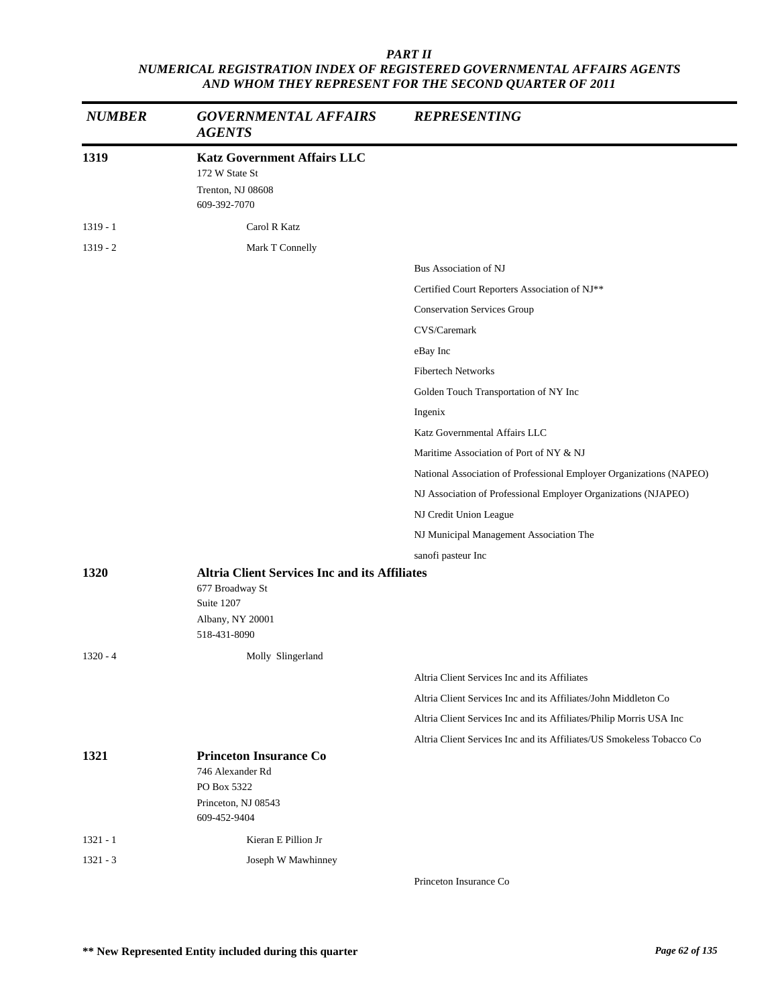| <b>NUMBER</b> | <b>GOVERNMENTAL AFFAIRS</b><br><b>AGENTS</b>                                                                              | <b>REPRESENTING</b>                                                   |
|---------------|---------------------------------------------------------------------------------------------------------------------------|-----------------------------------------------------------------------|
| 1319          | <b>Katz Government Affairs LLC</b><br>172 W State St<br>Trenton, NJ 08608<br>609-392-7070                                 |                                                                       |
| $1319 - 1$    | Carol R Katz                                                                                                              |                                                                       |
| $1319 - 2$    | Mark T Connelly                                                                                                           |                                                                       |
|               |                                                                                                                           | Bus Association of NJ                                                 |
|               |                                                                                                                           | Certified Court Reporters Association of NJ**                         |
|               |                                                                                                                           | <b>Conservation Services Group</b>                                    |
|               |                                                                                                                           | CVS/Caremark                                                          |
|               |                                                                                                                           | eBay Inc                                                              |
|               |                                                                                                                           | <b>Fibertech Networks</b>                                             |
|               |                                                                                                                           | Golden Touch Transportation of NY Inc                                 |
|               |                                                                                                                           | Ingenix                                                               |
|               |                                                                                                                           | Katz Governmental Affairs LLC                                         |
|               |                                                                                                                           | Maritime Association of Port of NY & NJ                               |
|               |                                                                                                                           | National Association of Professional Employer Organizations (NAPEO)   |
|               |                                                                                                                           | NJ Association of Professional Employer Organizations (NJAPEO)        |
|               |                                                                                                                           | NJ Credit Union League                                                |
|               |                                                                                                                           | NJ Municipal Management Association The                               |
|               |                                                                                                                           | sanofi pasteur Inc                                                    |
| 1320          | <b>Altria Client Services Inc and its Affiliates</b><br>677 Broadway St<br>Suite 1207<br>Albany, NY 20001<br>518-431-8090 |                                                                       |
| $1320 - 4$    | Molly Slingerland                                                                                                         |                                                                       |
|               |                                                                                                                           | Altria Client Services Inc and its Affiliates                         |
|               |                                                                                                                           | Altria Client Services Inc and its Affiliates/John Middleton Co       |
|               |                                                                                                                           | Altria Client Services Inc and its Affiliates/Philip Morris USA Inc   |
|               |                                                                                                                           | Altria Client Services Inc and its Affiliates/US Smokeless Tobacco Co |
| 1321          | <b>Princeton Insurance Co</b><br>746 Alexander Rd<br>PO Box 5322<br>Princeton, NJ 08543<br>609-452-9404                   |                                                                       |
| $1321 - 1$    | Kieran E Pillion Jr                                                                                                       |                                                                       |
| $1321 - 3$    | Joseph W Mawhinney                                                                                                        |                                                                       |
|               |                                                                                                                           |                                                                       |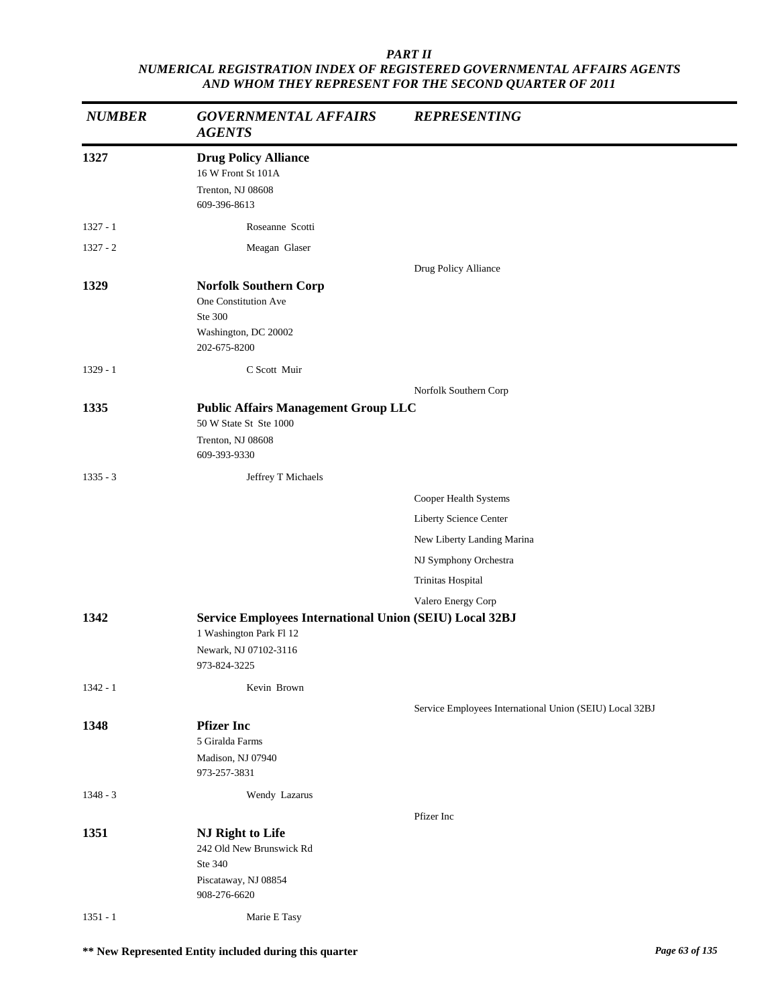| <b>NUMBER</b> | <b>GOVERNMENTAL AFFAIRS</b><br><b>AGENTS</b>                                                                                | <b>REPRESENTING</b>                                     |
|---------------|-----------------------------------------------------------------------------------------------------------------------------|---------------------------------------------------------|
| 1327          | <b>Drug Policy Alliance</b><br>16 W Front St 101A<br>Trenton, NJ 08608<br>609-396-8613                                      |                                                         |
| $1327 - 1$    | Roseanne Scotti                                                                                                             |                                                         |
| $1327 - 2$    | Meagan Glaser                                                                                                               |                                                         |
|               |                                                                                                                             | Drug Policy Alliance                                    |
| 1329          | <b>Norfolk Southern Corp</b><br>One Constitution Ave<br>Ste 300<br>Washington, DC 20002<br>202-675-8200                     |                                                         |
| $1329 - 1$    | C Scott Muir                                                                                                                |                                                         |
|               |                                                                                                                             | Norfolk Southern Corp                                   |
| 1335          | <b>Public Affairs Management Group LLC</b><br>50 W State St Ste 1000<br>Trenton, NJ 08608<br>609-393-9330                   |                                                         |
| $1335 - 3$    | Jeffrey T Michaels                                                                                                          |                                                         |
|               |                                                                                                                             | Cooper Health Systems                                   |
|               |                                                                                                                             | Liberty Science Center                                  |
|               |                                                                                                                             | New Liberty Landing Marina                              |
|               |                                                                                                                             | NJ Symphony Orchestra                                   |
|               |                                                                                                                             | Trinitas Hospital                                       |
|               |                                                                                                                             | Valero Energy Corp                                      |
| 1342          | Service Employees International Union (SEIU) Local 32BJ<br>1 Washington Park Fl 12<br>Newark, NJ 07102-3116<br>973-824-3225 |                                                         |
| $1342 - 1$    | Kevin Brown                                                                                                                 |                                                         |
| 1348          | <b>Pfizer Inc</b><br>5 Giralda Farms<br>Madison, NJ 07940<br>973-257-3831                                                   | Service Employees International Union (SEIU) Local 32BJ |
| $1348 - 3$    | Wendy Lazarus                                                                                                               |                                                         |
| 1351          | NJ Right to Life<br>242 Old New Brunswick Rd<br>Ste 340<br>Piscataway, NJ 08854<br>908-276-6620                             | Pfizer Inc                                              |
| $1351 - 1$    | Marie E Tasy                                                                                                                |                                                         |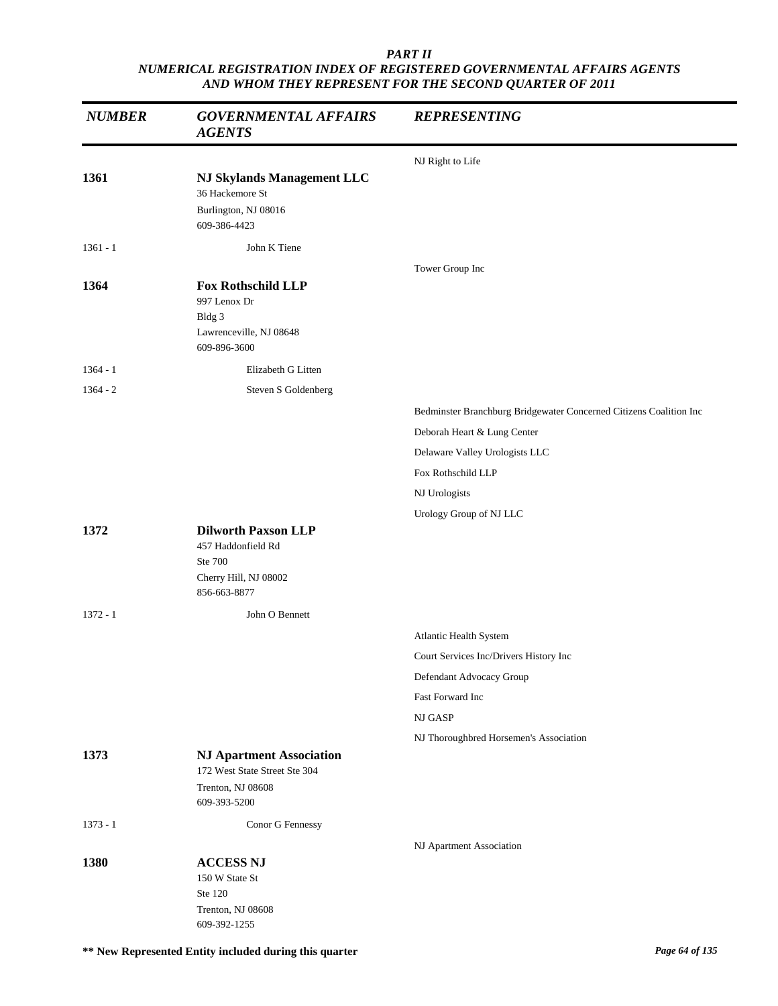| <b>NUMBER</b> | <b>GOVERNMENTAL AFFAIRS</b><br><b>AGENTS</b>                                                          | <b>REPRESENTING</b>                                                |
|---------------|-------------------------------------------------------------------------------------------------------|--------------------------------------------------------------------|
|               |                                                                                                       | NJ Right to Life                                                   |
| 1361          | <b>NJ Skylands Management LLC</b><br>36 Hackemore St<br>Burlington, NJ 08016<br>609-386-4423          |                                                                    |
| $1361 - 1$    | John K Tiene                                                                                          |                                                                    |
| 1364          | <b>Fox Rothschild LLP</b><br>997 Lenox Dr<br>Bldg 3<br>Lawrenceville, NJ 08648<br>609-896-3600        | Tower Group Inc                                                    |
| $1364 - 1$    | Elizabeth G Litten                                                                                    |                                                                    |
| $1364 - 2$    | Steven S Goldenberg                                                                                   |                                                                    |
|               |                                                                                                       | Bedminster Branchburg Bridgewater Concerned Citizens Coalition Inc |
|               |                                                                                                       | Deborah Heart & Lung Center                                        |
|               |                                                                                                       | Delaware Valley Urologists LLC                                     |
|               |                                                                                                       | Fox Rothschild LLP                                                 |
|               |                                                                                                       | NJ Urologists                                                      |
| 1372          | <b>Dilworth Paxson LLP</b><br>457 Haddonfield Rd<br>Ste 700<br>Cherry Hill, NJ 08002<br>856-663-8877  | Urology Group of NJ LLC                                            |
| $1372 - 1$    | John O Bennett                                                                                        |                                                                    |
|               |                                                                                                       | Atlantic Health System                                             |
|               |                                                                                                       | Court Services Inc/Drivers History Inc                             |
|               |                                                                                                       | Defendant Advocacy Group                                           |
|               |                                                                                                       | Fast Forward Inc                                                   |
|               |                                                                                                       | NJ GASP                                                            |
|               |                                                                                                       | NJ Thoroughbred Horsemen's Association                             |
| 1373          | <b>NJ Apartment Association</b><br>172 West State Street Ste 304<br>Trenton, NJ 08608<br>609-393-5200 |                                                                    |
| $1373 - 1$    | Conor G Fennessy                                                                                      |                                                                    |
| 1380          | <b>ACCESS NJ</b><br>150 W State St<br>Ste 120<br>Trenton, NJ 08608<br>609-392-1255                    | NJ Apartment Association                                           |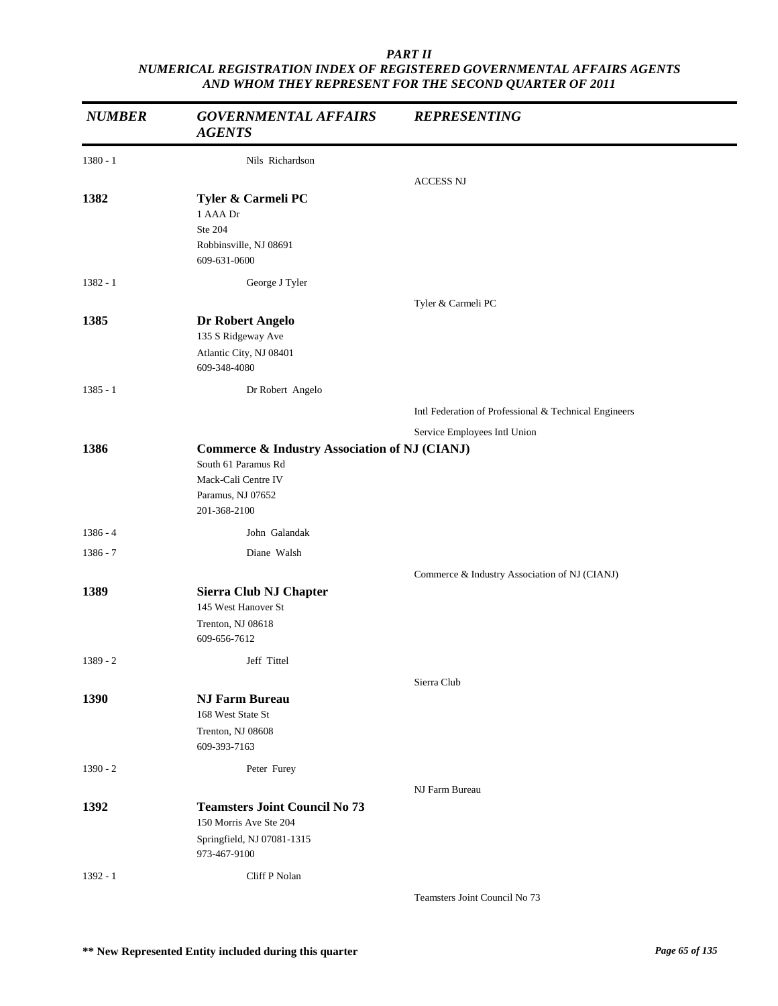| <b>NUMBER</b> | <b>GOVERNMENTAL AFFAIRS</b><br><b>AGENTS</b>                                                                                                | <b>REPRESENTING</b>                                   |
|---------------|---------------------------------------------------------------------------------------------------------------------------------------------|-------------------------------------------------------|
| $1380 - 1$    | Nils Richardson                                                                                                                             |                                                       |
|               |                                                                                                                                             | <b>ACCESS NJ</b>                                      |
| 1382          | Tyler & Carmeli PC<br>1 AAA Dr<br>Ste 204<br>Robbinsville, NJ 08691<br>609-631-0600                                                         |                                                       |
| $1382 - 1$    | George J Tyler                                                                                                                              |                                                       |
|               |                                                                                                                                             | Tyler & Carmeli PC                                    |
| 1385          | Dr Robert Angelo<br>135 S Ridgeway Ave                                                                                                      |                                                       |
|               | Atlantic City, NJ 08401<br>609-348-4080                                                                                                     |                                                       |
| $1385 - 1$    | Dr Robert Angelo                                                                                                                            |                                                       |
|               |                                                                                                                                             | Intl Federation of Professional & Technical Engineers |
|               |                                                                                                                                             | Service Employees Intl Union                          |
| 1386          | <b>Commerce &amp; Industry Association of NJ (CIANJ)</b><br>South 61 Paramus Rd<br>Mack-Cali Centre IV<br>Paramus, NJ 07652<br>201-368-2100 |                                                       |
| $1386 - 4$    | John Galandak                                                                                                                               |                                                       |
| 1386 - 7      | Diane Walsh                                                                                                                                 |                                                       |
|               |                                                                                                                                             | Commerce & Industry Association of NJ (CIANJ)         |
| 1389          | Sierra Club NJ Chapter<br>145 West Hanover St<br>Trenton, NJ 08618<br>609-656-7612                                                          |                                                       |
| $1389 - 2$    | Jeff Tittel                                                                                                                                 |                                                       |
|               |                                                                                                                                             | Sierra Club                                           |
| 1390          | <b>NJ Farm Bureau</b><br>168 West State St<br>Trenton, NJ 08608<br>609-393-7163                                                             |                                                       |
| $1390 - 2$    | Peter Furey                                                                                                                                 |                                                       |
|               |                                                                                                                                             | NJ Farm Bureau                                        |
| 1392          | <b>Teamsters Joint Council No 73</b><br>150 Morris Ave Ste 204<br>Springfield, NJ 07081-1315                                                |                                                       |
|               | 973-467-9100                                                                                                                                |                                                       |
| $1392 - 1$    | Cliff P Nolan                                                                                                                               |                                                       |
|               |                                                                                                                                             | Teamsters Joint Council No 73                         |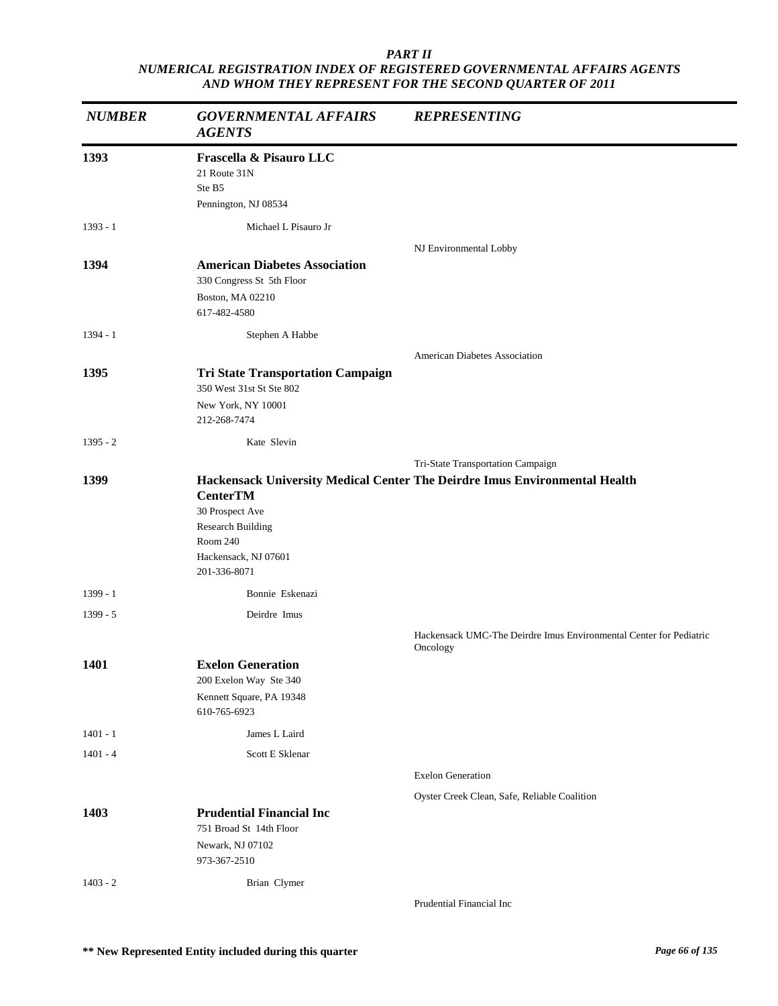| <b>NUMBER</b> | <b>GOVERNMENTAL AFFAIRS</b><br><b>AGENTS</b>                              | <b>REPRESENTING</b>                                                            |
|---------------|---------------------------------------------------------------------------|--------------------------------------------------------------------------------|
| 1393          | Frascella & Pisauro LLC<br>21 Route 31N<br>Ste B5<br>Pennington, NJ 08534 |                                                                                |
| $1393 - 1$    | Michael L Pisauro Jr                                                      |                                                                                |
|               |                                                                           | NJ Environmental Lobby                                                         |
| 1394          | <b>American Diabetes Association</b><br>330 Congress St 5th Floor         |                                                                                |
|               | Boston, MA 02210<br>617-482-4580                                          |                                                                                |
| $1394 - 1$    | Stephen A Habbe                                                           |                                                                                |
|               |                                                                           | American Diabetes Association                                                  |
| 1395          | <b>Tri State Transportation Campaign</b>                                  |                                                                                |
|               | 350 West 31st St Ste 802<br>New York, NY 10001                            |                                                                                |
|               | 212-268-7474                                                              |                                                                                |
| $1395 - 2$    | Kate Slevin                                                               |                                                                                |
|               |                                                                           | Tri-State Transportation Campaign                                              |
| 1399          | <b>CenterTM</b>                                                           | Hackensack University Medical Center The Deirdre Imus Environmental Health     |
|               | 30 Prospect Ave                                                           |                                                                                |
|               | <b>Research Building</b><br>Room 240                                      |                                                                                |
|               | Hackensack, NJ 07601<br>201-336-8071                                      |                                                                                |
| $1399 - 1$    | Bonnie Eskenazi                                                           |                                                                                |
| $1399 - 5$    | Deirdre Imus                                                              |                                                                                |
|               |                                                                           | Hackensack UMC-The Deirdre Imus Environmental Center for Pediatric<br>Oncology |
| <b>1401</b>   | <b>Exelon Generation</b>                                                  |                                                                                |
|               | 200 Exelon Way Ste 340<br>Kennett Square, PA 19348                        |                                                                                |
|               | 610-765-6923                                                              |                                                                                |
| $1401 - 1$    | James L Laird                                                             |                                                                                |
| $1401 - 4$    | Scott E Sklenar                                                           |                                                                                |
|               |                                                                           | <b>Exelon Generation</b>                                                       |
|               |                                                                           | Oyster Creek Clean, Safe, Reliable Coalition                                   |
| 1403          | <b>Prudential Financial Inc</b>                                           |                                                                                |
|               | 751 Broad St 14th Floor                                                   |                                                                                |
|               | Newark, NJ 07102<br>973-367-2510                                          |                                                                                |
| $1403 - 2$    | Brian Clymer                                                              |                                                                                |
|               |                                                                           | Prudential Financial Inc                                                       |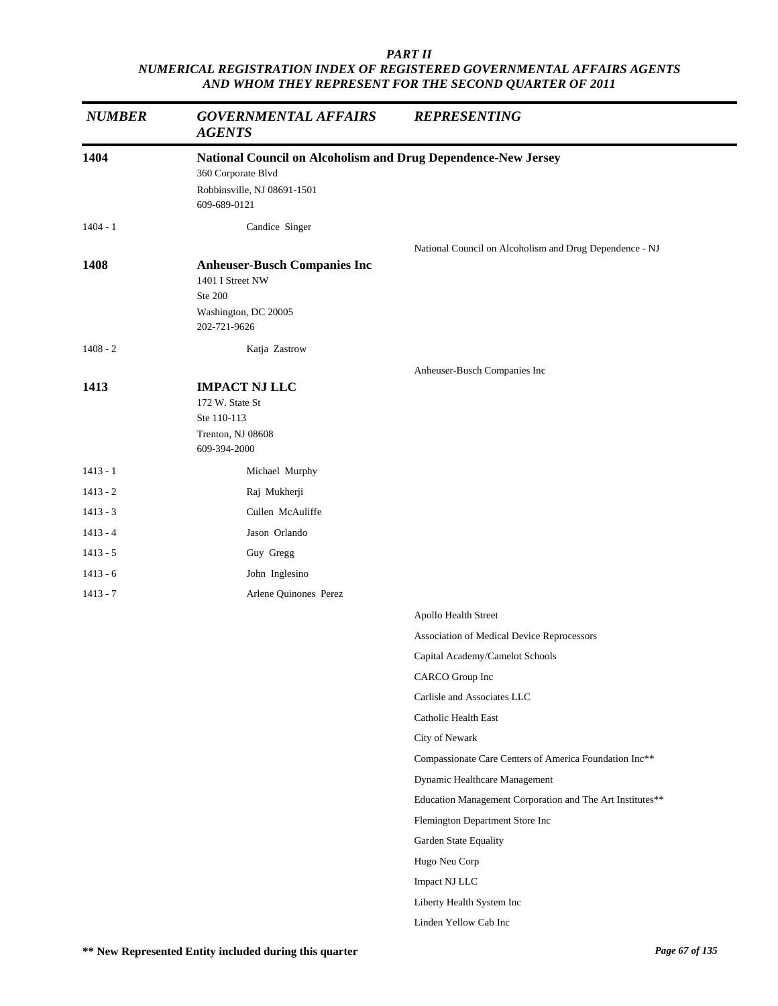| <b>NUMBER</b> | <b>GOVERNMENTAL AFFAIRS</b><br><b>AGENTS</b>                                                | <b>REPRESENTING</b>                                       |
|---------------|---------------------------------------------------------------------------------------------|-----------------------------------------------------------|
| 1404          | National Council on Alcoholism and Drug Dependence-New Jersey                               |                                                           |
|               | 360 Corporate Blvd                                                                          |                                                           |
|               | Robbinsville, NJ 08691-1501<br>609-689-0121                                                 |                                                           |
| $1404 - 1$    | Candice Singer                                                                              |                                                           |
|               |                                                                                             | National Council on Alcoholism and Drug Dependence - NJ   |
| 1408          | <b>Anheuser-Busch Companies Inc</b><br>1401 I Street NW<br>Ste 200                          |                                                           |
|               | Washington, DC 20005<br>202-721-9626                                                        |                                                           |
| $1408 - 2$    | Katja Zastrow                                                                               |                                                           |
|               |                                                                                             | Anheuser-Busch Companies Inc                              |
| 1413          | <b>IMPACT NJ LLC</b><br>172 W. State St<br>Ste 110-113<br>Trenton, NJ 08608<br>609-394-2000 |                                                           |
| $1413 - 1$    | Michael Murphy                                                                              |                                                           |
| $1413 - 2$    | Raj Mukherji                                                                                |                                                           |
| $1413 - 3$    | Cullen McAuliffe                                                                            |                                                           |
| $1413 - 4$    | Jason Orlando                                                                               |                                                           |
| $1413 - 5$    | Guy Gregg                                                                                   |                                                           |
| $1413 - 6$    | John Inglesino                                                                              |                                                           |
| $1413 - 7$    | Arlene Quinones Perez                                                                       |                                                           |
|               |                                                                                             | Apollo Health Street                                      |
|               |                                                                                             | Association of Medical Device Reprocessors                |
|               |                                                                                             | Capital Academy/Camelot Schools                           |
|               |                                                                                             | CARCO Group Inc                                           |
|               |                                                                                             | Carlisle and Associates LLC                               |
|               |                                                                                             | Catholic Health East                                      |
|               |                                                                                             | City of Newark                                            |
|               |                                                                                             | Compassionate Care Centers of America Foundation Inc**    |
|               |                                                                                             | Dynamic Healthcare Management                             |
|               |                                                                                             | Education Management Corporation and The Art Institutes** |
|               |                                                                                             | Flemington Department Store Inc                           |
|               |                                                                                             | Garden State Equality                                     |
|               |                                                                                             | Hugo Neu Corp                                             |
|               |                                                                                             | Impact NJ LLC                                             |
|               |                                                                                             | Liberty Health System Inc                                 |
|               |                                                                                             | Linden Yellow Cab Inc                                     |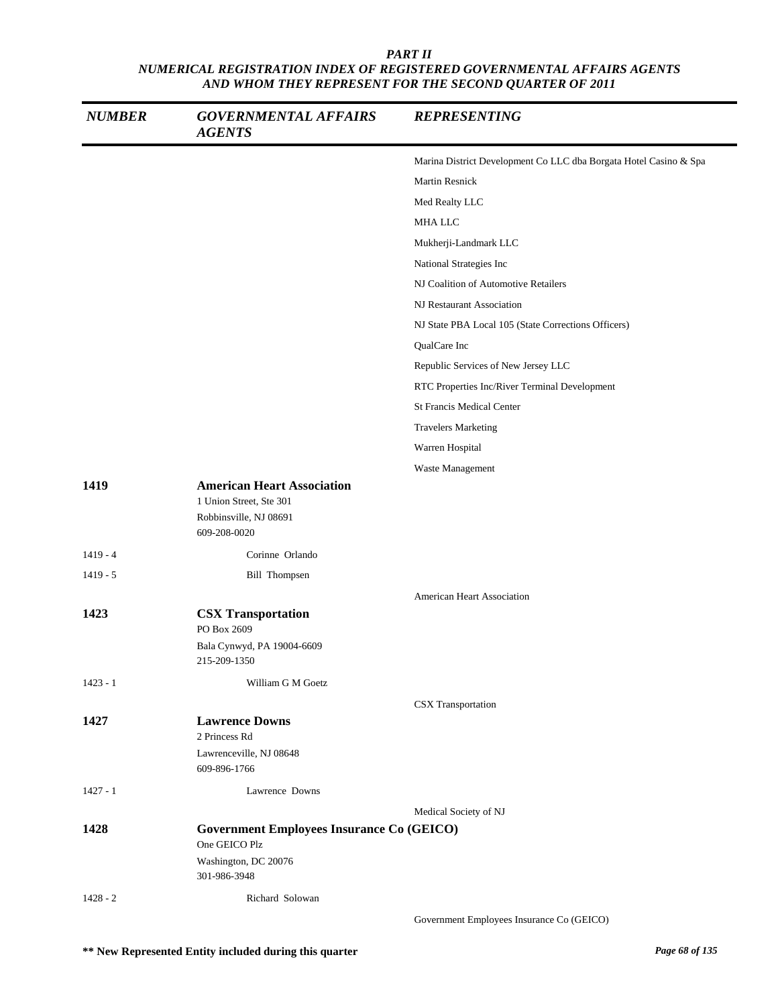| <b>NUMBER</b> | <b>GOVERNMENTAL AFFAIRS</b><br><b>AGENTS</b>                                                           | <b>REPRESENTING</b>                                               |
|---------------|--------------------------------------------------------------------------------------------------------|-------------------------------------------------------------------|
|               |                                                                                                        | Marina District Development Co LLC dba Borgata Hotel Casino & Spa |
|               |                                                                                                        | <b>Martin Resnick</b>                                             |
|               |                                                                                                        | Med Realty LLC                                                    |
|               |                                                                                                        | MHA LLC                                                           |
|               |                                                                                                        | Mukherji-Landmark LLC                                             |
|               |                                                                                                        | National Strategies Inc                                           |
|               |                                                                                                        | NJ Coalition of Automotive Retailers                              |
|               |                                                                                                        | NJ Restaurant Association                                         |
|               |                                                                                                        | NJ State PBA Local 105 (State Corrections Officers)               |
|               |                                                                                                        | QualCare Inc                                                      |
|               |                                                                                                        | Republic Services of New Jersey LLC                               |
|               |                                                                                                        | RTC Properties Inc/River Terminal Development                     |
|               |                                                                                                        | <b>St Francis Medical Center</b>                                  |
|               |                                                                                                        | <b>Travelers Marketing</b>                                        |
|               |                                                                                                        | Warren Hospital                                                   |
|               |                                                                                                        | Waste Management                                                  |
| 1419          | <b>American Heart Association</b><br>1 Union Street, Ste 301<br>Robbinsville, NJ 08691<br>609-208-0020 |                                                                   |
| $1419 - 4$    | Corinne Orlando                                                                                        |                                                                   |
| $1419 - 5$    | <b>Bill Thompsen</b>                                                                                   |                                                                   |
|               |                                                                                                        | <b>American Heart Association</b>                                 |
| 1423          | <b>CSX Transportation</b><br>PO Box 2609                                                               |                                                                   |
|               | Bala Cynwyd, PA 19004-6609<br>215-209-1350                                                             |                                                                   |
| $1423 - 1$    | William G M Goetz                                                                                      |                                                                   |
|               |                                                                                                        | <b>CSX</b> Transportation                                         |
| 1427          | <b>Lawrence Downs</b><br>2 Princess Rd                                                                 |                                                                   |
|               | Lawrenceville, NJ 08648<br>609-896-1766                                                                |                                                                   |
| $1427 - 1$    | Lawrence Downs                                                                                         |                                                                   |
|               |                                                                                                        | Medical Society of NJ                                             |
| 1428          | <b>Government Employees Insurance Co (GEICO)</b>                                                       |                                                                   |
|               | One GEICO Plz<br>Washington, DC 20076<br>301-986-3948                                                  |                                                                   |
| $1428 - 2$    | Richard Solowan                                                                                        |                                                                   |
|               |                                                                                                        | Government Employees Insurance Co (GEICO)                         |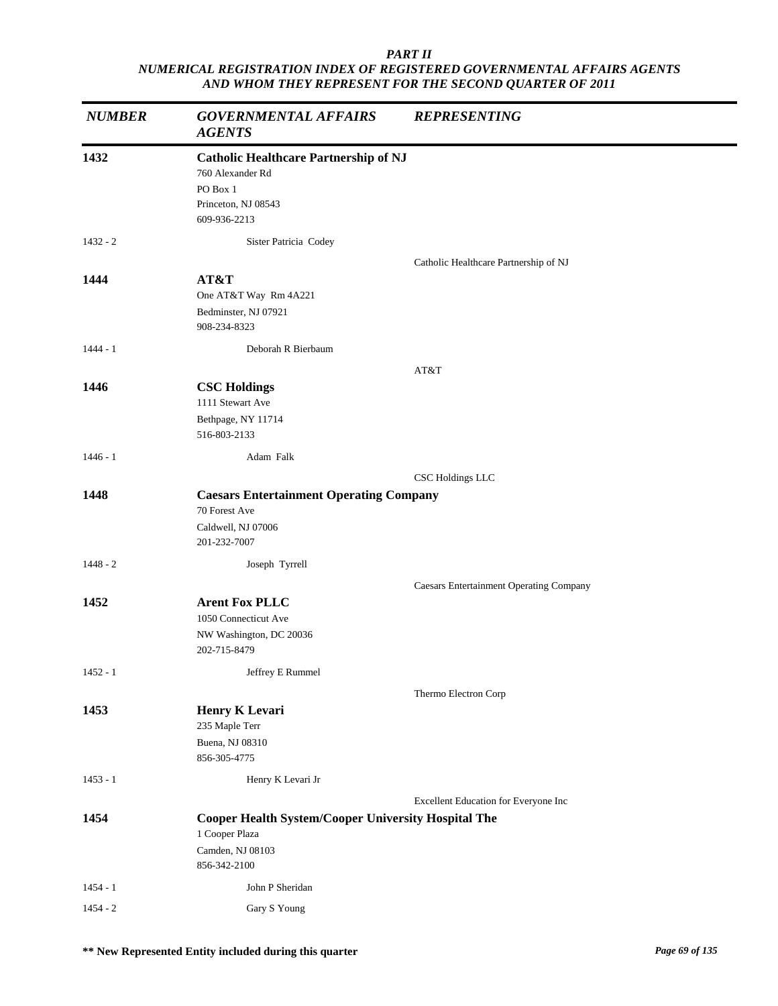| <b>NUMBER</b> | <b>GOVERNMENTAL AFFAIRS</b><br><b>AGENTS</b>                                                                        | <b>REPRESENTING</b>                            |
|---------------|---------------------------------------------------------------------------------------------------------------------|------------------------------------------------|
| 1432          | <b>Catholic Healthcare Partnership of NJ</b><br>760 Alexander Rd<br>PO Box 1<br>Princeton, NJ 08543<br>609-936-2213 |                                                |
| $1432 - 2$    | Sister Patricia Codey                                                                                               |                                                |
| 1444          | AT&T<br>One AT&T Way Rm 4A221<br>Bedminster, NJ 07921<br>908-234-8323                                               | Catholic Healthcare Partnership of NJ          |
| $1444 - 1$    | Deborah R Bierbaum                                                                                                  |                                                |
| 1446          | <b>CSC Holdings</b><br>1111 Stewart Ave<br>Bethpage, NY 11714<br>516-803-2133                                       | AT&T                                           |
| $1446 - 1$    | Adam Falk                                                                                                           |                                                |
|               |                                                                                                                     | CSC Holdings LLC                               |
| 1448          | <b>Caesars Entertainment Operating Company</b><br>70 Forest Ave<br>Caldwell, NJ 07006<br>201-232-7007               |                                                |
| $1448 - 2$    | Joseph Tyrrell                                                                                                      |                                                |
| 1452          | <b>Arent Fox PLLC</b><br>1050 Connecticut Ave<br>NW Washington, DC 20036<br>202-715-8479                            | <b>Caesars Entertainment Operating Company</b> |
| $1452 - 1$    | Jeffrey E Rummel                                                                                                    |                                                |
| 1453          | <b>Henry K Levari</b><br>235 Maple Terr<br>Buena, NJ 08310                                                          | Thermo Electron Corp                           |
| $1453 - 1$    | 856-305-4775<br>Henry K Levari Jr                                                                                   |                                                |
|               |                                                                                                                     | Excellent Education for Everyone Inc           |
| 1454          | <b>Cooper Health System/Cooper University Hospital The</b><br>1 Cooper Plaza<br>Camden, NJ 08103<br>856-342-2100    |                                                |
| 1454 - 1      | John P Sheridan                                                                                                     |                                                |
| $1454 - 2$    | Gary S Young                                                                                                        |                                                |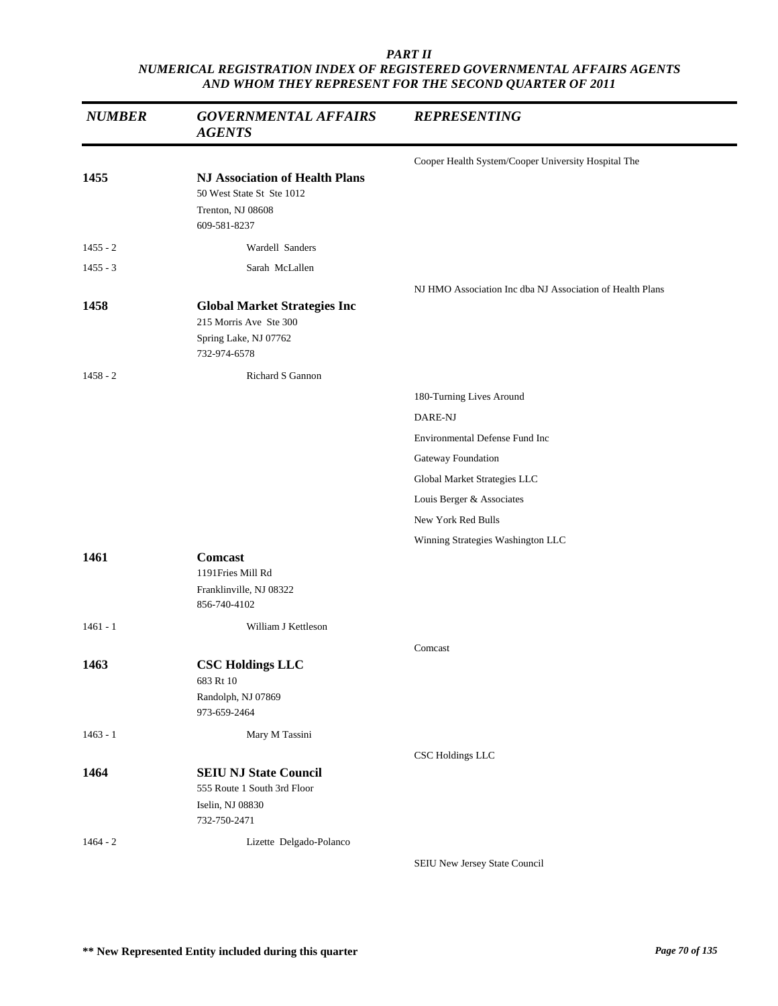| <b>NUMBER</b> | <b>GOVERNMENTAL AFFAIRS</b><br><b>AGENTS</b>                                                            | <b>REPRESENTING</b>                                       |
|---------------|---------------------------------------------------------------------------------------------------------|-----------------------------------------------------------|
|               |                                                                                                         | Cooper Health System/Cooper University Hospital The       |
| 1455          | <b>NJ Association of Health Plans</b><br>50 West State St Ste 1012<br>Trenton, NJ 08608<br>609-581-8237 |                                                           |
| $1455 - 2$    | Wardell Sanders                                                                                         |                                                           |
| $1455 - 3$    | Sarah McLallen                                                                                          |                                                           |
| 1458          | <b>Global Market Strategies Inc</b><br>215 Morris Ave Ste 300<br>Spring Lake, NJ 07762<br>732-974-6578  | NJ HMO Association Inc dba NJ Association of Health Plans |
| $1458 - 2$    | <b>Richard S Gannon</b>                                                                                 |                                                           |
|               |                                                                                                         | 180-Turning Lives Around                                  |
|               |                                                                                                         | DARE-NJ                                                   |
|               |                                                                                                         | Environmental Defense Fund Inc                            |
|               |                                                                                                         | Gateway Foundation                                        |
|               |                                                                                                         | Global Market Strategies LLC                              |
|               |                                                                                                         | Louis Berger & Associates                                 |
|               |                                                                                                         | New York Red Bulls                                        |
|               |                                                                                                         | Winning Strategies Washington LLC                         |
| 1461          | <b>Comcast</b><br>1191Fries Mill Rd<br>Franklinville, NJ 08322<br>856-740-4102                          |                                                           |
| $1461 - 1$    | William J Kettleson                                                                                     |                                                           |
|               |                                                                                                         | Comcast                                                   |
| 1463          | <b>CSC Holdings LLC</b><br>683 Rt 10<br>Randolph, NJ 07869<br>973-659-2464                              |                                                           |
| $1463 - 1$    | Mary M Tassini                                                                                          |                                                           |
|               |                                                                                                         | <b>CSC Holdings LLC</b>                                   |
| 1464          | <b>SEIU NJ State Council</b><br>555 Route 1 South 3rd Floor<br>Iselin, NJ 08830<br>732-750-2471         |                                                           |
| $1464 - 2$    | Lizette Delgado-Polanco                                                                                 |                                                           |
|               |                                                                                                         | SEIU New Jersey State Council                             |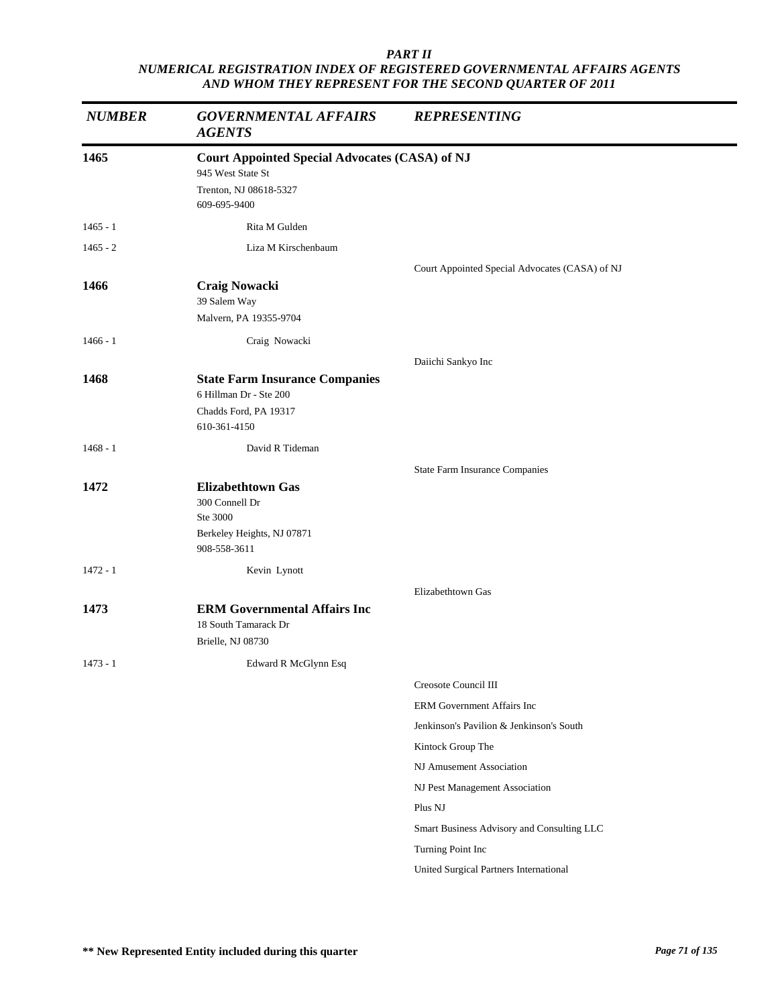| <b>NUMBER</b> | <b>GOVERNMENTAL AFFAIRS</b><br><b>AGENTS</b>                                                                         | <b>REPRESENTING</b>                            |
|---------------|----------------------------------------------------------------------------------------------------------------------|------------------------------------------------|
| 1465          | <b>Court Appointed Special Advocates (CASA) of NJ</b><br>945 West State St<br>Trenton, NJ 08618-5327<br>609-695-9400 |                                                |
| $1465 - 1$    | Rita M Gulden                                                                                                        |                                                |
| $1465 - 2$    | Liza M Kirschenbaum                                                                                                  |                                                |
|               |                                                                                                                      | Court Appointed Special Advocates (CASA) of NJ |
| 1466          | <b>Craig Nowacki</b><br>39 Salem Way<br>Malvern, PA 19355-9704                                                       |                                                |
| $1466 - 1$    | Craig Nowacki                                                                                                        |                                                |
|               |                                                                                                                      | Daiichi Sankyo Inc                             |
| 1468          | <b>State Farm Insurance Companies</b><br>6 Hillman Dr - Ste 200<br>Chadds Ford, PA 19317<br>610-361-4150             |                                                |
| $1468 - 1$    | David R Tideman                                                                                                      |                                                |
|               |                                                                                                                      | <b>State Farm Insurance Companies</b>          |
| 1472          | <b>Elizabethtown Gas</b><br>300 Connell Dr<br>Ste 3000<br>Berkeley Heights, NJ 07871<br>908-558-3611                 |                                                |
| $1472 - 1$    | Kevin Lynott                                                                                                         |                                                |
| 1473          | <b>ERM Governmental Affairs Inc</b><br>18 South Tamarack Dr<br>Brielle, NJ 08730                                     | Elizabethtown Gas                              |
| $1473 - 1$    | Edward R McGlynn Esq                                                                                                 |                                                |
|               |                                                                                                                      | Creosote Council III                           |
|               |                                                                                                                      | ERM Government Affairs Inc                     |
|               |                                                                                                                      | Jenkinson's Pavilion & Jenkinson's South       |
|               |                                                                                                                      | Kintock Group The                              |
|               |                                                                                                                      | NJ Amusement Association                       |
|               |                                                                                                                      | NJ Pest Management Association                 |
|               |                                                                                                                      | Plus NJ                                        |
|               |                                                                                                                      | Smart Business Advisory and Consulting LLC     |
|               |                                                                                                                      | Turning Point Inc                              |
|               |                                                                                                                      | United Surgical Partners International         |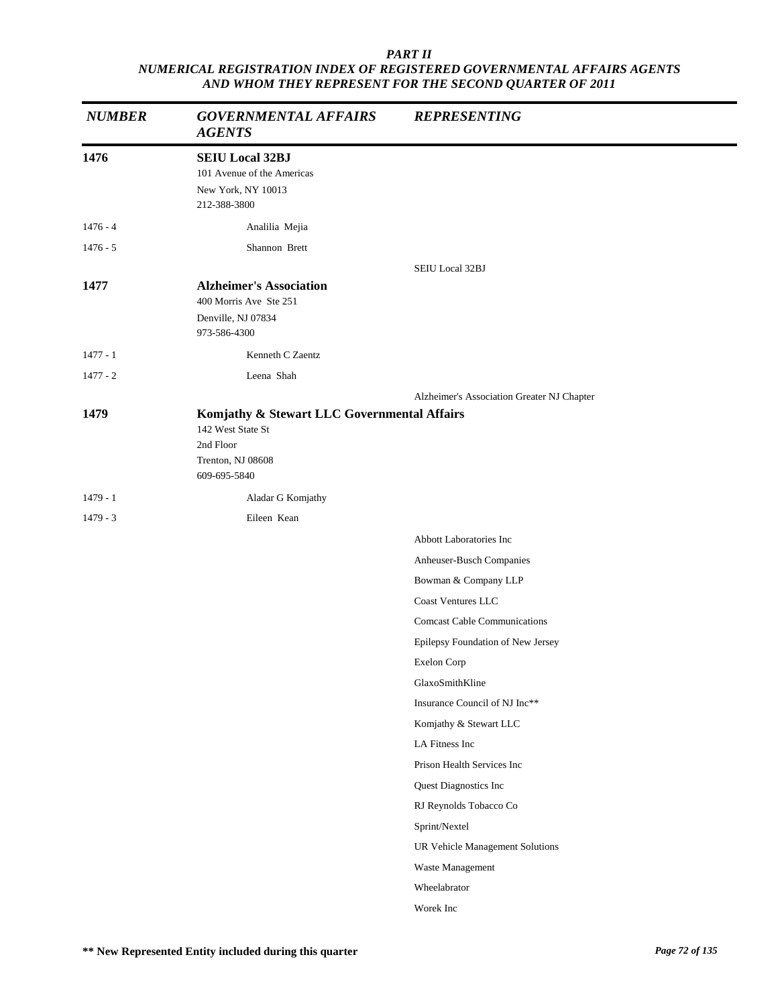| <b>NUMBER</b> | <b>GOVERNMENTAL AFFAIRS</b><br><b>AGENTS</b>                                                                       | <b>REPRESENTING</b>                        |
|---------------|--------------------------------------------------------------------------------------------------------------------|--------------------------------------------|
| 1476          | <b>SEIU Local 32BJ</b><br>101 Avenue of the Americas<br>New York, NY 10013<br>212-388-3800                         |                                            |
| $1476 - 4$    | Analilia Mejia                                                                                                     |                                            |
| $1476 - 5$    | Shannon Brett                                                                                                      |                                            |
|               |                                                                                                                    | SEIU Local 32BJ                            |
| 1477          | <b>Alzheimer's Association</b><br>400 Morris Ave Ste 251                                                           |                                            |
|               | Denville, NJ 07834<br>973-586-4300                                                                                 |                                            |
| $1477 - 1$    | Kenneth C Zaentz                                                                                                   |                                            |
| $1477 - 2$    | Leena Shah                                                                                                         |                                            |
|               |                                                                                                                    | Alzheimer's Association Greater NJ Chapter |
| 1479          | Komjathy & Stewart LLC Governmental Affairs<br>142 West State St<br>2nd Floor<br>Trenton, NJ 08608<br>609-695-5840 |                                            |
| $1479 - 1$    | Aladar G Komjathy                                                                                                  |                                            |
| $1479 - 3$    | Eileen Kean                                                                                                        |                                            |
|               |                                                                                                                    | Abbott Laboratories Inc                    |
|               |                                                                                                                    | Anheuser-Busch Companies                   |
|               |                                                                                                                    | Bowman & Company LLP                       |
|               |                                                                                                                    | <b>Coast Ventures LLC</b>                  |
|               |                                                                                                                    | <b>Comcast Cable Communications</b>        |
|               |                                                                                                                    | Epilepsy Foundation of New Jersey          |
|               |                                                                                                                    | <b>Exelon Corp</b>                         |
|               |                                                                                                                    | GlaxoSmithKline                            |
|               |                                                                                                                    | Insurance Council of NJ Inc**              |
|               |                                                                                                                    | Komjathy & Stewart LLC                     |
|               |                                                                                                                    | LA Fitness Inc                             |
|               |                                                                                                                    | Prison Health Services Inc                 |
|               |                                                                                                                    | Quest Diagnostics Inc                      |
|               |                                                                                                                    | RJ Reynolds Tobacco Co                     |
|               |                                                                                                                    | Sprint/Nextel                              |
|               |                                                                                                                    | UR Vehicle Management Solutions            |
|               |                                                                                                                    | Waste Management                           |
|               |                                                                                                                    | Wheelabrator                               |
|               |                                                                                                                    | Worek Inc                                  |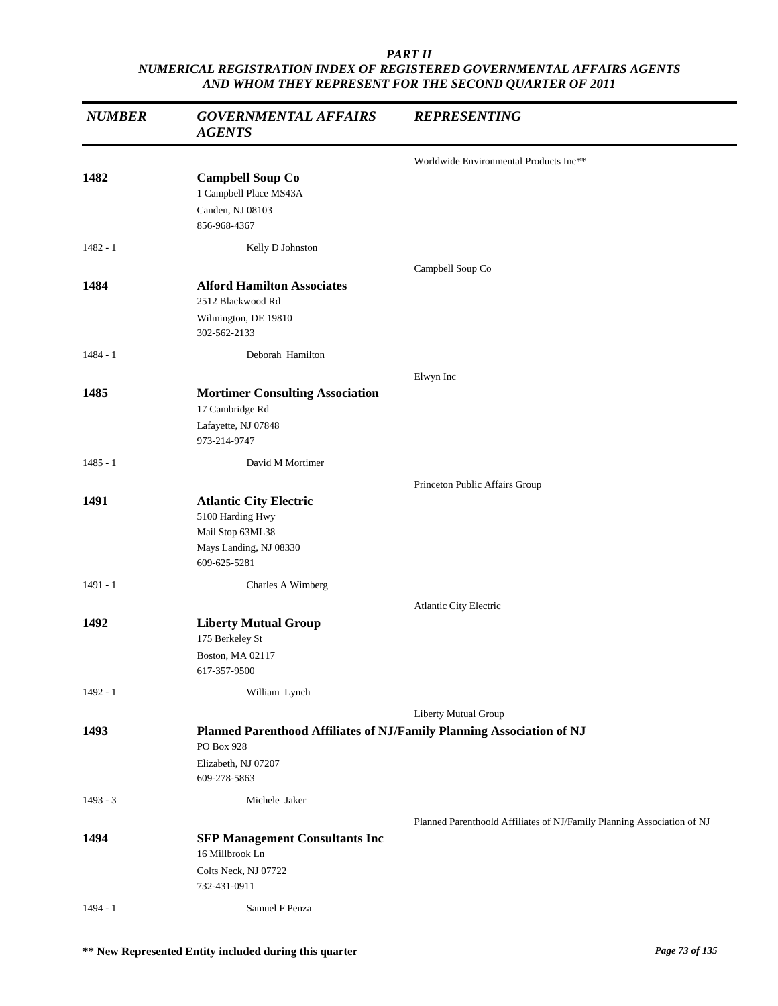| <b>NUMBER</b> | <b>GOVERNMENTAL AFFAIRS</b><br><b>AGENTS</b>                                                                    | <b>REPRESENTING</b>                                                    |
|---------------|-----------------------------------------------------------------------------------------------------------------|------------------------------------------------------------------------|
|               |                                                                                                                 | Worldwide Environmental Products Inc**                                 |
| 1482          | <b>Campbell Soup Co</b><br>1 Campbell Place MS43A<br>Canden, NJ 08103<br>856-968-4367                           |                                                                        |
| $1482 - 1$    | Kelly D Johnston                                                                                                |                                                                        |
|               |                                                                                                                 | Campbell Soup Co                                                       |
| 1484          | <b>Alford Hamilton Associates</b><br>2512 Blackwood Rd                                                          |                                                                        |
|               | Wilmington, DE 19810<br>302-562-2133                                                                            |                                                                        |
| $1484 - 1$    | Deborah Hamilton                                                                                                |                                                                        |
|               |                                                                                                                 | Elwyn Inc                                                              |
| 1485          | <b>Mortimer Consulting Association</b><br>17 Cambridge Rd                                                       |                                                                        |
|               | Lafayette, NJ 07848<br>973-214-9747                                                                             |                                                                        |
| $1485 - 1$    | David M Mortimer                                                                                                |                                                                        |
|               |                                                                                                                 | Princeton Public Affairs Group                                         |
| 1491          | <b>Atlantic City Electric</b><br>5100 Harding Hwy<br>Mail Stop 63ML38<br>Mays Landing, NJ 08330<br>609-625-5281 |                                                                        |
| $1491 - 1$    | Charles A Wimberg                                                                                               |                                                                        |
|               |                                                                                                                 | Atlantic City Electric                                                 |
| 1492          | <b>Liberty Mutual Group</b><br>175 Berkeley St<br>Boston, MA 02117<br>617-357-9500                              |                                                                        |
| $1492 - 1$    | William Lynch                                                                                                   |                                                                        |
|               |                                                                                                                 | Liberty Mutual Group                                                   |
| 1493          | Planned Parenthood Affiliates of NJ/Family Planning Association of NJ<br>PO Box 928                             |                                                                        |
|               | Elizabeth, NJ 07207<br>609-278-5863                                                                             |                                                                        |
| $1493 - 3$    | Michele Jaker                                                                                                   |                                                                        |
|               |                                                                                                                 | Planned Parenthoold Affiliates of NJ/Family Planning Association of NJ |
| 1494          | <b>SFP Management Consultants Inc</b>                                                                           |                                                                        |
|               | 16 Millbrook Ln<br>Colts Neck, NJ 07722<br>732-431-0911                                                         |                                                                        |
| $1494 - 1$    | Samuel F Penza                                                                                                  |                                                                        |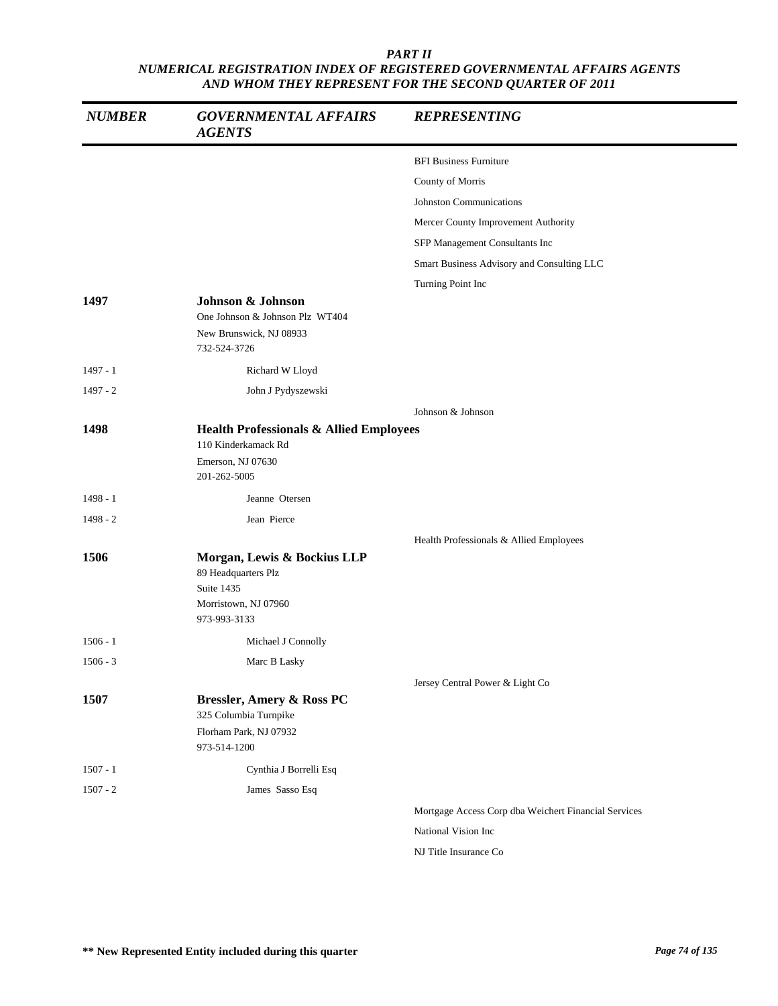| <b>NUMBER</b> | <b>GOVERNMENTAL AFFAIRS</b><br><b>AGENTS</b>                                                                   | <b>REPRESENTING</b>                                  |
|---------------|----------------------------------------------------------------------------------------------------------------|------------------------------------------------------|
|               |                                                                                                                | <b>BFI Business Furniture</b>                        |
|               |                                                                                                                | County of Morris                                     |
|               |                                                                                                                | Johnston Communications                              |
|               |                                                                                                                | Mercer County Improvement Authority                  |
|               |                                                                                                                | SFP Management Consultants Inc                       |
|               |                                                                                                                | Smart Business Advisory and Consulting LLC           |
|               |                                                                                                                | Turning Point Inc                                    |
| 1497          | Johnson & Johnson<br>One Johnson & Johnson Plz WT404<br>New Brunswick, NJ 08933<br>732-524-3726                |                                                      |
| 1497 - 1      | Richard W Lloyd                                                                                                |                                                      |
| $1497 - 2$    | John J Pydyszewski                                                                                             |                                                      |
|               |                                                                                                                | Johnson & Johnson                                    |
| 1498          | <b>Health Professionals &amp; Allied Employees</b><br>110 Kinderkamack Rd<br>Emerson, NJ 07630<br>201-262-5005 |                                                      |
| $1498 - 1$    | Jeanne Otersen                                                                                                 |                                                      |
| $1498 - 2$    | Jean Pierce                                                                                                    |                                                      |
|               |                                                                                                                | Health Professionals & Allied Employees              |
| 1506          | Morgan, Lewis & Bockius LLP<br>89 Headquarters Plz<br>Suite 1435<br>Morristown, NJ 07960<br>973-993-3133       |                                                      |
| $1506 - 1$    | Michael J Connolly                                                                                             |                                                      |
| $1506 - 3$    | Marc B Lasky                                                                                                   |                                                      |
|               |                                                                                                                | Jersey Central Power & Light Co                      |
| 1507          | <b>Bressler, Amery &amp; Ross PC</b><br>325 Columbia Turnpike<br>Florham Park, NJ 07932<br>973-514-1200        |                                                      |
| $1507 - 1$    | Cynthia J Borrelli Esq                                                                                         |                                                      |
| $1507 - 2$    | James Sasso Esq                                                                                                |                                                      |
|               |                                                                                                                | Mortgage Access Corp dba Weichert Financial Services |
|               |                                                                                                                | National Vision Inc                                  |
|               |                                                                                                                | NJ Title Insurance Co                                |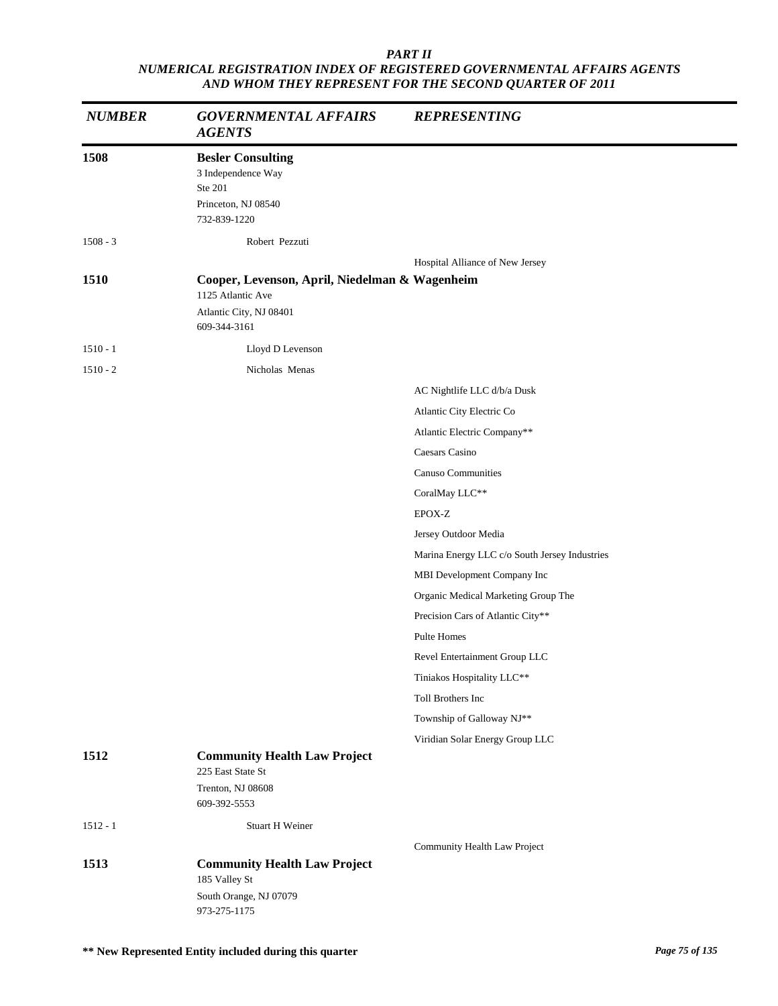| <b>NUMBER</b> | <b>GOVERNMENTAL AFFAIRS</b><br><b>AGENTS</b>                                                                   | <b>REPRESENTING</b>                           |
|---------------|----------------------------------------------------------------------------------------------------------------|-----------------------------------------------|
| 1508          | <b>Besler Consulting</b><br>3 Independence Way<br>Ste 201<br>Princeton, NJ 08540<br>732-839-1220               |                                               |
| $1508 - 3$    | Robert Pezzuti                                                                                                 |                                               |
| 1510          | Cooper, Levenson, April, Niedelman & Wagenheim<br>1125 Atlantic Ave<br>Atlantic City, NJ 08401<br>609-344-3161 | Hospital Alliance of New Jersey               |
| $1510 - 1$    | Lloyd D Levenson                                                                                               |                                               |
| $1510 - 2$    | Nicholas Menas                                                                                                 |                                               |
|               |                                                                                                                | AC Nightlife LLC d/b/a Dusk                   |
|               |                                                                                                                | Atlantic City Electric Co                     |
|               |                                                                                                                | Atlantic Electric Company**                   |
|               |                                                                                                                | Caesars Casino                                |
|               |                                                                                                                | <b>Canuso Communities</b>                     |
|               |                                                                                                                | CoralMay LLC**                                |
|               |                                                                                                                | EPOX-Z                                        |
|               |                                                                                                                | Jersey Outdoor Media                          |
|               |                                                                                                                | Marina Energy LLC c/o South Jersey Industries |
|               |                                                                                                                | MBI Development Company Inc                   |
|               |                                                                                                                | Organic Medical Marketing Group The           |
|               |                                                                                                                | Precision Cars of Atlantic City**             |
|               |                                                                                                                | Pulte Homes                                   |
|               |                                                                                                                | Revel Entertainment Group LLC                 |
|               |                                                                                                                | Tiniakos Hospitality LLC**                    |
|               |                                                                                                                | Toll Brothers Inc                             |
|               |                                                                                                                | Township of Galloway NJ**                     |
|               |                                                                                                                | Viridian Solar Energy Group LLC               |
| 1512          | <b>Community Health Law Project</b><br>225 East State St<br>Trenton, NJ 08608<br>609-392-5553                  |                                               |
| $1512 - 1$    | <b>Stuart H Weiner</b>                                                                                         |                                               |
|               |                                                                                                                | Community Health Law Project                  |
| 1513          | <b>Community Health Law Project</b><br>185 Valley St<br>South Orange, NJ 07079                                 |                                               |
|               | 973-275-1175                                                                                                   |                                               |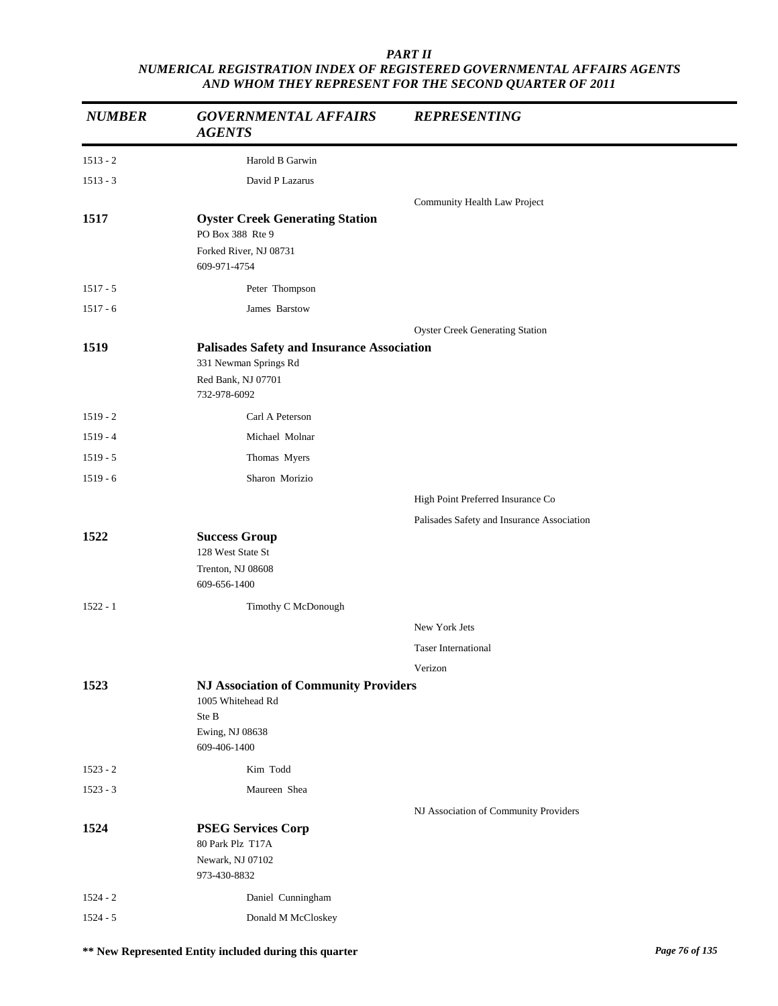| <b>NUMBER</b> | <b>GOVERNMENTAL AFFAIRS</b><br><b>AGENTS</b>                                                                     | <b>REPRESENTING</b>                        |
|---------------|------------------------------------------------------------------------------------------------------------------|--------------------------------------------|
| $1513 - 2$    | Harold B Garwin                                                                                                  |                                            |
| $1513 - 3$    | David P Lazarus                                                                                                  |                                            |
|               |                                                                                                                  | Community Health Law Project               |
| 1517          | <b>Oyster Creek Generating Station</b><br>PO Box 388 Rte 9                                                       |                                            |
|               | Forked River, NJ 08731<br>609-971-4754                                                                           |                                            |
| $1517 - 5$    | Peter Thompson                                                                                                   |                                            |
| $1517 - 6$    | James Barstow                                                                                                    |                                            |
|               |                                                                                                                  | <b>Oyster Creek Generating Station</b>     |
| 1519          | <b>Palisades Safety and Insurance Association</b><br>331 Newman Springs Rd<br>Red Bank, NJ 07701<br>732-978-6092 |                                            |
| $1519 - 2$    | Carl A Peterson                                                                                                  |                                            |
| $1519 - 4$    | Michael Molnar                                                                                                   |                                            |
| $1519 - 5$    | Thomas Myers                                                                                                     |                                            |
| $1519 - 6$    | Sharon Morizio                                                                                                   |                                            |
|               |                                                                                                                  | High Point Preferred Insurance Co          |
|               |                                                                                                                  | Palisades Safety and Insurance Association |
| 1522          | <b>Success Group</b><br>128 West State St<br>Trenton, NJ 08608<br>609-656-1400                                   |                                            |
| $1522 - 1$    | Timothy C McDonough                                                                                              |                                            |
|               |                                                                                                                  | New York Jets                              |
|               |                                                                                                                  | <b>Taser International</b>                 |
|               |                                                                                                                  | Verizon                                    |
| 1523          | <b>NJ Association of Community Providers</b><br>1005 Whitehead Rd<br>Ste B<br>Ewing, NJ 08638<br>609-406-1400    |                                            |
| $1523 - 2$    | Kim Todd                                                                                                         |                                            |
| $1523 - 3$    | Maureen Shea                                                                                                     |                                            |
|               |                                                                                                                  | NJ Association of Community Providers      |
| 1524          | <b>PSEG Services Corp</b><br>80 Park Plz T17A<br>Newark, NJ 07102<br>973-430-8832                                |                                            |
| $1524 - 2$    | Daniel Cunningham                                                                                                |                                            |
| $1524 - 5$    | Donald M McCloskey                                                                                               |                                            |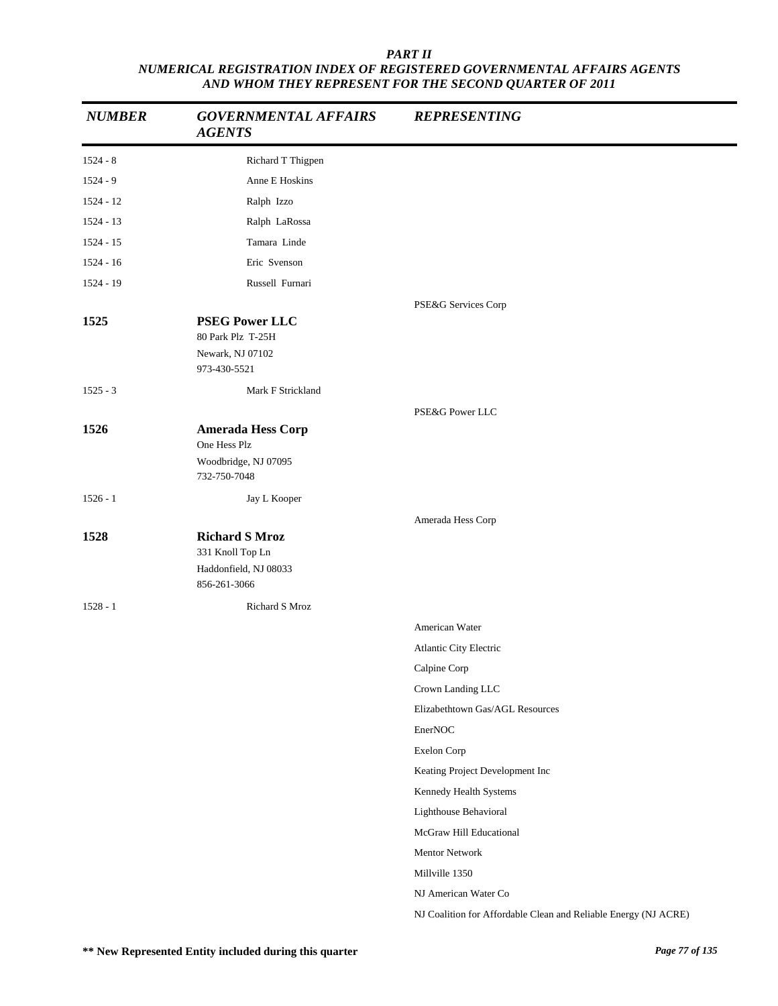| <b>NUMBER</b>      | <b>GOVERNMENTAL AFFAIRS</b><br><b>AGENTS</b>                                                         | <b>REPRESENTING</b>                                             |
|--------------------|------------------------------------------------------------------------------------------------------|-----------------------------------------------------------------|
| $1524 - 8$         | Richard T Thigpen                                                                                    |                                                                 |
| $1524 - 9$         | Anne E Hoskins                                                                                       |                                                                 |
| $1524 - 12$        | Ralph Izzo                                                                                           |                                                                 |
| 1524 - 13          | Ralph LaRossa                                                                                        |                                                                 |
| 1524 - 15          | Tamara Linde                                                                                         |                                                                 |
| $1524 - 16$        | Eric Svenson                                                                                         |                                                                 |
| 1524 - 19          | Russell Furnari                                                                                      |                                                                 |
| 1525               | <b>PSEG Power LLC</b><br>80 Park Plz T-25H<br>Newark, NJ 07102                                       | PSE&G Services Corp                                             |
|                    | 973-430-5521                                                                                         |                                                                 |
| $1525 - 3$         | Mark F Strickland                                                                                    |                                                                 |
|                    |                                                                                                      | PSE&G Power LLC                                                 |
| 1526               | <b>Amerada Hess Corp</b><br>One Hess Plz<br>Woodbridge, NJ 07095                                     |                                                                 |
|                    | 732-750-7048                                                                                         |                                                                 |
| $1526 - 1$         | Jay L Kooper                                                                                         |                                                                 |
| 1528<br>$1528 - 1$ | <b>Richard S Mroz</b><br>331 Knoll Top Ln<br>Haddonfield, NJ 08033<br>856-261-3066<br>Richard S Mroz | Amerada Hess Corp                                               |
|                    |                                                                                                      | American Water                                                  |
|                    |                                                                                                      | Atlantic City Electric                                          |
|                    |                                                                                                      | Calpine Corp                                                    |
|                    |                                                                                                      | Crown Landing LLC                                               |
|                    |                                                                                                      | Elizabethtown Gas/AGL Resources                                 |
|                    |                                                                                                      | EnerNOC                                                         |
|                    |                                                                                                      | Exelon Corp                                                     |
|                    |                                                                                                      | Keating Project Development Inc                                 |
|                    |                                                                                                      | Kennedy Health Systems                                          |
|                    |                                                                                                      | Lighthouse Behavioral                                           |
|                    |                                                                                                      | McGraw Hill Educational                                         |
|                    |                                                                                                      | Mentor Network                                                  |
|                    |                                                                                                      | Millville 1350                                                  |
|                    |                                                                                                      | NJ American Water Co                                            |
|                    |                                                                                                      | NJ Coalition for Affordable Clean and Reliable Energy (NJ ACRE) |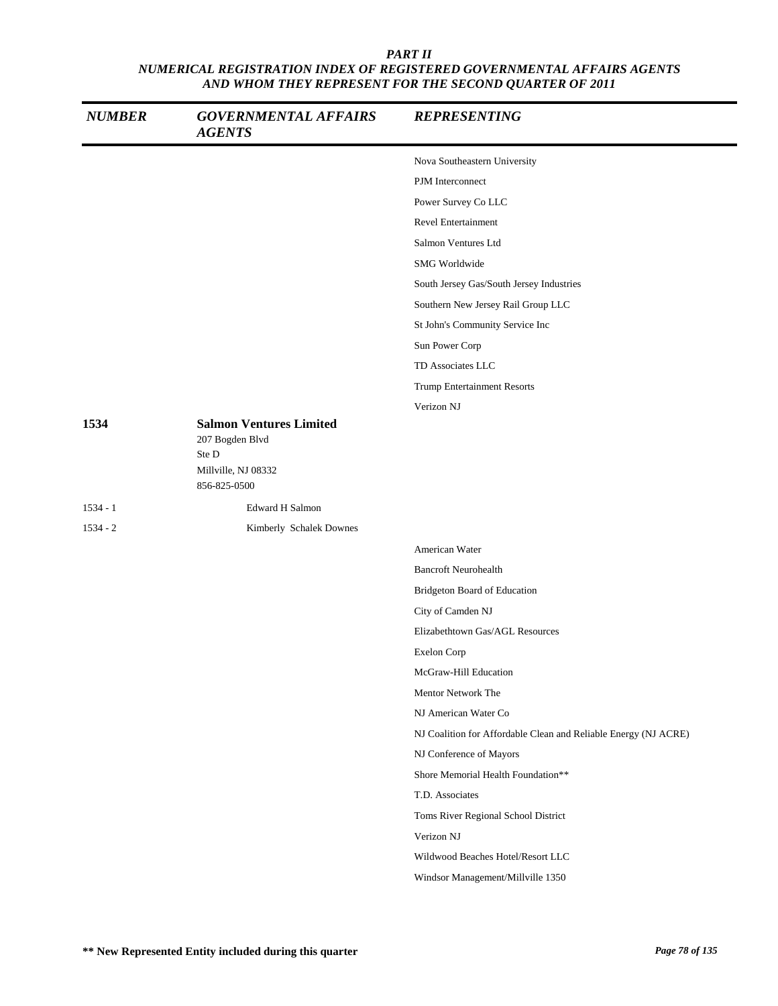| <b>NUMBER</b> | <b>GOVERNMENTAL AFFAIRS</b><br><b>AGENTS</b>                                                      | <b>REPRESENTING</b>                                             |
|---------------|---------------------------------------------------------------------------------------------------|-----------------------------------------------------------------|
|               |                                                                                                   | Nova Southeastern University                                    |
|               |                                                                                                   | PJM Interconnect                                                |
|               |                                                                                                   | Power Survey Co LLC                                             |
|               |                                                                                                   | <b>Revel Entertainment</b>                                      |
|               |                                                                                                   | Salmon Ventures Ltd                                             |
|               |                                                                                                   | SMG Worldwide                                                   |
|               |                                                                                                   | South Jersey Gas/South Jersey Industries                        |
|               |                                                                                                   | Southern New Jersey Rail Group LLC                              |
|               |                                                                                                   | St John's Community Service Inc                                 |
|               |                                                                                                   | Sun Power Corp                                                  |
|               |                                                                                                   | TD Associates LLC                                               |
|               |                                                                                                   | <b>Trump Entertainment Resorts</b>                              |
|               |                                                                                                   | Verizon NJ                                                      |
| 1534          | <b>Salmon Ventures Limited</b><br>207 Bogden Blvd<br>Ste D<br>Millville, NJ 08332<br>856-825-0500 |                                                                 |
| $1534 - 1$    | <b>Edward H Salmon</b>                                                                            |                                                                 |
| $1534 - 2$    | Kimberly Schalek Downes                                                                           |                                                                 |
|               |                                                                                                   | American Water                                                  |
|               |                                                                                                   | <b>Bancroft Neurohealth</b>                                     |
|               |                                                                                                   | Bridgeton Board of Education                                    |
|               |                                                                                                   | City of Camden NJ                                               |
|               |                                                                                                   | Elizabethtown Gas/AGL Resources                                 |
|               |                                                                                                   | Exelon Corp                                                     |
|               |                                                                                                   | McGraw-Hill Education                                           |
|               |                                                                                                   | Mentor Network The                                              |
|               |                                                                                                   | NJ American Water Co                                            |
|               |                                                                                                   | NJ Coalition for Affordable Clean and Reliable Energy (NJ ACRE) |
|               |                                                                                                   | NJ Conference of Mayors                                         |
|               |                                                                                                   | Shore Memorial Health Foundation**                              |
|               |                                                                                                   | T.D. Associates                                                 |
|               |                                                                                                   | Toms River Regional School District                             |
|               |                                                                                                   | Verizon NJ                                                      |
|               |                                                                                                   | Wildwood Beaches Hotel/Resort LLC                               |
|               |                                                                                                   | Windsor Management/Millville 1350                               |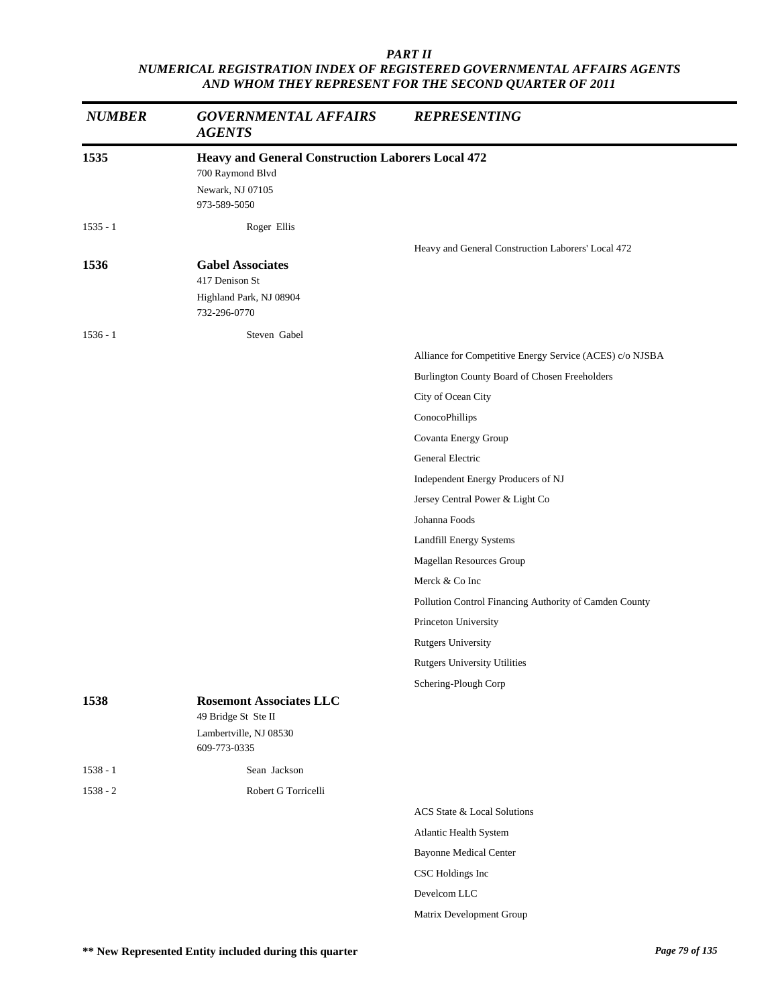| <b>NUMBER</b> | <b>GOVERNMENTAL AFFAIRS</b><br><b>AGENTS</b>             | <b>REPRESENTING</b>                                      |
|---------------|----------------------------------------------------------|----------------------------------------------------------|
| 1535          | <b>Heavy and General Construction Laborers Local 472</b> |                                                          |
|               | 700 Raymond Blvd                                         |                                                          |
|               | Newark, NJ 07105<br>973-589-5050                         |                                                          |
| $1535 - 1$    | Roger Ellis                                              |                                                          |
|               |                                                          | Heavy and General Construction Laborers' Local 472       |
| 1536          | <b>Gabel Associates</b><br>417 Denison St                |                                                          |
|               | Highland Park, NJ 08904<br>732-296-0770                  |                                                          |
| $1536 - 1$    | Steven Gabel                                             |                                                          |
|               |                                                          | Alliance for Competitive Energy Service (ACES) c/o NJSBA |
|               |                                                          | Burlington County Board of Chosen Freeholders            |
|               |                                                          | City of Ocean City                                       |
|               |                                                          | ConocoPhillips                                           |
|               |                                                          | Covanta Energy Group                                     |
|               |                                                          | General Electric                                         |
|               |                                                          | Independent Energy Producers of NJ                       |
|               |                                                          | Jersey Central Power & Light Co                          |
|               |                                                          | Johanna Foods                                            |
|               |                                                          | Landfill Energy Systems                                  |
|               |                                                          | Magellan Resources Group                                 |
|               |                                                          | Merck & Co Inc                                           |
|               |                                                          | Pollution Control Financing Authority of Camden County   |
|               |                                                          | Princeton University                                     |
|               |                                                          | <b>Rutgers University</b>                                |
|               |                                                          | <b>Rutgers University Utilities</b>                      |
|               |                                                          | Schering-Plough Corp                                     |
| 1538          | <b>Rosemont Associates LLC</b><br>49 Bridge St Ste II    |                                                          |
|               | Lambertville, NJ 08530<br>609-773-0335                   |                                                          |
| $1538 - 1$    | Sean Jackson                                             |                                                          |
| $1538 - 2$    | Robert G Torricelli                                      |                                                          |
|               |                                                          | ACS State & Local Solutions                              |
|               |                                                          | Atlantic Health System                                   |
|               |                                                          | <b>Bayonne Medical Center</b>                            |
|               |                                                          | CSC Holdings Inc                                         |
|               |                                                          | Develcom LLC                                             |
|               |                                                          | Matrix Development Group                                 |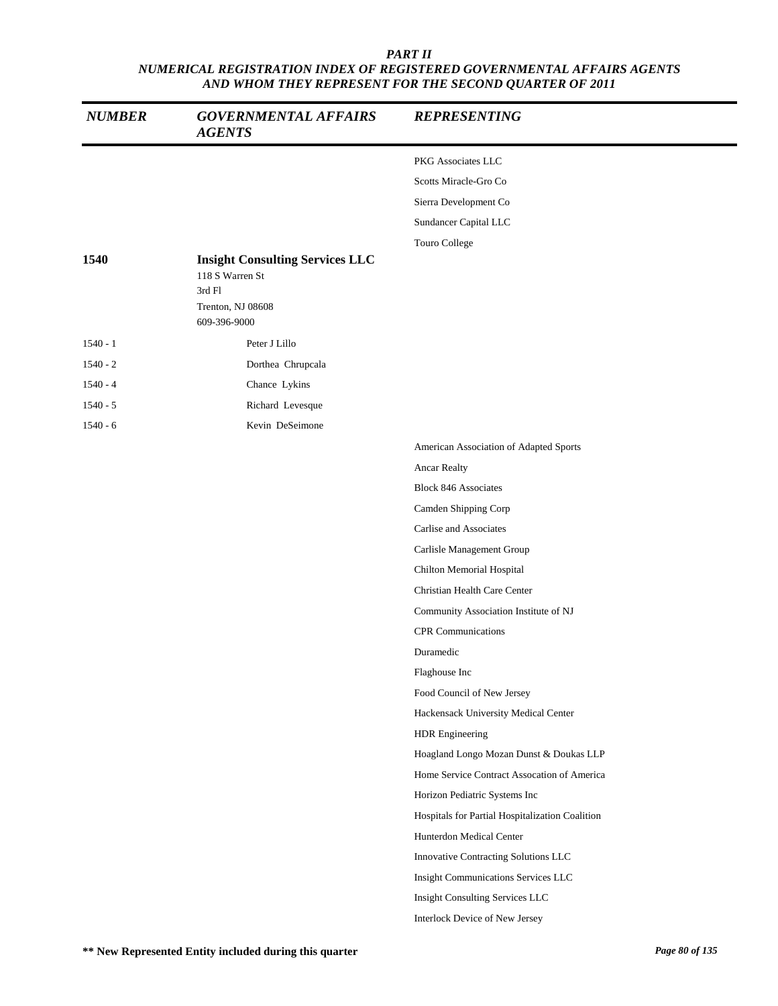| <b>NUMBER</b> | <b>GOVERNMENTAL AFFAIRS</b><br><b>AGENTS</b>                                                             | <b>REPRESENTING</b>                             |
|---------------|----------------------------------------------------------------------------------------------------------|-------------------------------------------------|
|               |                                                                                                          | PKG Associates LLC                              |
|               |                                                                                                          | Scotts Miracle-Gro Co                           |
|               |                                                                                                          | Sierra Development Co                           |
|               |                                                                                                          | Sundancer Capital LLC                           |
|               |                                                                                                          | Touro College                                   |
| 1540          | <b>Insight Consulting Services LLC</b><br>118 S Warren St<br>3rd Fl<br>Trenton, NJ 08608<br>609-396-9000 |                                                 |
| $1540 - 1$    | Peter J Lillo                                                                                            |                                                 |
| $1540 - 2$    | Dorthea Chrupcala                                                                                        |                                                 |
| $1540 - 4$    | Chance Lykins                                                                                            |                                                 |
| $1540 - 5$    | Richard Levesque                                                                                         |                                                 |
| $1540 - 6$    | Kevin DeSeimone                                                                                          |                                                 |
|               |                                                                                                          | American Association of Adapted Sports          |
|               |                                                                                                          | Ancar Realty                                    |
|               |                                                                                                          | <b>Block 846 Associates</b>                     |
|               |                                                                                                          | Camden Shipping Corp                            |
|               |                                                                                                          | Carlise and Associates                          |
|               |                                                                                                          | Carlisle Management Group                       |
|               |                                                                                                          | Chilton Memorial Hospital                       |
|               |                                                                                                          | Christian Health Care Center                    |
|               |                                                                                                          | Community Association Institute of NJ           |
|               |                                                                                                          | <b>CPR</b> Communications                       |
|               |                                                                                                          | Duramedic                                       |
|               |                                                                                                          | Flaghouse Inc                                   |
|               |                                                                                                          | Food Council of New Jersey                      |
|               |                                                                                                          | Hackensack University Medical Center            |
|               |                                                                                                          | HDR Engineering                                 |
|               |                                                                                                          | Hoagland Longo Mozan Dunst & Doukas LLP         |
|               |                                                                                                          | Home Service Contract Assocation of America     |
|               |                                                                                                          | Horizon Pediatric Systems Inc                   |
|               |                                                                                                          | Hospitals for Partial Hospitalization Coalition |
|               |                                                                                                          | Hunterdon Medical Center                        |
|               |                                                                                                          | Innovative Contracting Solutions LLC            |
|               |                                                                                                          | Insight Communications Services LLC             |
|               |                                                                                                          | Insight Consulting Services LLC                 |
|               |                                                                                                          | Interlock Device of New Jersey                  |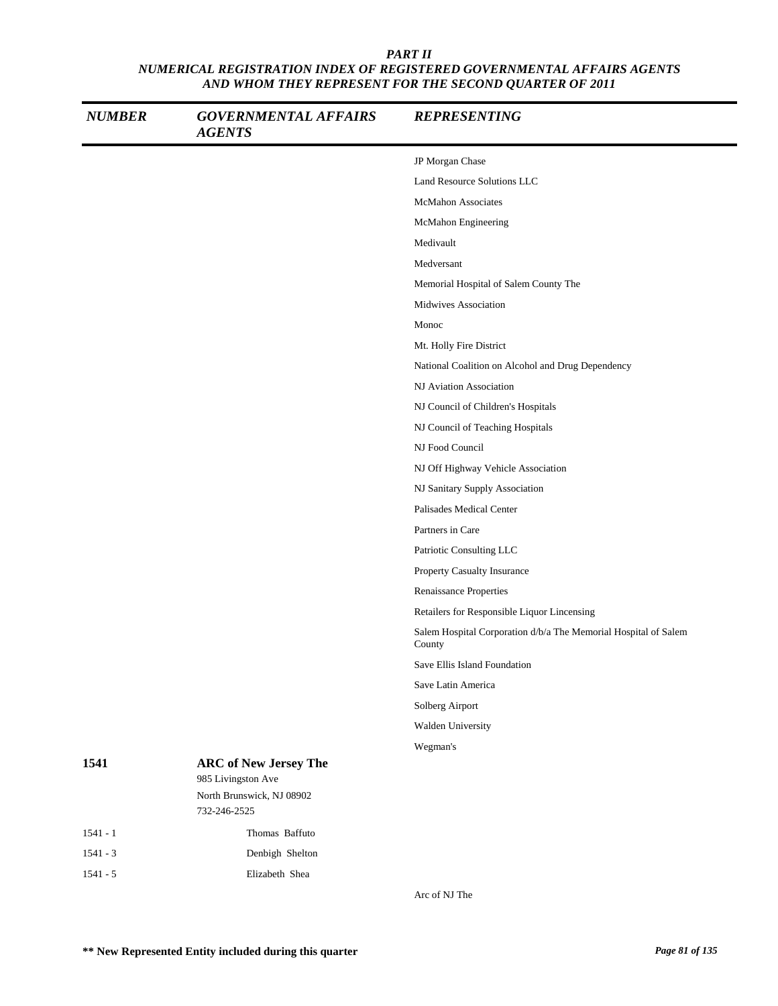| <b>NUMBER</b> | <b>GOVERNMENTAL AFFAIRS</b><br><b>AGENTS</b>    | <b>REPRESENTING</b>                                                       |
|---------------|-------------------------------------------------|---------------------------------------------------------------------------|
|               |                                                 | JP Morgan Chase                                                           |
|               |                                                 | Land Resource Solutions LLC                                               |
|               |                                                 | <b>McMahon Associates</b>                                                 |
|               |                                                 | McMahon Engineering                                                       |
|               |                                                 | Medivault                                                                 |
|               |                                                 | Medversant                                                                |
|               |                                                 | Memorial Hospital of Salem County The                                     |
|               |                                                 | Midwives Association                                                      |
|               |                                                 | Monoc                                                                     |
|               |                                                 | Mt. Holly Fire District                                                   |
|               |                                                 | National Coalition on Alcohol and Drug Dependency                         |
|               |                                                 | NJ Aviation Association                                                   |
|               |                                                 | NJ Council of Children's Hospitals                                        |
|               |                                                 | NJ Council of Teaching Hospitals                                          |
|               |                                                 | NJ Food Council                                                           |
|               |                                                 | NJ Off Highway Vehicle Association                                        |
|               |                                                 | NJ Sanitary Supply Association                                            |
|               |                                                 | Palisades Medical Center                                                  |
|               |                                                 | Partners in Care                                                          |
|               |                                                 | Patriotic Consulting LLC                                                  |
|               |                                                 | Property Casualty Insurance                                               |
|               |                                                 | Renaissance Properties                                                    |
|               |                                                 | Retailers for Responsible Liquor Lincensing                               |
|               |                                                 | Salem Hospital Corporation d/b/a The Memorial Hospital of Salem<br>County |
|               |                                                 | Save Ellis Island Foundation                                              |
|               |                                                 | Save Latin America                                                        |
|               |                                                 | Solberg Airport                                                           |
|               |                                                 | Walden University                                                         |
|               |                                                 | Wegman's                                                                  |
| 1541          | <b>ARC</b> of New Jersey The                    |                                                                           |
|               | 985 Livingston Ave<br>North Brunswick, NJ 08902 |                                                                           |
|               | 732-246-2525                                    |                                                                           |
| $1541 - 1$    | Thomas Baffuto                                  |                                                                           |
| $1541 - 3$    | Denbigh Shelton                                 |                                                                           |
| $1541 - 5$    | Elizabeth Shea                                  |                                                                           |

Arc of NJ The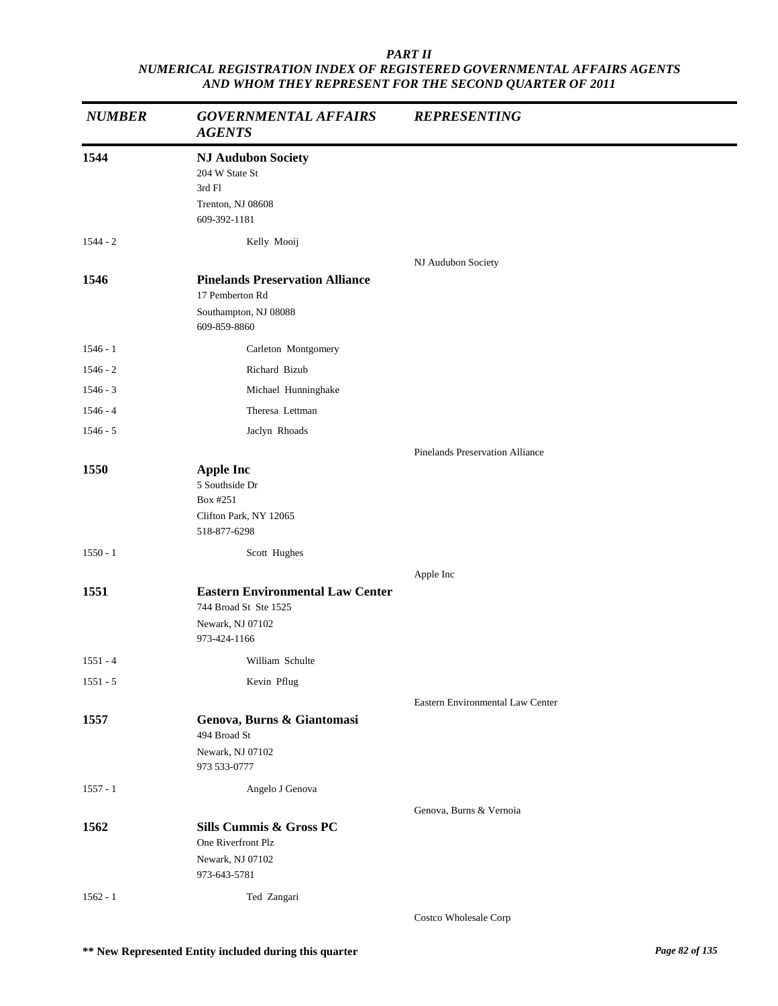| <b>NUMBER</b> | <b>GOVERNMENTAL AFFAIRS</b><br><b>AGENTS</b>                                                         | <b>REPRESENTING</b>                    |
|---------------|------------------------------------------------------------------------------------------------------|----------------------------------------|
| 1544          | <b>NJ Audubon Society</b><br>204 W State St<br>3rd Fl<br>Trenton, NJ 08608<br>609-392-1181           |                                        |
| $1544 - 2$    | Kelly Mooij                                                                                          |                                        |
| 1546          | <b>Pinelands Preservation Alliance</b><br>17 Pemberton Rd<br>Southampton, NJ 08088<br>609-859-8860   | NJ Audubon Society                     |
| $1546 - 1$    | Carleton Montgomery                                                                                  |                                        |
| $1546 - 2$    | Richard Bizub                                                                                        |                                        |
| $1546 - 3$    | Michael Hunninghake                                                                                  |                                        |
| $1546 - 4$    | Theresa Lettman                                                                                      |                                        |
| $1546 - 5$    | Jaclyn Rhoads                                                                                        |                                        |
|               |                                                                                                      | <b>Pinelands Preservation Alliance</b> |
| 1550          | <b>Apple Inc</b><br>5 Southside Dr<br>Box #251<br>Clifton Park, NY 12065<br>518-877-6298             |                                        |
| $1550 - 1$    | Scott Hughes                                                                                         |                                        |
|               |                                                                                                      | Apple Inc                              |
| 1551          | <b>Eastern Environmental Law Center</b><br>744 Broad St Ste 1525<br>Newark, NJ 07102<br>973-424-1166 |                                        |
| $1551 - 4$    | William Schulte                                                                                      |                                        |
| $1551 - 5$    | Kevin Pflug                                                                                          |                                        |
|               |                                                                                                      | Eastern Environmental Law Center       |
| 1557          | Genova, Burns & Giantomasi<br>494 Broad St<br>Newark, NJ 07102<br>973 533-0777                       |                                        |
| $1557 - 1$    | Angelo J Genova                                                                                      |                                        |
|               |                                                                                                      | Genova, Burns & Vernoia                |
| 1562          | Sills Cummis & Gross PC<br>One Riverfront Plz<br>Newark, NJ 07102<br>973-643-5781                    |                                        |
| $1562 - 1$    | Ted Zangari                                                                                          |                                        |
|               |                                                                                                      | Costco Wholesale Corp                  |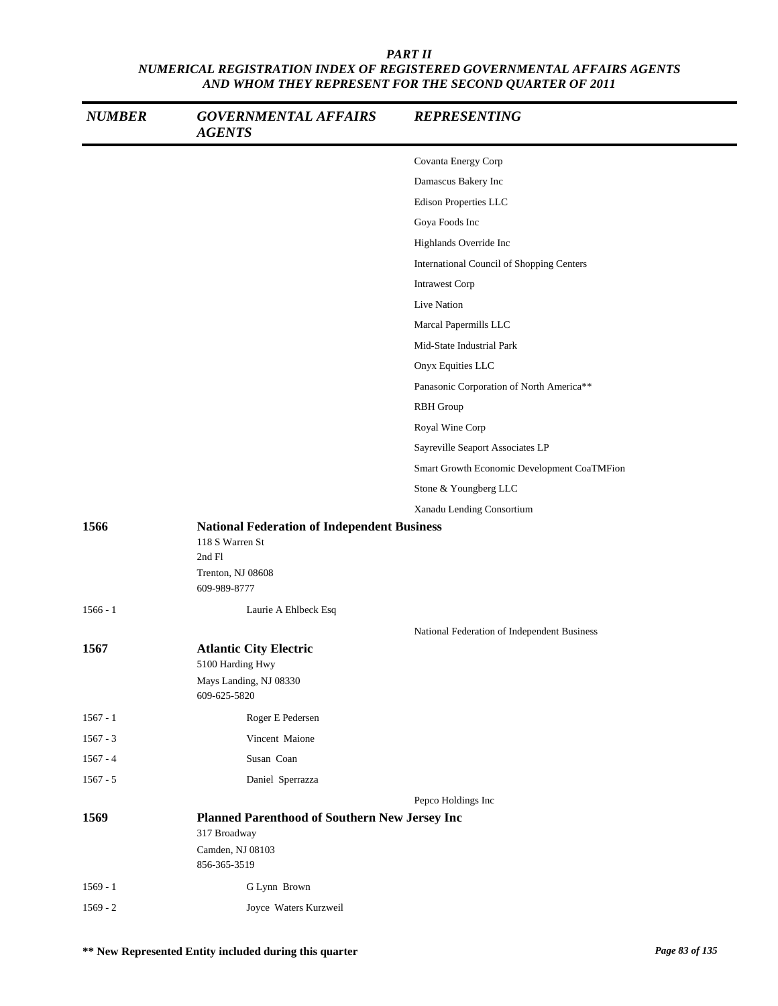| <b>NUMBER</b> | <b>GOVERNMENTAL AFFAIRS</b><br><b>AGENTS</b>                  | <b>REPRESENTING</b>                         |
|---------------|---------------------------------------------------------------|---------------------------------------------|
|               |                                                               | Covanta Energy Corp                         |
|               |                                                               | Damascus Bakery Inc                         |
|               |                                                               | Edison Properties LLC                       |
|               |                                                               | Goya Foods Inc                              |
|               |                                                               | Highlands Override Inc                      |
|               |                                                               | International Council of Shopping Centers   |
|               |                                                               | <b>Intrawest Corp</b>                       |
|               |                                                               | Live Nation                                 |
|               |                                                               | Marcal Papermills LLC                       |
|               |                                                               | Mid-State Industrial Park                   |
|               |                                                               | Onyx Equities LLC                           |
|               |                                                               | Panasonic Corporation of North America**    |
|               |                                                               | <b>RBH</b> Group                            |
|               |                                                               | Royal Wine Corp                             |
|               |                                                               | Sayreville Seaport Associates LP            |
|               |                                                               | Smart Growth Economic Development CoaTMFion |
|               |                                                               | Stone & Youngberg LLC                       |
|               |                                                               | Xanadu Lending Consortium                   |
| 1566          | <b>National Federation of Independent Business</b>            |                                             |
|               | 118 S Warren St                                               |                                             |
|               | 2nd Fl<br>Trenton, NJ 08608                                   |                                             |
|               | 609-989-8777                                                  |                                             |
| $1566 - 1$    | Laurie A Ehlbeck Esq                                          |                                             |
|               |                                                               | National Federation of Independent Business |
| 1567          | <b>Atlantic City Electric</b>                                 |                                             |
|               | 5100 Harding Hwy                                              |                                             |
|               | Mays Landing, NJ 08330<br>609-625-5820                        |                                             |
| $1567 - 1$    | Roger E Pedersen                                              |                                             |
| $1567 - 3$    | Vincent Maione                                                |                                             |
| $1567 - 4$    | Susan Coan                                                    |                                             |
| $1567 - 5$    | Daniel Sperrazza                                              |                                             |
|               |                                                               | Pepco Holdings Inc                          |
| 1569          | Planned Parenthood of Southern New Jersey Inc<br>317 Broadway |                                             |
|               | Camden, NJ 08103                                              |                                             |
|               | 856-365-3519                                                  |                                             |
| $1569 - 1$    | G Lynn Brown                                                  |                                             |
| $1569 - 2$    | Joyce Waters Kurzweil                                         |                                             |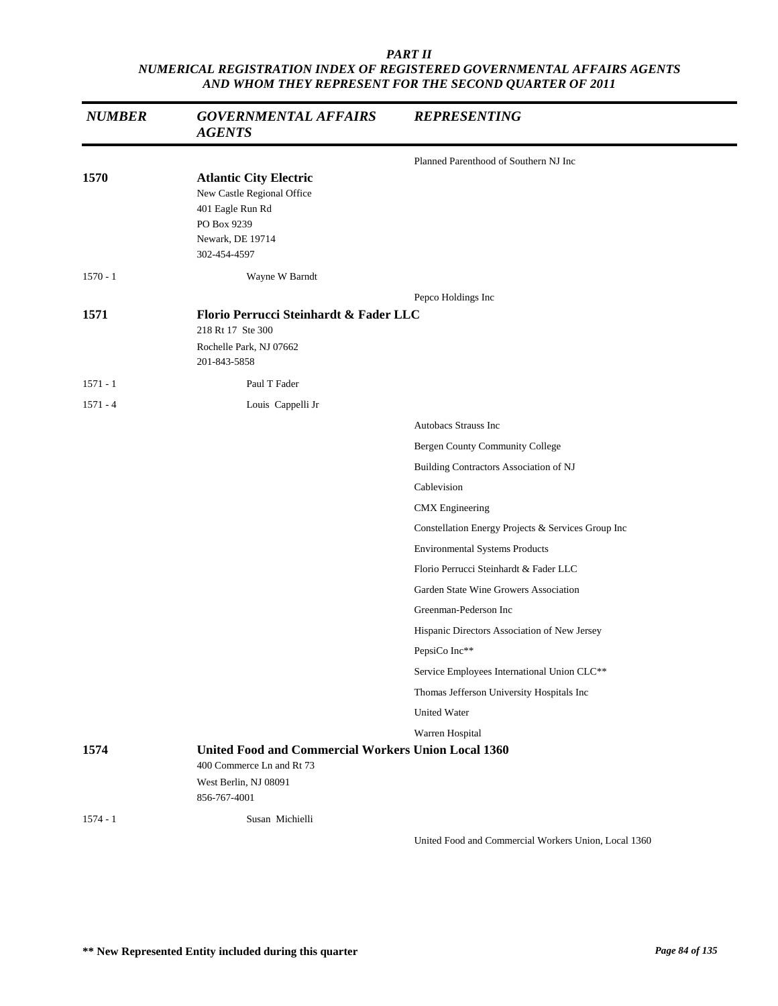| <b>NUMBER</b> | <b>GOVERNMENTAL AFFAIRS</b><br><b>AGENTS</b>                                                                                       | <b>REPRESENTING</b>                                  |
|---------------|------------------------------------------------------------------------------------------------------------------------------------|------------------------------------------------------|
|               |                                                                                                                                    | Planned Parenthood of Southern NJ Inc                |
| 1570          | <b>Atlantic City Electric</b><br>New Castle Regional Office<br>401 Eagle Run Rd<br>PO Box 9239<br>Newark, DE 19714<br>302-454-4597 |                                                      |
| $1570 - 1$    | Wayne W Barndt                                                                                                                     |                                                      |
|               |                                                                                                                                    | Pepco Holdings Inc                                   |
| 1571          | Florio Perrucci Steinhardt & Fader LLC<br>218 Rt 17 Ste 300<br>Rochelle Park, NJ 07662<br>201-843-5858                             |                                                      |
| $1571 - 1$    | Paul T Fader                                                                                                                       |                                                      |
| $1571 - 4$    | Louis Cappelli Jr                                                                                                                  |                                                      |
|               |                                                                                                                                    | Autobacs Strauss Inc                                 |
|               |                                                                                                                                    | Bergen County Community College                      |
|               |                                                                                                                                    | Building Contractors Association of NJ               |
|               |                                                                                                                                    | Cablevision                                          |
|               |                                                                                                                                    | <b>CMX</b> Engineering                               |
|               |                                                                                                                                    | Constellation Energy Projects & Services Group Inc   |
|               |                                                                                                                                    | <b>Environmental Systems Products</b>                |
|               |                                                                                                                                    | Florio Perrucci Steinhardt & Fader LLC               |
|               |                                                                                                                                    | Garden State Wine Growers Association                |
|               |                                                                                                                                    | Greenman-Pederson Inc                                |
|               |                                                                                                                                    | Hispanic Directors Association of New Jersey         |
|               |                                                                                                                                    | PepsiCo Inc**                                        |
|               |                                                                                                                                    | Service Employees International Union CLC**          |
|               |                                                                                                                                    | Thomas Jefferson University Hospitals Inc            |
|               |                                                                                                                                    | <b>United Water</b>                                  |
|               |                                                                                                                                    | Warren Hospital                                      |
| 1574          | United Food and Commercial Workers Union Local 1360<br>400 Commerce Ln and Rt 73<br>West Berlin, NJ 08091<br>856-767-4001          |                                                      |
| $1574 - 1$    | Susan Michielli                                                                                                                    |                                                      |
|               |                                                                                                                                    | United Food and Commercial Workers Union, Local 1360 |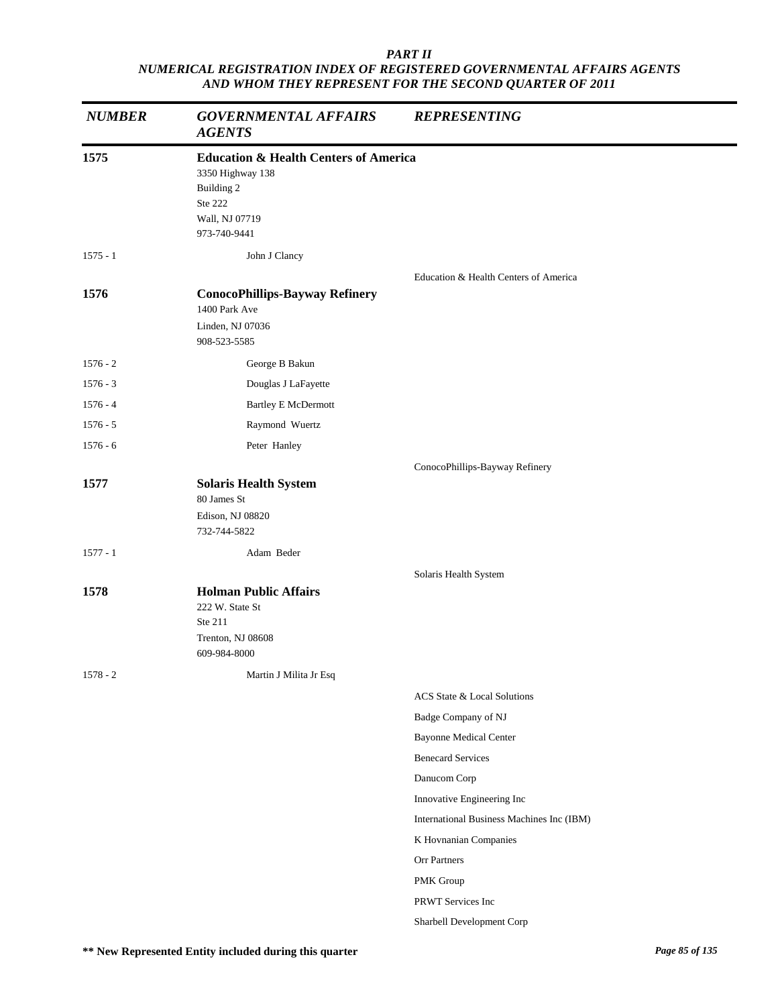| <b>NUMBER</b> | <b>GOVERNMENTAL AFFAIRS</b><br><b>AGENTS</b>                                                                                    | <b>REPRESENTING</b>                       |
|---------------|---------------------------------------------------------------------------------------------------------------------------------|-------------------------------------------|
| 1575          | <b>Education &amp; Health Centers of America</b><br>3350 Highway 138<br>Building 2<br>Ste 222<br>Wall, NJ 07719<br>973-740-9441 |                                           |
| $1575 - 1$    | John J Clancy                                                                                                                   |                                           |
| 1576          | <b>ConocoPhillips-Bayway Refinery</b><br>1400 Park Ave<br>Linden, NJ 07036<br>908-523-5585                                      | Education & Health Centers of America     |
| $1576 - 2$    | George B Bakun                                                                                                                  |                                           |
| $1576 - 3$    | Douglas J LaFayette                                                                                                             |                                           |
| $1576 - 4$    | <b>Bartley E McDermott</b>                                                                                                      |                                           |
| $1576 - 5$    | Raymond Wuertz                                                                                                                  |                                           |
| $1576 - 6$    | Peter Hanley                                                                                                                    |                                           |
| 1577          | <b>Solaris Health System</b><br>80 James St<br>Edison, NJ 08820<br>732-744-5822                                                 | ConocoPhillips-Bayway Refinery            |
| $1577 - 1$    | Adam Beder                                                                                                                      |                                           |
| 1578          | <b>Holman Public Affairs</b><br>222 W. State St<br>Ste 211<br>Trenton, NJ 08608<br>609-984-8000                                 | Solaris Health System                     |
| $1578 - 2$    | Martin J Milita Jr Esq                                                                                                          |                                           |
|               |                                                                                                                                 | ACS State & Local Solutions               |
|               |                                                                                                                                 | Badge Company of NJ                       |
|               |                                                                                                                                 | <b>Bayonne Medical Center</b>             |
|               |                                                                                                                                 | <b>Benecard Services</b>                  |
|               |                                                                                                                                 | Danucom Corp                              |
|               |                                                                                                                                 | Innovative Engineering Inc                |
|               |                                                                                                                                 | International Business Machines Inc (IBM) |
|               |                                                                                                                                 | K Hovnanian Companies                     |
|               |                                                                                                                                 | Orr Partners                              |
|               |                                                                                                                                 | PMK Group                                 |
|               |                                                                                                                                 | PRWT Services Inc                         |
|               |                                                                                                                                 | Sharbell Development Corp                 |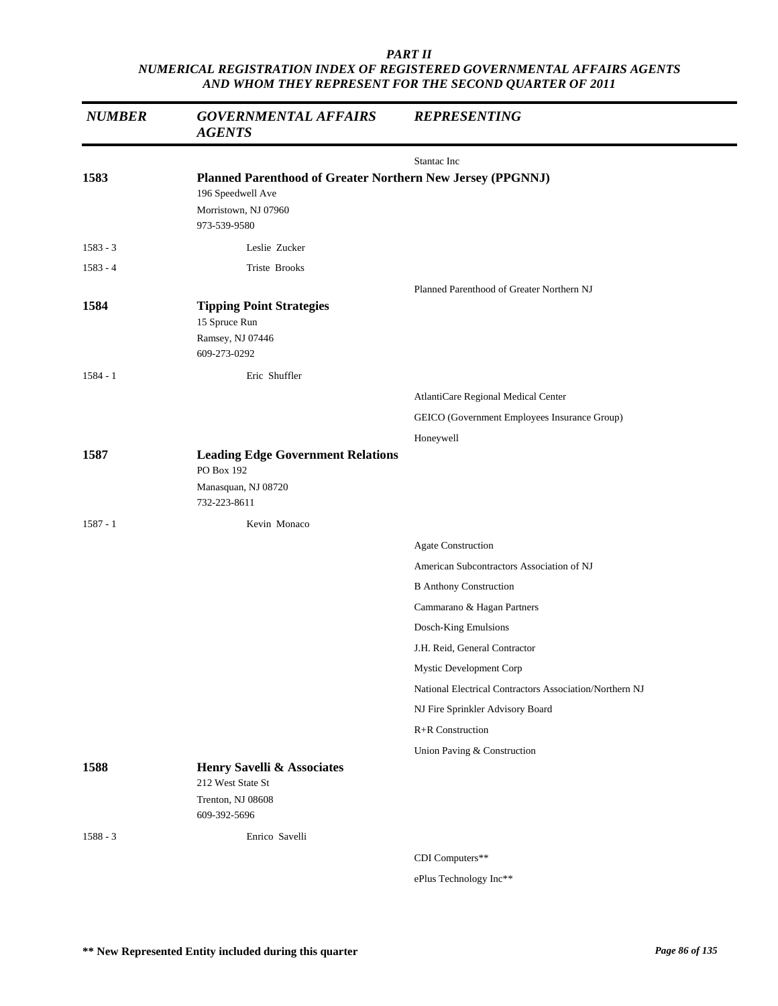| <b>NUMBER</b> | <b>GOVERNMENTAL AFFAIRS</b><br><b>AGENTS</b>                                                                            | <b>REPRESENTING</b>                                     |
|---------------|-------------------------------------------------------------------------------------------------------------------------|---------------------------------------------------------|
|               |                                                                                                                         | Stantac Inc                                             |
| 1583          | Planned Parenthood of Greater Northern New Jersey (PPGNNJ)<br>196 Speedwell Ave<br>Morristown, NJ 07960<br>973-539-9580 |                                                         |
| $1583 - 3$    | Leslie Zucker                                                                                                           |                                                         |
| $1583 - 4$    | Triste Brooks                                                                                                           |                                                         |
| 1584          | <b>Tipping Point Strategies</b><br>15 Spruce Run<br>Ramsey, NJ 07446<br>609-273-0292                                    | Planned Parenthood of Greater Northern NJ               |
| $1584 - 1$    | Eric Shuffler                                                                                                           |                                                         |
|               |                                                                                                                         | AtlantiCare Regional Medical Center                     |
|               |                                                                                                                         | GEICO (Government Employees Insurance Group)            |
|               |                                                                                                                         | Honeywell                                               |
| 1587          | <b>Leading Edge Government Relations</b><br>PO Box 192                                                                  |                                                         |
|               | Manasquan, NJ 08720<br>732-223-8611                                                                                     |                                                         |
| $1587 - 1$    | Kevin Monaco                                                                                                            |                                                         |
|               |                                                                                                                         | Agate Construction                                      |
|               |                                                                                                                         | American Subcontractors Association of NJ               |
|               |                                                                                                                         | <b>B</b> Anthony Construction                           |
|               |                                                                                                                         | Cammarano & Hagan Partners                              |
|               |                                                                                                                         | Dosch-King Emulsions                                    |
|               |                                                                                                                         | J.H. Reid, General Contractor                           |
|               |                                                                                                                         | Mystic Development Corp                                 |
|               |                                                                                                                         | National Electrical Contractors Association/Northern NJ |
|               |                                                                                                                         | NJ Fire Sprinkler Advisory Board                        |
|               |                                                                                                                         | R+R Construction                                        |
|               |                                                                                                                         | Union Paving & Construction                             |
| 1588          | Henry Savelli & Associates<br>212 West State St<br>Trenton, NJ 08608<br>609-392-5696                                    |                                                         |
| $1588 - 3$    | Enrico Savelli                                                                                                          |                                                         |
|               |                                                                                                                         | CDI Computers**                                         |

ePlus Technology Inc\*\*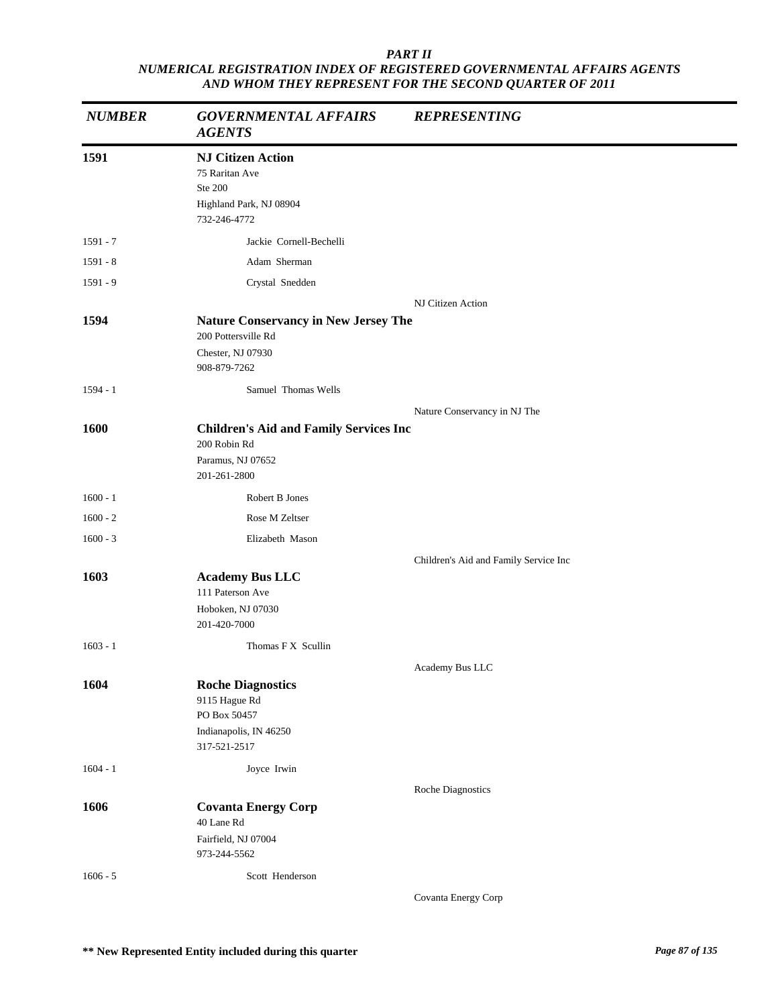| <b>NUMBER</b> | <b>GOVERNMENTAL AFFAIRS</b><br><b>AGENTS</b>                                                            | <b>REPRESENTING</b>                   |
|---------------|---------------------------------------------------------------------------------------------------------|---------------------------------------|
| 1591          | <b>NJ Citizen Action</b><br>75 Raritan Ave<br><b>Ste 200</b><br>Highland Park, NJ 08904<br>732-246-4772 |                                       |
| 1591 - 7      | Jackie Cornell-Bechelli                                                                                 |                                       |
| $1591 - 8$    | Adam Sherman                                                                                            |                                       |
| 1591 - 9      | Crystal Snedden                                                                                         |                                       |
|               |                                                                                                         | NJ Citizen Action                     |
| 1594          | <b>Nature Conservancy in New Jersey The</b><br>200 Pottersville Rd<br>Chester, NJ 07930<br>908-879-7262 |                                       |
| $1594 - 1$    | Samuel Thomas Wells                                                                                     |                                       |
|               |                                                                                                         | Nature Conservancy in NJ The          |
| 1600          | <b>Children's Aid and Family Services Inc</b><br>200 Robin Rd<br>Paramus, NJ 07652<br>201-261-2800      |                                       |
| $1600 - 1$    | Robert B Jones                                                                                          |                                       |
| $1600 - 2$    | Rose M Zeltser                                                                                          |                                       |
| $1600 - 3$    | Elizabeth Mason                                                                                         |                                       |
|               |                                                                                                         | Children's Aid and Family Service Inc |
| 1603          | <b>Academy Bus LLC</b><br>111 Paterson Ave<br>Hoboken, NJ 07030<br>201-420-7000                         |                                       |
| $1603 - 1$    | Thomas F X Scullin                                                                                      |                                       |
|               |                                                                                                         | Academy Bus LLC                       |
| 1604          | <b>Roche Diagnostics</b><br>9115 Hague Rd<br>PO Box 50457<br>Indianapolis, IN 46250<br>317-521-2517     |                                       |
| $1604 - 1$    | Joyce Irwin                                                                                             |                                       |
|               |                                                                                                         | Roche Diagnostics                     |
| 1606          | <b>Covanta Energy Corp</b><br>40 Lane Rd<br>Fairfield, NJ 07004<br>973-244-5562                         |                                       |
| $1606 - 5$    | Scott Henderson                                                                                         |                                       |
|               |                                                                                                         | Covanta Energy Corp                   |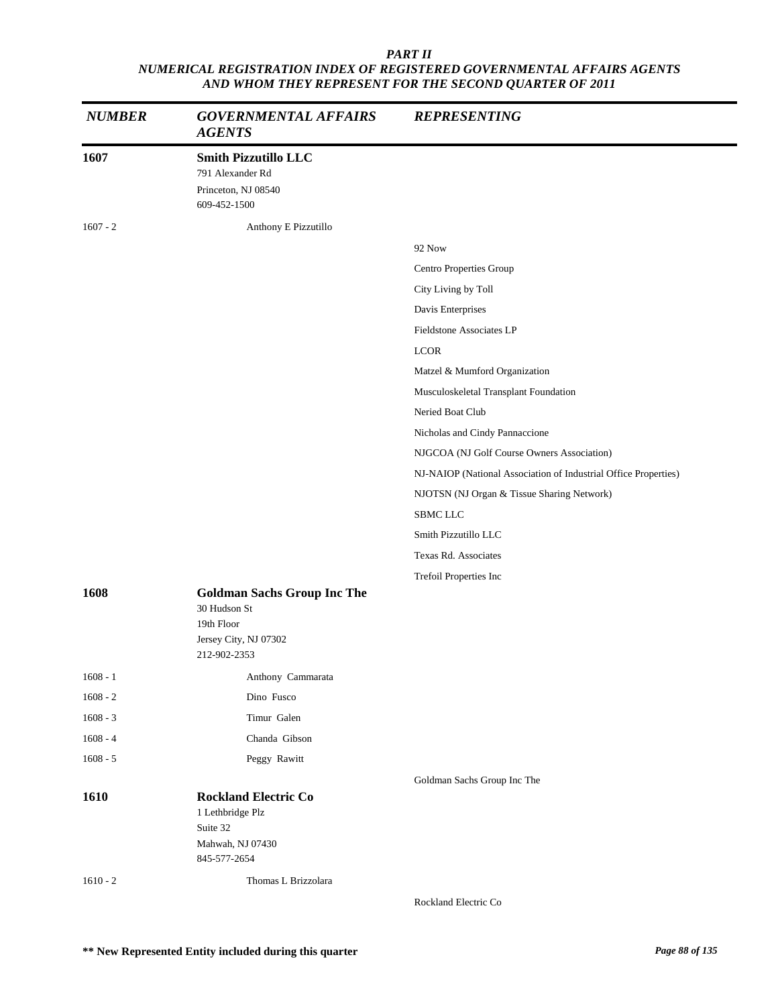| <b>NUMBER</b> | <b>GOVERNMENTAL AFFAIRS</b><br><b>AGENTS</b>                                                              | <b>REPRESENTING</b>                                             |
|---------------|-----------------------------------------------------------------------------------------------------------|-----------------------------------------------------------------|
| 1607          | <b>Smith Pizzutillo LLC</b><br>791 Alexander Rd<br>Princeton, NJ 08540<br>609-452-1500                    |                                                                 |
| $1607 - 2$    | Anthony E Pizzutillo                                                                                      |                                                                 |
|               |                                                                                                           | <b>92 Now</b>                                                   |
|               |                                                                                                           | Centro Properties Group                                         |
|               |                                                                                                           | City Living by Toll                                             |
|               |                                                                                                           | Davis Enterprises                                               |
|               |                                                                                                           | <b>Fieldstone Associates LP</b>                                 |
|               |                                                                                                           | <b>LCOR</b>                                                     |
|               |                                                                                                           | Matzel & Mumford Organization                                   |
|               |                                                                                                           | Musculoskeletal Transplant Foundation                           |
|               |                                                                                                           | Neried Boat Club                                                |
|               |                                                                                                           | Nicholas and Cindy Pannaccione                                  |
|               |                                                                                                           | NJGCOA (NJ Golf Course Owners Association)                      |
|               |                                                                                                           | NJ-NAIOP (National Association of Industrial Office Properties) |
|               |                                                                                                           | NJOTSN (NJ Organ & Tissue Sharing Network)                      |
|               |                                                                                                           | SBMC LLC                                                        |
|               |                                                                                                           | Smith Pizzutillo LLC                                            |
|               |                                                                                                           | Texas Rd. Associates                                            |
|               |                                                                                                           | Trefoil Properties Inc                                          |
| 1608          | <b>Goldman Sachs Group Inc The</b><br>30 Hudson St<br>19th Floor<br>Jersey City, NJ 07302<br>212-902-2353 |                                                                 |
| $1608 - 1$    | Anthony Cammarata                                                                                         |                                                                 |
| $1608 - 2$    | Dino Fusco                                                                                                |                                                                 |
| $1608 - 3$    | Timur Galen                                                                                               |                                                                 |
| $1608 - 4$    | Chanda Gibson                                                                                             |                                                                 |
| $1608 - 5$    | Peggy Rawitt                                                                                              |                                                                 |
|               |                                                                                                           | Goldman Sachs Group Inc The                                     |
| 1610          | <b>Rockland Electric Co</b><br>1 Lethbridge Plz<br>Suite 32<br>Mahwah, NJ 07430<br>845-577-2654           |                                                                 |
| $1610 - 2$    | Thomas L Brizzolara                                                                                       |                                                                 |
|               |                                                                                                           | Rockland Electric Co                                            |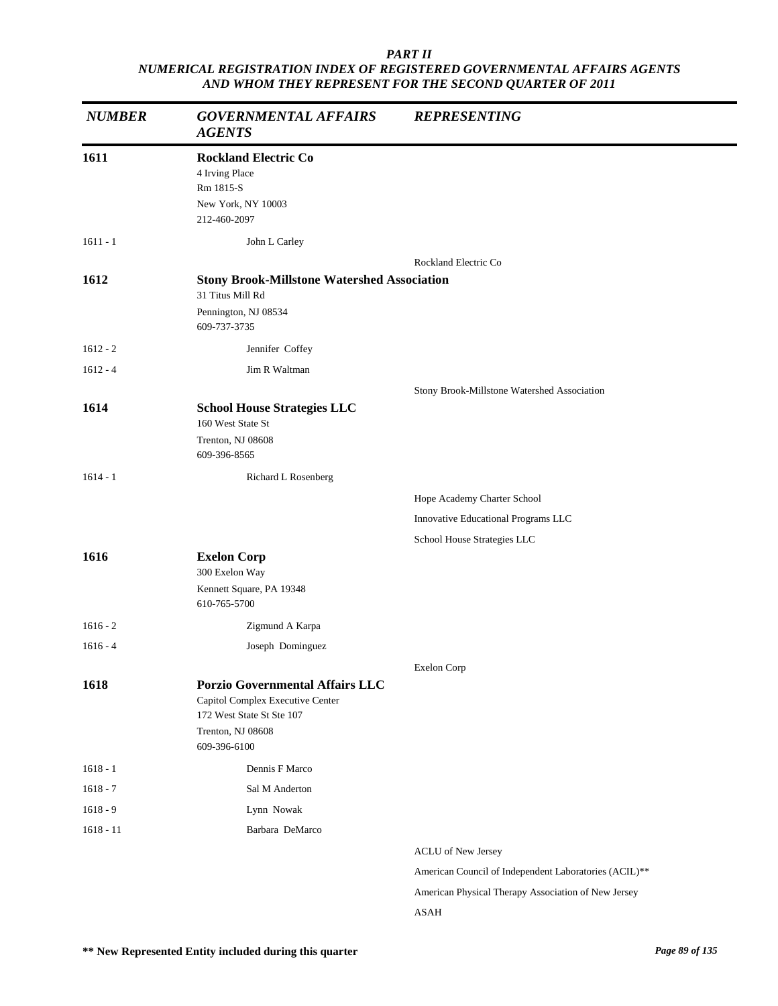| <b>NUMBER</b> | <b>GOVERNMENTAL AFFAIRS</b><br><b>AGENTS</b>                                                                                                 | <b>REPRESENTING</b>                                   |
|---------------|----------------------------------------------------------------------------------------------------------------------------------------------|-------------------------------------------------------|
| 1611          | <b>Rockland Electric Co</b><br>4 Irving Place<br>Rm 1815-S<br>New York, NY 10003<br>212-460-2097                                             |                                                       |
| $1611 - 1$    | John L Carley                                                                                                                                |                                                       |
| 1612          | <b>Stony Brook-Millstone Watershed Association</b><br>31 Titus Mill Rd<br>Pennington, NJ 08534<br>609-737-3735                               | Rockland Electric Co                                  |
| $1612 - 2$    | Jennifer Coffey                                                                                                                              |                                                       |
| $1612 - 4$    | Jim R Waltman                                                                                                                                |                                                       |
| 1614          | <b>School House Strategies LLC</b><br>160 West State St<br>Trenton, NJ 08608<br>609-396-8565                                                 | Stony Brook-Millstone Watershed Association           |
| $1614 - 1$    | Richard L Rosenberg                                                                                                                          |                                                       |
|               |                                                                                                                                              | Hope Academy Charter School                           |
|               |                                                                                                                                              | Innovative Educational Programs LLC                   |
|               |                                                                                                                                              | School House Strategies LLC                           |
| 1616          | <b>Exelon Corp</b><br>300 Exelon Way<br>Kennett Square, PA 19348<br>610-765-5700                                                             |                                                       |
| $1616 - 2$    | Zigmund A Karpa                                                                                                                              |                                                       |
| $1616 - 4$    | Joseph Dominguez                                                                                                                             |                                                       |
|               |                                                                                                                                              | Exelon Corp                                           |
| 1618          | <b>Porzio Governmental Affairs LLC</b><br>Capitol Complex Executive Center<br>172 West State St Ste 107<br>Trenton, NJ 08608<br>609-396-6100 |                                                       |
| $1618 - 1$    | Dennis F Marco                                                                                                                               |                                                       |
| $1618 - 7$    | Sal M Anderton                                                                                                                               |                                                       |
| $1618 - 9$    | Lynn Nowak                                                                                                                                   |                                                       |
| $1618 - 11$   | Barbara DeMarco                                                                                                                              |                                                       |
|               |                                                                                                                                              | <b>ACLU</b> of New Jersey                             |
|               |                                                                                                                                              | American Council of Independent Laboratories (ACIL)** |
|               |                                                                                                                                              | American Physical Therapy Association of New Jersey   |
|               |                                                                                                                                              | ASAH                                                  |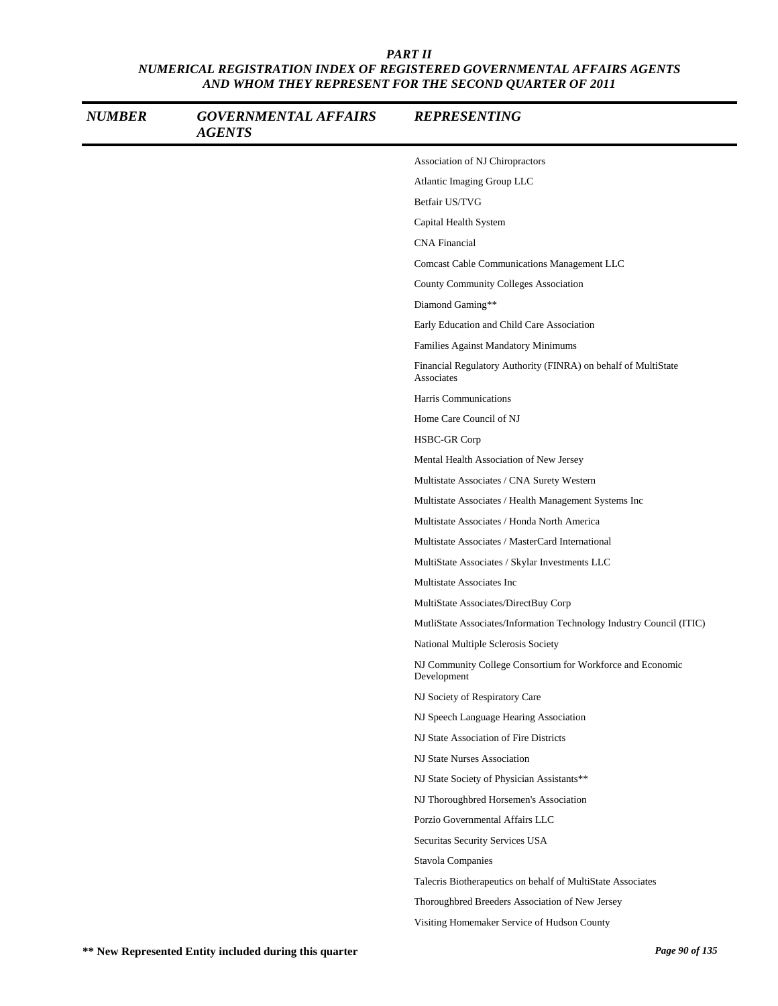| <b>NUMBER</b> | <b>GOVERNMENTAL AFFAIRS</b><br><b>AGENTS</b> | <b>REPRESENTING</b>                                                          |
|---------------|----------------------------------------------|------------------------------------------------------------------------------|
|               |                                              | Association of NJ Chiropractors                                              |
|               |                                              | Atlantic Imaging Group LLC                                                   |
|               |                                              | Betfair US/TVG                                                               |
|               |                                              | Capital Health System                                                        |
|               |                                              | <b>CNA</b> Financial                                                         |
|               |                                              | Comcast Cable Communications Management LLC                                  |
|               |                                              | County Community Colleges Association                                        |
|               |                                              | Diamond Gaming**                                                             |
|               |                                              | Early Education and Child Care Association                                   |
|               |                                              | Families Against Mandatory Minimums                                          |
|               |                                              | Financial Regulatory Authority (FINRA) on behalf of MultiState<br>Associates |
|               |                                              | Harris Communications                                                        |
|               |                                              | Home Care Council of NJ                                                      |
|               |                                              | HSBC-GR Corp                                                                 |
|               |                                              | Mental Health Association of New Jersey                                      |
|               |                                              | Multistate Associates / CNA Surety Western                                   |
|               |                                              | Multistate Associates / Health Management Systems Inc                        |
|               |                                              | Multistate Associates / Honda North America                                  |
|               |                                              | Multistate Associates / MasterCard International                             |
|               |                                              | MultiState Associates / Skylar Investments LLC                               |
|               |                                              | Multistate Associates Inc                                                    |
|               |                                              | MultiState Associates/DirectBuy Corp                                         |
|               |                                              | MutliState Associates/Information Technology Industry Council (ITIC)         |
|               |                                              | National Multiple Sclerosis Society                                          |
|               |                                              | NJ Community College Consortium for Workforce and Economic<br>Development    |
|               |                                              | NJ Society of Respiratory Care                                               |
|               |                                              | NJ Speech Language Hearing Association                                       |
|               |                                              | NJ State Association of Fire Districts                                       |
|               |                                              | NJ State Nurses Association                                                  |
|               |                                              | NJ State Society of Physician Assistants**                                   |
|               |                                              | NJ Thoroughbred Horsemen's Association                                       |
|               |                                              | Porzio Governmental Affairs LLC                                              |
|               |                                              | Securitas Security Services USA                                              |
|               |                                              | Stavola Companies                                                            |
|               |                                              | Talecris Biotherapeutics on behalf of MultiState Associates                  |
|               |                                              | Thoroughbred Breeders Association of New Jersey                              |
|               |                                              | Visiting Homemaker Service of Hudson County                                  |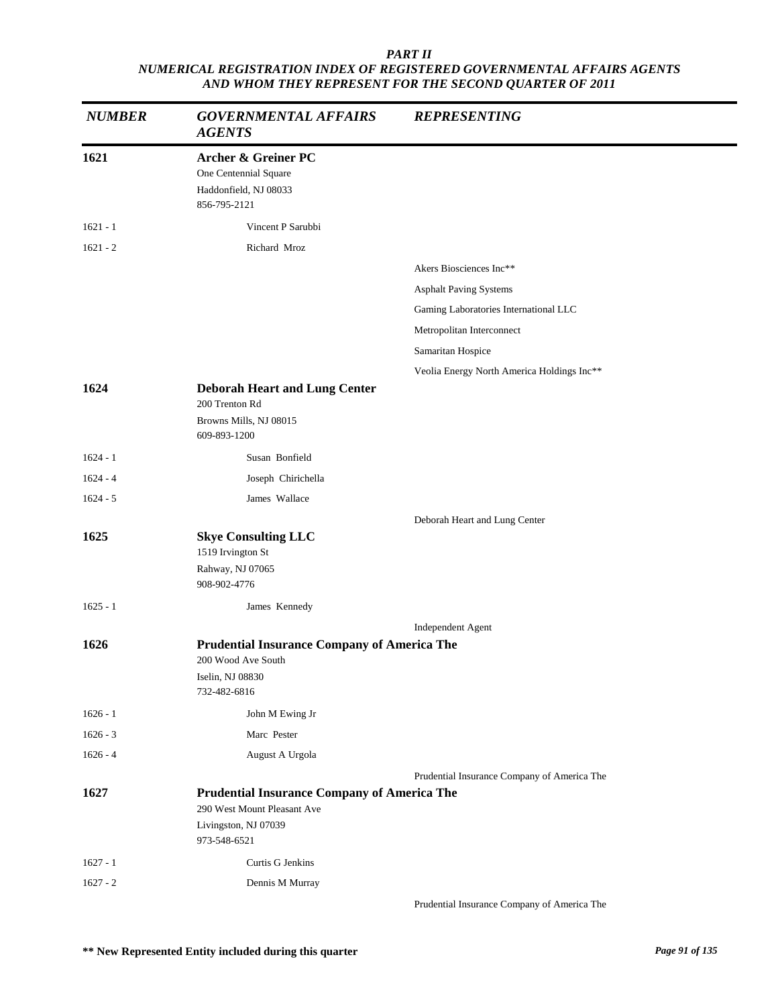| <b>NUMBER</b> | <b>GOVERNMENTAL AFFAIRS</b><br><b>AGENTS</b>                                                     | <b>REPRESENTING</b>                         |
|---------------|--------------------------------------------------------------------------------------------------|---------------------------------------------|
| 1621          | <b>Archer &amp; Greiner PC</b><br>One Centennial Square<br>Haddonfield, NJ 08033<br>856-795-2121 |                                             |
| $1621 - 1$    | Vincent P Sarubbi                                                                                |                                             |
| $1621 - 2$    | Richard Mroz                                                                                     |                                             |
|               |                                                                                                  | Akers Biosciences Inc**                     |
|               |                                                                                                  | <b>Asphalt Paving Systems</b>               |
|               |                                                                                                  | Gaming Laboratories International LLC       |
|               |                                                                                                  | Metropolitan Interconnect                   |
|               |                                                                                                  | Samaritan Hospice                           |
|               |                                                                                                  | Veolia Energy North America Holdings Inc**  |
| 1624          | <b>Deborah Heart and Lung Center</b><br>200 Trenton Rd<br>Browns Mills, NJ 08015<br>609-893-1200 |                                             |
| $1624 - 1$    | Susan Bonfield                                                                                   |                                             |
| $1624 - 4$    | Joseph Chirichella                                                                               |                                             |
| $1624 - 5$    | James Wallace                                                                                    |                                             |
|               |                                                                                                  | Deborah Heart and Lung Center               |
| 1625          | <b>Skye Consulting LLC</b><br>1519 Irvington St<br>Rahway, NJ 07065                              |                                             |
|               | 908-902-4776                                                                                     |                                             |
| $1625 - 1$    | James Kennedy                                                                                    |                                             |
|               |                                                                                                  | Independent Agent                           |
| 1626          | <b>Prudential Insurance Company of America The</b>                                               |                                             |
|               | 200 Wood Ave South<br>Iselin, NJ 08830<br>732-482-6816                                           |                                             |
| $1626 - 1$    | John M Ewing Jr                                                                                  |                                             |
| $1626 - 3$    | Marc Pester                                                                                      |                                             |
| $1626 - 4$    | August A Urgola                                                                                  |                                             |
|               |                                                                                                  | Prudential Insurance Company of America The |
| 1627          | <b>Prudential Insurance Company of America The</b><br>290 West Mount Pleasant Ave                |                                             |
|               | Livingston, NJ 07039<br>973-548-6521                                                             |                                             |
| $1627 - 1$    | Curtis G Jenkins                                                                                 |                                             |
| $1627 - 2$    | Dennis M Murray                                                                                  |                                             |
|               |                                                                                                  | Prudential Insurance Company of America The |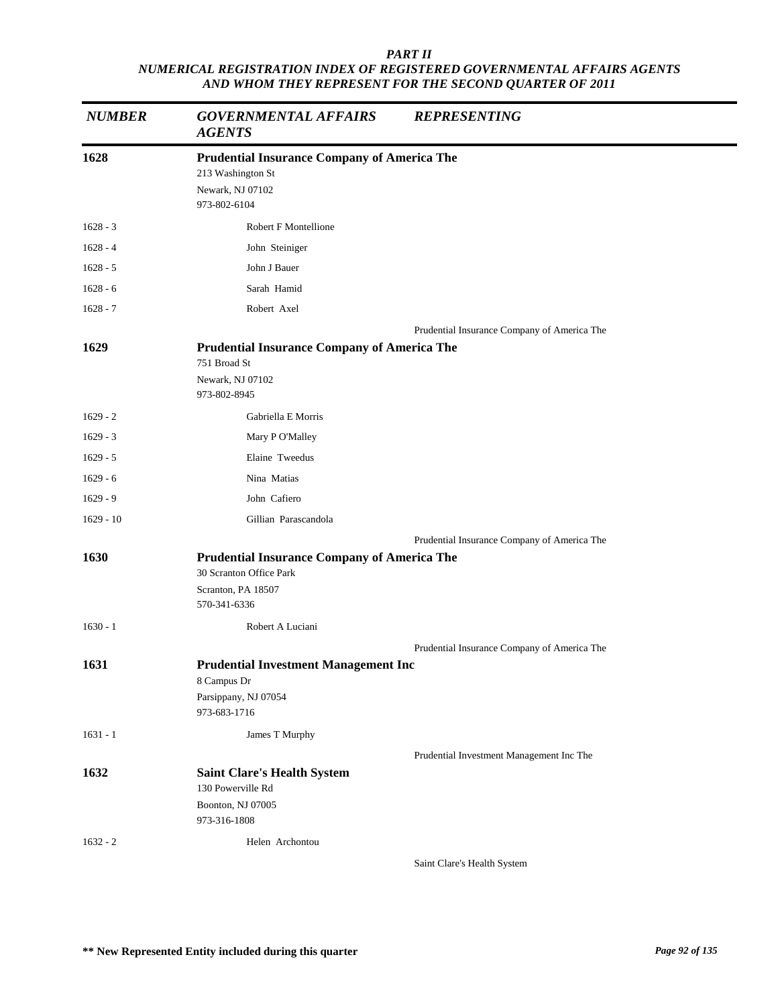| <b>NUMBER</b> | <b>GOVERNMENTAL AFFAIRS</b><br><b>AGENTS</b>                                                                        | <b>REPRESENTING</b>                         |
|---------------|---------------------------------------------------------------------------------------------------------------------|---------------------------------------------|
| 1628          | <b>Prudential Insurance Company of America The</b><br>213 Washington St<br>Newark, NJ 07102<br>973-802-6104         |                                             |
| $1628 - 3$    | Robert F Montellione                                                                                                |                                             |
| $1628 - 4$    | John Steiniger                                                                                                      |                                             |
| $1628 - 5$    | John J Bauer                                                                                                        |                                             |
| $1628 - 6$    | Sarah Hamid                                                                                                         |                                             |
| $1628 - 7$    | Robert Axel                                                                                                         |                                             |
| 1629          | <b>Prudential Insurance Company of America The</b>                                                                  | Prudential Insurance Company of America The |
|               | 751 Broad St<br>Newark, NJ 07102<br>973-802-8945                                                                    |                                             |
| $1629 - 2$    | Gabriella E Morris                                                                                                  |                                             |
| $1629 - 3$    | Mary P O'Malley                                                                                                     |                                             |
| $1629 - 5$    | Elaine Tweedus                                                                                                      |                                             |
| $1629 - 6$    | Nina Matias                                                                                                         |                                             |
| $1629 - 9$    | John Cafiero                                                                                                        |                                             |
| $1629 - 10$   | Gillian Parascandola                                                                                                |                                             |
|               |                                                                                                                     | Prudential Insurance Company of America The |
| 1630          | <b>Prudential Insurance Company of America The</b><br>30 Scranton Office Park<br>Scranton, PA 18507<br>570-341-6336 |                                             |
| $1630 - 1$    | Robert A Luciani                                                                                                    |                                             |
|               |                                                                                                                     | Prudential Insurance Company of America The |
| 1631          | <b>Prudential Investment Management Inc</b><br>8 Campus Dr<br>Parsippany, NJ 07054<br>973-683-1716                  |                                             |
| $1631 - 1$    | James T Murphy                                                                                                      |                                             |
|               |                                                                                                                     | Prudential Investment Management Inc The    |
| 1632          | <b>Saint Clare's Health System</b><br>130 Powerville Rd<br>Boonton, NJ 07005<br>973-316-1808                        |                                             |
| $1632 - 2$    | Helen Archontou                                                                                                     |                                             |
|               |                                                                                                                     | Saint Clare's Health System                 |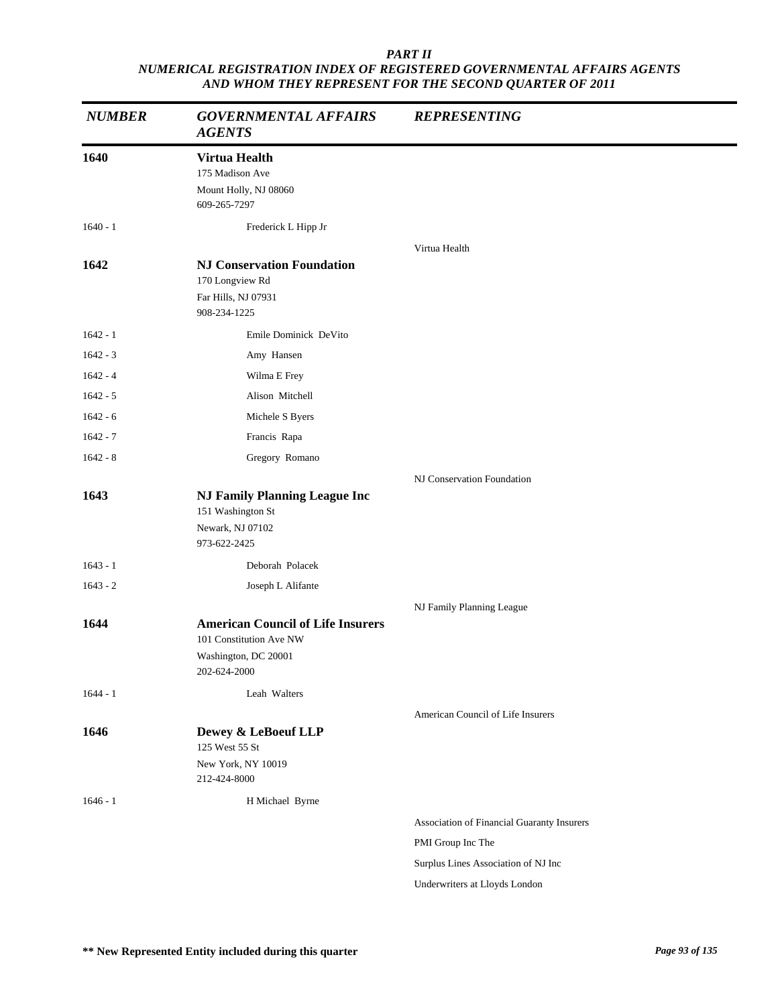| <b>NUMBER</b> | <b>GOVERNMENTAL AFFAIRS</b><br><b>AGENTS</b>                                                  | <b>REPRESENTING</b>                        |
|---------------|-----------------------------------------------------------------------------------------------|--------------------------------------------|
| 1640          | Virtua Health<br>175 Madison Ave<br>Mount Holly, NJ 08060<br>609-265-7297                     |                                            |
| $1640 - 1$    | Frederick L Hipp Jr                                                                           |                                            |
| 1642          | <b>NJ Conservation Foundation</b><br>170 Longview Rd<br>Far Hills, NJ 07931<br>908-234-1225   | Virtua Health                              |
| $1642 - 1$    | Emile Dominick DeVito                                                                         |                                            |
| $1642 - 3$    | Amy Hansen                                                                                    |                                            |
| $1642 - 4$    | Wilma E Frey                                                                                  |                                            |
| $1642 - 5$    | Alison Mitchell                                                                               |                                            |
| $1642 - 6$    | Michele S Byers                                                                               |                                            |
| $1642 - 7$    | Francis Rapa                                                                                  |                                            |
| $1642 - 8$    | Gregory Romano                                                                                |                                            |
| 1643          | <b>NJ Family Planning League Inc</b><br>151 Washington St<br>Newark, NJ 07102<br>973-622-2425 | NJ Conservation Foundation                 |
| $1643 - 1$    | Deborah Polacek                                                                               |                                            |
| $1643 - 2$    | Joseph L Alifante                                                                             |                                            |
| 1644          | <b>American Council of Life Insurers</b><br>101 Constitution Ave NW                           | NJ Family Planning League                  |
|               | Washington, DC 20001<br>202-624-2000                                                          |                                            |
| $1644 - 1$    | Leah Walters                                                                                  |                                            |
| 1646          | Dewey & LeBoeuf LLP<br>125 West 55 St<br>New York, NY 10019<br>212-424-8000                   | American Council of Life Insurers          |
| $1646 - 1$    | H Michael Byrne                                                                               |                                            |
|               |                                                                                               | Association of Financial Guaranty Insurers |
|               |                                                                                               | PMI Group Inc The                          |
|               |                                                                                               | Surplus Lines Association of NJ Inc        |
|               |                                                                                               | Underwriters at Lloyds London              |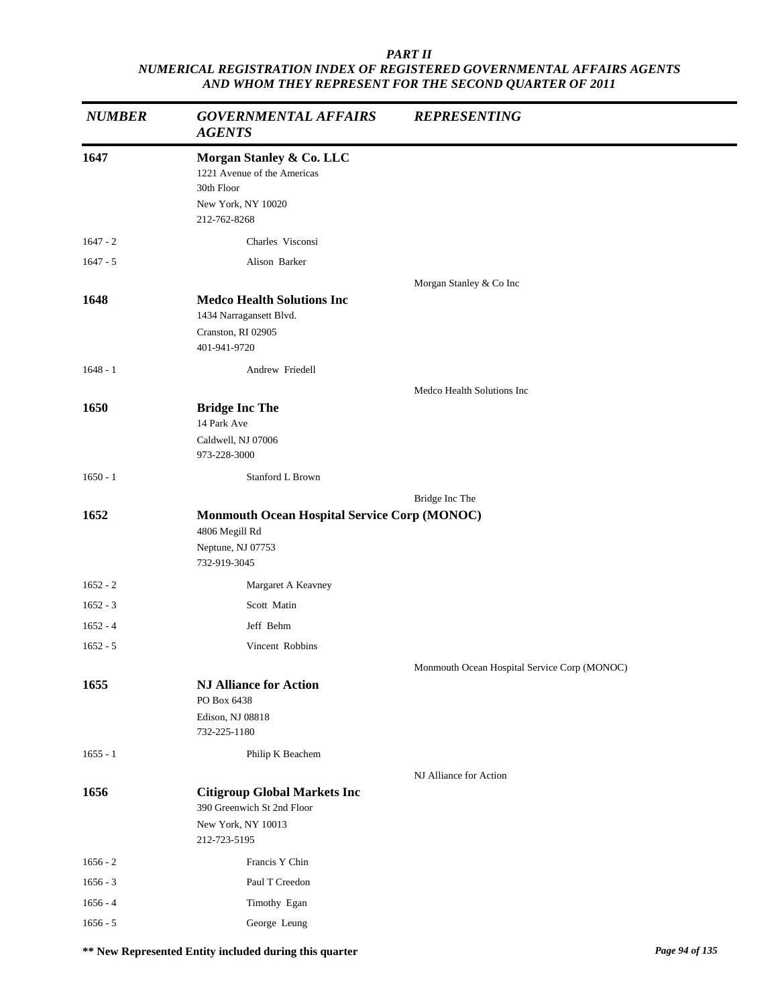| <b>NUMBER</b> | <b>GOVERNMENTAL AFFAIRS</b><br><b>AGENTS</b>                                                                | <b>REPRESENTING</b>                          |
|---------------|-------------------------------------------------------------------------------------------------------------|----------------------------------------------|
| 1647          | Morgan Stanley & Co. LLC<br>1221 Avenue of the Americas<br>30th Floor<br>New York, NY 10020<br>212-762-8268 |                                              |
| $1647 - 2$    | Charles Visconsi                                                                                            |                                              |
| $1647 - 5$    | Alison Barker                                                                                               |                                              |
|               |                                                                                                             | Morgan Stanley & Co Inc                      |
| 1648          | <b>Medco Health Solutions Inc</b><br>1434 Narragansett Blvd.<br>Cranston, RI 02905<br>401-941-9720          |                                              |
| $1648 - 1$    | Andrew Friedell                                                                                             |                                              |
|               |                                                                                                             | Medco Health Solutions Inc                   |
| 1650          | <b>Bridge Inc The</b><br>14 Park Ave<br>Caldwell, NJ 07006<br>973-228-3000                                  |                                              |
| $1650 - 1$    | Stanford L Brown                                                                                            |                                              |
|               |                                                                                                             | Bridge Inc The                               |
| 1652          | <b>Monmouth Ocean Hospital Service Corp (MONOC)</b><br>4806 Megill Rd<br>Neptune, NJ 07753<br>732-919-3045  |                                              |
| $1652 - 2$    | Margaret A Keavney                                                                                          |                                              |
| $1652 - 3$    | Scott Matin                                                                                                 |                                              |
| $1652 - 4$    | Jeff Behm                                                                                                   |                                              |
| $1652 - 5$    | Vincent Robbins                                                                                             |                                              |
|               |                                                                                                             | Monmouth Ocean Hospital Service Corp (MONOC) |
| 1655          | <b>NJ Alliance for Action</b><br>PO Box 6438<br>Edison, NJ 08818<br>732-225-1180                            |                                              |
| $1655 - 1$    | Philip K Beachem                                                                                            |                                              |
|               |                                                                                                             | NJ Alliance for Action                       |
| 1656          | <b>Citigroup Global Markets Inc</b><br>390 Greenwich St 2nd Floor<br>New York, NY 10013<br>212-723-5195     |                                              |
| $1656 - 2$    | Francis Y Chin                                                                                              |                                              |
| $1656 - 3$    | Paul T Creedon                                                                                              |                                              |
| $1656 - 4$    | Timothy Egan                                                                                                |                                              |
| $1656 - 5$    | George Leung                                                                                                |                                              |

**\*\* New Represented Entity included during this quarter** *Page 94 of 135*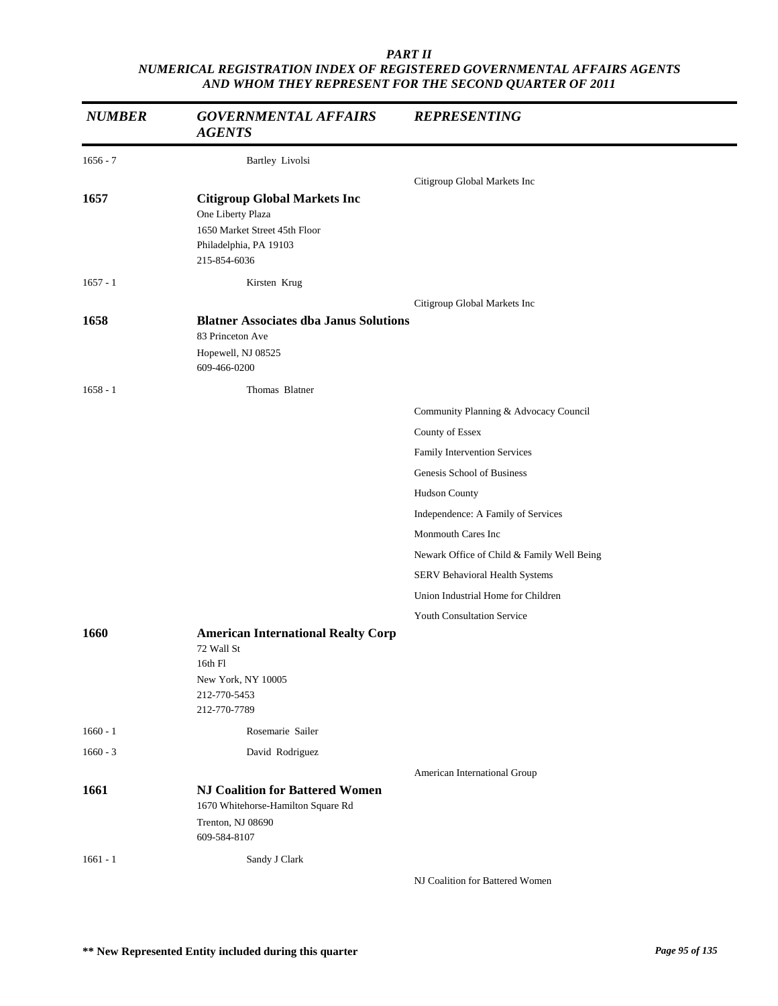| <b>NUMBER</b>            | <b>GOVERNMENTAL AFFAIRS</b><br><b>AGENTS</b>                                                                                        | <b>REPRESENTING</b>                        |
|--------------------------|-------------------------------------------------------------------------------------------------------------------------------------|--------------------------------------------|
| $1656 - 7$               | <b>Bartley Livolsi</b>                                                                                                              |                                            |
|                          |                                                                                                                                     | Citigroup Global Markets Inc               |
| 1657                     | <b>Citigroup Global Markets Inc</b><br>One Liberty Plaza<br>1650 Market Street 45th Floor<br>Philadelphia, PA 19103<br>215-854-6036 |                                            |
| $1657 - 1$               | Kirsten Krug                                                                                                                        |                                            |
|                          |                                                                                                                                     | Citigroup Global Markets Inc               |
| 1658                     | <b>Blatner Associates dba Janus Solutions</b><br>83 Princeton Ave<br>Hopewell, NJ 08525<br>609-466-0200                             |                                            |
| $1658 - 1$               | Thomas Blatner                                                                                                                      |                                            |
|                          |                                                                                                                                     | Community Planning & Advocacy Council      |
|                          |                                                                                                                                     | County of Essex                            |
|                          |                                                                                                                                     | Family Intervention Services               |
|                          |                                                                                                                                     | Genesis School of Business                 |
|                          |                                                                                                                                     | Hudson County                              |
|                          |                                                                                                                                     | Independence: A Family of Services         |
|                          |                                                                                                                                     | Monmouth Cares Inc                         |
|                          |                                                                                                                                     | Newark Office of Child & Family Well Being |
|                          |                                                                                                                                     | SERV Behavioral Health Systems             |
|                          |                                                                                                                                     | Union Industrial Home for Children         |
| 1660                     | <b>American International Realty Corp</b><br>72 Wall St<br>16th Fl<br>New York, NY 10005<br>212-770-5453<br>212-770-7789            | Youth Consultation Service                 |
|                          |                                                                                                                                     |                                            |
| $1660 - 1$<br>$1660 - 3$ | Rosemarie Sailer                                                                                                                    |                                            |
|                          | David Rodriguez                                                                                                                     |                                            |
| 1661                     | <b>NJ Coalition for Battered Women</b><br>1670 Whitehorse-Hamilton Square Rd<br>Trenton, NJ 08690<br>609-584-8107                   | American International Group               |
| $1661 - 1$               | Sandy J Clark                                                                                                                       |                                            |
|                          |                                                                                                                                     | NJ Coalition for Battered Women            |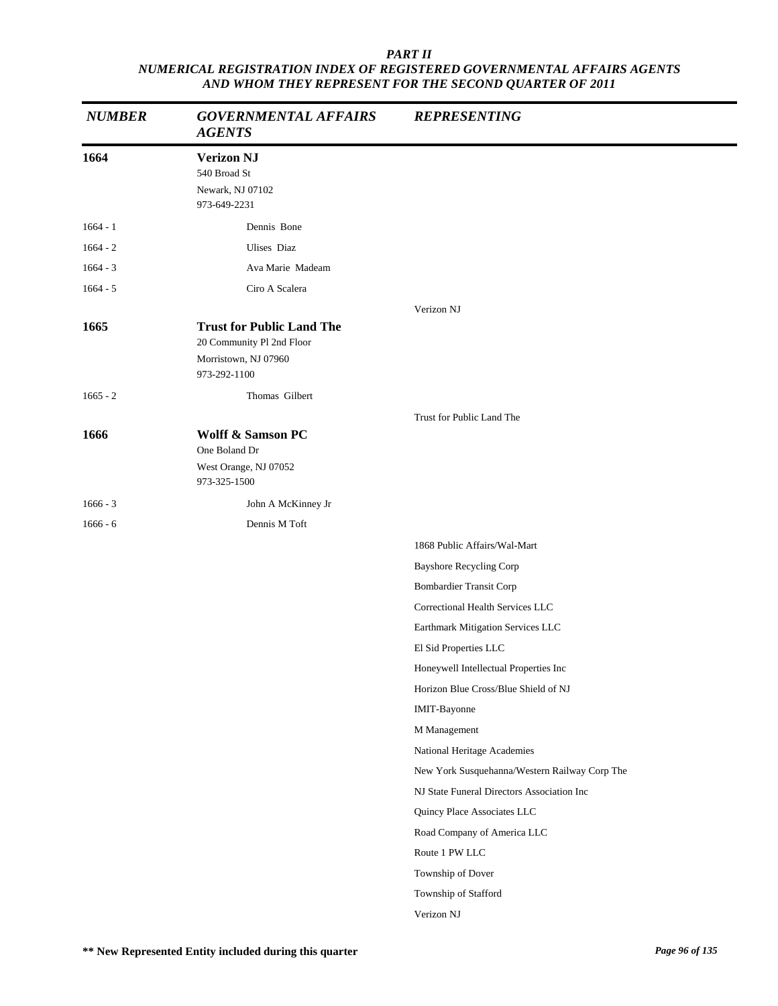| <b>NUMBER</b> | <b>GOVERNMENTAL AFFAIRS</b><br><b>AGENTS</b>                                                          | <b>REPRESENTING</b>                           |
|---------------|-------------------------------------------------------------------------------------------------------|-----------------------------------------------|
| 1664          | <b>Verizon NJ</b><br>540 Broad St<br>Newark, NJ 07102<br>973-649-2231                                 |                                               |
| $1664 - 1$    | Dennis Bone                                                                                           |                                               |
| $1664 - 2$    | Ulises Diaz                                                                                           |                                               |
| $1664 - 3$    | Ava Marie Madeam                                                                                      |                                               |
| $1664 - 5$    | Ciro A Scalera                                                                                        |                                               |
|               |                                                                                                       | Verizon NJ                                    |
| 1665          | <b>Trust for Public Land The</b><br>20 Community Pl 2nd Floor<br>Morristown, NJ 07960<br>973-292-1100 |                                               |
| $1665 - 2$    | Thomas Gilbert                                                                                        |                                               |
|               |                                                                                                       | Trust for Public Land The                     |
| 1666          | <b>Wolff &amp; Samson PC</b><br>One Boland Dr<br>West Orange, NJ 07052<br>973-325-1500                |                                               |
| $1666 - 3$    | John A McKinney Jr                                                                                    |                                               |
| $1666 - 6$    | Dennis M Toft                                                                                         |                                               |
|               |                                                                                                       | 1868 Public Affairs/Wal-Mart                  |
|               |                                                                                                       | <b>Bayshore Recycling Corp</b>                |
|               |                                                                                                       | <b>Bombardier Transit Corp</b>                |
|               |                                                                                                       | Correctional Health Services LLC              |
|               |                                                                                                       | Earthmark Mitigation Services LLC             |
|               |                                                                                                       | El Sid Properties LLC                         |
|               |                                                                                                       | Honeywell Intellectual Properties Inc         |
|               |                                                                                                       | Horizon Blue Cross/Blue Shield of NJ          |
|               |                                                                                                       | IMIT-Bayonne                                  |
|               |                                                                                                       | M Management                                  |
|               |                                                                                                       | National Heritage Academies                   |
|               |                                                                                                       | New York Susquehanna/Western Railway Corp The |
|               |                                                                                                       | NJ State Funeral Directors Association Inc    |
|               |                                                                                                       | Quincy Place Associates LLC                   |
|               |                                                                                                       | Road Company of America LLC                   |
|               |                                                                                                       | Route 1 PW LLC                                |
|               |                                                                                                       | Township of Dover                             |
|               |                                                                                                       | Township of Stafford                          |
|               |                                                                                                       | Verizon NJ                                    |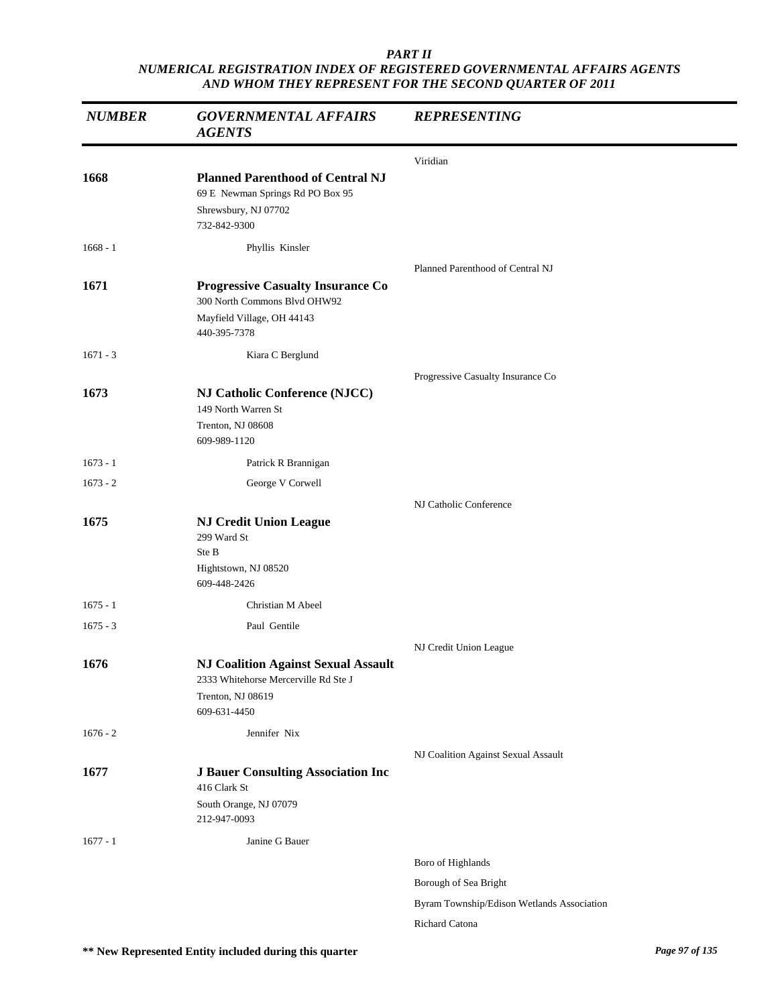| <b>NUMBER</b> | <b>GOVERNMENTAL AFFAIRS</b><br><b>AGENTS</b>                                                                            | <b>REPRESENTING</b>                        |
|---------------|-------------------------------------------------------------------------------------------------------------------------|--------------------------------------------|
|               |                                                                                                                         | Viridian                                   |
| 1668          | <b>Planned Parenthood of Central NJ</b><br>69 E Newman Springs Rd PO Box 95<br>Shrewsbury, NJ 07702<br>732-842-9300     |                                            |
| $1668 - 1$    | Phyllis Kinsler                                                                                                         |                                            |
| 1671          | <b>Progressive Casualty Insurance Co</b><br>300 North Commons Blvd OHW92<br>Mayfield Village, OH 44143<br>440-395-7378  | Planned Parenthood of Central NJ           |
| $1671 - 3$    | Kiara C Berglund                                                                                                        |                                            |
|               |                                                                                                                         | Progressive Casualty Insurance Co          |
| 1673          | NJ Catholic Conference (NJCC)<br>149 North Warren St<br>Trenton, NJ 08608<br>609-989-1120                               |                                            |
| $1673 - 1$    | Patrick R Brannigan                                                                                                     |                                            |
| $1673 - 2$    | George V Corwell                                                                                                        |                                            |
|               |                                                                                                                         | NJ Catholic Conference                     |
| 1675          | <b>NJ Credit Union League</b><br>299 Ward St<br>Ste B<br>Hightstown, NJ 08520<br>609-448-2426                           |                                            |
| $1675 - 1$    | Christian M Abeel                                                                                                       |                                            |
| $1675 - 3$    | Paul Gentile                                                                                                            |                                            |
|               |                                                                                                                         | NJ Credit Union League                     |
| 1676          | <b>NJ Coalition Against Sexual Assault</b><br>2333 Whitehorse Mercerville Rd Ste J<br>Trenton, NJ 08619<br>609-631-4450 |                                            |
| $1676 - 2$    | Jennifer Nix                                                                                                            |                                            |
|               |                                                                                                                         | NJ Coalition Against Sexual Assault        |
| 1677          | <b>J Bauer Consulting Association Inc.</b><br>416 Clark St                                                              |                                            |
|               | South Orange, NJ 07079<br>212-947-0093                                                                                  |                                            |
| $1677 - 1$    | Janine G Bauer                                                                                                          |                                            |
|               |                                                                                                                         | Boro of Highlands                          |
|               |                                                                                                                         | Borough of Sea Bright                      |
|               |                                                                                                                         | Byram Township/Edison Wetlands Association |
|               |                                                                                                                         | Richard Catona                             |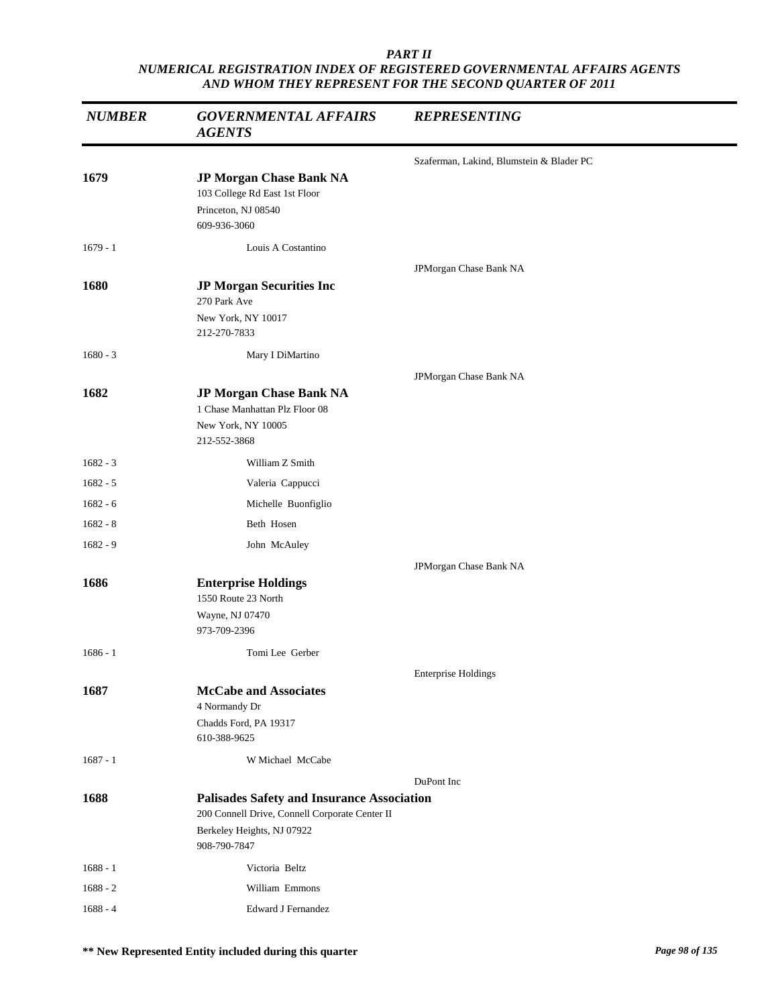| <b>NUMBER</b> | <b>GOVERNMENTAL AFFAIRS</b><br><b>AGENTS</b>                                                                                                      | <b>REPRESENTING</b>                      |
|---------------|---------------------------------------------------------------------------------------------------------------------------------------------------|------------------------------------------|
|               |                                                                                                                                                   | Szaferman, Lakind, Blumstein & Blader PC |
| 1679          | JP Morgan Chase Bank NA<br>103 College Rd East 1st Floor<br>Princeton, NJ 08540<br>609-936-3060                                                   |                                          |
| $1679 - 1$    | Louis A Costantino                                                                                                                                |                                          |
| 1680          | <b>JP Morgan Securities Inc</b><br>270 Park Ave                                                                                                   | JPMorgan Chase Bank NA                   |
|               | New York, NY 10017<br>212-270-7833                                                                                                                |                                          |
| $1680 - 3$    | Mary I DiMartino                                                                                                                                  |                                          |
|               |                                                                                                                                                   | JPMorgan Chase Bank NA                   |
| 1682          | JP Morgan Chase Bank NA<br>1 Chase Manhattan Plz Floor 08<br>New York, NY 10005<br>212-552-3868                                                   |                                          |
| $1682 - 3$    | William Z Smith                                                                                                                                   |                                          |
| $1682 - 5$    | Valeria Cappucci                                                                                                                                  |                                          |
| $1682 - 6$    | Michelle Buonfiglio                                                                                                                               |                                          |
| $1682 - 8$    | Beth Hosen                                                                                                                                        |                                          |
| $1682 - 9$    | John McAuley                                                                                                                                      |                                          |
|               |                                                                                                                                                   | JPMorgan Chase Bank NA                   |
| 1686          | <b>Enterprise Holdings</b><br>1550 Route 23 North<br>Wayne, NJ 07470<br>973-709-2396                                                              |                                          |
| $1686 - 1$    | Tomi Lee Gerber                                                                                                                                   |                                          |
|               |                                                                                                                                                   | <b>Enterprise Holdings</b>               |
| 1687          | <b>McCabe and Associates</b><br>4 Normandy Dr<br>Chadds Ford, PA 19317<br>610-388-9625                                                            |                                          |
| $1687 - 1$    | W Michael McCabe                                                                                                                                  |                                          |
| 1688          | <b>Palisades Safety and Insurance Association</b><br>200 Connell Drive, Connell Corporate Center II<br>Berkeley Heights, NJ 07922<br>908-790-7847 | DuPont Inc                               |
| $1688 - 1$    | Victoria Beltz                                                                                                                                    |                                          |
| $1688 - 2$    | William Emmons                                                                                                                                    |                                          |
| $1688 - 4$    | <b>Edward J Fernandez</b>                                                                                                                         |                                          |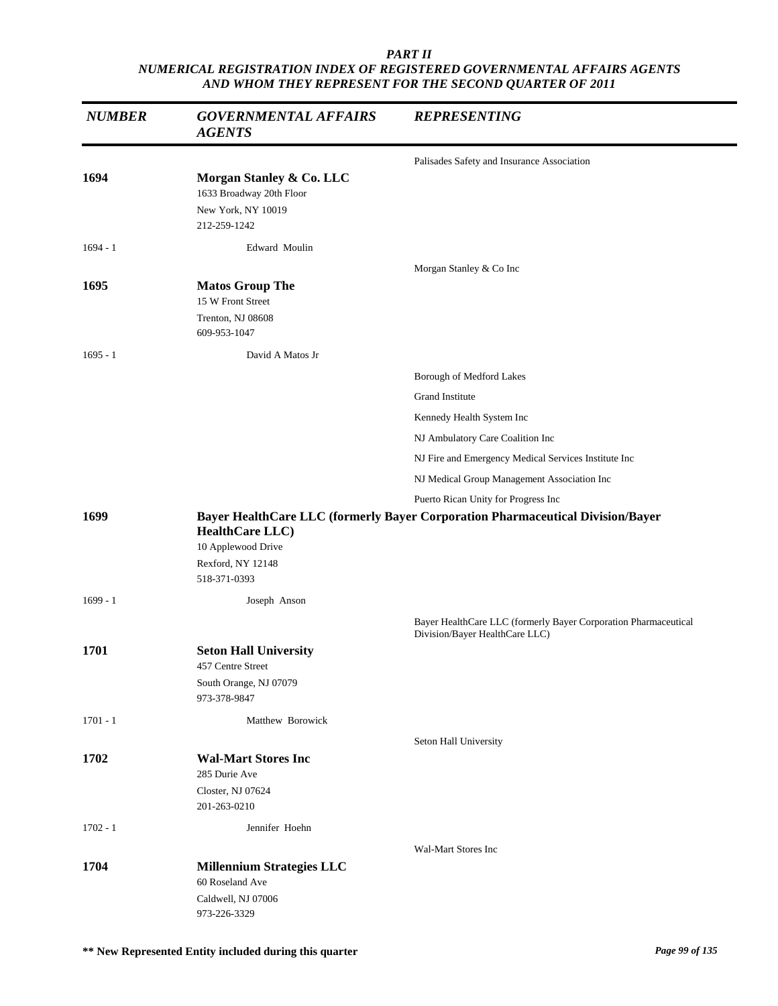| <b>NUMBER</b> | <b>GOVERNMENTAL AFFAIRS</b><br><b>AGENTS</b>                                                | <b>REPRESENTING</b>                                                                               |
|---------------|---------------------------------------------------------------------------------------------|---------------------------------------------------------------------------------------------------|
|               |                                                                                             | Palisades Safety and Insurance Association                                                        |
| 1694          | Morgan Stanley & Co. LLC<br>1633 Broadway 20th Floor<br>New York, NY 10019<br>212-259-1242  |                                                                                                   |
| $1694 - 1$    | Edward Moulin                                                                               |                                                                                                   |
| 1695          | <b>Matos Group The</b><br>15 W Front Street<br>Trenton, NJ 08608<br>609-953-1047            | Morgan Stanley & Co Inc                                                                           |
| $1695 - 1$    | David A Matos Jr                                                                            |                                                                                                   |
|               |                                                                                             | Borough of Medford Lakes                                                                          |
|               |                                                                                             | Grand Institute                                                                                   |
|               |                                                                                             | Kennedy Health System Inc                                                                         |
|               |                                                                                             | NJ Ambulatory Care Coalition Inc                                                                  |
|               |                                                                                             | NJ Fire and Emergency Medical Services Institute Inc                                              |
|               |                                                                                             | NJ Medical Group Management Association Inc                                                       |
|               |                                                                                             | Puerto Rican Unity for Progress Inc                                                               |
| 1699          | <b>HealthCare LLC</b> )<br>10 Applewood Drive<br>Rexford, NY 12148<br>518-371-0393          | Bayer HealthCare LLC (formerly Bayer Corporation Pharmaceutical Division/Bayer                    |
| $1699 - 1$    | Joseph Anson                                                                                |                                                                                                   |
|               |                                                                                             | Bayer HealthCare LLC (formerly Bayer Corporation Pharmaceutical<br>Division/Bayer HealthCare LLC) |
| 1701          | <b>Seton Hall University</b><br>457 Centre Street<br>South Orange, NJ 07079<br>973-378-9847 |                                                                                                   |
| $1701 - 1$    | Matthew Borowick                                                                            |                                                                                                   |
| 1702          | <b>Wal-Mart Stores Inc</b><br>285 Durie Ave<br>Closter, NJ 07624<br>201-263-0210            | Seton Hall University                                                                             |
| $1702 - 1$    | Jennifer Hoehn                                                                              |                                                                                                   |
|               |                                                                                             | Wal-Mart Stores Inc                                                                               |
| 1704          | <b>Millennium Strategies LLC</b><br>60 Roseland Ave<br>Caldwell, NJ 07006<br>973-226-3329   |                                                                                                   |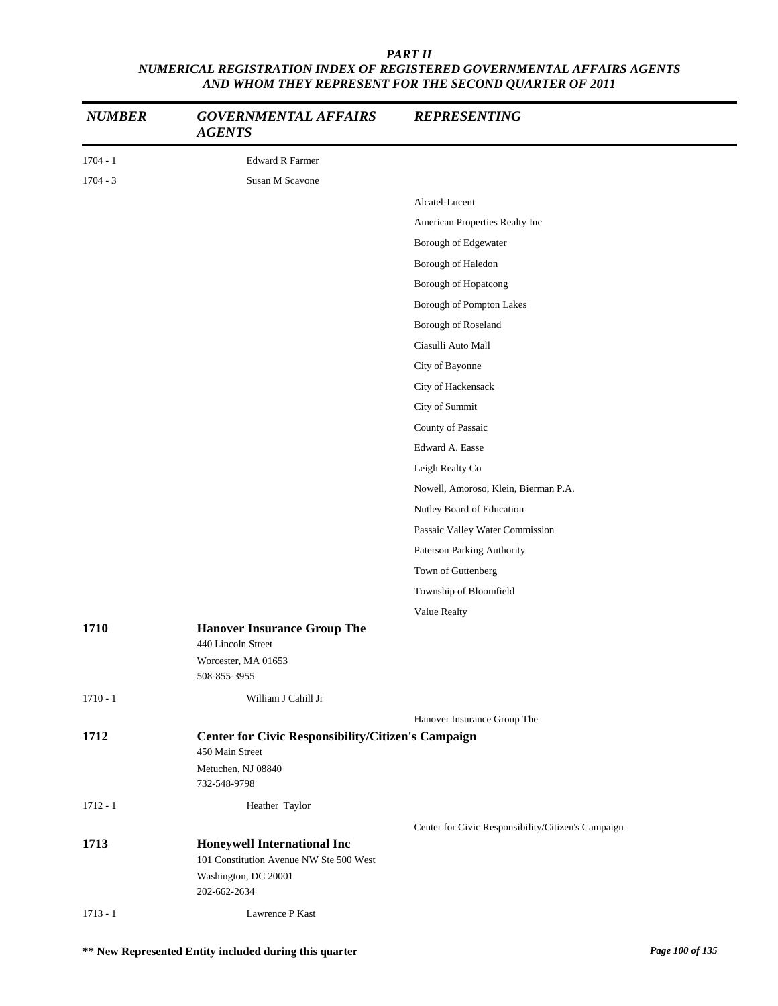| <b>NUMBER</b> | <b>GOVERNMENTAL AFFAIRS</b><br><b>AGENTS</b>                                                                          | <b>REPRESENTING</b>                                |
|---------------|-----------------------------------------------------------------------------------------------------------------------|----------------------------------------------------|
| $1704 - 1$    | <b>Edward R Farmer</b>                                                                                                |                                                    |
| $1704 - 3$    | Susan M Scavone                                                                                                       |                                                    |
|               |                                                                                                                       | Alcatel-Lucent                                     |
|               |                                                                                                                       | American Properties Realty Inc                     |
|               |                                                                                                                       | Borough of Edgewater                               |
|               |                                                                                                                       | Borough of Haledon                                 |
|               |                                                                                                                       | Borough of Hopatcong                               |
|               |                                                                                                                       | Borough of Pompton Lakes                           |
|               |                                                                                                                       | Borough of Roseland                                |
|               |                                                                                                                       | Ciasulli Auto Mall                                 |
|               |                                                                                                                       | City of Bayonne                                    |
|               |                                                                                                                       | City of Hackensack                                 |
|               |                                                                                                                       | City of Summit                                     |
|               |                                                                                                                       | County of Passaic                                  |
|               |                                                                                                                       | Edward A. Easse                                    |
|               |                                                                                                                       | Leigh Realty Co                                    |
|               |                                                                                                                       | Nowell, Amoroso, Klein, Bierman P.A.               |
|               |                                                                                                                       | Nutley Board of Education                          |
|               |                                                                                                                       | Passaic Valley Water Commission                    |
|               |                                                                                                                       | Paterson Parking Authority                         |
|               |                                                                                                                       | Town of Guttenberg                                 |
|               |                                                                                                                       | Township of Bloomfield                             |
|               |                                                                                                                       | Value Realty                                       |
| 1710          | <b>Hanover Insurance Group The</b><br>440 Lincoln Street<br>Worcester, MA 01653                                       |                                                    |
|               | 508-855-3955                                                                                                          |                                                    |
| $1710 - 1$    | William J Cahill Jr                                                                                                   |                                                    |
|               |                                                                                                                       | Hanover Insurance Group The                        |
| 1712          | <b>Center for Civic Responsibility/Citizen's Campaign</b><br>450 Main Street                                          |                                                    |
|               | Metuchen, NJ 08840<br>732-548-9798                                                                                    |                                                    |
| $1712 - 1$    | Heather Taylor                                                                                                        |                                                    |
|               |                                                                                                                       | Center for Civic Responsibility/Citizen's Campaign |
| 1713          | <b>Honeywell International Inc</b><br>101 Constitution Avenue NW Ste 500 West<br>Washington, DC 20001<br>202-662-2634 |                                                    |
| $1713 - 1$    | Lawrence P Kast                                                                                                       |                                                    |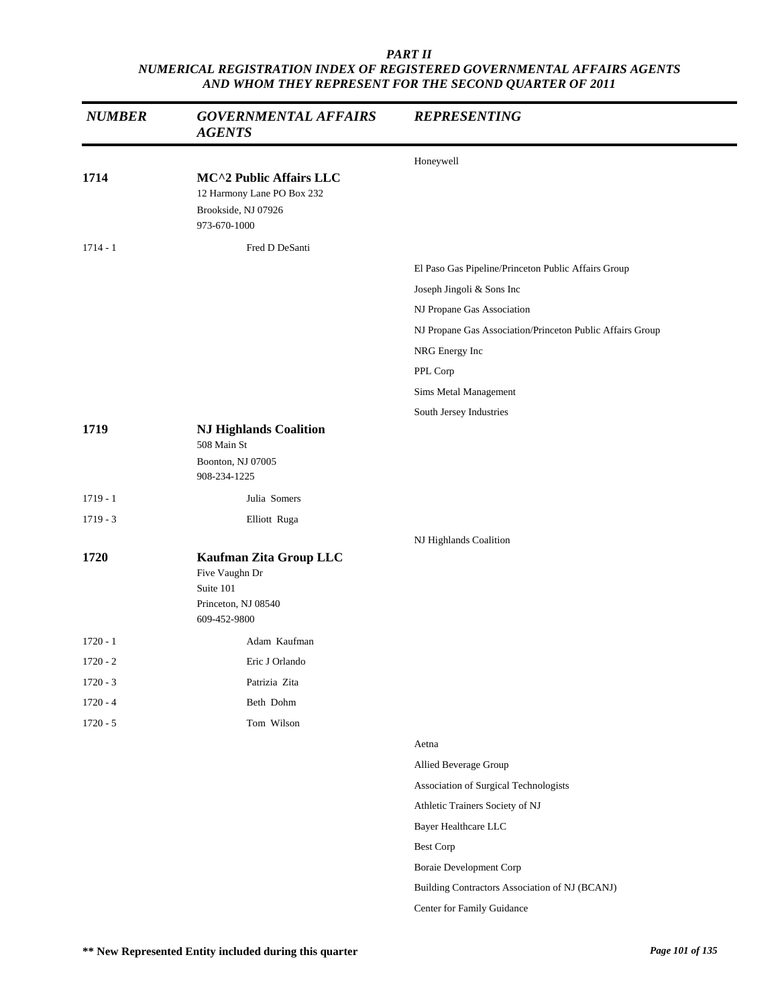| <b>NUMBER</b> | <b>GOVERNMENTAL AFFAIRS</b><br><b>AGENTS</b>                                                 | <b>REPRESENTING</b>                                       |
|---------------|----------------------------------------------------------------------------------------------|-----------------------------------------------------------|
|               |                                                                                              | Honeywell                                                 |
| 1714          | MC^2 Public Affairs LLC<br>12 Harmony Lane PO Box 232<br>Brookside, NJ 07926<br>973-670-1000 |                                                           |
| $1714 - 1$    | Fred D DeSanti                                                                               |                                                           |
|               |                                                                                              | El Paso Gas Pipeline/Princeton Public Affairs Group       |
|               |                                                                                              | Joseph Jingoli & Sons Inc                                 |
|               |                                                                                              | NJ Propane Gas Association                                |
|               |                                                                                              | NJ Propane Gas Association/Princeton Public Affairs Group |
|               |                                                                                              | NRG Energy Inc                                            |
|               |                                                                                              | PPL Corp                                                  |
|               |                                                                                              | Sims Metal Management                                     |
|               |                                                                                              | South Jersey Industries                                   |
| 1719          | <b>NJ Highlands Coalition</b><br>508 Main St<br>Boonton, NJ 07005<br>908-234-1225            |                                                           |
| $1719 - 1$    | Julia Somers                                                                                 |                                                           |
| $1719 - 3$    | Elliott Ruga                                                                                 |                                                           |
|               |                                                                                              | NJ Highlands Coalition                                    |
| 1720          | Kaufman Zita Group LLC<br>Five Vaughn Dr<br>Suite 101<br>Princeton, NJ 08540<br>609-452-9800 |                                                           |
| $1720 - 1$    | Adam Kaufman                                                                                 |                                                           |
| $1720 - 2$    | Eric J Orlando                                                                               |                                                           |
| $1720 - 3$    | Patrizia Zita                                                                                |                                                           |
| $1720 - 4$    | Beth Dohm                                                                                    |                                                           |
| $1720 - 5$    | Tom Wilson                                                                                   |                                                           |
|               |                                                                                              | Aetna                                                     |
|               |                                                                                              | Allied Beverage Group                                     |
|               |                                                                                              | Association of Surgical Technologists                     |
|               |                                                                                              | Athletic Trainers Society of NJ                           |
|               |                                                                                              | Bayer Healthcare LLC                                      |
|               |                                                                                              | <b>Best Corp</b>                                          |
|               |                                                                                              | <b>Boraie Development Corp</b>                            |
|               |                                                                                              | Building Contractors Association of NJ (BCANJ)            |
|               |                                                                                              | Center for Family Guidance                                |
|               |                                                                                              |                                                           |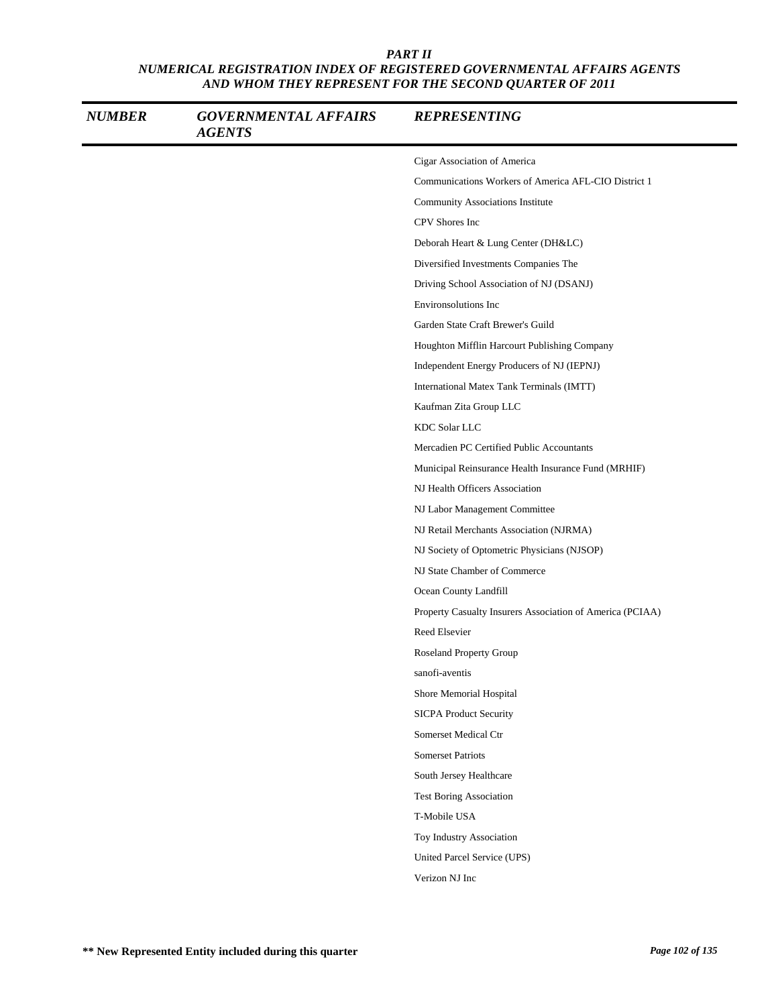| <b>NUMBER</b> | <b>GOVERNMENTAL AFFAIRS</b><br><b>AGENTS</b> | <b>REPRESENTING</b>                                       |
|---------------|----------------------------------------------|-----------------------------------------------------------|
|               |                                              | Cigar Association of America                              |
|               |                                              | Communications Workers of America AFL-CIO District 1      |
|               |                                              | Community Associations Institute                          |
|               |                                              | CPV Shores Inc                                            |
|               |                                              | Deborah Heart & Lung Center (DH&LC)                       |
|               |                                              | Diversified Investments Companies The                     |
|               |                                              | Driving School Association of NJ (DSANJ)                  |
|               |                                              | Environsolutions Inc                                      |
|               |                                              | Garden State Craft Brewer's Guild                         |
|               |                                              | Houghton Mifflin Harcourt Publishing Company              |
|               |                                              | Independent Energy Producers of NJ (IEPNJ)                |
|               |                                              | International Matex Tank Terminals (IMTT)                 |
|               |                                              | Kaufman Zita Group LLC                                    |
|               |                                              | <b>KDC Solar LLC</b>                                      |
|               |                                              | Mercadien PC Certified Public Accountants                 |
|               |                                              | Municipal Reinsurance Health Insurance Fund (MRHIF)       |
|               |                                              | NJ Health Officers Association                            |
|               |                                              | NJ Labor Management Committee                             |
|               |                                              | NJ Retail Merchants Association (NJRMA)                   |
|               |                                              | NJ Society of Optometric Physicians (NJSOP)               |
|               |                                              | NJ State Chamber of Commerce                              |
|               |                                              | Ocean County Landfill                                     |
|               |                                              | Property Casualty Insurers Association of America (PCIAA) |
|               |                                              | Reed Elsevier                                             |
|               |                                              | Roseland Property Group                                   |
|               |                                              | sanofi-aventis                                            |
|               |                                              | Shore Memorial Hospital                                   |
|               |                                              | <b>SICPA Product Security</b>                             |
|               |                                              | Somerset Medical Ctr                                      |
|               |                                              | <b>Somerset Patriots</b>                                  |
|               |                                              | South Jersey Healthcare                                   |
|               |                                              | <b>Test Boring Association</b>                            |
|               |                                              | T-Mobile USA                                              |
|               |                                              | Toy Industry Association                                  |
|               |                                              | United Parcel Service (UPS)                               |
|               |                                              | Verizon NJ Inc                                            |
|               |                                              |                                                           |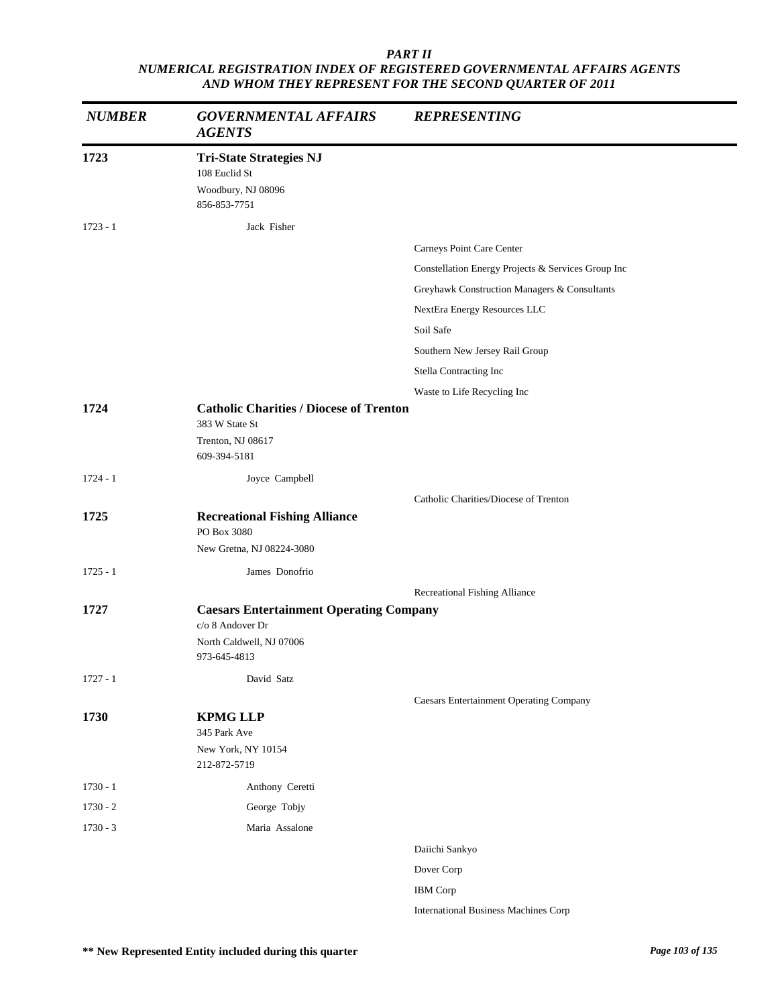| <b>NUMBER</b> | <b>GOVERNMENTAL AFFAIRS</b><br><b>AGENTS</b>                                                                   | <b>REPRESENTING</b>                                |
|---------------|----------------------------------------------------------------------------------------------------------------|----------------------------------------------------|
| 1723          | <b>Tri-State Strategies NJ</b><br>108 Euclid St<br>Woodbury, NJ 08096<br>856-853-7751                          |                                                    |
| $1723 - 1$    | Jack Fisher                                                                                                    |                                                    |
|               |                                                                                                                | Carneys Point Care Center                          |
|               |                                                                                                                | Constellation Energy Projects & Services Group Inc |
|               |                                                                                                                | Greyhawk Construction Managers & Consultants       |
|               |                                                                                                                | NextEra Energy Resources LLC                       |
|               |                                                                                                                | Soil Safe                                          |
|               |                                                                                                                | Southern New Jersey Rail Group                     |
|               |                                                                                                                | Stella Contracting Inc                             |
|               |                                                                                                                | Waste to Life Recycling Inc                        |
| 1724          | <b>Catholic Charities / Diocese of Trenton</b><br>383 W State St<br>Trenton, NJ 08617<br>609-394-5181          |                                                    |
| $1724 - 1$    | Joyce Campbell                                                                                                 |                                                    |
|               |                                                                                                                | Catholic Charities/Diocese of Trenton              |
| 1725          | <b>Recreational Fishing Alliance</b><br>PO Box 3080<br>New Gretna, NJ 08224-3080                               |                                                    |
|               | James Donofrio                                                                                                 |                                                    |
| $1725 - 1$    |                                                                                                                |                                                    |
| 1727          | <b>Caesars Entertainment Operating Company</b><br>c/o 8 Andover Dr<br>North Caldwell, NJ 07006<br>973-645-4813 | Recreational Fishing Alliance                      |
| $1727 - 1$    | David Satz                                                                                                     |                                                    |
|               |                                                                                                                | <b>Caesars Entertainment Operating Company</b>     |
| 1730          | <b>KPMG LLP</b><br>345 Park Ave<br>New York, NY 10154<br>212-872-5719                                          |                                                    |
| $1730 - 1$    | Anthony Ceretti                                                                                                |                                                    |
| $1730 - 2$    | George Tobjy                                                                                                   |                                                    |
| $1730 - 3$    | Maria Assalone                                                                                                 |                                                    |
|               |                                                                                                                | Daiichi Sankyo                                     |
|               |                                                                                                                | Dover Corp                                         |
|               |                                                                                                                | <b>IBM</b> Corp                                    |
|               |                                                                                                                | <b>International Business Machines Corp</b>        |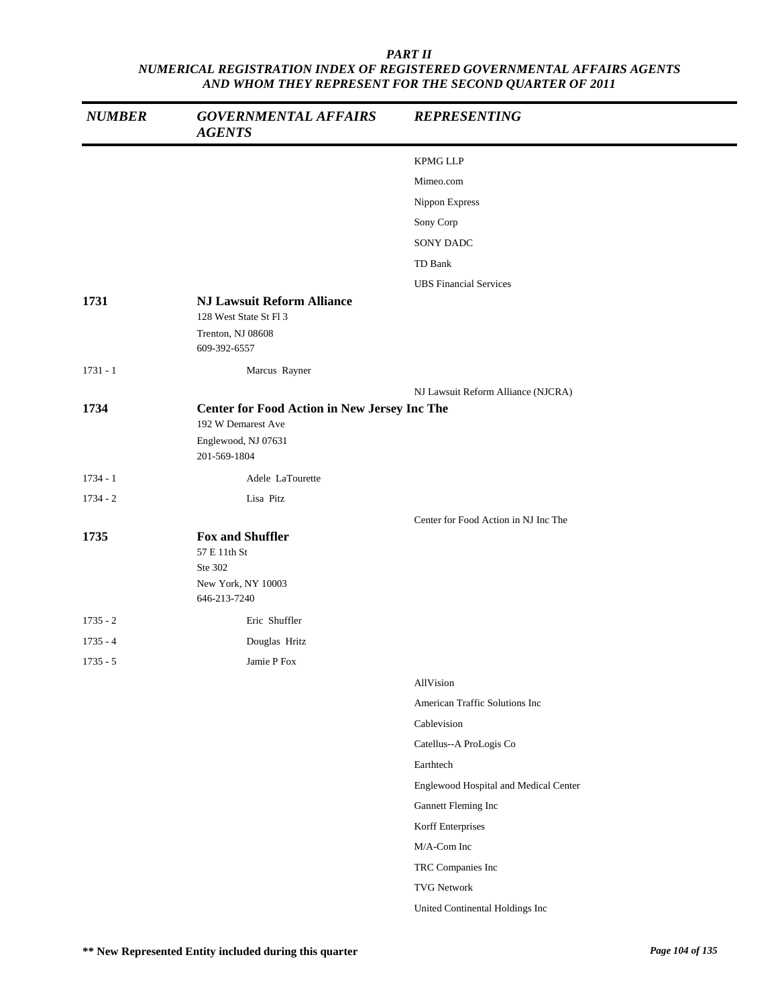| <b>NUMBER</b> | <b>GOVERNMENTAL AFFAIRS</b><br><b>AGENTS</b>                                             | <b>REPRESENTING</b>                   |
|---------------|------------------------------------------------------------------------------------------|---------------------------------------|
|               |                                                                                          | <b>KPMG LLP</b>                       |
|               |                                                                                          | Mimeo.com                             |
|               |                                                                                          | Nippon Express                        |
|               |                                                                                          | Sony Corp                             |
|               |                                                                                          | <b>SONY DADC</b>                      |
|               |                                                                                          | TD Bank                               |
|               |                                                                                          | <b>UBS</b> Financial Services         |
| 1731          | <b>NJ Lawsuit Reform Alliance</b><br>128 West State St Fl 3                              |                                       |
|               | Trenton, NJ 08608<br>609-392-6557                                                        |                                       |
| $1731 - 1$    | Marcus Rayner                                                                            |                                       |
|               |                                                                                          | NJ Lawsuit Reform Alliance (NJCRA)    |
| 1734          | <b>Center for Food Action in New Jersey Inc The</b>                                      |                                       |
|               | 192 W Demarest Ave                                                                       |                                       |
|               | Englewood, NJ 07631<br>201-569-1804                                                      |                                       |
| $1734 - 1$    | Adele LaTourette                                                                         |                                       |
| $1734 - 2$    | Lisa Pitz                                                                                |                                       |
|               |                                                                                          | Center for Food Action in NJ Inc The  |
| 1735          | <b>Fox and Shuffler</b><br>57 E 11th St<br>Ste 302<br>New York, NY 10003<br>646-213-7240 |                                       |
| $1735 - 2$    | Eric Shuffler                                                                            |                                       |
| $1735 - 4$    | Douglas Hritz                                                                            |                                       |
| $1735 - 5$    | Jamie P Fox                                                                              |                                       |
|               |                                                                                          | AllVision                             |
|               |                                                                                          | American Traffic Solutions Inc        |
|               |                                                                                          | Cablevision                           |
|               |                                                                                          | Catellus--A ProLogis Co               |
|               |                                                                                          | Earthtech                             |
|               |                                                                                          | Englewood Hospital and Medical Center |
|               |                                                                                          | Gannett Fleming Inc                   |
|               |                                                                                          | Korff Enterprises                     |
|               |                                                                                          | M/A-Com Inc                           |
|               |                                                                                          | TRC Companies Inc                     |
|               |                                                                                          | <b>TVG Network</b>                    |
|               |                                                                                          | United Continental Holdings Inc       |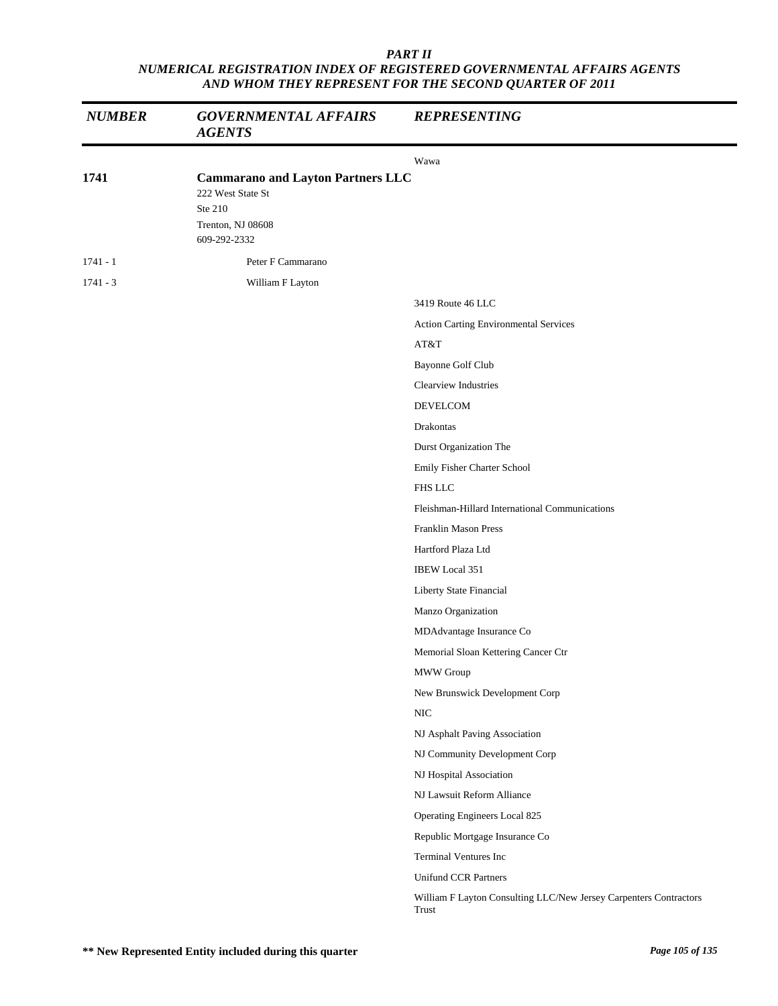| <b>NUMBER</b> | <b>GOVERNMENTAL AFFAIRS</b><br><b>AGENTS</b>                                                                  | <b>REPRESENTING</b>                                                        |
|---------------|---------------------------------------------------------------------------------------------------------------|----------------------------------------------------------------------------|
|               |                                                                                                               | Wawa                                                                       |
| 1741          | <b>Cammarano and Layton Partners LLC</b><br>222 West State St<br>Ste 210<br>Trenton, NJ 08608<br>609-292-2332 |                                                                            |
| $1741 - 1$    | Peter F Cammarano                                                                                             |                                                                            |
| $1741 - 3$    | William F Layton                                                                                              |                                                                            |
|               |                                                                                                               | 3419 Route 46 LLC                                                          |
|               |                                                                                                               | Action Carting Environmental Services                                      |
|               |                                                                                                               | AT&T                                                                       |
|               |                                                                                                               | Bayonne Golf Club                                                          |
|               |                                                                                                               | Clearview Industries                                                       |
|               |                                                                                                               | DEVELCOM                                                                   |
|               |                                                                                                               | Drakontas                                                                  |
|               |                                                                                                               | Durst Organization The                                                     |
|               |                                                                                                               | Emily Fisher Charter School                                                |
|               |                                                                                                               | <b>FHS LLC</b>                                                             |
|               |                                                                                                               | Fleishman-Hillard International Communications                             |
|               |                                                                                                               | Franklin Mason Press                                                       |
|               |                                                                                                               | Hartford Plaza Ltd                                                         |
|               |                                                                                                               | <b>IBEW</b> Local 351                                                      |
|               |                                                                                                               | Liberty State Financial                                                    |
|               |                                                                                                               | Manzo Organization                                                         |
|               |                                                                                                               | MDAdvantage Insurance Co                                                   |
|               |                                                                                                               | Memorial Sloan Kettering Cancer Ctr                                        |
|               |                                                                                                               | MWW Group                                                                  |
|               |                                                                                                               | New Brunswick Development Corp                                             |
|               |                                                                                                               | $\rm NIC$                                                                  |
|               |                                                                                                               | NJ Asphalt Paving Association                                              |
|               |                                                                                                               | NJ Community Development Corp                                              |
|               |                                                                                                               | NJ Hospital Association                                                    |
|               |                                                                                                               | NJ Lawsuit Reform Alliance                                                 |
|               |                                                                                                               | Operating Engineers Local 825                                              |
|               |                                                                                                               | Republic Mortgage Insurance Co                                             |
|               |                                                                                                               | Terminal Ventures Inc                                                      |
|               |                                                                                                               | <b>Unifund CCR Partners</b>                                                |
|               |                                                                                                               | William F Layton Consulting LLC/New Jersey Carpenters Contractors<br>Trust |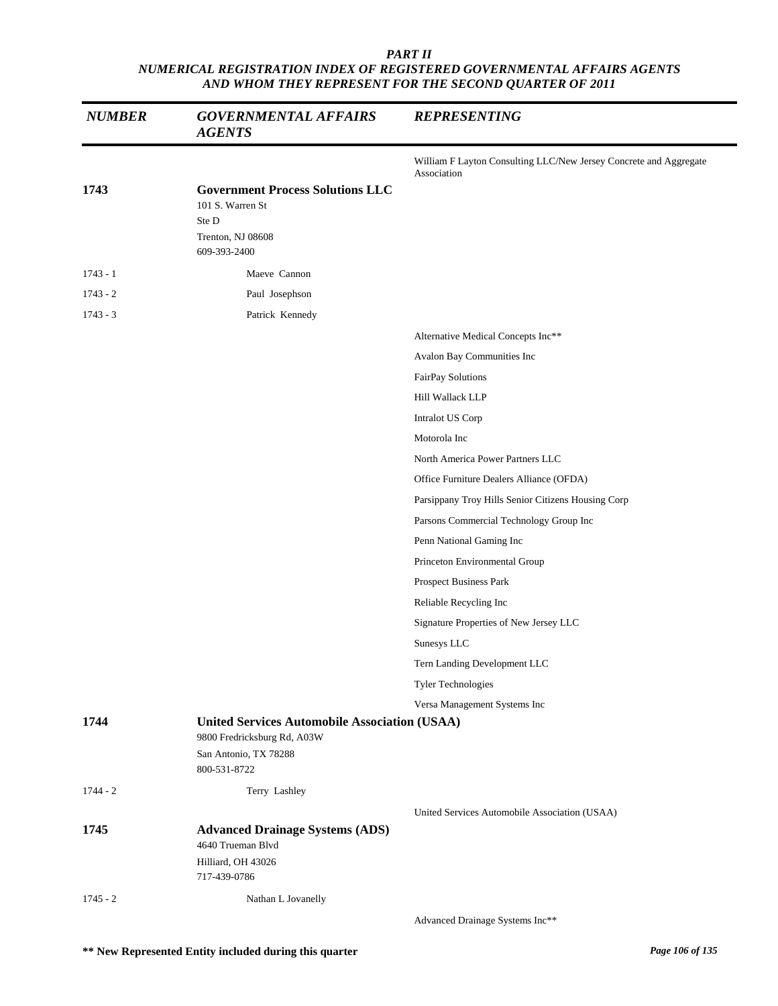| <b>NUMBER</b> | <b>GOVERNMENTAL AFFAIRS</b><br><b>AGENTS</b>                                                              | <b>REPRESENTING</b>                                                              |
|---------------|-----------------------------------------------------------------------------------------------------------|----------------------------------------------------------------------------------|
|               |                                                                                                           | William F Layton Consulting LLC/New Jersey Concrete and Aggregate<br>Association |
| 1743          | <b>Government Process Solutions LLC</b><br>101 S. Warren St<br>Ste D<br>Trenton, NJ 08608<br>609-393-2400 |                                                                                  |
| $1743 - 1$    | Maeve Cannon                                                                                              |                                                                                  |
| $1743 - 2$    | Paul Josephson                                                                                            |                                                                                  |
| $1743 - 3$    | Patrick Kennedy                                                                                           |                                                                                  |
|               |                                                                                                           | Alternative Medical Concepts Inc**                                               |
|               |                                                                                                           | Avalon Bay Communities Inc                                                       |
|               |                                                                                                           | FairPay Solutions                                                                |
|               |                                                                                                           | Hill Wallack LLP                                                                 |
|               |                                                                                                           | Intralot US Corp                                                                 |
|               |                                                                                                           | Motorola Inc                                                                     |
|               |                                                                                                           | North America Power Partners LLC                                                 |
|               |                                                                                                           | Office Furniture Dealers Alliance (OFDA)                                         |
|               |                                                                                                           | Parsippany Troy Hills Senior Citizens Housing Corp                               |
|               |                                                                                                           | Parsons Commercial Technology Group Inc                                          |
|               |                                                                                                           | Penn National Gaming Inc                                                         |
|               |                                                                                                           | Princeton Environmental Group                                                    |
|               |                                                                                                           | Prospect Business Park                                                           |
|               |                                                                                                           | Reliable Recycling Inc                                                           |
|               |                                                                                                           | Signature Properties of New Jersey LLC                                           |
|               |                                                                                                           | Sunesys LLC                                                                      |
|               |                                                                                                           | Tern Landing Development LLC                                                     |
|               |                                                                                                           | Tyler Technologies                                                               |
|               |                                                                                                           | Versa Management Systems Inc                                                     |
| 1744          | <b>United Services Automobile Association (USAA)</b><br>9800 Fredricksburg Rd, A03W                       |                                                                                  |
|               | San Antonio, TX 78288<br>800-531-8722                                                                     |                                                                                  |
| $1744 - 2$    | Terry Lashley                                                                                             |                                                                                  |
|               |                                                                                                           | United Services Automobile Association (USAA)                                    |
| 1745          | <b>Advanced Drainage Systems (ADS)</b><br>4640 Trueman Blvd                                               |                                                                                  |
|               | Hilliard, OH 43026<br>717-439-0786                                                                        |                                                                                  |
| $1745 - 2$    | Nathan L Jovanelly                                                                                        |                                                                                  |
|               |                                                                                                           | Advanced Drainage Systems Inc**                                                  |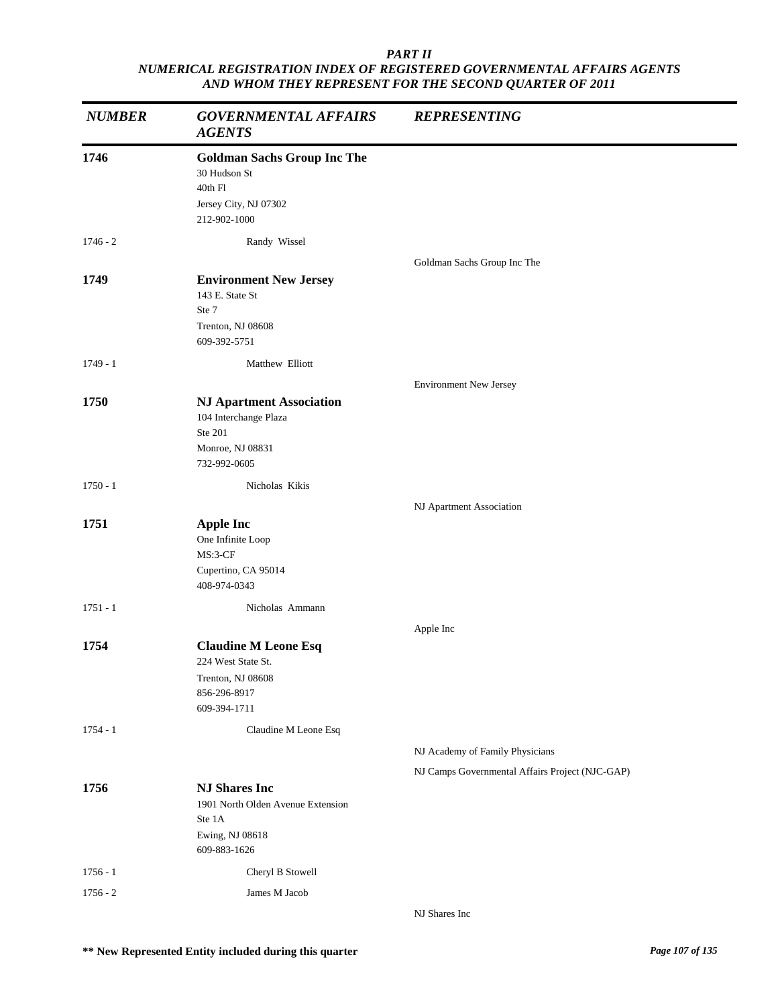| <b>NUMBER</b> | <b>GOVERNMENTAL AFFAIRS</b><br><b>AGENTS</b>                                                            | <b>REPRESENTING</b>                             |
|---------------|---------------------------------------------------------------------------------------------------------|-------------------------------------------------|
| 1746          | <b>Goldman Sachs Group Inc The</b><br>30 Hudson St<br>40th Fl<br>Jersey City, NJ 07302<br>212-902-1000  |                                                 |
| $1746 - 2$    | Randy Wissel                                                                                            |                                                 |
| 1749          | <b>Environment New Jersey</b><br>143 E. State St<br>Ste 7<br>Trenton, NJ 08608<br>609-392-5751          | Goldman Sachs Group Inc The                     |
| $1749 - 1$    | Matthew Elliott                                                                                         |                                                 |
|               |                                                                                                         | <b>Environment New Jersey</b>                   |
| 1750          | <b>NJ Apartment Association</b><br>104 Interchange Plaza<br>Ste 201<br>Monroe, NJ 08831<br>732-992-0605 |                                                 |
| $1750 - 1$    | Nicholas Kikis                                                                                          |                                                 |
|               |                                                                                                         | NJ Apartment Association                        |
| 1751          | <b>Apple Inc</b><br>One Infinite Loop<br>MS:3-CF<br>Cupertino, CA 95014<br>408-974-0343                 |                                                 |
| $1751 - 1$    | Nicholas Ammann                                                                                         |                                                 |
| 1754          | <b>Claudine M Leone Esq</b><br>224 West State St.<br>Trenton, NJ 08608<br>856-296-8917<br>609-394-1711  | Apple Inc                                       |
| $1754 - 1$    | Claudine M Leone Esq                                                                                    |                                                 |
|               |                                                                                                         | NJ Academy of Family Physicians                 |
|               |                                                                                                         | NJ Camps Governmental Affairs Project (NJC-GAP) |
| 1756          | <b>NJ Shares Inc</b><br>1901 North Olden Avenue Extension<br>Ste 1A<br>Ewing, NJ 08618<br>609-883-1626  |                                                 |
| $1756 - 1$    | Cheryl B Stowell                                                                                        |                                                 |
| $1756 - 2$    | James M Jacob                                                                                           |                                                 |
|               |                                                                                                         | NJ Shares Inc                                   |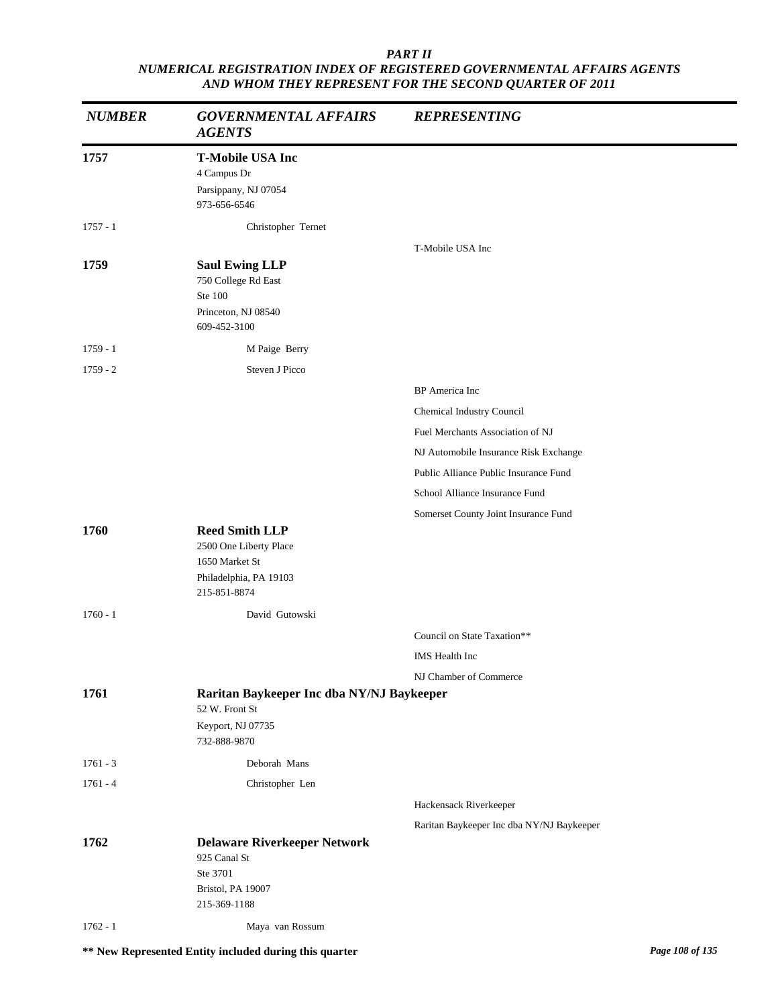| <b>NUMBER</b> | <b>GOVERNMENTAL AFFAIRS</b><br><b>AGENTS</b> | <b>REPRESENTING</b>                       |
|---------------|----------------------------------------------|-------------------------------------------|
| 1757          | <b>T-Mobile USA Inc</b>                      |                                           |
|               | 4 Campus Dr                                  |                                           |
|               | Parsippany, NJ 07054<br>973-656-6546         |                                           |
| $1757 - 1$    | Christopher Ternet                           |                                           |
|               |                                              | T-Mobile USA Inc                          |
| 1759          | <b>Saul Ewing LLP</b>                        |                                           |
|               | 750 College Rd East<br>Ste 100               |                                           |
|               | Princeton, NJ 08540                          |                                           |
|               | 609-452-3100                                 |                                           |
| $1759 - 1$    | M Paige Berry                                |                                           |
| $1759 - 2$    | Steven J Picco                               |                                           |
|               |                                              | BP America Inc                            |
|               |                                              | Chemical Industry Council                 |
|               |                                              | Fuel Merchants Association of NJ          |
|               |                                              | NJ Automobile Insurance Risk Exchange     |
|               |                                              | Public Alliance Public Insurance Fund     |
|               |                                              | School Alliance Insurance Fund            |
|               |                                              | Somerset County Joint Insurance Fund      |
| 1760          | <b>Reed Smith LLP</b>                        |                                           |
|               | 2500 One Liberty Place<br>1650 Market St     |                                           |
|               | Philadelphia, PA 19103                       |                                           |
|               | 215-851-8874                                 |                                           |
| $1760 - 1$    | David Gutowski                               |                                           |
|               |                                              | Council on State Taxation**               |
|               |                                              | IMS Health Inc                            |
|               |                                              | NJ Chamber of Commerce                    |
| 1761          | Raritan Baykeeper Inc dba NY/NJ Baykeeper    |                                           |
|               | 52 W. Front St                               |                                           |
|               | Keyport, NJ 07735<br>732-888-9870            |                                           |
| $1761 - 3$    | Deborah Mans                                 |                                           |
| $1761 - 4$    | Christopher Len                              |                                           |
|               |                                              | Hackensack Riverkeeper                    |
|               |                                              | Raritan Baykeeper Inc dba NY/NJ Baykeeper |
| 1762          | <b>Delaware Riverkeeper Network</b>          |                                           |
|               | 925 Canal St                                 |                                           |
|               | Ste 3701<br>Bristol, PA 19007                |                                           |
|               | 215-369-1188                                 |                                           |
| $1762 - 1$    | Maya van Rossum                              |                                           |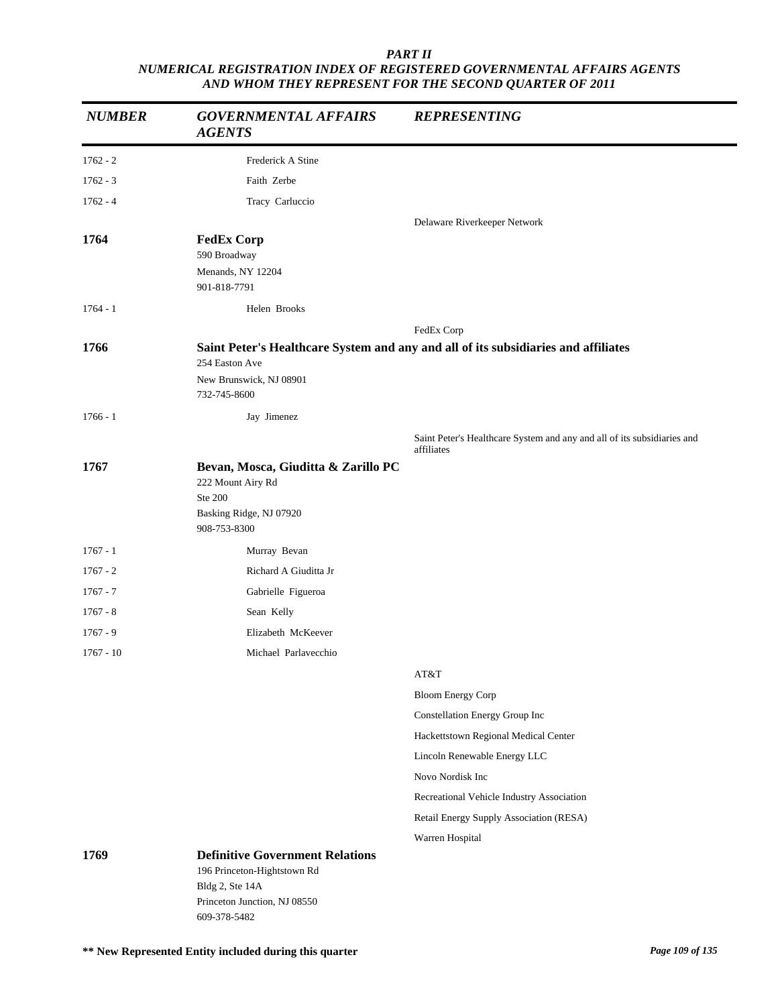| <b>NUMBER</b> | <b>GOVERNMENTAL AFFAIRS</b><br><b>AGENTS</b>                                                                                             | <b>REPRESENTING</b>                                                                   |
|---------------|------------------------------------------------------------------------------------------------------------------------------------------|---------------------------------------------------------------------------------------|
| $1762 - 2$    | Frederick A Stine                                                                                                                        |                                                                                       |
| $1762 - 3$    | Faith Zerbe                                                                                                                              |                                                                                       |
| $1762 - 4$    | Tracy Carluccio                                                                                                                          |                                                                                       |
|               |                                                                                                                                          | Delaware Riverkeeper Network                                                          |
| 1764          | <b>FedEx Corp</b><br>590 Broadway<br>Menands, NY 12204<br>901-818-7791                                                                   |                                                                                       |
| $1764 - 1$    | Helen Brooks                                                                                                                             |                                                                                       |
|               |                                                                                                                                          | FedEx Corp                                                                            |
| 1766          |                                                                                                                                          | Saint Peter's Healthcare System and any and all of its subsidiaries and affiliates    |
|               | 254 Easton Ave<br>New Brunswick, NJ 08901<br>732-745-8600                                                                                |                                                                                       |
| $1766 - 1$    | Jay Jimenez                                                                                                                              |                                                                                       |
|               |                                                                                                                                          | Saint Peter's Healthcare System and any and all of its subsidiaries and<br>affiliates |
| 1767          | Bevan, Mosca, Giuditta & Zarillo PC<br>222 Mount Airy Rd<br>Ste 200<br>Basking Ridge, NJ 07920<br>908-753-8300                           |                                                                                       |
| $1767 - 1$    | Murray Bevan                                                                                                                             |                                                                                       |
| $1767 - 2$    | Richard A Giuditta Jr                                                                                                                    |                                                                                       |
| $1767 - 7$    | Gabrielle Figueroa                                                                                                                       |                                                                                       |
| $1767 - 8$    | Sean Kelly                                                                                                                               |                                                                                       |
| $1767 - 9$    | Elizabeth McKeever                                                                                                                       |                                                                                       |
| $1767 - 10$   | Michael Parlayecchio                                                                                                                     |                                                                                       |
|               |                                                                                                                                          | AT&T                                                                                  |
|               |                                                                                                                                          | <b>Bloom Energy Corp</b>                                                              |
|               |                                                                                                                                          | Constellation Energy Group Inc                                                        |
|               |                                                                                                                                          | Hackettstown Regional Medical Center                                                  |
|               |                                                                                                                                          | Lincoln Renewable Energy LLC                                                          |
|               |                                                                                                                                          | Novo Nordisk Inc                                                                      |
|               |                                                                                                                                          | Recreational Vehicle Industry Association                                             |
|               |                                                                                                                                          | Retail Energy Supply Association (RESA)                                               |
|               |                                                                                                                                          | Warren Hospital                                                                       |
| 1769          | <b>Definitive Government Relations</b><br>196 Princeton-Hightstown Rd<br>Bldg 2, Ste 14A<br>Princeton Junction, NJ 08550<br>609-378-5482 |                                                                                       |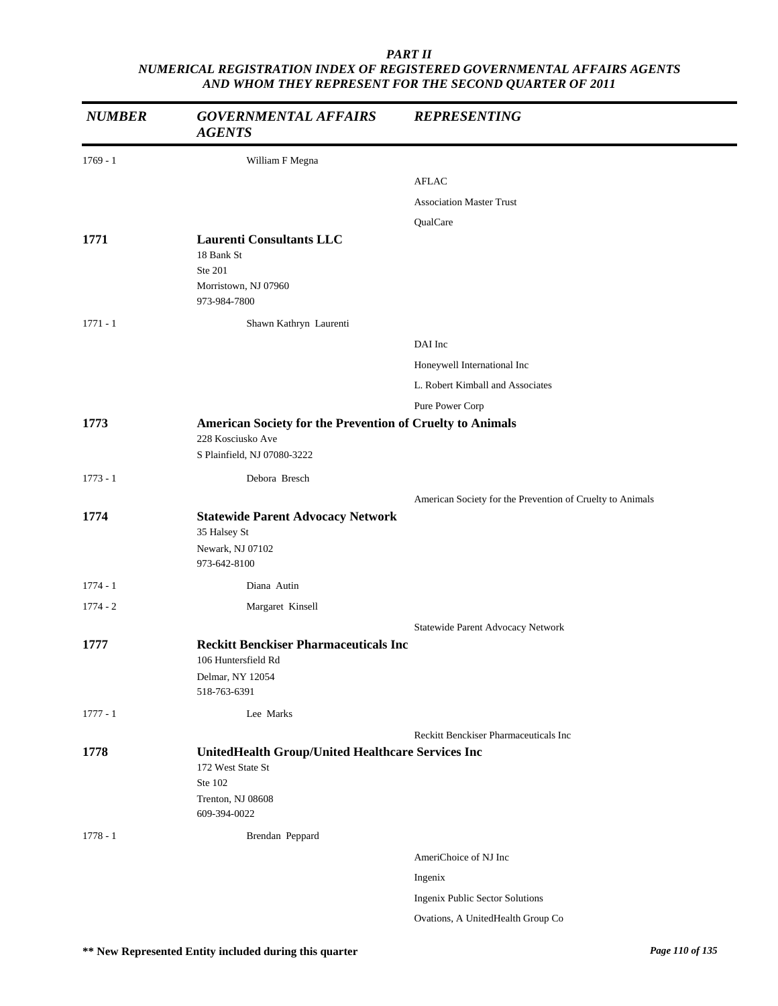| <b>NUMBER</b> | <b>GOVERNMENTAL AFFAIRS</b><br><b>AGENTS</b>                                                                           | <b>REPRESENTING</b>                                       |
|---------------|------------------------------------------------------------------------------------------------------------------------|-----------------------------------------------------------|
| $1769 - 1$    | William F Megna                                                                                                        |                                                           |
|               |                                                                                                                        | <b>AFLAC</b>                                              |
|               |                                                                                                                        | <b>Association Master Trust</b>                           |
|               |                                                                                                                        | QualCare                                                  |
| 1771          | <b>Laurenti Consultants LLC</b><br>18 Bank St<br>Ste 201<br>Morristown, NJ 07960<br>973-984-7800                       |                                                           |
| $1771 - 1$    | Shawn Kathryn Laurenti                                                                                                 |                                                           |
|               |                                                                                                                        | DAI Inc                                                   |
|               |                                                                                                                        | Honeywell International Inc                               |
|               |                                                                                                                        | L. Robert Kimball and Associates                          |
|               |                                                                                                                        |                                                           |
| 1773          | American Society for the Prevention of Cruelty to Animals                                                              | Pure Power Corp                                           |
|               | 228 Kosciusko Ave<br>S Plainfield, NJ 07080-3222                                                                       |                                                           |
| $1773 - 1$    | Debora Bresch                                                                                                          |                                                           |
|               |                                                                                                                        | American Society for the Prevention of Cruelty to Animals |
| 1774          | <b>Statewide Parent Advocacy Network</b><br>35 Halsey St<br>Newark, NJ 07102<br>973-642-8100                           |                                                           |
| $1774 - 1$    | Diana Autin                                                                                                            |                                                           |
| $1774 - 2$    | Margaret Kinsell                                                                                                       |                                                           |
|               |                                                                                                                        | Statewide Parent Advocacy Network                         |
| 1777          | <b>Reckitt Benckiser Pharmaceuticals Inc</b><br>106 Huntersfield Rd<br>Delmar, NY 12054<br>518-763-6391                |                                                           |
| $1777 - 1$    | Lee Marks                                                                                                              |                                                           |
|               |                                                                                                                        | Reckitt Benckiser Pharmaceuticals Inc                     |
| 1778          | UnitedHealth Group/United Healthcare Services Inc<br>172 West State St<br>Ste 102<br>Trenton, NJ 08608<br>609-394-0022 |                                                           |
| $1778 - 1$    | Brendan Peppard                                                                                                        |                                                           |
|               |                                                                                                                        | AmeriChoice of NJ Inc                                     |
|               |                                                                                                                        | Ingenix                                                   |
|               |                                                                                                                        | Ingenix Public Sector Solutions                           |
|               |                                                                                                                        | Ovations, A UnitedHealth Group Co                         |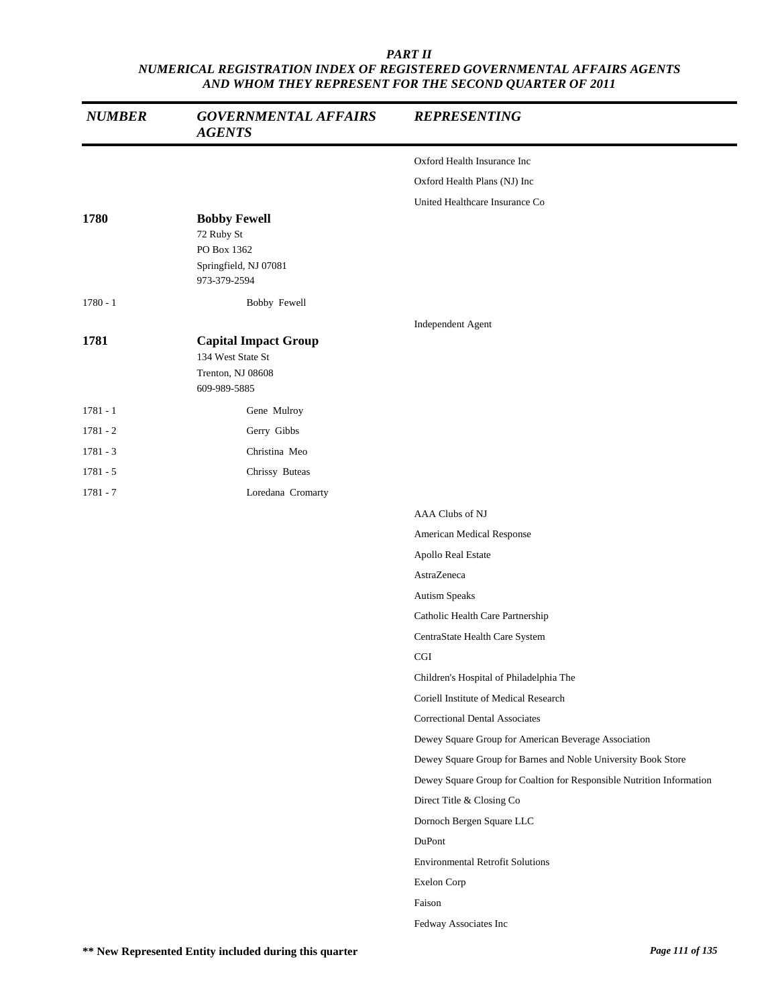| <b>NUMBER</b> | <b>GOVERNMENTAL AFFAIRS</b><br><b>AGENTS</b>                                              | <b>REPRESENTING</b>                                                   |
|---------------|-------------------------------------------------------------------------------------------|-----------------------------------------------------------------------|
|               |                                                                                           | Oxford Health Insurance Inc                                           |
|               |                                                                                           | Oxford Health Plans (NJ) Inc                                          |
|               |                                                                                           | United Healthcare Insurance Co                                        |
| 1780          | <b>Bobby Fewell</b><br>72 Ruby St<br>PO Box 1362<br>Springfield, NJ 07081<br>973-379-2594 |                                                                       |
| $1780 - 1$    | Bobby Fewell                                                                              |                                                                       |
|               |                                                                                           | Independent Agent                                                     |
| 1781          | <b>Capital Impact Group</b><br>134 West State St                                          |                                                                       |
|               | Trenton, NJ 08608<br>609-989-5885                                                         |                                                                       |
| $1781 - 1$    | Gene Mulroy                                                                               |                                                                       |
| $1781 - 2$    | Gerry Gibbs                                                                               |                                                                       |
| $1781 - 3$    | Christina Meo                                                                             |                                                                       |
| $1781 - 5$    | Chrissy Buteas                                                                            |                                                                       |
| $1781 - 7$    | Loredana Cromarty                                                                         |                                                                       |
|               |                                                                                           | AAA Clubs of NJ                                                       |
|               |                                                                                           | American Medical Response                                             |
|               |                                                                                           | Apollo Real Estate                                                    |
|               |                                                                                           | AstraZeneca                                                           |
|               |                                                                                           | Autism Speaks                                                         |
|               |                                                                                           | Catholic Health Care Partnership                                      |
|               |                                                                                           | CentraState Health Care System                                        |
|               |                                                                                           | CGI                                                                   |
|               |                                                                                           | Children's Hospital of Philadelphia The                               |
|               |                                                                                           | Coriell Institute of Medical Research                                 |
|               |                                                                                           | <b>Correctional Dental Associates</b>                                 |
|               |                                                                                           | Dewey Square Group for American Beverage Association                  |
|               |                                                                                           | Dewey Square Group for Barnes and Noble University Book Store         |
|               |                                                                                           | Dewey Square Group for Coaltion for Responsible Nutrition Information |
|               |                                                                                           | Direct Title & Closing Co                                             |
|               |                                                                                           | Dornoch Bergen Square LLC                                             |
|               |                                                                                           | DuPont                                                                |
|               |                                                                                           | <b>Environmental Retrofit Solutions</b>                               |
|               |                                                                                           | Exelon Corp                                                           |
|               |                                                                                           | Faison                                                                |
|               |                                                                                           | Fedway Associates Inc                                                 |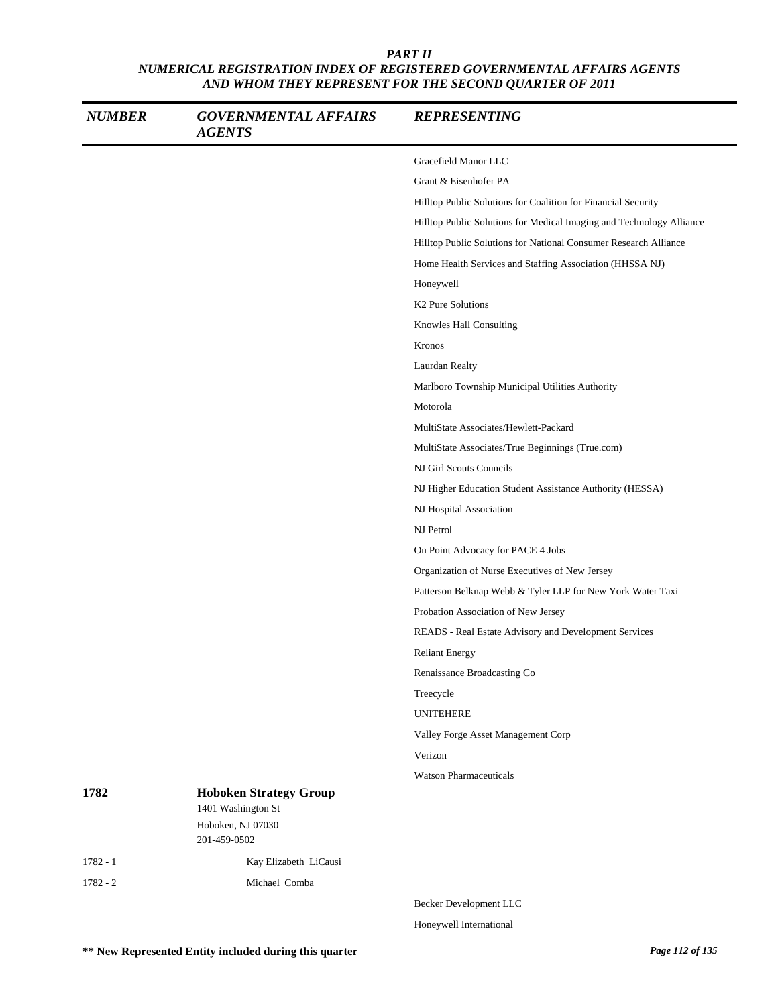| <b>NUMBER</b> | <b>GOVERNMENTAL AFFAIRS</b><br><b>AGENTS</b>        | <b>REPRESENTING</b>                                                  |
|---------------|-----------------------------------------------------|----------------------------------------------------------------------|
|               |                                                     | Gracefield Manor LLC                                                 |
|               |                                                     | Grant & Eisenhofer PA                                                |
|               |                                                     | Hilltop Public Solutions for Coalition for Financial Security        |
|               |                                                     | Hilltop Public Solutions for Medical Imaging and Technology Alliance |
|               |                                                     | Hilltop Public Solutions for National Consumer Research Alliance     |
|               |                                                     | Home Health Services and Staffing Association (HHSSA NJ)             |
|               |                                                     | Honeywell                                                            |
|               |                                                     | K <sub>2</sub> Pure Solutions                                        |
|               |                                                     | Knowles Hall Consulting                                              |
|               |                                                     | Kronos                                                               |
|               |                                                     | Laurdan Realty                                                       |
|               |                                                     | Marlboro Township Municipal Utilities Authority                      |
|               |                                                     | Motorola                                                             |
|               |                                                     | MultiState Associates/Hewlett-Packard                                |
|               |                                                     | MultiState Associates/True Beginnings (True.com)                     |
|               |                                                     | NJ Girl Scouts Councils                                              |
|               |                                                     | NJ Higher Education Student Assistance Authority (HESSA)             |
|               |                                                     | NJ Hospital Association                                              |
|               |                                                     | NJ Petrol                                                            |
|               |                                                     | On Point Advocacy for PACE 4 Jobs                                    |
|               |                                                     | Organization of Nurse Executives of New Jersey                       |
|               |                                                     | Patterson Belknap Webb & Tyler LLP for New York Water Taxi           |
|               |                                                     | Probation Association of New Jersey                                  |
|               |                                                     | READS - Real Estate Advisory and Development Services                |
|               |                                                     | <b>Reliant Energy</b>                                                |
|               |                                                     | Renaissance Broadcasting Co                                          |
|               |                                                     | Treecycle                                                            |
|               |                                                     | <b>UNITEHERE</b>                                                     |
|               |                                                     | Valley Forge Asset Management Corp                                   |
|               |                                                     | Verizon                                                              |
|               |                                                     | <b>Watson Pharmaceuticals</b>                                        |
| 1782          | <b>Hoboken Strategy Group</b><br>1401 Washington St |                                                                      |
|               | Hoboken, NJ 07030<br>201-459-0502                   |                                                                      |
| $1782 - 1$    | Kay Elizabeth LiCausi                               |                                                                      |
| $1782 - 2$    | Michael Comba                                       |                                                                      |
|               |                                                     | Becker Development LLC                                               |

Honeywell International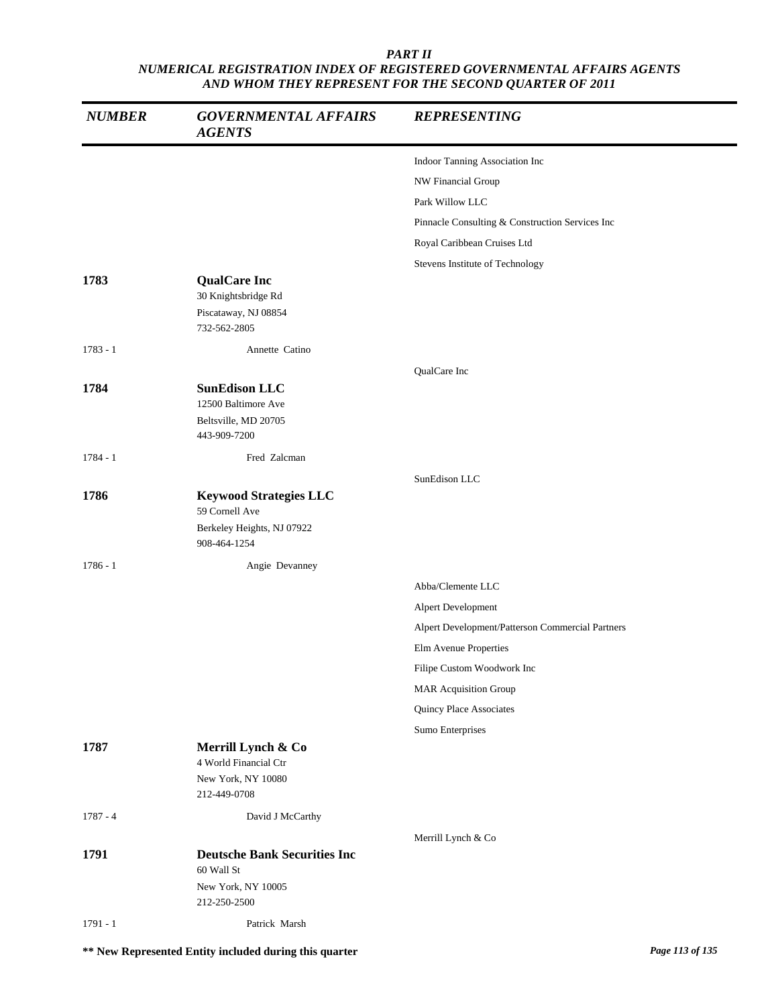| <b>NUMBER</b> | <b>GOVERNMENTAL AFFAIRS</b><br><b>AGENTS</b>                      | <b>REPRESENTING</b>                              |
|---------------|-------------------------------------------------------------------|--------------------------------------------------|
|               |                                                                   | Indoor Tanning Association Inc                   |
|               |                                                                   | NW Financial Group                               |
|               |                                                                   | Park Willow LLC                                  |
|               |                                                                   | Pinnacle Consulting & Construction Services Inc  |
|               |                                                                   | Royal Caribbean Cruises Ltd                      |
|               |                                                                   | Stevens Institute of Technology                  |
| 1783          | <b>QualCare Inc</b><br>30 Knightsbridge Rd                        |                                                  |
|               | Piscataway, NJ 08854<br>732-562-2805                              |                                                  |
| $1783 - 1$    | Annette Catino                                                    |                                                  |
|               |                                                                   | QualCare Inc                                     |
| 1784          | <b>SunEdison LLC</b>                                              |                                                  |
|               | 12500 Baltimore Ave                                               |                                                  |
|               | Beltsville, MD 20705<br>443-909-7200                              |                                                  |
| 1784 - 1      | Fred Zalcman                                                      |                                                  |
|               |                                                                   | SunEdison LLC                                    |
| 1786          | <b>Keywood Strategies LLC</b>                                     |                                                  |
|               | 59 Cornell Ave                                                    |                                                  |
|               | Berkeley Heights, NJ 07922<br>908-464-1254                        |                                                  |
| $1786 - 1$    | Angie Devanney                                                    |                                                  |
|               |                                                                   | Abba/Clemente LLC                                |
|               |                                                                   | Alpert Development                               |
|               |                                                                   | Alpert Development/Patterson Commercial Partners |
|               |                                                                   | Elm Avenue Properties                            |
|               |                                                                   | Filipe Custom Woodwork Inc                       |
|               |                                                                   | <b>MAR Acquisition Group</b>                     |
|               |                                                                   | Quincy Place Associates                          |
|               |                                                                   | Sumo Enterprises                                 |
| 1787          | Merrill Lynch & Co<br>4 World Financial Ctr<br>New York, NY 10080 |                                                  |
|               | 212-449-0708                                                      |                                                  |
| $1787 - 4$    | David J McCarthy                                                  |                                                  |
|               |                                                                   | Merrill Lynch & Co                               |
| 1791          | <b>Deutsche Bank Securities Inc</b><br>60 Wall St                 |                                                  |
|               | New York, NY 10005<br>212-250-2500                                |                                                  |
| $1791 - 1$    | Patrick Marsh                                                     |                                                  |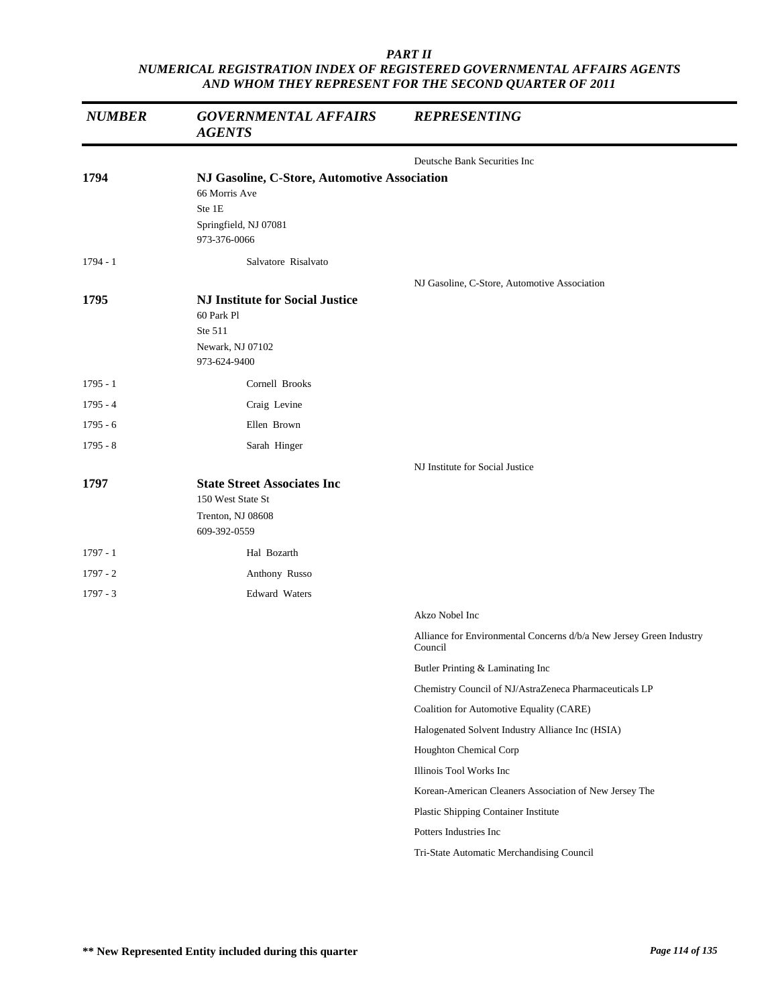| <b>NUMBER</b> | <b>GOVERNMENTAL AFFAIRS</b><br><b>AGENTS</b>                                                                     | <b>REPRESENTING</b>                                                            |
|---------------|------------------------------------------------------------------------------------------------------------------|--------------------------------------------------------------------------------|
|               |                                                                                                                  | Deutsche Bank Securities Inc                                                   |
| 1794          | NJ Gasoline, C-Store, Automotive Association<br>66 Morris Ave<br>Ste 1E<br>Springfield, NJ 07081<br>973-376-0066 |                                                                                |
| $1794 - 1$    | Salvatore Risalvato                                                                                              |                                                                                |
| 1795          | <b>NJ Institute for Social Justice</b><br>60 Park Pl<br>Ste 511<br>Newark, NJ 07102<br>973-624-9400              | NJ Gasoline, C-Store, Automotive Association                                   |
| $1795 - 1$    | Cornell Brooks                                                                                                   |                                                                                |
| $1795 - 4$    | Craig Levine                                                                                                     |                                                                                |
| $1795 - 6$    | Ellen Brown                                                                                                      |                                                                                |
| $1795 - 8$    | Sarah Hinger                                                                                                     |                                                                                |
| 1797          | <b>State Street Associates Inc</b><br>150 West State St<br>Trenton, NJ 08608<br>609-392-0559                     | NJ Institute for Social Justice                                                |
| $1797 - 1$    | Hal Bozarth                                                                                                      |                                                                                |
| $1797 - 2$    | Anthony Russo                                                                                                    |                                                                                |
| $1797 - 3$    | <b>Edward Waters</b>                                                                                             |                                                                                |
|               |                                                                                                                  | Akzo Nobel Inc                                                                 |
|               |                                                                                                                  | Alliance for Environmental Concerns d/b/a New Jersey Green Industry<br>Council |
|               |                                                                                                                  | Butler Printing & Laminating Inc                                               |
|               |                                                                                                                  | Chemistry Council of NJ/AstraZeneca Pharmaceuticals LP                         |
|               |                                                                                                                  | Coalition for Automotive Equality (CARE)                                       |
|               |                                                                                                                  | Halogenated Solvent Industry Alliance Inc (HSIA)                               |
|               |                                                                                                                  | Houghton Chemical Corp                                                         |
|               |                                                                                                                  | Illinois Tool Works Inc                                                        |
|               |                                                                                                                  | Korean-American Cleaners Association of New Jersey The                         |
|               |                                                                                                                  | Plastic Shipping Container Institute                                           |
|               |                                                                                                                  | Potters Industries Inc                                                         |
|               |                                                                                                                  | Tri-State Automatic Merchandising Council                                      |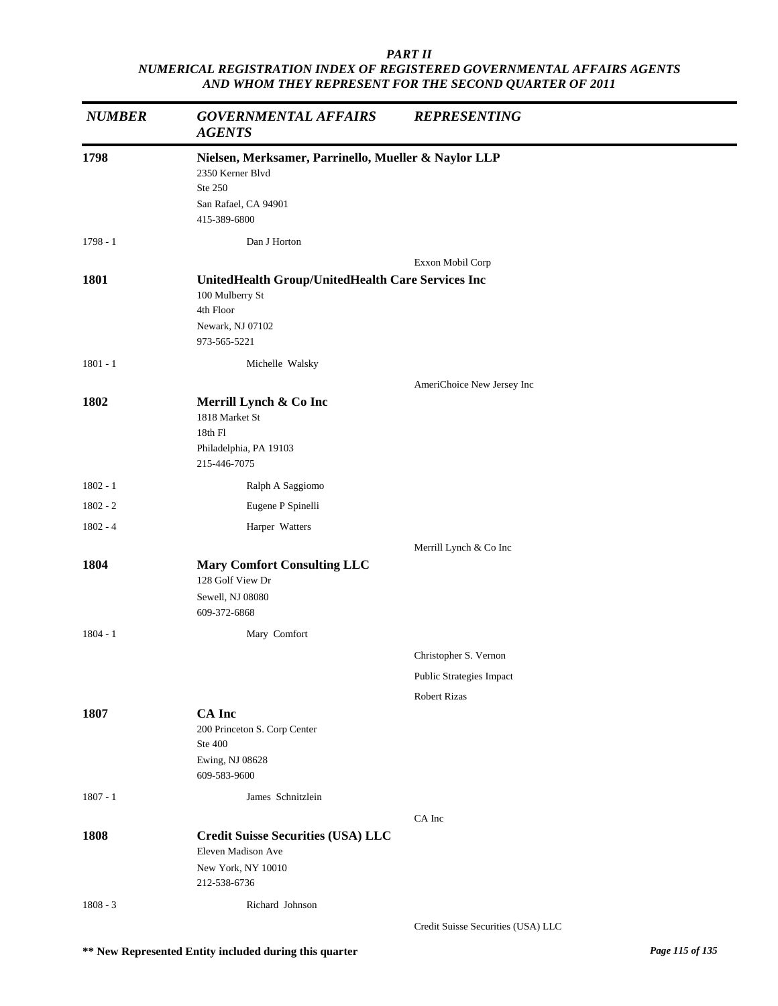| <b>NUMBER</b> | <b>GOVERNMENTAL AFFAIRS</b><br><b>AGENTS</b>                             | <b>REPRESENTING</b>                |
|---------------|--------------------------------------------------------------------------|------------------------------------|
| 1798          | Nielsen, Merksamer, Parrinello, Mueller & Naylor LLP<br>2350 Kerner Blvd |                                    |
|               | Ste 250<br>San Rafael, CA 94901<br>415-389-6800                          |                                    |
| $1798 - 1$    | Dan J Horton                                                             |                                    |
|               |                                                                          | Exxon Mobil Corp                   |
| 1801          | UnitedHealth Group/UnitedHealth Care Services Inc<br>100 Mulberry St     |                                    |
|               | 4th Floor                                                                |                                    |
|               | Newark, NJ 07102                                                         |                                    |
|               | 973-565-5221                                                             |                                    |
| $1801 - 1$    | Michelle Walsky                                                          |                                    |
|               |                                                                          | AmeriChoice New Jersey Inc         |
| 1802          | Merrill Lynch & Co Inc                                                   |                                    |
|               | 1818 Market St<br>18th Fl                                                |                                    |
|               | Philadelphia, PA 19103                                                   |                                    |
|               | 215-446-7075                                                             |                                    |
| $1802 - 1$    | Ralph A Saggiomo                                                         |                                    |
| $1802 - 2$    | Eugene P Spinelli                                                        |                                    |
| $1802 - 4$    | Harper Watters                                                           |                                    |
|               |                                                                          | Merrill Lynch & Co Inc             |
| 1804          | <b>Mary Comfort Consulting LLC</b><br>128 Golf View Dr                   |                                    |
|               | Sewell, NJ 08080<br>609-372-6868                                         |                                    |
| $1804 - 1$    | Mary Comfort                                                             |                                    |
|               |                                                                          | Christopher S. Vernon              |
|               |                                                                          | Public Strategies Impact           |
|               |                                                                          | <b>Robert Rizas</b>                |
| 1807          | <b>CA</b> Inc                                                            |                                    |
|               | 200 Princeton S. Corp Center<br>Ste 400                                  |                                    |
|               | Ewing, NJ 08628                                                          |                                    |
|               | 609-583-9600                                                             |                                    |
| $1807 - 1$    | James Schnitzlein                                                        |                                    |
|               |                                                                          | CA Inc                             |
| 1808          | <b>Credit Suisse Securities (USA) LLC</b>                                |                                    |
|               | Eleven Madison Ave                                                       |                                    |
|               | New York, NY 10010<br>212-538-6736                                       |                                    |
|               |                                                                          |                                    |
| $1808 - 3$    | Richard Johnson                                                          | Credit Suisse Securities (USA) LLC |
|               |                                                                          |                                    |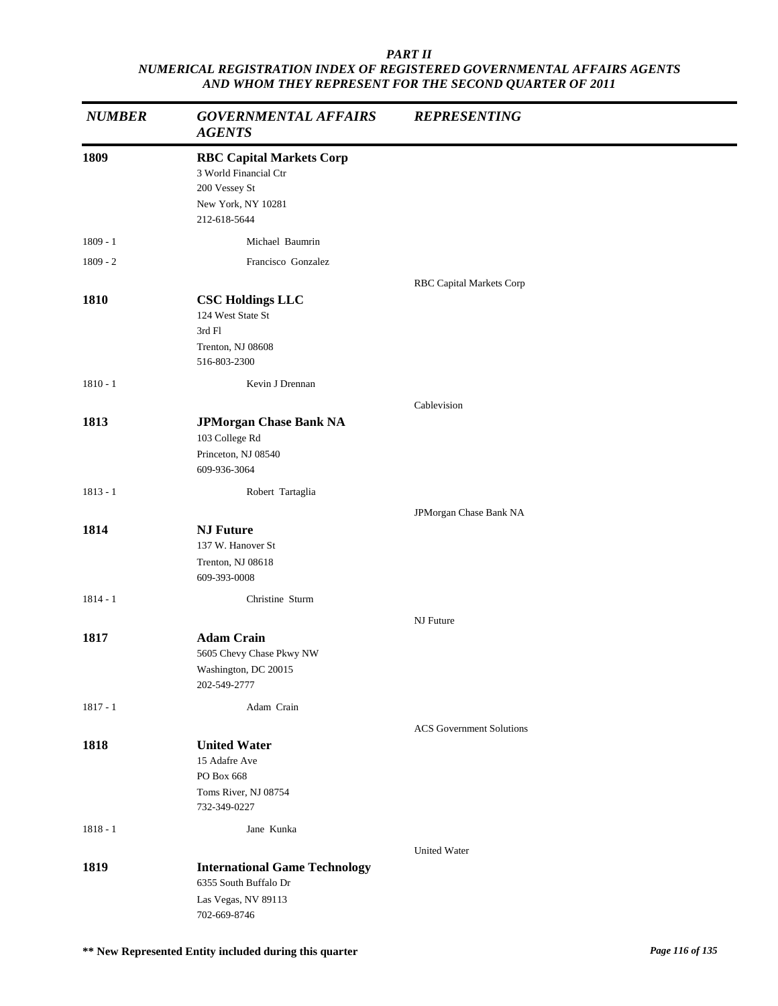| <b>NUMBER</b> | <b>GOVERNMENTAL AFFAIRS</b><br><b>AGENTS</b>                                                                    | <b>REPRESENTING</b>             |
|---------------|-----------------------------------------------------------------------------------------------------------------|---------------------------------|
| 1809          | <b>RBC Capital Markets Corp</b><br>3 World Financial Ctr<br>200 Vessey St<br>New York, NY 10281<br>212-618-5644 |                                 |
| $1809 - 1$    | Michael Baumrin                                                                                                 |                                 |
| $1809 - 2$    | Francisco Gonzalez                                                                                              |                                 |
|               |                                                                                                                 | RBC Capital Markets Corp        |
| 1810          | <b>CSC Holdings LLC</b><br>124 West State St<br>3rd Fl<br>Trenton, NJ 08608<br>516-803-2300                     |                                 |
| $1810 - 1$    | Kevin J Drennan                                                                                                 |                                 |
|               |                                                                                                                 | Cablevision                     |
| 1813          | <b>JPMorgan Chase Bank NA</b><br>103 College Rd<br>Princeton, NJ 08540<br>609-936-3064                          |                                 |
| $1813 - 1$    | Robert Tartaglia                                                                                                |                                 |
|               |                                                                                                                 | JPMorgan Chase Bank NA          |
| 1814          | <b>NJ Future</b><br>137 W. Hanover St<br>Trenton, NJ 08618<br>609-393-0008                                      |                                 |
| $1814 - 1$    | Christine Sturm                                                                                                 |                                 |
|               |                                                                                                                 | NJ Future                       |
| 1817          | <b>Adam Crain</b><br>5605 Chevy Chase Pkwy NW<br>Washington, DC 20015<br>202-549-2777                           |                                 |
| $1817 - 1$    | Adam Crain                                                                                                      |                                 |
|               |                                                                                                                 | <b>ACS</b> Government Solutions |
| 1818          | <b>United Water</b><br>15 Adafre Ave<br>PO Box 668<br>Toms River, NJ 08754<br>732-349-0227                      |                                 |
| $1818 - 1$    | Jane Kunka                                                                                                      |                                 |
|               |                                                                                                                 | <b>United Water</b>             |
| 1819          | <b>International Game Technology</b><br>6355 South Buffalo Dr<br>Las Vegas, NV 89113<br>702-669-8746            |                                 |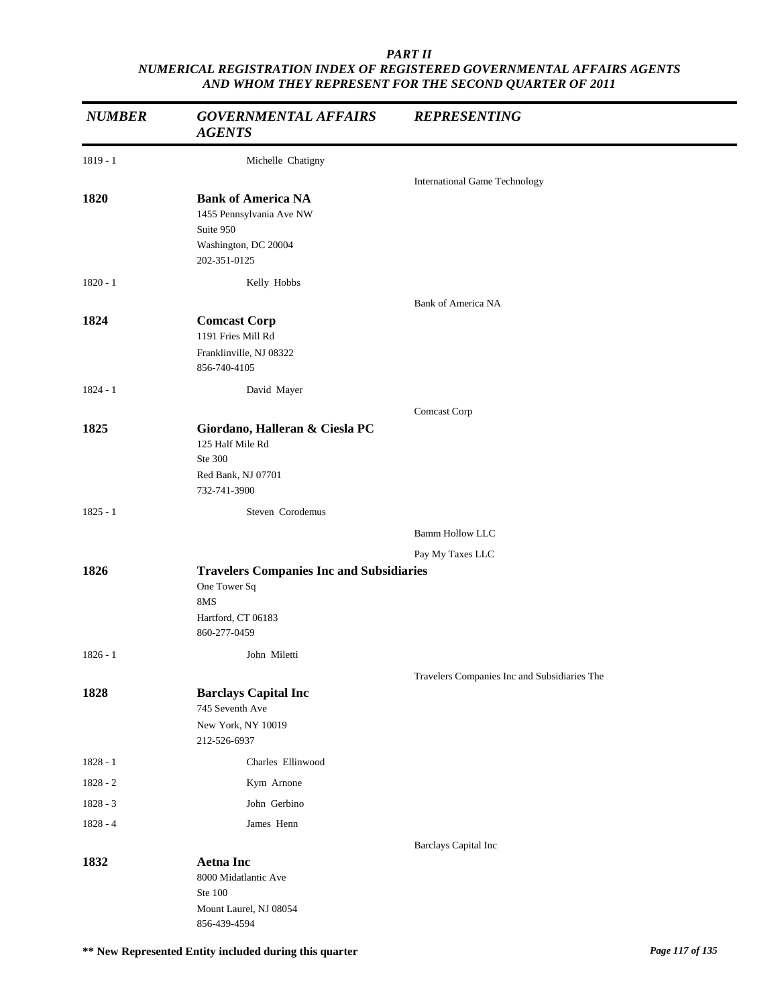| <b>NUMBER</b> | <b>GOVERNMENTAL AFFAIRS</b><br><b>AGENTS</b>                                                                 | <b>REPRESENTING</b>                          |
|---------------|--------------------------------------------------------------------------------------------------------------|----------------------------------------------|
| 1819 - 1      | Michelle Chatigny                                                                                            |                                              |
|               |                                                                                                              | <b>International Game Technology</b>         |
| 1820          | <b>Bank of America NA</b><br>1455 Pennsylvania Ave NW<br>Suite 950<br>Washington, DC 20004<br>202-351-0125   |                                              |
| $1820 - 1$    | Kelly Hobbs                                                                                                  |                                              |
|               |                                                                                                              | <b>Bank of America NA</b>                    |
| 1824          | <b>Comcast Corp</b><br>1191 Fries Mill Rd                                                                    |                                              |
|               | Franklinville, NJ 08322<br>856-740-4105                                                                      |                                              |
| $1824 - 1$    | David Mayer                                                                                                  |                                              |
|               |                                                                                                              | Comcast Corp                                 |
| 1825          | Giordano, Halleran & Ciesla PC<br>125 Half Mile Rd<br>Ste 300<br>Red Bank, NJ 07701                          |                                              |
|               | 732-741-3900                                                                                                 |                                              |
| $1825 - 1$    | Steven Corodemus                                                                                             |                                              |
|               |                                                                                                              | <b>Bamm Hollow LLC</b>                       |
|               |                                                                                                              | Pay My Taxes LLC                             |
| 1826          | <b>Travelers Companies Inc and Subsidiaries</b><br>One Tower Sq<br>8MS<br>Hartford, CT 06183<br>860-277-0459 |                                              |
| $1826 - 1$    | John Miletti                                                                                                 |                                              |
|               |                                                                                                              | Travelers Companies Inc and Subsidiaries The |
| 1828          | <b>Barclays Capital Inc</b><br>745 Seventh Ave<br>New York, NY 10019<br>212-526-6937                         |                                              |
| $1828 - 1$    | Charles Ellinwood                                                                                            |                                              |
| 1828 - 2      | Kym Arnone                                                                                                   |                                              |
| $1828 - 3$    | John Gerbino                                                                                                 |                                              |
| $1828 - 4$    | James Henn                                                                                                   |                                              |
|               |                                                                                                              | <b>Barclays Capital Inc</b>                  |
| 1832          | <b>Aetna Inc</b><br>8000 Midatlantic Ave<br>Ste 100<br>Mount Laurel, NJ 08054<br>856-439-4594                |                                              |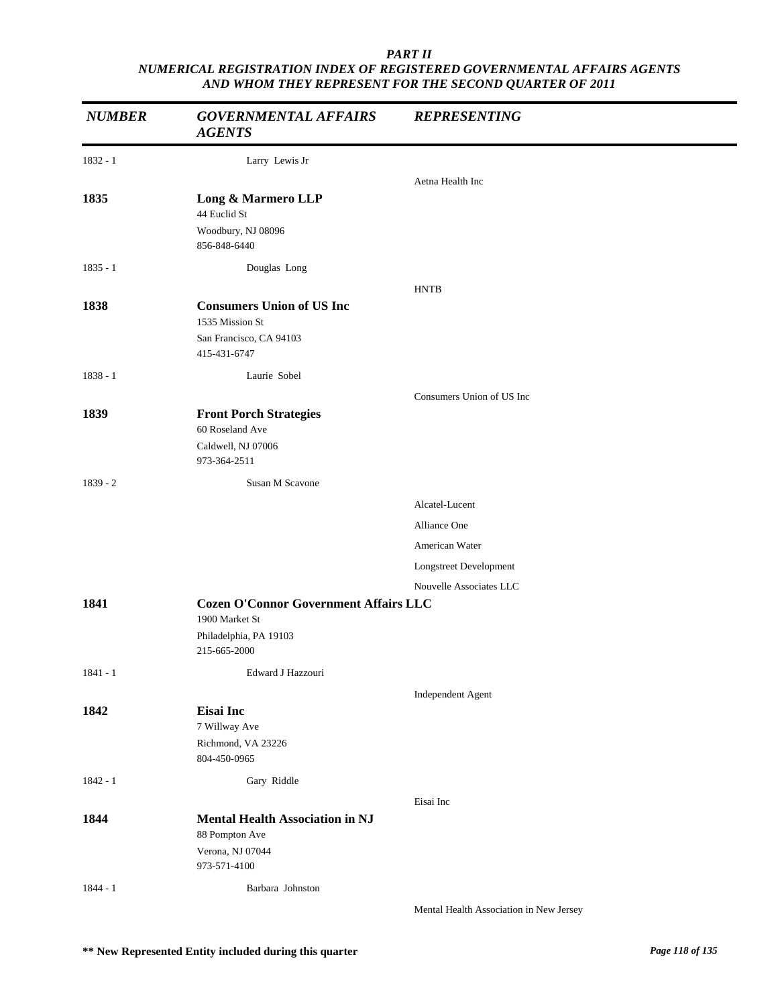| <b>NUMBER</b> | <b>GOVERNMENTAL AFFAIRS</b><br><b>AGENTS</b>                                                             | <b>REPRESENTING</b>                     |
|---------------|----------------------------------------------------------------------------------------------------------|-----------------------------------------|
| $1832 - 1$    | Larry Lewis Jr                                                                                           |                                         |
|               |                                                                                                          | Aetna Health Inc                        |
| 1835          | Long & Marmero LLP<br>44 Euclid St<br>Woodbury, NJ 08096<br>856-848-6440                                 |                                         |
| $1835 - 1$    | Douglas Long                                                                                             |                                         |
|               |                                                                                                          | <b>HNTB</b>                             |
| 1838          | <b>Consumers Union of US Inc</b><br>1535 Mission St                                                      |                                         |
|               | San Francisco, CA 94103<br>415-431-6747                                                                  |                                         |
| $1838 - 1$    | Laurie Sobel                                                                                             |                                         |
|               |                                                                                                          | Consumers Union of US Inc               |
| 1839          | <b>Front Porch Strategies</b><br>60 Roseland Ave<br>Caldwell, NJ 07006<br>973-364-2511                   |                                         |
| $1839 - 2$    | Susan M Scavone                                                                                          |                                         |
|               |                                                                                                          | Alcatel-Lucent                          |
|               |                                                                                                          | Alliance One                            |
|               |                                                                                                          | American Water                          |
|               |                                                                                                          | Longstreet Development                  |
|               |                                                                                                          | Nouvelle Associates LLC                 |
| 1841          | <b>Cozen O'Connor Government Affairs LLC</b><br>1900 Market St<br>Philadelphia, PA 19103<br>215-665-2000 |                                         |
| 1841 - 1      | Edward J Hazzouri                                                                                        |                                         |
| 1842          | Eisai Inc<br>7 Willway Ave<br>Richmond, VA 23226<br>804-450-0965                                         | Independent Agent                       |
| $1842 - 1$    | Gary Riddle                                                                                              |                                         |
|               |                                                                                                          | Eisai Inc                               |
| 1844          | <b>Mental Health Association in NJ</b><br>88 Pompton Ave<br>Verona, NJ 07044<br>973-571-4100             |                                         |
| $1844 - 1$    | Barbara Johnston                                                                                         |                                         |
|               |                                                                                                          | Mental Health Association in New Jersey |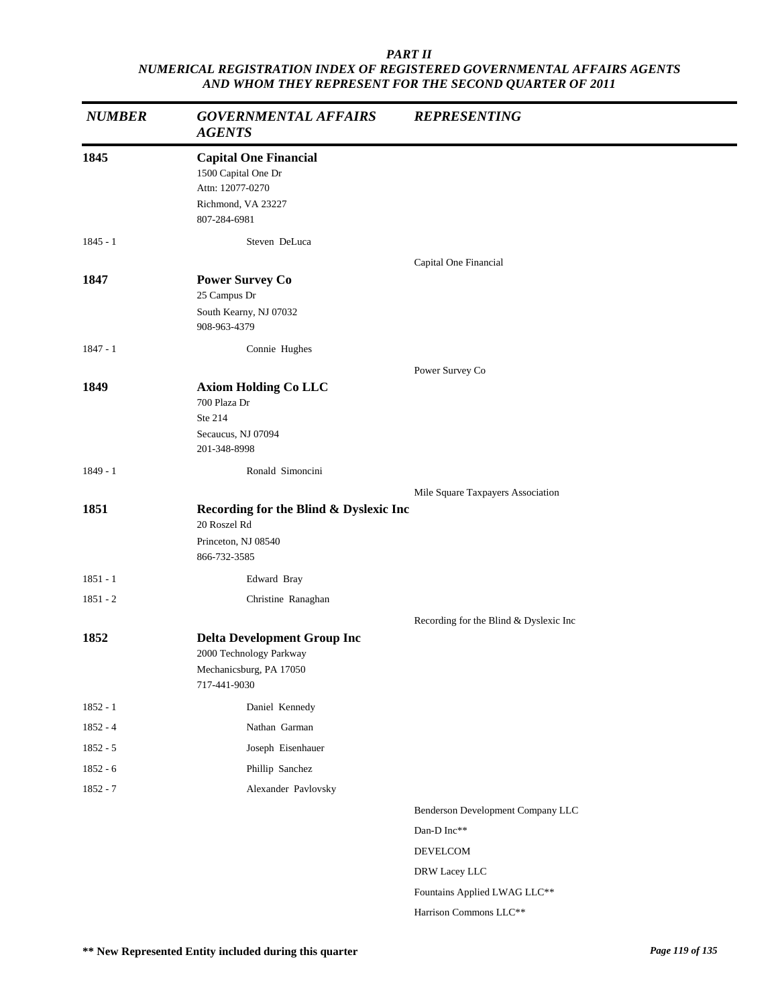| <b>NUMBER</b> | <b>GOVERNMENTAL AFFAIRS</b><br><b>AGENTS</b>                                                                  | <b>REPRESENTING</b>                    |
|---------------|---------------------------------------------------------------------------------------------------------------|----------------------------------------|
| 1845          | <b>Capital One Financial</b><br>1500 Capital One Dr<br>Attn: 12077-0270<br>Richmond, VA 23227<br>807-284-6981 |                                        |
| $1845 - 1$    | Steven DeLuca                                                                                                 |                                        |
| 1847          | <b>Power Survey Co</b><br>25 Campus Dr<br>South Kearny, NJ 07032<br>908-963-4379                              | Capital One Financial                  |
| $1847 - 1$    | Connie Hughes                                                                                                 |                                        |
| 1849          | <b>Axiom Holding Co LLC</b><br>700 Plaza Dr<br>Ste 214<br>Secaucus, NJ 07094<br>201-348-8998                  | Power Survey Co                        |
| $1849 - 1$    | Ronald Simoncini                                                                                              |                                        |
| 1851          | Recording for the Blind & Dyslexic Inc<br>20 Roszel Rd<br>Princeton, NJ 08540<br>866-732-3585                 | Mile Square Taxpayers Association      |
| $1851 - 1$    | Edward Bray                                                                                                   |                                        |
| $1851 - 2$    | Christine Ranaghan                                                                                            |                                        |
| 1852          | <b>Delta Development Group Inc</b><br>2000 Technology Parkway<br>Mechanicsburg, PA 17050<br>717-441-9030      | Recording for the Blind & Dyslexic Inc |
| $1852 - 1$    | Daniel Kennedy                                                                                                |                                        |
| $1852 - 4$    | Nathan Garman                                                                                                 |                                        |
| $1852 - 5$    | Joseph Eisenhauer                                                                                             |                                        |
| $1852 - 6$    | Phillip Sanchez                                                                                               |                                        |
| $1852 - 7$    | Alexander Pavlovsky                                                                                           |                                        |
|               |                                                                                                               | Benderson Development Company LLC      |
|               |                                                                                                               | Dan-D Inc**                            |
|               |                                                                                                               | $\operatorname{DEVELCOM}$              |
|               |                                                                                                               | DRW Lacey LLC                          |
|               |                                                                                                               | Fountains Applied LWAG LLC**           |
|               |                                                                                                               | Harrison Commons LLC**                 |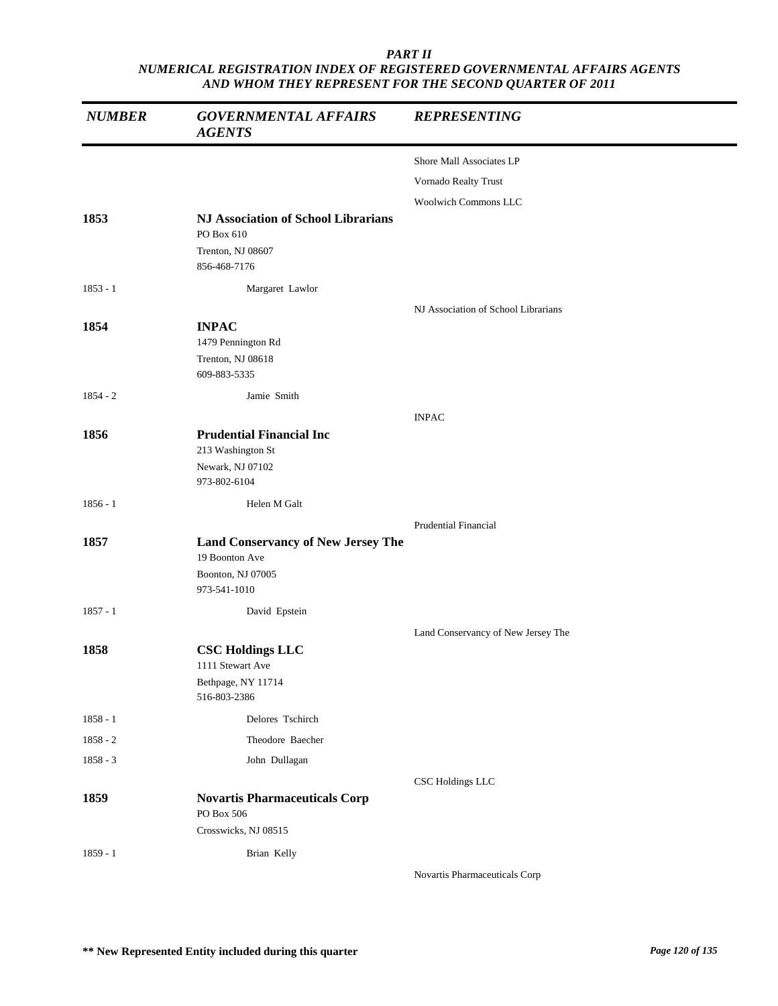| <b>NUMBER</b> | <b>GOVERNMENTAL AFFAIRS</b><br><b>AGENTS</b>                                                     | <b>REPRESENTING</b>                 |
|---------------|--------------------------------------------------------------------------------------------------|-------------------------------------|
|               |                                                                                                  | Shore Mall Associates LP            |
|               |                                                                                                  | Vornado Realty Trust                |
|               |                                                                                                  | <b>Woolwich Commons LLC</b>         |
| 1853          | <b>NJ Association of School Librarians</b><br>PO Box 610<br>Trenton, NJ 08607                    |                                     |
|               | 856-468-7176                                                                                     |                                     |
| $1853 - 1$    | Margaret Lawlor                                                                                  |                                     |
|               |                                                                                                  | NJ Association of School Librarians |
| 1854          | <b>INPAC</b><br>1479 Pennington Rd<br>Trenton, NJ 08618<br>609-883-5335                          |                                     |
| $1854 - 2$    | Jamie Smith                                                                                      |                                     |
|               |                                                                                                  | <b>INPAC</b>                        |
| 1856          | <b>Prudential Financial Inc</b><br>213 Washington St<br>Newark, NJ 07102<br>973-802-6104         |                                     |
| $1856 - 1$    | Helen M Galt                                                                                     |                                     |
|               |                                                                                                  | <b>Prudential Financial</b>         |
| 1857          | <b>Land Conservancy of New Jersey The</b><br>19 Boonton Ave<br>Boonton, NJ 07005<br>973-541-1010 |                                     |
| $1857 - 1$    | David Epstein                                                                                    |                                     |
|               |                                                                                                  | Land Conservancy of New Jersey The  |
| 1858          | <b>CSC Holdings LLC</b><br>1111 Stewart Ave<br>Bethpage, NY 11714<br>516-803-2386                |                                     |
| $1858 - 1$    | Delores Tschirch                                                                                 |                                     |
| 1858 - 2      | Theodore Baecher                                                                                 |                                     |
| 1858 - 3      | John Dullagan                                                                                    |                                     |
|               |                                                                                                  | CSC Holdings LLC                    |
| 1859          | <b>Novartis Pharmaceuticals Corp</b><br>PO Box 506                                               |                                     |
|               | Crosswicks, NJ 08515                                                                             |                                     |
| $1859 - 1$    | Brian Kelly                                                                                      | Novartis Pharmaceuticals Corp       |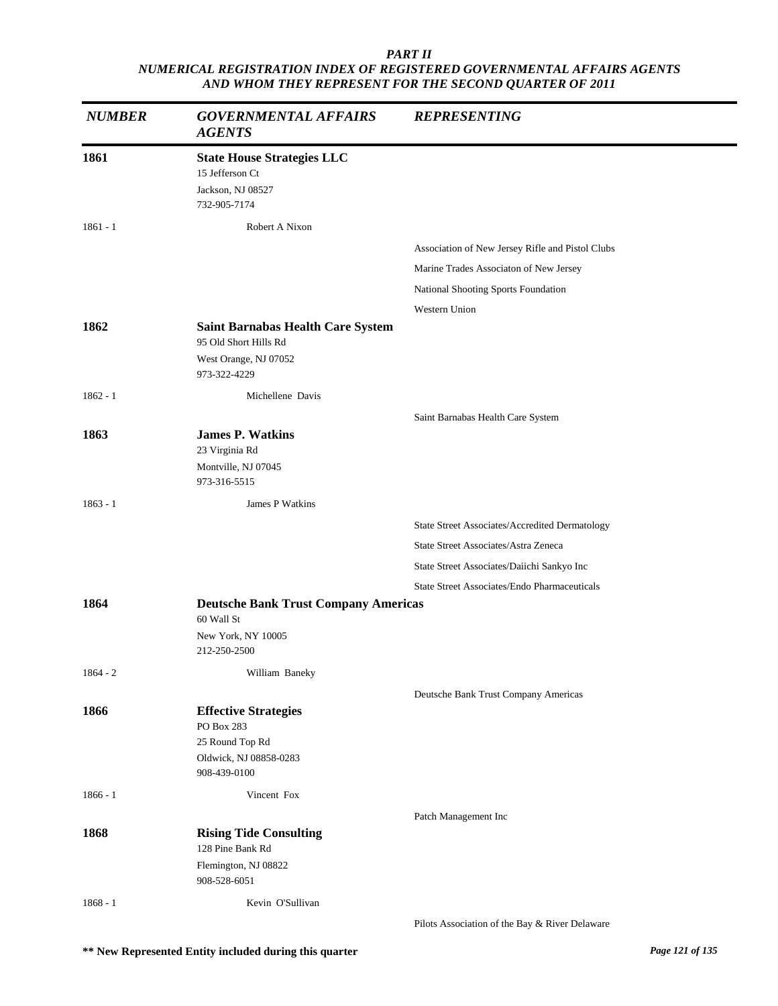| <b>NUMBER</b> | <b>GOVERNMENTAL AFFAIRS</b><br><b>AGENTS</b>                                              | <b>REPRESENTING</b>                                 |
|---------------|-------------------------------------------------------------------------------------------|-----------------------------------------------------|
| 1861          | <b>State House Strategies LLC</b><br>15 Jefferson Ct<br>Jackson, NJ 08527<br>732-905-7174 |                                                     |
| $1861 - 1$    | Robert A Nixon                                                                            |                                                     |
|               |                                                                                           | Association of New Jersey Rifle and Pistol Clubs    |
|               |                                                                                           | Marine Trades Associaton of New Jersey              |
|               |                                                                                           | National Shooting Sports Foundation                 |
|               |                                                                                           | Western Union                                       |
| 1862          | <b>Saint Barnabas Health Care System</b><br>95 Old Short Hills Rd                         |                                                     |
|               | West Orange, NJ 07052<br>973-322-4229                                                     |                                                     |
| $1862 - 1$    | Michellene Davis                                                                          |                                                     |
|               |                                                                                           | Saint Barnabas Health Care System                   |
| 1863          | <b>James P. Watkins</b>                                                                   |                                                     |
|               | 23 Virginia Rd                                                                            |                                                     |
|               | Montville, NJ 07045<br>973-316-5515                                                       |                                                     |
| $1863 - 1$    | James P Watkins                                                                           |                                                     |
|               |                                                                                           | State Street Associates/Accredited Dermatology      |
|               |                                                                                           | State Street Associates/Astra Zeneca                |
|               |                                                                                           | State Street Associates/Daiichi Sankyo Inc          |
|               |                                                                                           | <b>State Street Associates/Endo Pharmaceuticals</b> |
| 1864          | <b>Deutsche Bank Trust Company Americas</b><br>60 Wall St                                 |                                                     |
|               | New York, NY 10005                                                                        |                                                     |
|               | 212-250-2500                                                                              |                                                     |
| $1864 - 2$    | William Baneky                                                                            |                                                     |
|               |                                                                                           | Deutsche Bank Trust Company Americas                |
| 1866          | <b>Effective Strategies</b><br>PO Box 283                                                 |                                                     |
|               | 25 Round Top Rd                                                                           |                                                     |
|               | Oldwick, NJ 08858-0283                                                                    |                                                     |
|               | 908-439-0100                                                                              |                                                     |
| $1866 - 1$    | Vincent Fox                                                                               |                                                     |
|               |                                                                                           | Patch Management Inc                                |
| 1868          | <b>Rising Tide Consulting</b>                                                             |                                                     |
|               | 128 Pine Bank Rd                                                                          |                                                     |
|               | Flemington, NJ 08822<br>908-528-6051                                                      |                                                     |
| $1868 - 1$    | Kevin O'Sullivan                                                                          |                                                     |
|               |                                                                                           | Pilots Association of the Bay & River Delaware      |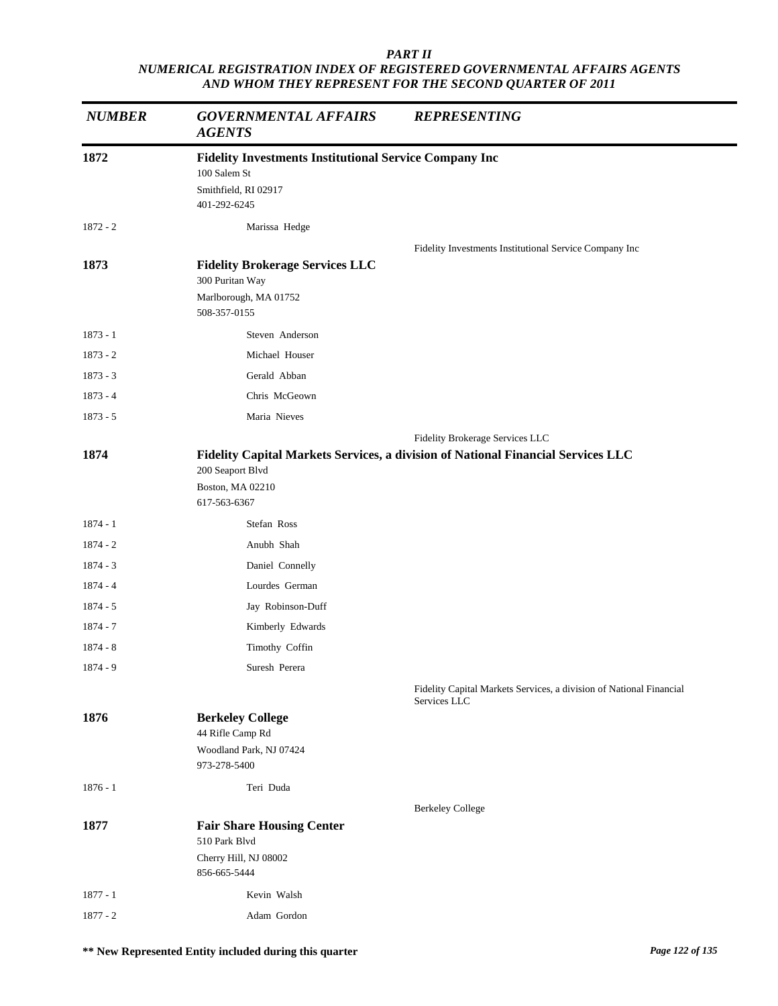| <b>NUMBER</b> | <b>GOVERNMENTAL AFFAIRS</b><br><b>AGENTS</b>                  | <b>REPRESENTING</b>                                                                 |
|---------------|---------------------------------------------------------------|-------------------------------------------------------------------------------------|
| 1872          | <b>Fidelity Investments Institutional Service Company Inc</b> |                                                                                     |
|               | 100 Salem St                                                  |                                                                                     |
|               | Smithfield, RI 02917<br>401-292-6245                          |                                                                                     |
| 1872 - 2      | Marissa Hedge                                                 |                                                                                     |
|               |                                                               | Fidelity Investments Institutional Service Company Inc                              |
| 1873          | <b>Fidelity Brokerage Services LLC</b>                        |                                                                                     |
|               | 300 Puritan Way<br>Marlborough, MA 01752                      |                                                                                     |
|               | 508-357-0155                                                  |                                                                                     |
| $1873 - 1$    | Steven Anderson                                               |                                                                                     |
| $1873 - 2$    | Michael Houser                                                |                                                                                     |
| $1873 - 3$    | Gerald Abban                                                  |                                                                                     |
| $1873 - 4$    | Chris McGeown                                                 |                                                                                     |
| $1873 - 5$    | Maria Nieves                                                  |                                                                                     |
|               |                                                               | Fidelity Brokerage Services LLC                                                     |
| 1874          | 200 Seaport Blvd                                              | Fidelity Capital Markets Services, a division of National Financial Services LLC    |
|               | Boston, MA 02210                                              |                                                                                     |
|               | 617-563-6367                                                  |                                                                                     |
| $1874 - 1$    | Stefan Ross                                                   |                                                                                     |
| $1874 - 2$    | Anubh Shah                                                    |                                                                                     |
| $1874 - 3$    | Daniel Connelly                                               |                                                                                     |
| $1874 - 4$    | Lourdes German                                                |                                                                                     |
| $1874 - 5$    | Jay Robinson-Duff                                             |                                                                                     |
| 1874 - 7      | Kimberly Edwards                                              |                                                                                     |
| $1874 - 8$    | Timothy Coffin                                                |                                                                                     |
| $1874 - 9$    | Suresh Perera                                                 |                                                                                     |
|               |                                                               | Fidelity Capital Markets Services, a division of National Financial<br>Services LLC |
| 1876          | <b>Berkeley College</b>                                       |                                                                                     |
|               | 44 Rifle Camp Rd<br>Woodland Park, NJ 07424                   |                                                                                     |
|               | 973-278-5400                                                  |                                                                                     |
| $1876 - 1$    | Teri Duda                                                     |                                                                                     |
|               |                                                               | <b>Berkeley College</b>                                                             |
| 1877          | <b>Fair Share Housing Center</b><br>510 Park Blvd             |                                                                                     |
|               | Cherry Hill, NJ 08002<br>856-665-5444                         |                                                                                     |
| $1877 - 1$    | Kevin Walsh                                                   |                                                                                     |
| $1877 - 2$    | Adam Gordon                                                   |                                                                                     |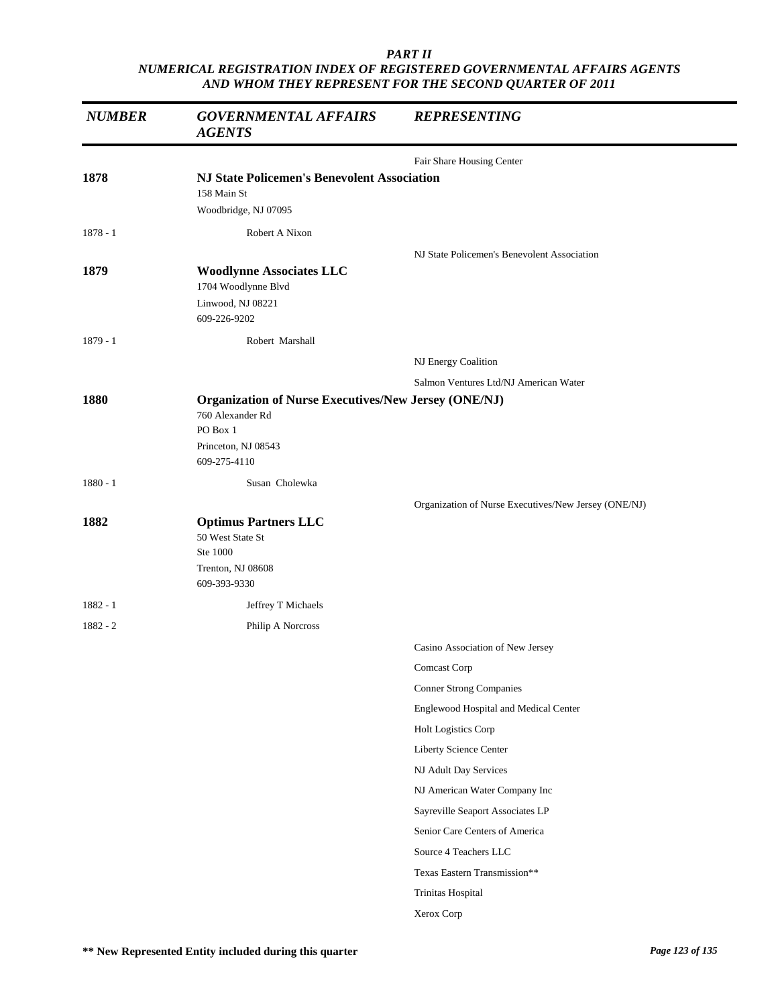| <b>NUMBER</b> | <b>GOVERNMENTAL AFFAIRS</b><br><b>AGENTS</b>                                                                                       | <b>REPRESENTING</b>                                  |
|---------------|------------------------------------------------------------------------------------------------------------------------------------|------------------------------------------------------|
|               |                                                                                                                                    | Fair Share Housing Center                            |
| 1878          | <b>NJ State Policemen's Benevolent Association</b><br>158 Main St<br>Woodbridge, NJ 07095                                          |                                                      |
| $1878 - 1$    | Robert A Nixon                                                                                                                     |                                                      |
| 1879          | <b>Woodlynne Associates LLC</b><br>1704 Woodlynne Blvd<br>Linwood, NJ 08221<br>609-226-9202                                        | NJ State Policemen's Benevolent Association          |
| $1879 - 1$    | Robert Marshall                                                                                                                    |                                                      |
|               |                                                                                                                                    | NJ Energy Coalition                                  |
|               |                                                                                                                                    | Salmon Ventures Ltd/NJ American Water                |
| 1880          | <b>Organization of Nurse Executives/New Jersey (ONE/NJ)</b><br>760 Alexander Rd<br>PO Box 1<br>Princeton, NJ 08543<br>609-275-4110 |                                                      |
| $1880 - 1$    | Susan Cholewka                                                                                                                     |                                                      |
| 1882          | <b>Optimus Partners LLC</b><br>50 West State St<br>Ste 1000<br>Trenton, NJ 08608<br>609-393-9330                                   | Organization of Nurse Executives/New Jersey (ONE/NJ) |
| 1882 - 1      | Jeffrey T Michaels                                                                                                                 |                                                      |
| $1882 - 2$    | Philip A Norcross                                                                                                                  |                                                      |
|               |                                                                                                                                    | Casino Association of New Jersey                     |
|               |                                                                                                                                    | Comcast Corp                                         |
|               |                                                                                                                                    | <b>Conner Strong Companies</b>                       |
|               |                                                                                                                                    | Englewood Hospital and Medical Center                |
|               |                                                                                                                                    | Holt Logistics Corp                                  |
|               |                                                                                                                                    | Liberty Science Center                               |
|               |                                                                                                                                    | NJ Adult Day Services                                |
|               |                                                                                                                                    | NJ American Water Company Inc                        |
|               |                                                                                                                                    | Sayreville Seaport Associates LP                     |
|               |                                                                                                                                    | Senior Care Centers of America                       |
|               |                                                                                                                                    | Source 4 Teachers LLC                                |
|               |                                                                                                                                    | Texas Eastern Transmission**                         |
|               |                                                                                                                                    | Trinitas Hospital                                    |
|               |                                                                                                                                    | Xerox Corp                                           |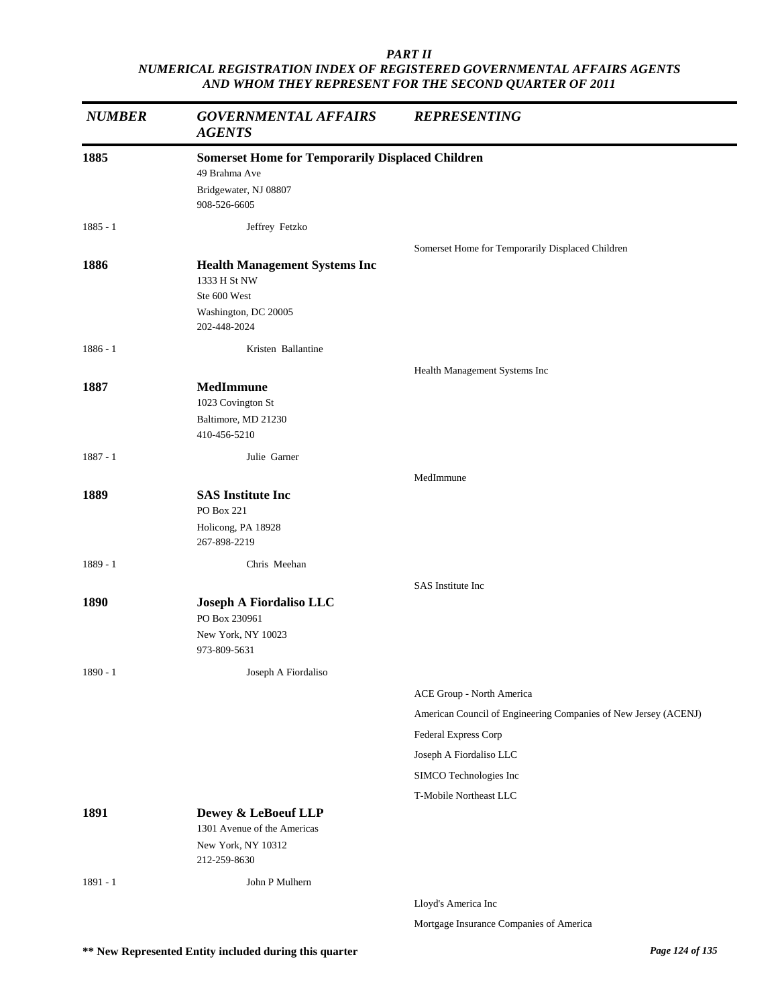| <b>NUMBER</b> | <b>GOVERNMENTAL AFFAIRS</b><br><b>AGENTS</b>            | <b>REPRESENTING</b>                                             |
|---------------|---------------------------------------------------------|-----------------------------------------------------------------|
| 1885          | <b>Somerset Home for Temporarily Displaced Children</b> |                                                                 |
|               | 49 Brahma Ave                                           |                                                                 |
|               | Bridgewater, NJ 08807                                   |                                                                 |
|               | 908-526-6605                                            |                                                                 |
| $1885 - 1$    | Jeffrey Fetzko                                          |                                                                 |
|               |                                                         | Somerset Home for Temporarily Displaced Children                |
| 1886          | <b>Health Management Systems Inc</b><br>1333 H St NW    |                                                                 |
|               | Ste 600 West                                            |                                                                 |
|               | Washington, DC 20005                                    |                                                                 |
|               | 202-448-2024                                            |                                                                 |
| $1886 - 1$    | Kristen Ballantine                                      |                                                                 |
|               |                                                         | Health Management Systems Inc                                   |
| 1887          | <b>MedImmune</b>                                        |                                                                 |
|               | 1023 Covington St                                       |                                                                 |
|               | Baltimore, MD 21230                                     |                                                                 |
|               | 410-456-5210                                            |                                                                 |
| $1887 - 1$    | Julie Garner                                            |                                                                 |
|               |                                                         | MedImmune                                                       |
| 1889          | <b>SAS</b> Institute Inc<br>PO Box 221                  |                                                                 |
|               | Holicong, PA 18928                                      |                                                                 |
|               | 267-898-2219                                            |                                                                 |
| 1889 - 1      | Chris Meehan                                            |                                                                 |
|               |                                                         | SAS Institute Inc                                               |
| 1890          | Joseph A Fiordaliso LLC                                 |                                                                 |
|               | PO Box 230961                                           |                                                                 |
|               | New York, NY 10023<br>973-809-5631                      |                                                                 |
| $1890 - 1$    | Joseph A Fiordaliso                                     |                                                                 |
|               |                                                         | ACE Group - North America                                       |
|               |                                                         | American Council of Engineering Companies of New Jersey (ACENJ) |
|               |                                                         | <b>Federal Express Corp</b>                                     |
|               |                                                         | Joseph A Fiordaliso LLC                                         |
|               |                                                         | SIMCO Technologies Inc                                          |
|               |                                                         | T-Mobile Northeast LLC                                          |
| 1891          | Dewey & LeBoeuf LLP                                     |                                                                 |
|               | 1301 Avenue of the Americas                             |                                                                 |
|               | New York, NY 10312<br>212-259-8630                      |                                                                 |
|               |                                                         |                                                                 |
| $1891 - 1$    | John P Mulhern                                          |                                                                 |
|               |                                                         | Lloyd's America Inc                                             |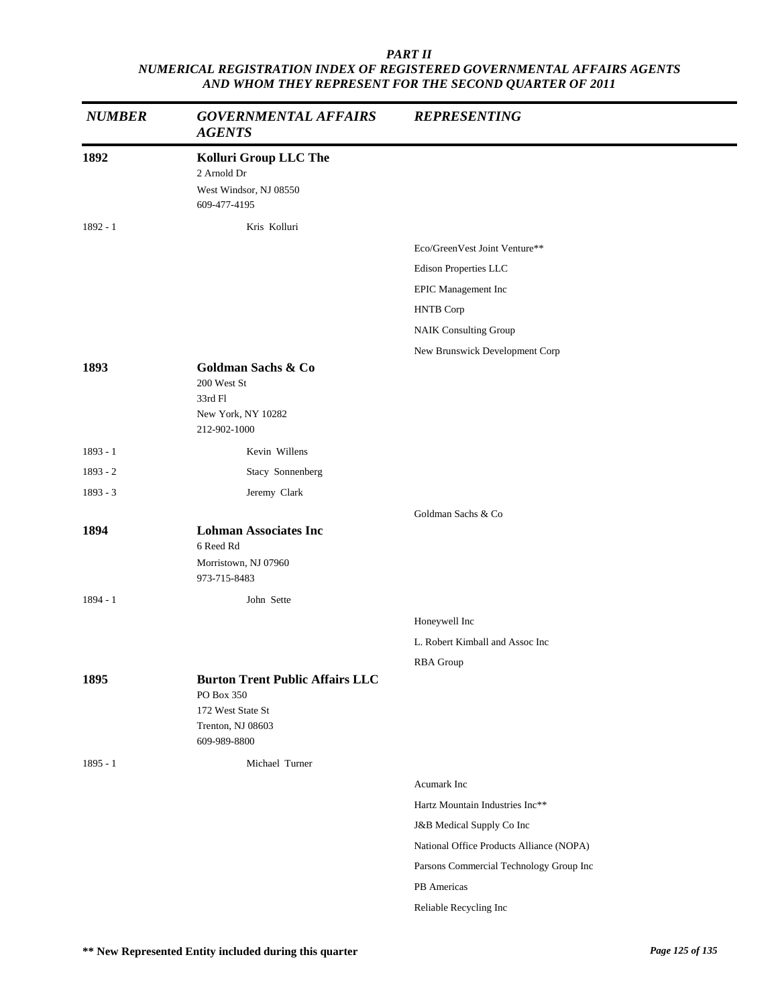| <b>NUMBER</b> | <b>GOVERNMENTAL AFFAIRS</b><br><b>AGENTS</b>                                                                   | <b>REPRESENTING</b>                      |
|---------------|----------------------------------------------------------------------------------------------------------------|------------------------------------------|
| 1892          | Kolluri Group LLC The<br>2 Arnold Dr<br>West Windsor, NJ 08550<br>609-477-4195                                 |                                          |
| $1892 - 1$    | Kris Kolluri                                                                                                   |                                          |
|               |                                                                                                                | Eco/GreenVest Joint Venture**            |
|               |                                                                                                                | Edison Properties LLC                    |
|               |                                                                                                                | EPIC Management Inc                      |
|               |                                                                                                                | <b>HNTB</b> Corp                         |
|               |                                                                                                                | <b>NAIK Consulting Group</b>             |
|               |                                                                                                                | New Brunswick Development Corp           |
| 1893          | <b>Goldman Sachs &amp; Co</b><br>200 West St<br>33rd Fl<br>New York, NY 10282<br>212-902-1000                  |                                          |
| $1893 - 1$    | Kevin Willens                                                                                                  |                                          |
| $1893 - 2$    | Stacy Sonnenberg                                                                                               |                                          |
| $1893 - 3$    | Jeremy Clark                                                                                                   |                                          |
|               |                                                                                                                | Goldman Sachs & Co                       |
| 1894          | <b>Lohman Associates Inc</b><br>6 Reed Rd<br>Morristown, NJ 07960<br>973-715-8483                              |                                          |
| 1894 - 1      | John Sette                                                                                                     |                                          |
|               |                                                                                                                | Honeywell Inc                            |
|               |                                                                                                                | L. Robert Kimball and Assoc Inc          |
|               |                                                                                                                |                                          |
| 1895          | <b>Burton Trent Public Affairs LLC</b><br>PO Box 350<br>172 West State St<br>Trenton, NJ 08603<br>609-989-8800 | <b>RBA</b> Group                         |
| $1895 - 1$    | Michael Turner                                                                                                 |                                          |
|               |                                                                                                                | Acumark Inc                              |
|               |                                                                                                                | Hartz Mountain Industries Inc**          |
|               |                                                                                                                | J&B Medical Supply Co Inc                |
|               |                                                                                                                | National Office Products Alliance (NOPA) |
|               |                                                                                                                | Parsons Commercial Technology Group Inc  |
|               |                                                                                                                | PB Americas                              |
|               |                                                                                                                | Reliable Recycling Inc                   |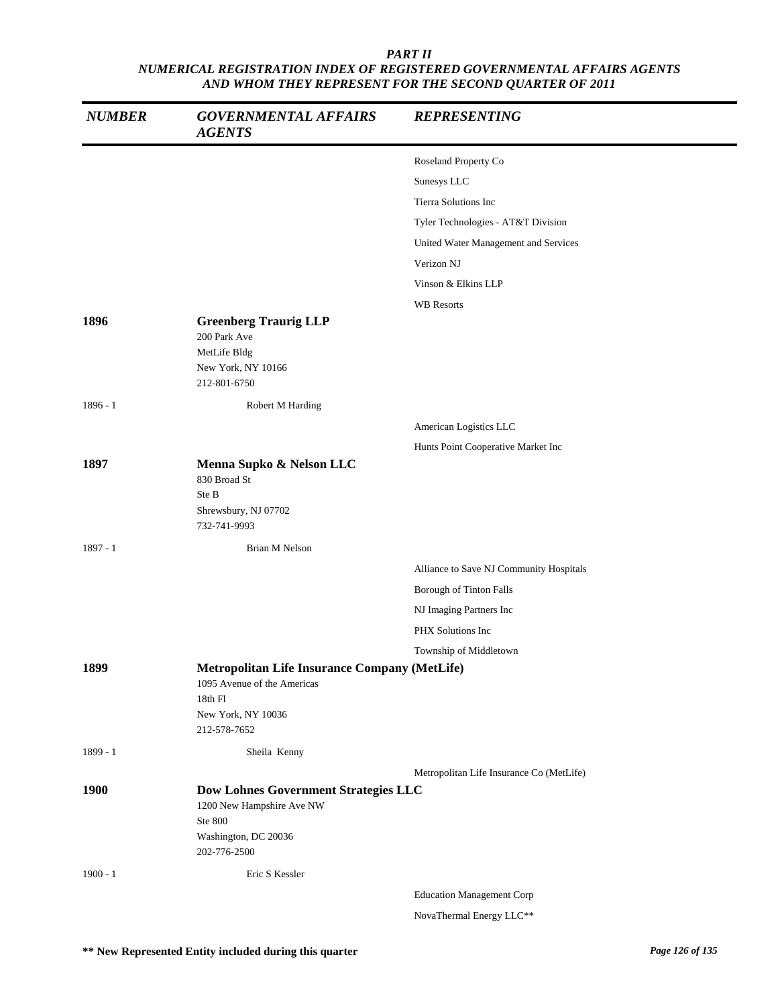| <b>NUMBER</b> | <b>GOVERNMENTAL AFFAIRS</b><br><b>AGENTS</b>                                                                                    | <b>REPRESENTING</b>                      |
|---------------|---------------------------------------------------------------------------------------------------------------------------------|------------------------------------------|
|               |                                                                                                                                 | Roseland Property Co                     |
|               |                                                                                                                                 | Sunesys LLC                              |
|               |                                                                                                                                 | Tierra Solutions Inc                     |
|               |                                                                                                                                 | Tyler Technologies - AT&T Division       |
|               |                                                                                                                                 | United Water Management and Services     |
|               |                                                                                                                                 | Verizon NJ                               |
|               |                                                                                                                                 | Vinson & Elkins LLP                      |
|               |                                                                                                                                 | <b>WB</b> Resorts                        |
| 1896          | <b>Greenberg Traurig LLP</b><br>200 Park Ave<br>MetLife Bldg                                                                    |                                          |
|               | New York, NY 10166<br>212-801-6750                                                                                              |                                          |
| $1896 - 1$    | Robert M Harding                                                                                                                |                                          |
|               |                                                                                                                                 | American Logistics LLC                   |
|               |                                                                                                                                 | Hunts Point Cooperative Market Inc       |
| 1897          | Menna Supko & Nelson LLC<br>830 Broad St<br>Ste B<br>Shrewsbury, NJ 07702<br>732-741-9993                                       |                                          |
| 1897 - 1      | Brian M Nelson                                                                                                                  |                                          |
|               |                                                                                                                                 | Alliance to Save NJ Community Hospitals  |
|               |                                                                                                                                 | Borough of Tinton Falls                  |
|               |                                                                                                                                 | NJ Imaging Partners Inc                  |
|               |                                                                                                                                 | PHX Solutions Inc                        |
|               |                                                                                                                                 | Township of Middletown                   |
| 1899          | Metropolitan Life Insurance Company (MetLife)<br>1095 Avenue of the Americas<br>$18th$ Fl<br>New York, NY 10036<br>212-578-7652 |                                          |
| 1899 - 1      | Sheila Kenny                                                                                                                    |                                          |
| 1900          | <b>Dow Lohnes Government Strategies LLC</b><br>1200 New Hampshire Ave NW<br>Ste 800<br>Washington, DC 20036<br>202-776-2500     | Metropolitan Life Insurance Co (MetLife) |
| $1900 - 1$    | Eric S Kessler                                                                                                                  |                                          |
|               |                                                                                                                                 | <b>Education Management Corp</b>         |
|               |                                                                                                                                 | NovaThermal Energy LLC**                 |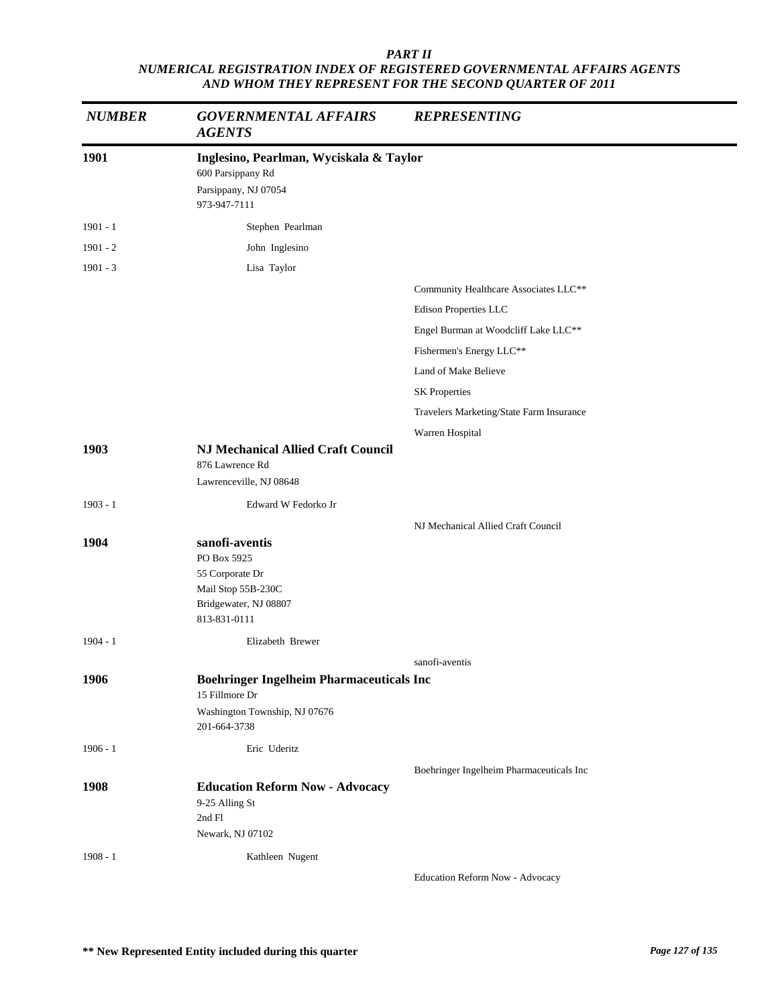| <b>NUMBER</b> | <b>GOVERNMENTAL AFFAIRS</b><br><b>AGENTS</b>                                                                       | <b>REPRESENTING</b>                      |  |
|---------------|--------------------------------------------------------------------------------------------------------------------|------------------------------------------|--|
| 1901          | Inglesino, Pearlman, Wyciskala & Taylor<br>600 Parsippany Rd<br>Parsippany, NJ 07054<br>973-947-7111               |                                          |  |
| $1901 - 1$    | Stephen Pearlman                                                                                                   |                                          |  |
| $1901 - 2$    | John Inglesino                                                                                                     |                                          |  |
| $1901 - 3$    | Lisa Taylor                                                                                                        |                                          |  |
|               |                                                                                                                    | Community Healthcare Associates LLC**    |  |
|               |                                                                                                                    | Edison Properties LLC                    |  |
|               |                                                                                                                    | Engel Burman at Woodcliff Lake LLC**     |  |
|               |                                                                                                                    | Fishermen's Energy LLC**                 |  |
|               |                                                                                                                    | Land of Make Believe                     |  |
|               |                                                                                                                    | <b>SK Properties</b>                     |  |
|               |                                                                                                                    | Travelers Marketing/State Farm Insurance |  |
|               |                                                                                                                    | Warren Hospital                          |  |
| 1903          | <b>NJ Mechanical Allied Craft Council</b><br>876 Lawrence Rd<br>Lawrenceville, NJ 08648                            |                                          |  |
| $1903 - 1$    | Edward W Fedorko Jr                                                                                                |                                          |  |
|               |                                                                                                                    | NJ Mechanical Allied Craft Council       |  |
| 1904          | sanofi-aventis<br>PO Box 5925<br>55 Corporate Dr<br>Mail Stop 55B-230C<br>Bridgewater, NJ 08807<br>813-831-0111    |                                          |  |
| $1904 - 1$    | Elizabeth Brewer                                                                                                   |                                          |  |
|               |                                                                                                                    | sanofi-aventis                           |  |
| 1906          | <b>Boehringer Ingelheim Pharmaceuticals Inc</b><br>15 Fillmore Dr<br>Washington Township, NJ 07676<br>201-664-3738 |                                          |  |
| $1906 - 1$    | Eric Uderitz                                                                                                       |                                          |  |
| 1908          | <b>Education Reform Now - Advocacy</b><br>9-25 Alling St<br>2nd Fl<br>Newark, NJ 07102                             | Boehringer Ingelheim Pharmaceuticals Inc |  |
| $1908 - 1$    | Kathleen Nugent                                                                                                    |                                          |  |
|               |                                                                                                                    |                                          |  |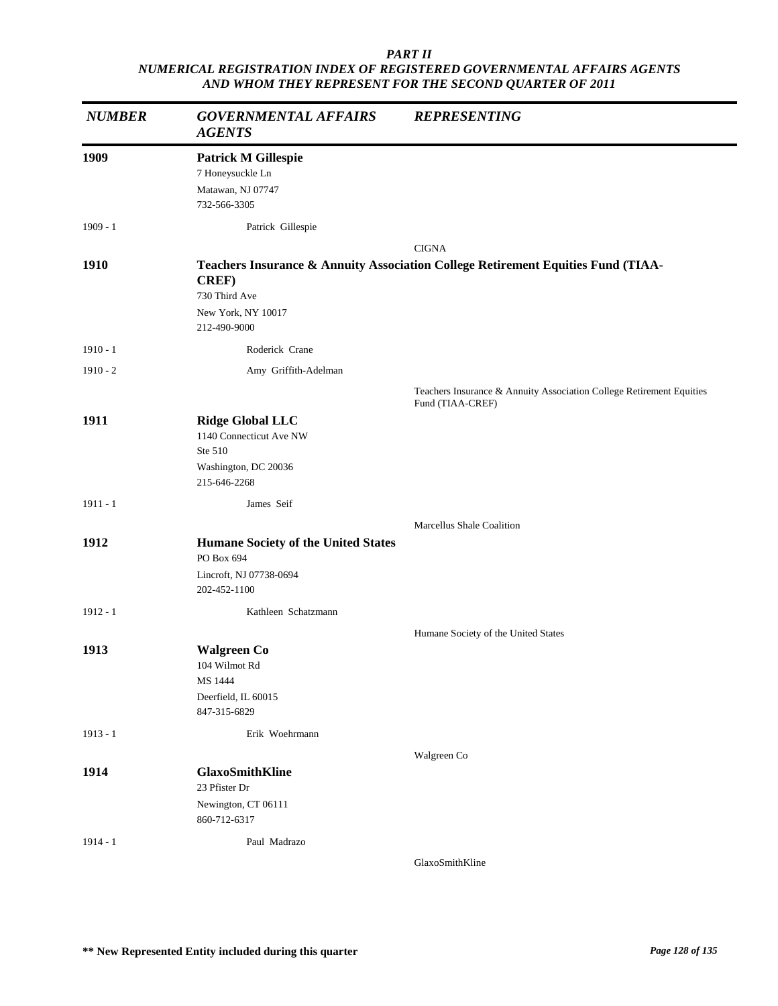| <b>NUMBER</b> | <b>GOVERNMENTAL AFFAIRS</b><br><b>AGENTS</b>                                                          | <b>REPRESENTING</b>                                                                      |
|---------------|-------------------------------------------------------------------------------------------------------|------------------------------------------------------------------------------------------|
| 1909          | <b>Patrick M Gillespie</b><br>7 Honeysuckle Ln<br>Matawan, NJ 07747<br>732-566-3305                   |                                                                                          |
| $1909 - 1$    | Patrick Gillespie                                                                                     |                                                                                          |
|               |                                                                                                       | <b>CIGNA</b>                                                                             |
| 1910          | <b>CREF)</b><br>730 Third Ave<br>New York, NY 10017<br>212-490-9000                                   | Teachers Insurance & Annuity Association College Retirement Equities Fund (TIAA-         |
| $1910 - 1$    | Roderick Crane                                                                                        |                                                                                          |
| $1910 - 2$    | Amy Griffith-Adelman                                                                                  |                                                                                          |
|               |                                                                                                       | Teachers Insurance & Annuity Association College Retirement Equities<br>Fund (TIAA-CREF) |
| 1911          | <b>Ridge Global LLC</b><br>1140 Connecticut Ave NW<br>Ste 510<br>Washington, DC 20036<br>215-646-2268 |                                                                                          |
| $1911 - 1$    | James Seif                                                                                            |                                                                                          |
|               |                                                                                                       | Marcellus Shale Coalition                                                                |
| 1912          | <b>Humane Society of the United States</b><br>PO Box 694<br>Lincroft, NJ 07738-0694                   |                                                                                          |
|               | 202-452-1100                                                                                          |                                                                                          |
| $1912 - 1$    | Kathleen Schatzmann                                                                                   |                                                                                          |
|               |                                                                                                       | Humane Society of the United States                                                      |
| 1913          | <b>Walgreen Co</b><br>104 Wilmot Rd<br>MS 1444<br>Deerfield, IL 60015<br>847-315-6829                 |                                                                                          |
| $1913 - 1$    | Erik Woehrmann                                                                                        |                                                                                          |
|               |                                                                                                       | Walgreen Co                                                                              |
| 1914          | <b>GlaxoSmithKline</b><br>23 Pfister Dr                                                               |                                                                                          |
|               | Newington, CT 06111<br>860-712-6317                                                                   |                                                                                          |
| $1914 - 1$    | Paul Madrazo                                                                                          |                                                                                          |
|               |                                                                                                       | GlaxoSmithKline                                                                          |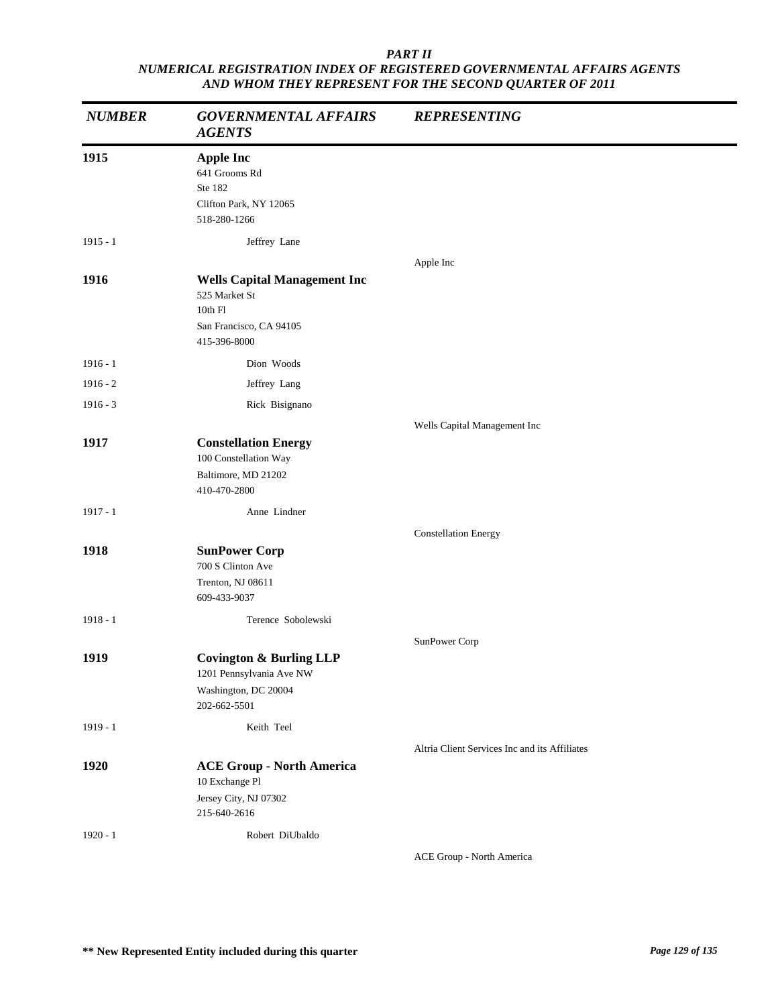| <b>NUMBER</b> | <b>GOVERNMENTAL AFFAIRS</b><br><b>AGENTS</b>                                                               | <b>REPRESENTING</b>                           |
|---------------|------------------------------------------------------------------------------------------------------------|-----------------------------------------------|
| 1915          | <b>Apple Inc</b><br>641 Grooms Rd<br>Ste 182<br>Clifton Park, NY 12065<br>518-280-1266                     |                                               |
| $1915 - 1$    | Jeffrey Lane                                                                                               |                                               |
|               |                                                                                                            | Apple Inc                                     |
| 1916          | <b>Wells Capital Management Inc</b><br>525 Market St<br>10th Fl<br>San Francisco, CA 94105<br>415-396-8000 |                                               |
| $1916 - 1$    | Dion Woods                                                                                                 |                                               |
| $1916 - 2$    | Jeffrey Lang                                                                                               |                                               |
| $1916 - 3$    | Rick Bisignano                                                                                             |                                               |
|               |                                                                                                            | Wells Capital Management Inc                  |
| 1917          | <b>Constellation Energy</b><br>100 Constellation Way<br>Baltimore, MD 21202<br>410-470-2800                |                                               |
| $1917 - 1$    | Anne Lindner                                                                                               |                                               |
|               |                                                                                                            | <b>Constellation Energy</b>                   |
| 1918          | <b>SunPower Corp</b><br>700 S Clinton Ave<br>Trenton, NJ 08611<br>609-433-9037                             |                                               |
| $1918 - 1$    | Terence Sobolewski                                                                                         |                                               |
|               |                                                                                                            | SunPower Corp                                 |
| 1919          | <b>Covington &amp; Burling LLP</b><br>1201 Pennsylvania Ave NW<br>Washington, DC 20004<br>202-662-5501     |                                               |
| $1919 - 1$    | Keith Teel                                                                                                 |                                               |
|               |                                                                                                            | Altria Client Services Inc and its Affiliates |
| 1920          | <b>ACE Group - North America</b><br>10 Exchange Pl<br>Jersey City, NJ 07302                                |                                               |
|               | 215-640-2616                                                                                               |                                               |
| $1920 - 1$    | Robert DiUbaldo                                                                                            | ACE Group - North America                     |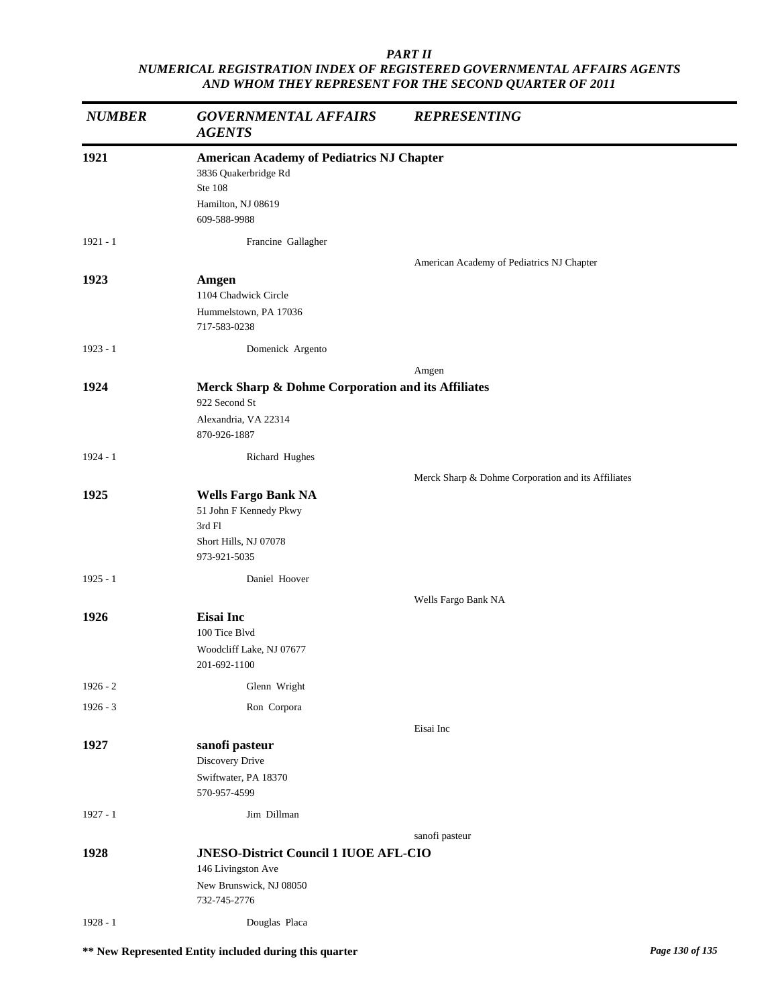| <b>NUMBER</b> | <b>GOVERNMENTAL AFFAIRS</b><br><b>AGENTS</b>                                                                              | <b>REPRESENTING</b>                                |
|---------------|---------------------------------------------------------------------------------------------------------------------------|----------------------------------------------------|
| 1921          | <b>American Academy of Pediatrics NJ Chapter</b><br>3836 Quakerbridge Rd<br>Ste 108<br>Hamilton, NJ 08619<br>609-588-9988 |                                                    |
| $1921 - 1$    | Francine Gallagher                                                                                                        | American Academy of Pediatrics NJ Chapter          |
| 1923          | Amgen<br>1104 Chadwick Circle<br>Hummelstown, PA 17036<br>717-583-0238                                                    |                                                    |
| $1923 - 1$    | Domenick Argento                                                                                                          |                                                    |
|               |                                                                                                                           | Amgen                                              |
| 1924          | Merck Sharp & Dohme Corporation and its Affiliates<br>922 Second St<br>Alexandria, VA 22314<br>870-926-1887               |                                                    |
| $1924 - 1$    | Richard Hughes                                                                                                            |                                                    |
|               |                                                                                                                           | Merck Sharp & Dohme Corporation and its Affiliates |
| 1925          | <b>Wells Fargo Bank NA</b><br>51 John F Kennedy Pkwy<br>3rd Fl<br>Short Hills, NJ 07078<br>973-921-5035                   |                                                    |
| $1925 - 1$    | Daniel Hoover                                                                                                             |                                                    |
| 1926          | <b>Eisai</b> Inc<br>100 Tice Blvd<br>Woodcliff Lake, NJ 07677<br>201-692-1100                                             | Wells Fargo Bank NA                                |
| $1926 - 2$    | Glenn Wright                                                                                                              |                                                    |
| $1926 - 3$    | Ron Corpora                                                                                                               |                                                    |
|               |                                                                                                                           | Eisai Inc                                          |
| 1927          | sanofi pasteur<br>Discovery Drive<br>Swiftwater, PA 18370<br>570-957-4599                                                 |                                                    |
| $1927 - 1$    | Jim Dillman                                                                                                               |                                                    |
|               |                                                                                                                           | sanofi pasteur                                     |
| 1928          | <b>JNESO-District Council 1 IUOE AFL-CIO</b><br>146 Livingston Ave<br>New Brunswick, NJ 08050<br>732-745-2776             |                                                    |
| 1928 - 1      | Douglas Placa                                                                                                             |                                                    |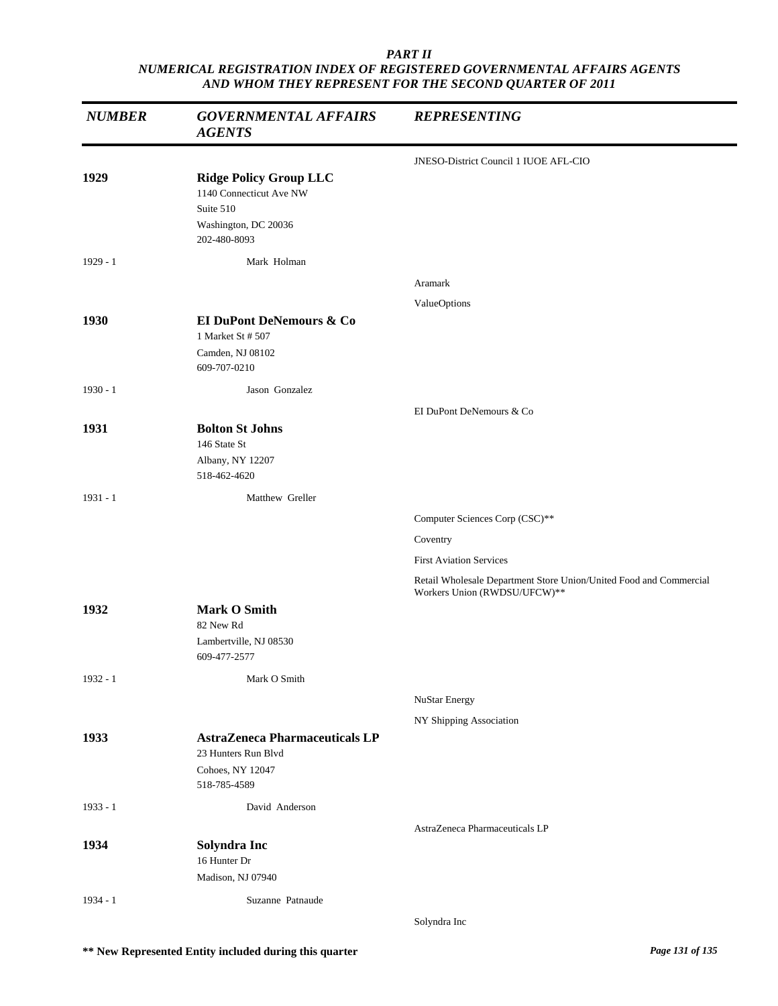| <b>NUMBER</b> | <b>GOVERNMENTAL AFFAIRS</b><br><b>AGENTS</b>                                                                  | <b>REPRESENTING</b>                                                                                |
|---------------|---------------------------------------------------------------------------------------------------------------|----------------------------------------------------------------------------------------------------|
|               |                                                                                                               | JNESO-District Council 1 IUOE AFL-CIO                                                              |
| 1929          | <b>Ridge Policy Group LLC</b><br>1140 Connecticut Ave NW<br>Suite 510<br>Washington, DC 20036<br>202-480-8093 |                                                                                                    |
| $1929 - 1$    | Mark Holman                                                                                                   |                                                                                                    |
|               |                                                                                                               | Aramark                                                                                            |
| 1930          | EI DuPont DeNemours & Co<br>1 Market St # 507<br>Camden, NJ 08102<br>609-707-0210                             | ValueOptions                                                                                       |
| $1930 - 1$    | Jason Gonzalez                                                                                                |                                                                                                    |
| 1931          | <b>Bolton St Johns</b><br>146 State St<br>Albany, NY 12207<br>518-462-4620                                    | EI DuPont DeNemours & Co                                                                           |
| $1931 - 1$    | Matthew Greller                                                                                               |                                                                                                    |
|               |                                                                                                               | Computer Sciences Corp (CSC)**                                                                     |
|               |                                                                                                               | Coventry                                                                                           |
|               |                                                                                                               | <b>First Aviation Services</b>                                                                     |
|               |                                                                                                               | Retail Wholesale Department Store Union/United Food and Commercial<br>Workers Union (RWDSU/UFCW)** |
| 1932          | <b>Mark O Smith</b><br>82 New Rd<br>Lambertville, NJ 08530<br>609-477-2577                                    |                                                                                                    |
| 1932 - 1      | Mark O Smith                                                                                                  |                                                                                                    |
|               |                                                                                                               | NuStar Energy                                                                                      |
|               |                                                                                                               | NY Shipping Association                                                                            |
| 1933          | <b>AstraZeneca Pharmaceuticals LP</b><br>23 Hunters Run Blvd                                                  |                                                                                                    |
|               | Cohoes, NY 12047<br>518-785-4589                                                                              |                                                                                                    |
| $1933 - 1$    | David Anderson                                                                                                |                                                                                                    |
|               |                                                                                                               | AstraZeneca Pharmaceuticals LP                                                                     |
| 1934          | Solyndra Inc<br>16 Hunter Dr<br>Madison, NJ 07940                                                             |                                                                                                    |
| $1934 - 1$    | Suzanne Patnaude                                                                                              |                                                                                                    |
|               |                                                                                                               | Solyndra Inc                                                                                       |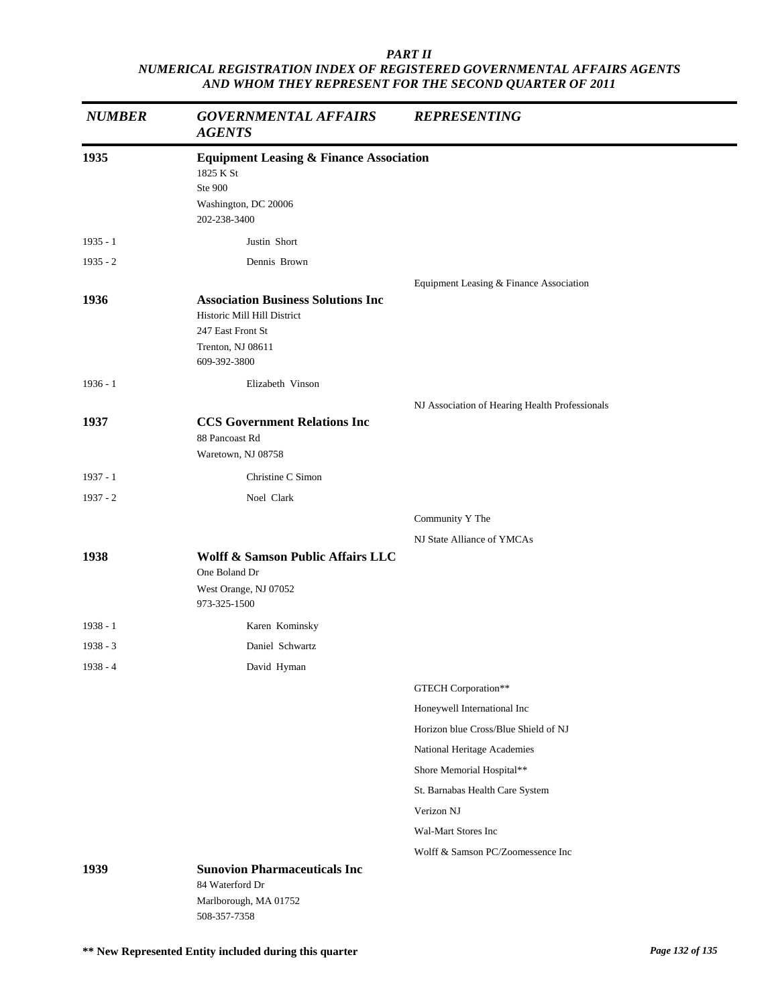| <b>NUMBER</b> | <b>GOVERNMENTAL AFFAIRS</b><br><b>AGENTS</b>       | <b>REPRESENTING</b>                                                 |
|---------------|----------------------------------------------------|---------------------------------------------------------------------|
| 1935          | <b>Equipment Leasing &amp; Finance Association</b> |                                                                     |
|               | 1825 K St<br>Ste 900                               |                                                                     |
|               | Washington, DC 20006                               |                                                                     |
|               | 202-238-3400                                       |                                                                     |
| $1935 - 1$    | Justin Short                                       |                                                                     |
| $1935 - 2$    | Dennis Brown                                       |                                                                     |
|               |                                                    | Equipment Leasing & Finance Association                             |
| 1936          | <b>Association Business Solutions Inc.</b>         |                                                                     |
|               | Historic Mill Hill District<br>247 East Front St   |                                                                     |
|               | Trenton, NJ 08611                                  |                                                                     |
|               | 609-392-3800                                       |                                                                     |
| $1936 - 1$    | Elizabeth Vinson                                   |                                                                     |
|               |                                                    | NJ Association of Hearing Health Professionals                      |
| 1937          | <b>CCS Government Relations Inc</b>                |                                                                     |
|               | 88 Pancoast Rd<br>Waretown, NJ 08758               |                                                                     |
| $1937 - 1$    | Christine C Simon                                  |                                                                     |
| $1937 - 2$    | Noel Clark                                         |                                                                     |
|               |                                                    | Community Y The                                                     |
|               |                                                    | NJ State Alliance of YMCAs                                          |
| 1938          | <b>Wolff &amp; Samson Public Affairs LLC</b>       |                                                                     |
|               | One Boland Dr                                      |                                                                     |
|               | West Orange, NJ 07052<br>973-325-1500              |                                                                     |
|               |                                                    |                                                                     |
| $1938 - 1$    | Karen Kominsky                                     |                                                                     |
| $1938 - 3$    | Daniel Schwartz                                    |                                                                     |
| $1938 - 4$    | David Hyman                                        |                                                                     |
|               |                                                    | GTECH Corporation**                                                 |
|               |                                                    | Honeywell International Inc<br>Horizon blue Cross/Blue Shield of NJ |
|               |                                                    | National Heritage Academies                                         |
|               |                                                    | Shore Memorial Hospital**                                           |
|               |                                                    | St. Barnabas Health Care System                                     |
|               |                                                    | Verizon NJ                                                          |
|               |                                                    | Wal-Mart Stores Inc                                                 |
|               |                                                    | Wolff & Samson PC/Zoomessence Inc                                   |
| 1939          | <b>Sunovion Pharmaceuticals Inc</b>                |                                                                     |
|               | 84 Waterford Dr                                    |                                                                     |
|               | Marlborough, MA 01752<br>508-357-7358              |                                                                     |
|               |                                                    |                                                                     |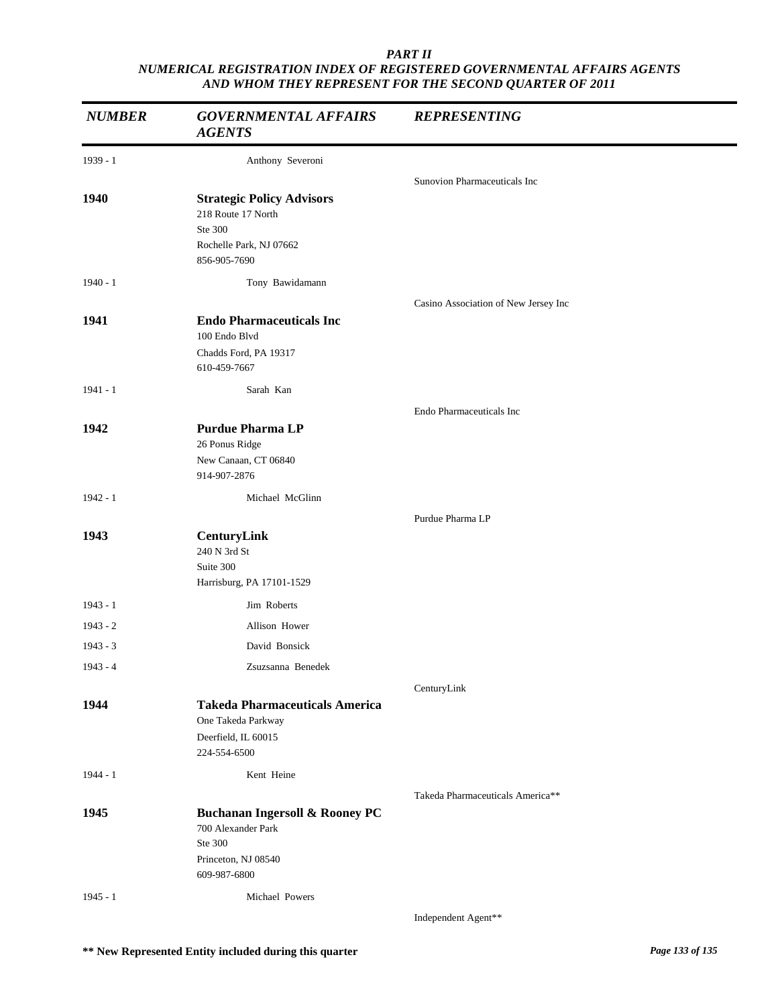| <b>NUMBER</b> | <b>GOVERNMENTAL AFFAIRS</b><br><b>AGENTS</b>                                                                      | <b>REPRESENTING</b>                  |
|---------------|-------------------------------------------------------------------------------------------------------------------|--------------------------------------|
| $1939 - 1$    | Anthony Severoni                                                                                                  |                                      |
|               |                                                                                                                   | Sunovion Pharmaceuticals Inc         |
| 1940          | <b>Strategic Policy Advisors</b><br>218 Route 17 North<br>Ste 300<br>Rochelle Park, NJ 07662<br>856-905-7690      |                                      |
| $1940 - 1$    | Tony Bawidamann                                                                                                   |                                      |
| 1941          | <b>Endo Pharmaceuticals Inc</b><br>100 Endo Blvd<br>Chadds Ford, PA 19317<br>610-459-7667                         | Casino Association of New Jersey Inc |
| $1941 - 1$    | Sarah Kan                                                                                                         |                                      |
|               |                                                                                                                   | Endo Pharmaceuticals Inc             |
| 1942          | <b>Purdue Pharma LP</b><br>26 Ponus Ridge<br>New Canaan, CT 06840<br>914-907-2876                                 |                                      |
| $1942 - 1$    | Michael McGlinn                                                                                                   |                                      |
|               |                                                                                                                   | Purdue Pharma LP                     |
| 1943          | CenturyLink<br>240 N 3rd St<br>Suite 300<br>Harrisburg, PA 17101-1529                                             |                                      |
| $1943 - 1$    | Jim Roberts                                                                                                       |                                      |
| $1943 - 2$    | Allison Hower                                                                                                     |                                      |
| $1943 - 3$    | David Bonsick                                                                                                     |                                      |
| $1943 - 4$    | Zsuzsanna Benedek                                                                                                 |                                      |
|               |                                                                                                                   | CenturyLink                          |
| 1944          | <b>Takeda Pharmaceuticals America</b><br>One Takeda Parkway<br>Deerfield, IL 60015<br>224-554-6500                |                                      |
| $1944 - 1$    | Kent Heine                                                                                                        |                                      |
|               |                                                                                                                   | Takeda Pharmaceuticals America**     |
| 1945          | <b>Buchanan Ingersoll &amp; Rooney PC</b><br>700 Alexander Park<br>Ste 300<br>Princeton, NJ 08540<br>609-987-6800 |                                      |
| $1945 - 1$    | Michael Powers                                                                                                    |                                      |
|               |                                                                                                                   | Independent Agent**                  |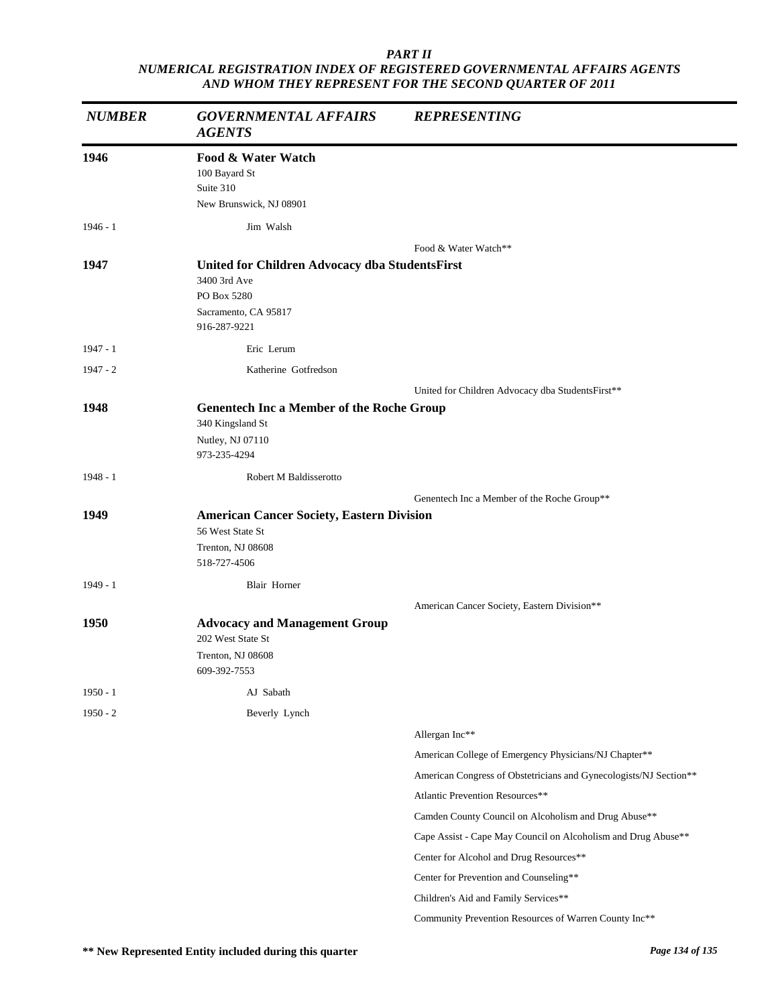| <b>NUMBER</b> | <b>GOVERNMENTAL AFFAIRS</b><br><b>AGENTS</b>                                                                          | <b>REPRESENTING</b>                                               |
|---------------|-----------------------------------------------------------------------------------------------------------------------|-------------------------------------------------------------------|
| 1946          | Food & Water Watch<br>100 Bayard St<br>Suite 310<br>New Brunswick, NJ 08901                                           |                                                                   |
| $1946 - 1$    | Jim Walsh                                                                                                             |                                                                   |
|               |                                                                                                                       | Food & Water Watch**                                              |
| 1947          | United for Children Advocacy dba StudentsFirst<br>3400 3rd Ave<br>PO Box 5280<br>Sacramento, CA 95817<br>916-287-9221 |                                                                   |
| $1947 - 1$    | Eric Lerum                                                                                                            |                                                                   |
| $1947 - 2$    | Katherine Gotfredson                                                                                                  |                                                                   |
|               |                                                                                                                       | United for Children Advocacy dba StudentsFirst**                  |
| 1948          | <b>Genentech Inc a Member of the Roche Group</b><br>340 Kingsland St<br>Nutley, NJ 07110<br>973-235-4294              |                                                                   |
| $1948 - 1$    | Robert M Baldisserotto                                                                                                |                                                                   |
|               |                                                                                                                       | Genentech Inc a Member of the Roche Group**                       |
| 1949          | <b>American Cancer Society, Eastern Division</b>                                                                      |                                                                   |
|               | 56 West State St<br>Trenton, NJ 08608                                                                                 |                                                                   |
|               | 518-727-4506                                                                                                          |                                                                   |
| $1949 - 1$    | Blair Horner                                                                                                          |                                                                   |
|               |                                                                                                                       | American Cancer Society, Eastern Division**                       |
| 1950          | <b>Advocacy and Management Group</b><br>202 West State St<br>Trenton, NJ 08608<br>609-392-7553                        |                                                                   |
| $1950 - 1$    | AJ Sabath                                                                                                             |                                                                   |
| $1950 - 2$    | Beverly Lynch                                                                                                         |                                                                   |
|               |                                                                                                                       | Allergan Inc**                                                    |
|               |                                                                                                                       | American College of Emergency Physicians/NJ Chapter**             |
|               |                                                                                                                       | American Congress of Obstetricians and Gynecologists/NJ Section** |
|               |                                                                                                                       | Atlantic Prevention Resources**                                   |
|               |                                                                                                                       | Camden County Council on Alcoholism and Drug Abuse**              |
|               |                                                                                                                       | Cape Assist - Cape May Council on Alcoholism and Drug Abuse**     |
|               |                                                                                                                       | Center for Alcohol and Drug Resources**                           |
|               |                                                                                                                       | Center for Prevention and Counseling**                            |
|               |                                                                                                                       | Children's Aid and Family Services**                              |
|               |                                                                                                                       | Community Prevention Resources of Warren County Inc**             |